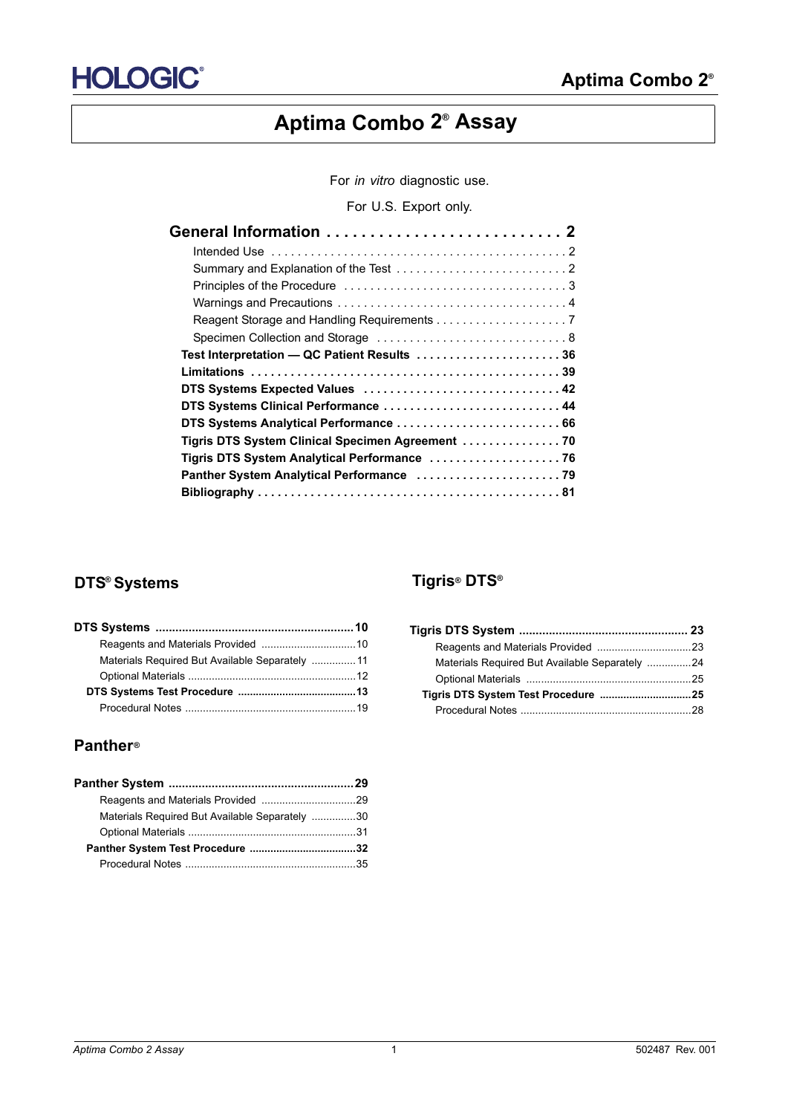# **Aptima Combo 2® Assay**

For *in vitro* diagnostic use.

For U.S. Export only.

| Test Interpretation - QC Patient Results  36      |  |
|---------------------------------------------------|--|
|                                                   |  |
| DTS Systems Expected Values  42                   |  |
| DTS Systems Clinical Performance  44              |  |
| DTS Systems Analytical Performance  66            |  |
| Tigris DTS System Clinical Specimen Agreement  70 |  |
| Tigris DTS System Analytical Performance  76      |  |
|                                                   |  |
|                                                   |  |

# **DTS® Systems Tigris® DTS®**

| Materials Required But Available Separately  11 |  |
|-------------------------------------------------|--|
|                                                 |  |
|                                                 |  |
|                                                 |  |

# **Panther®**

| Materials Required But Available Separately 30 |  |
|------------------------------------------------|--|
|                                                |  |
|                                                |  |
|                                                |  |
|                                                |  |

| Materials Required But Available Separately 24 |  |
|------------------------------------------------|--|
|                                                |  |
|                                                |  |
|                                                |  |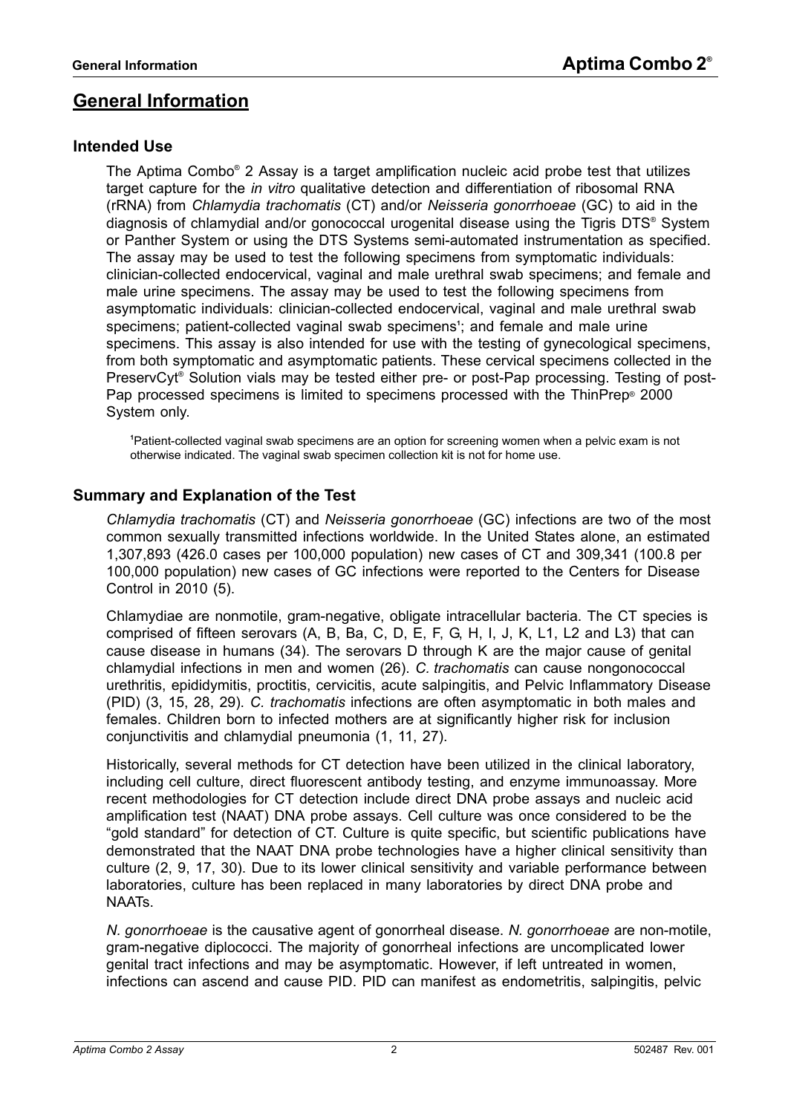# <span id="page-1-0"></span>**General Information**

# <span id="page-1-1"></span>**Intended Use**

The Aptima Combo® 2 Assay is a target amplification nucleic acid probe test that utilizes target capture for the *in vitro* qualitative detection and differentiation of ribosomal RNA (rRNA) from *Chlamydia trachomatis* (CT) and/or *Neisseria gonorrhoeae* (GC) to aid in the diagnosis of chlamydial and/or gonococcal urogenital disease using the Tigris DTS® System or Panther System or using the DTS Systems semi-automated instrumentation as specified. The assay may be used to test the following specimens from symptomatic individuals: clinician-collected endocervical, vaginal and male urethral swab specimens; and female and male urine specimens. The assay may be used to test the following specimens from asymptomatic individuals: clinician-collected endocervical, vaginal and male urethral swab specimens; patient-collected vaginal swab specimens**<sup>1</sup>** ; and female and male urine specimens. This assay is also intended for use with the testing of gynecological specimens, from both symptomatic and asymptomatic patients. These cervical specimens collected in the PreservCyt® Solution vials may be tested either pre- or post-Pap processing. Testing of post-Pap processed specimens is limited to specimens processed with the ThinPrep® 2000 System only.

**1** Patient-collected vaginal swab specimens are an option for screening women when a pelvic exam is not otherwise indicated. The vaginal swab specimen collection kit is not for home use.

# <span id="page-1-2"></span>**Summary and Explanation of the Test**

*Chlamydia trachomatis* (CT) and *Neisseria gonorrhoeae* (GC) infections are two of the most common sexually transmitted infections worldwide. In the United States alone, an estimated 1,307,893 (426.0 cases per 100,000 population) new cases of CT and 309,341 (100.8 per 100,000 population) new cases of GC infections were reported to the Centers for Disease Control in 2010 ([5\)](#page-80-1).

Chlamydiae are nonmotile, gram-negative, obligate intracellular bacteria. The CT species is comprised of fifteen serovars (A, B, Ba, C, D, E, F, G, H, I, J, K, L1, L2 and L3) that can cause disease in humans [\(34\)](#page-81-0). The serovars D through K are the major cause of genital chlamydial infections in men and women ([26](#page-81-1)). *C. trachomatis* can cause nongonococcal urethritis, epididymitis, proctitis, cervicitis, acute salpingitis, and Pelvic Inflammatory Disease (PID) ([3,](#page-80-2) [15](#page-80-3), [28,](#page-81-2) [29](#page-81-3)). *C. trachomatis* infections are often asymptomatic in both males and females. Children born to infected mothers are at significantly higher risk for inclusion conjunctivitis and chlamydial pneumonia [\(1,](#page-80-4) [11](#page-80-8), [27\)](#page-81-5).

Historically, several methods for CT detection have been utilized in the clinical laboratory, including cell culture, direct fluorescent antibody testing, and enzyme immunoassay. More recent methodologies for CT detection include direct DNA probe assays and nucleic acid amplification test (NAAT) DNA probe assays. Cell culture was once considered to be the "gold standard" for detection of CT. Culture is quite specific, but scientific publications have demonstrated that the NAAT DNA probe technologies have a higher clinical sensitivity than culture [\(2](#page-80-5), [9,](#page-80-6) [17,](#page-80-7) [30](#page-81-4)). Due to its lower clinical sensitivity and variable performance between laboratories, culture has been replaced in many laboratories by direct DNA probe and NAATs.

*N. gonorrhoeae* is the causative agent of gonorrheal disease. *N. gonorrhoeae* are non-motile, gram-negative diplococci. The majority of gonorrheal infections are uncomplicated lower genital tract infections and may be asymptomatic. However, if left untreated in women, infections can ascend and cause PID. PID can manifest as endometritis, salpingitis, pelvic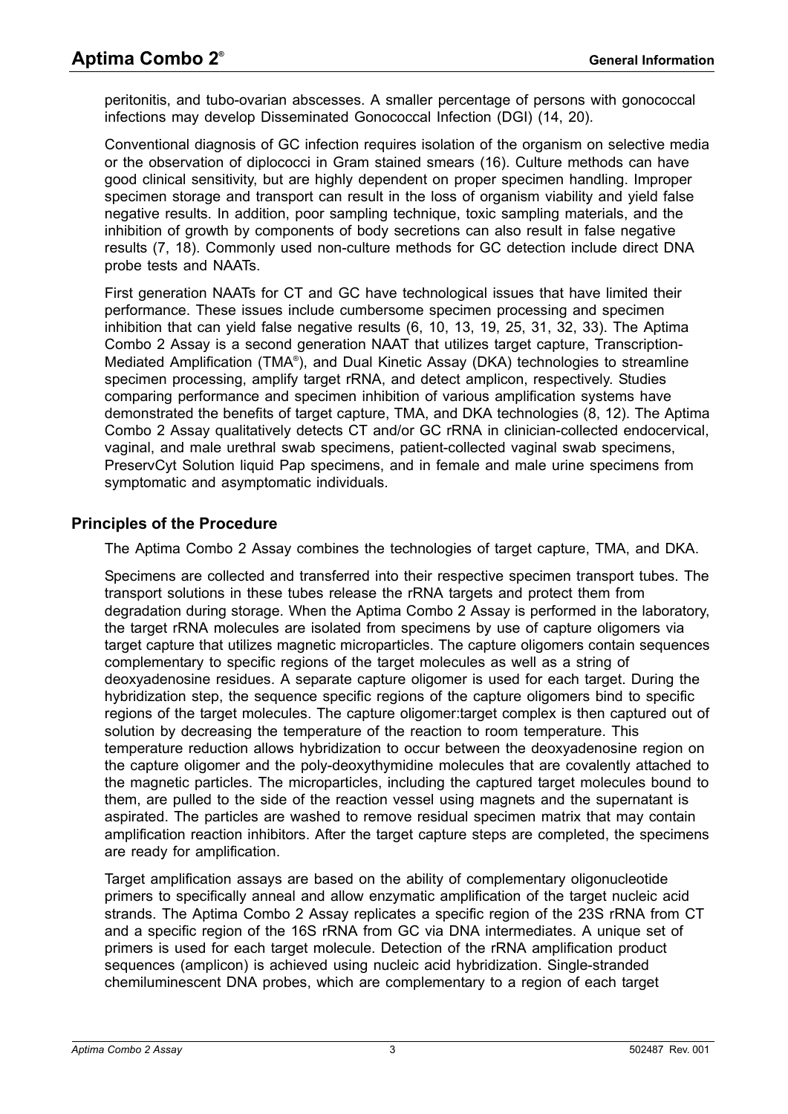peritonitis, and tubo-ovarian abscesses. A smaller percentage of persons with gonococcal infections may develop Disseminated Gonococcal Infection (DGI) [\(14](#page-80-10), [20\)](#page-80-11).

Conventional diagnosis of GC infection requires isolation of the organism on selective media or the observation of diplococci in Gram stained smears [\(16\)](#page-80-12). Culture methods can have good clinical sensitivity, but are highly dependent on proper specimen handling. Improper specimen storage and transport can result in the loss of organism viability and yield false negative results. In addition, poor sampling technique, toxic sampling materials, and the inhibition of growth by components of body secretions can also result in false negative results [\(7](#page-80-13), [18\)](#page-80-14). Commonly used non-culture methods for GC detection include direct DNA probe tests and NAATs.

First generation NAATs for CT and GC have technological issues that have limited their performance. These issues include cumbersome specimen processing and specimen inhibition that can yield false negative results ([6,](#page-80-9) [10](#page-80-15), [13,](#page-80-16) [19,](#page-80-17) [25](#page-80-18), [31,](#page-81-6) [32](#page-81-7), [33](#page-81-8)). The Aptima Combo 2 Assay is a second generation NAAT that utilizes target capture, Transcription-Mediated Amplification (TMA® ), and Dual Kinetic Assay (DKA) technologies to streamline specimen processing, amplify target rRNA, and detect amplicon, respectively. Studies comparing performance and specimen inhibition of various amplification systems have demonstrated the benefits of target capture, TMA, and DKA technologies ([8,](#page-80-19) [12\)](#page-80-20). The Aptima Combo 2 Assay qualitatively detects CT and/or GC rRNA in clinician-collected endocervical, vaginal, and male urethral swab specimens, patient-collected vaginal swab specimens, PreservCyt Solution liquid Pap specimens, and in female and male urine specimens from symptomatic and asymptomatic individuals.

# <span id="page-2-0"></span>**Principles of the Procedure**

The Aptima Combo 2 Assay combines the technologies of target capture, TMA, and DKA.

Specimens are collected and transferred into their respective specimen transport tubes. The transport solutions in these tubes release the rRNA targets and protect them from degradation during storage. When the Aptima Combo 2 Assay is performed in the laboratory, the target rRNA molecules are isolated from specimens by use of capture oligomers via target capture that utilizes magnetic microparticles. The capture oligomers contain sequences complementary to specific regions of the target molecules as well as a string of deoxyadenosine residues. A separate capture oligomer is used for each target. During the hybridization step, the sequence specific regions of the capture oligomers bind to specific regions of the target molecules. The capture oligomer:target complex is then captured out of solution by decreasing the temperature of the reaction to room temperature. This temperature reduction allows hybridization to occur between the deoxyadenosine region on the capture oligomer and the poly-deoxythymidine molecules that are covalently attached to the magnetic particles. The microparticles, including the captured target molecules bound to them, are pulled to the side of the reaction vessel using magnets and the supernatant is aspirated. The particles are washed to remove residual specimen matrix that may contain amplification reaction inhibitors. After the target capture steps are completed, the specimens are ready for amplification.

Target amplification assays are based on the ability of complementary oligonucleotide primers to specifically anneal and allow enzymatic amplification of the target nucleic acid strands. The Aptima Combo 2 Assay replicates a specific region of the 23S rRNA from CT and a specific region of the 16S rRNA from GC via DNA intermediates. A unique set of primers is used for each target molecule. Detection of the rRNA amplification product sequences (amplicon) is achieved using nucleic acid hybridization. Single-stranded chemiluminescent DNA probes, which are complementary to a region of each target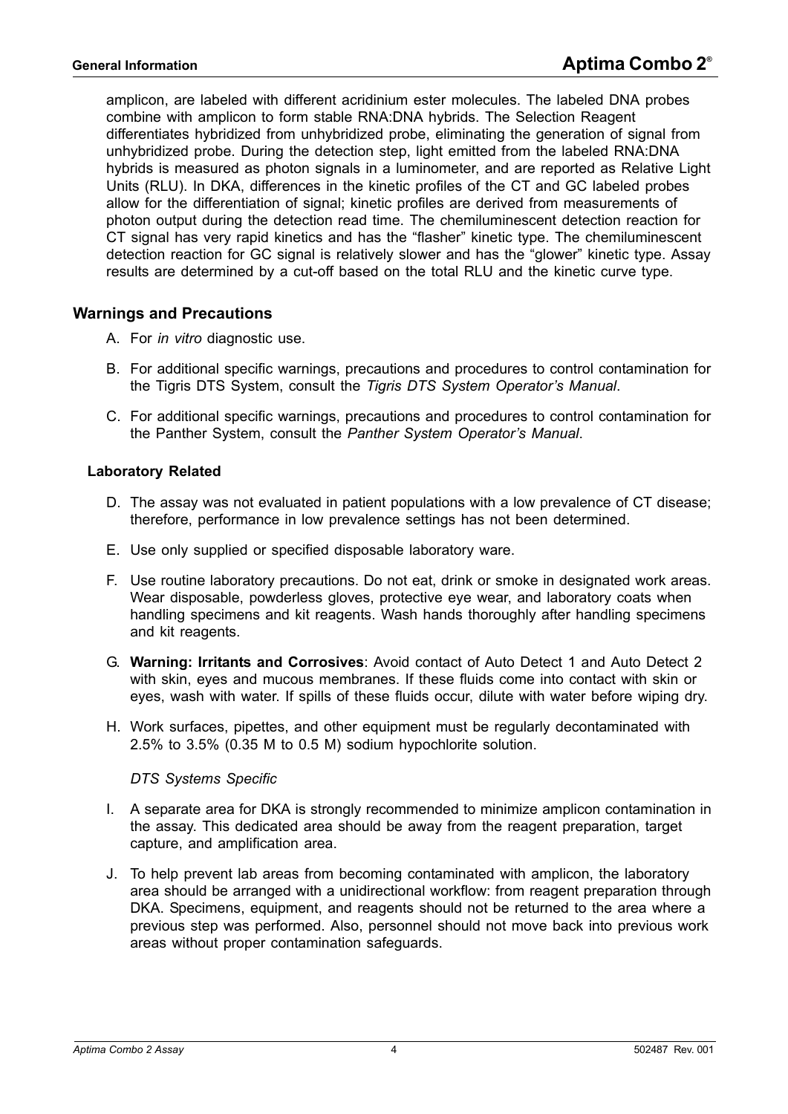amplicon, are labeled with different acridinium ester molecules. The labeled DNA probes combine with amplicon to form stable RNA:DNA hybrids. The Selection Reagent differentiates hybridized from unhybridized probe, eliminating the generation of signal from unhybridized probe. During the detection step, light emitted from the labeled RNA:DNA hybrids is measured as photon signals in a luminometer, and are reported as Relative Light Units (RLU). In DKA, differences in the kinetic profiles of the CT and GC labeled probes allow for the differentiation of signal; kinetic profiles are derived from measurements of photon output during the detection read time. The chemiluminescent detection reaction for CT signal has very rapid kinetics and has the "flasher" kinetic type. The chemiluminescent detection reaction for GC signal is relatively slower and has the "glower" kinetic type. Assay results are determined by a cut-off based on the total RLU and the kinetic curve type.

#### <span id="page-3-0"></span>**Warnings and Precautions**

- A. For *in vitro* diagnostic use.
- B. For additional specific warnings, precautions and procedures to control contamination for the Tigris DTS System, consult the *Tigris DTS System Operator's Manual*.
- C. For additional specific warnings, precautions and procedures to control contamination for the Panther System, consult the *Panther System Operator's Manual*.

#### **Laboratory Related**

- D. The assay was not evaluated in patient populations with a low prevalence of CT disease; therefore, performance in low prevalence settings has not been determined.
- E. Use only supplied or specified disposable laboratory ware.
- F. Use routine laboratory precautions. Do not eat, drink or smoke in designated work areas. Wear disposable, powderless gloves, protective eye wear, and laboratory coats when handling specimens and kit reagents. Wash hands thoroughly after handling specimens and kit reagents.
- G. **Warning: Irritants and Corrosives**: Avoid contact of Auto Detect 1 and Auto Detect 2 with skin, eyes and mucous membranes. If these fluids come into contact with skin or eyes, wash with water. If spills of these fluids occur, dilute with water before wiping dry.
- H. Work surfaces, pipettes, and other equipment must be regularly decontaminated with 2.5% to 3.5% (0.35 M to 0.5 M) sodium hypochlorite solution.

#### *DTS Systems Specific*

- I. A separate area for DKA is strongly recommended to minimize amplicon contamination in the assay. This dedicated area should be away from the reagent preparation, target capture, and amplification area.
- J. To help prevent lab areas from becoming contaminated with amplicon, the laboratory area should be arranged with a unidirectional workflow: from reagent preparation through DKA. Specimens, equipment, and reagents should not be returned to the area where a previous step was performed. Also, personnel should not move back into previous work areas without proper contamination safeguards.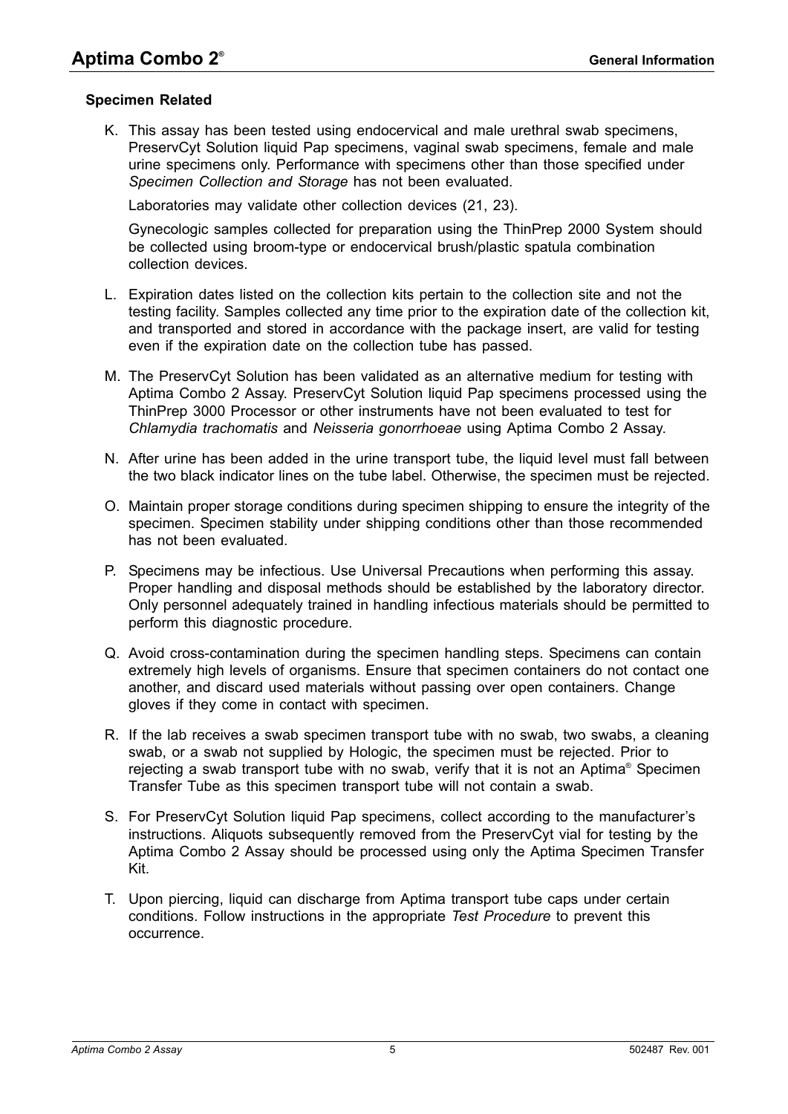#### **Specimen Related**

K. This assay has been tested using endocervical and male urethral swab specimens, PreservCyt Solution liquid Pap specimens, vaginal swab specimens, female and male urine specimens only. Performance with specimens other than those specified under *[Specimen Collection and Storage](#page-7-0)* has not been evaluated.

Laboratories may validate other collection devices [\(21,](#page-80-21) [23\)](#page-80-22).

Gynecologic samples collected for preparation using the ThinPrep 2000 System should be collected using broom-type or endocervical brush/plastic spatula combination collection devices.

- L. Expiration dates listed on the collection kits pertain to the collection site and not the testing facility. Samples collected any time prior to the expiration date of the collection kit, and transported and stored in accordance with the package insert, are valid for testing even if the expiration date on the collection tube has passed.
- M. The PreservCyt Solution has been validated as an alternative medium for testing with Aptima Combo 2 Assay. PreservCyt Solution liquid Pap specimens processed using the ThinPrep 3000 Processor or other instruments have not been evaluated to test for *Chlamydia trachomatis* and *Neisseria gonorrhoeae* using Aptima Combo 2 Assay.
- N. After urine has been added in the urine transport tube, the liquid level must fall between the two black indicator lines on the tube label. Otherwise, the specimen must be rejected.
- O. Maintain proper storage conditions during specimen shipping to ensure the integrity of the specimen. Specimen stability under shipping conditions other than those recommended has not been evaluated.
- P. Specimens may be infectious. Use Universal Precautions when performing this assay. Proper handling and disposal methods should be established by the laboratory director. Only personnel adequately trained in handling infectious materials should be permitted to perform this diagnostic procedure.
- Q. Avoid cross-contamination during the specimen handling steps. Specimens can contain extremely high levels of organisms. Ensure that specimen containers do not contact one another, and discard used materials without passing over open containers. Change gloves if they come in contact with specimen.
- R. If the lab receives a swab specimen transport tube with no swab, two swabs, a cleaning swab, or a swab not supplied by Hologic, the specimen must be rejected. Prior to rejecting a swab transport tube with no swab, verify that it is not an Aptima® Specimen Transfer Tube as this specimen transport tube will not contain a swab.
- S. For PreservCyt Solution liquid Pap specimens, collect according to the manufacturer's instructions. Aliquots subsequently removed from the PreservCyt vial for testing by the Aptima Combo 2 Assay should be processed using only the Aptima Specimen Transfer Kit.
- T. Upon piercing, liquid can discharge from Aptima transport tube caps under certain conditions. Follow instructions in the appropriate *Test Procedure* to prevent this occurrence.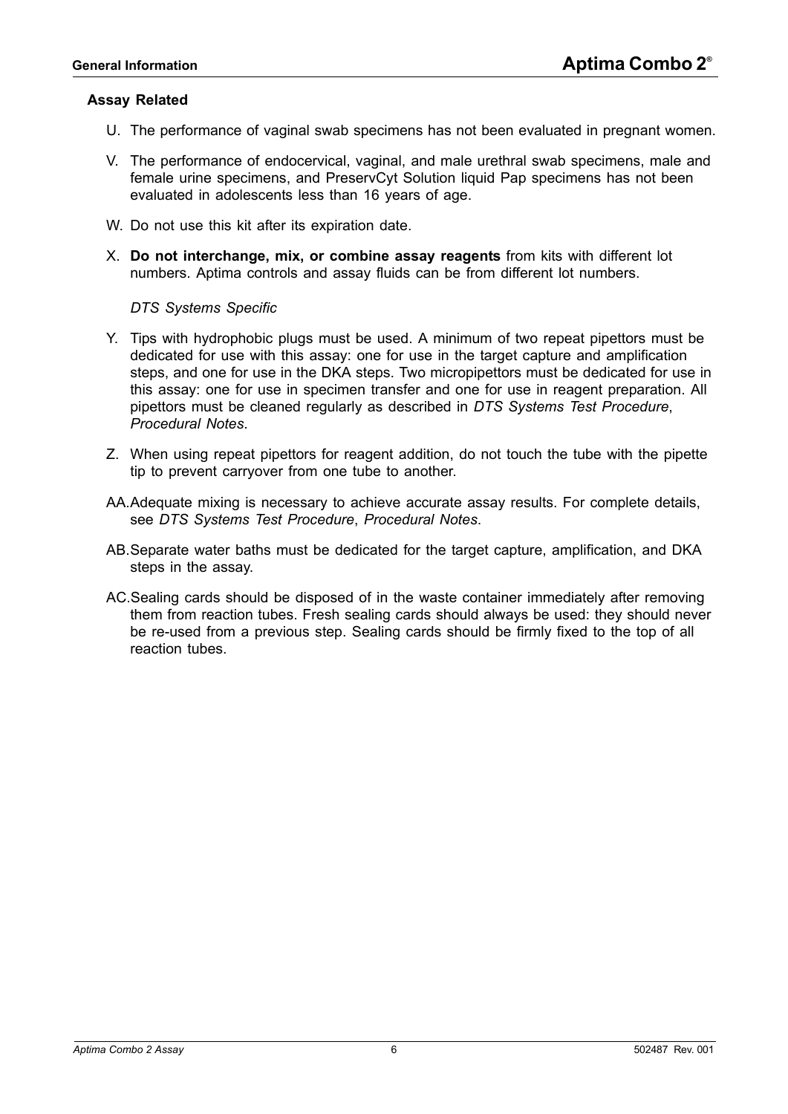#### **Assay Related**

- U. The performance of vaginal swab specimens has not been evaluated in pregnant women.
- V. The performance of endocervical, vaginal, and male urethral swab specimens, male and female urine specimens, and PreservCyt Solution liquid Pap specimens has not been evaluated in adolescents less than 16 years of age.
- W. Do not use this kit after its expiration date.
- X. **Do not interchange, mix, or combine assay reagents** from kits with different lot numbers. Aptima controls and assay fluids can be from different lot numbers.

*DTS Systems Specific* 

- Y. Tips with hydrophobic plugs must be used. A minimum of two repeat pipettors must be dedicated for use with this assay: one for use in the target capture and amplification steps, and one for use in the DKA steps. Two micropipettors must be dedicated for use in this assay: one for use in specimen transfer and one for use in reagent preparation. All pipettors must be cleaned regularly as described in *[DTS Systems Test Procedure](#page-12-0)*, *[Procedural Notes](#page-18-0)*.
- Z. When using repeat pipettors for reagent addition, do not touch the tube with the pipette tip to prevent carryover from one tube to another.
- AA.Adequate mixing is necessary to achieve accurate assay results. For complete details, see *[DTS Systems Test Procedure](#page-12-0)*, *[Procedural Notes](#page-18-0)*.
- AB.Separate water baths must be dedicated for the target capture, amplification, and DKA steps in the assay.
- AC.Sealing cards should be disposed of in the waste container immediately after removing them from reaction tubes. Fresh sealing cards should always be used: they should never be re-used from a previous step. Sealing cards should be firmly fixed to the top of all reaction tubes.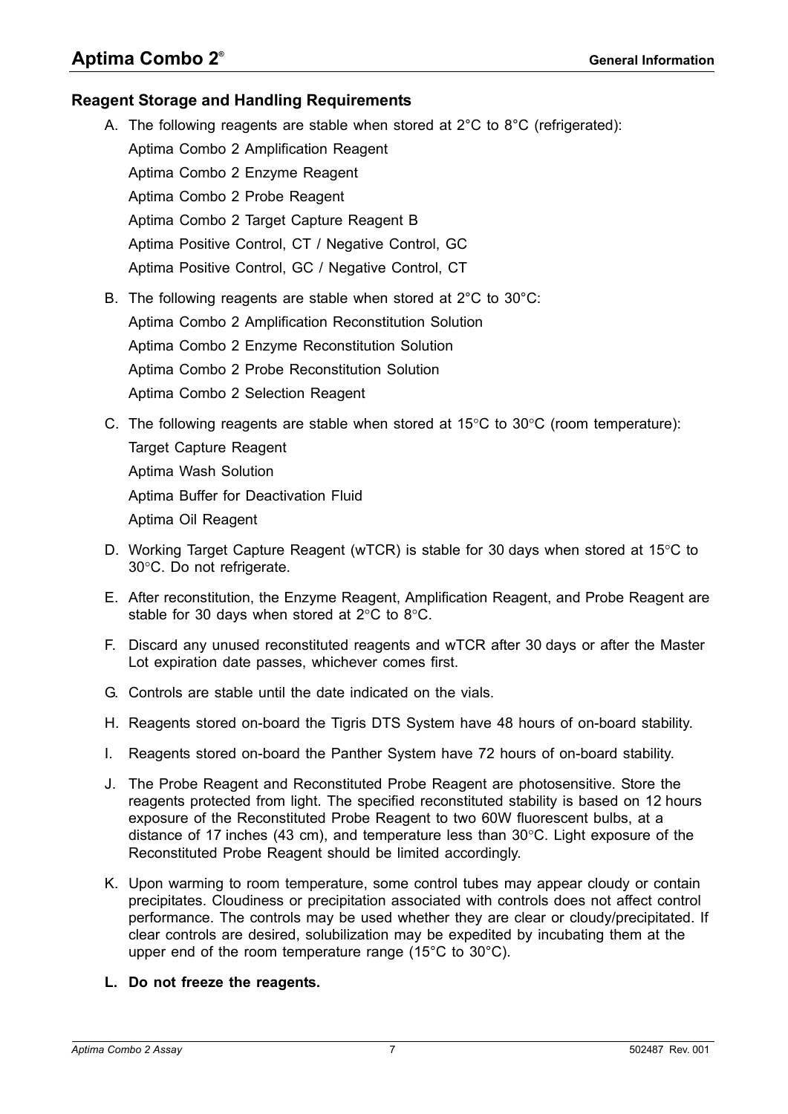## <span id="page-6-0"></span>**Reagent Storage and Handling Requirements**

- A. The following reagents are stable when stored at  $2^{\circ}$ C to  $8^{\circ}$ C (refrigerated): Aptima Combo 2 Amplification Reagent Aptima Combo 2 Enzyme Reagent Aptima Combo 2 Probe Reagent Aptima Combo 2 Target Capture Reagent B Aptima Positive Control, CT / Negative Control, GC Aptima Positive Control, GC / Negative Control, CT B. The following reagents are stable when stored at 2°C to 30°C:
	- Aptima Combo 2 Amplification Reconstitution Solution
	- Aptima Combo 2 Enzyme Reconstitution Solution
	- Aptima Combo 2 Probe Reconstitution Solution
	- Aptima Combo 2 Selection Reagent
- C. The following reagents are stable when stored at  $15^{\circ}$ C to  $30^{\circ}$ C (room temperature): Target Capture Reagent Aptima Wash Solution Aptima Buffer for Deactivation Fluid
	- Aptima Oil Reagent
- D. Working Target Capture Reagent (wTCR) is stable for 30 days when stored at 15 $\degree$ C to 30°C. Do not refrigerate.
- E. After reconstitution, the Enzyme Reagent, Amplification Reagent, and Probe Reagent are stable for 30 days when stored at  $2^{\circ}$ C to  $8^{\circ}$ C.
- F. Discard any unused reconstituted reagents and wTCR after 30 days or after the Master Lot expiration date passes, whichever comes first.
- G. Controls are stable until the date indicated on the vials.
- H. Reagents stored on-board the Tigris DTS System have 48 hours of on-board stability.
- I. Reagents stored on-board the Panther System have 72 hours of on-board stability.
- J. The Probe Reagent and Reconstituted Probe Reagent are photosensitive. Store the reagents protected from light. The specified reconstituted stability is based on 12 hours exposure of the Reconstituted Probe Reagent to two 60W fluorescent bulbs, at a distance of 17 inches (43 cm), and temperature less than  $30^{\circ}$ C. Light exposure of the Reconstituted Probe Reagent should be limited accordingly.
- K. Upon warming to room temperature, some control tubes may appear cloudy or contain precipitates. Cloudiness or precipitation associated with controls does not affect control performance. The controls may be used whether they are clear or cloudy/precipitated. If clear controls are desired, solubilization may be expedited by incubating them at the upper end of the room temperature range (15°C to 30°C).

## **L. Do not freeze the reagents.**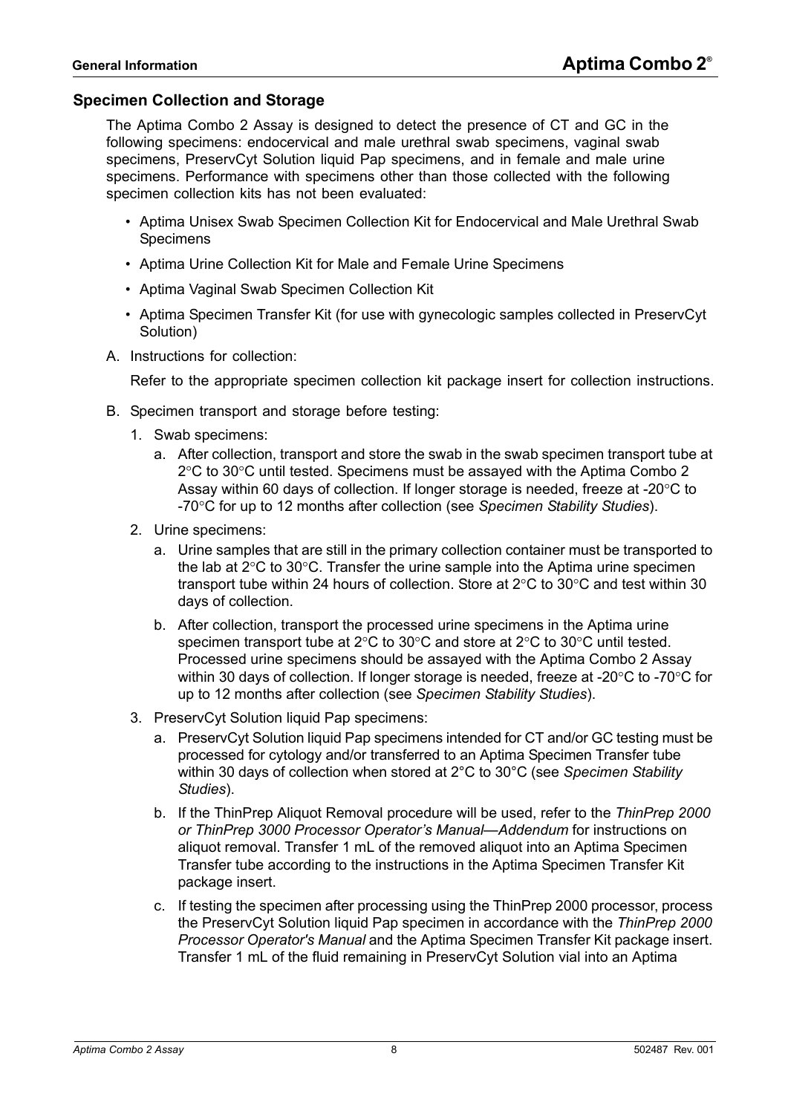## <span id="page-7-0"></span>**Specimen Collection and Storage**

The Aptima Combo 2 Assay is designed to detect the presence of CT and GC in the following specimens: endocervical and male urethral swab specimens, vaginal swab specimens, PreservCyt Solution liquid Pap specimens, and in female and male urine specimens. Performance with specimens other than those collected with the following specimen collection kits has not been evaluated:

- Aptima Unisex Swab Specimen Collection Kit for Endocervical and Male Urethral Swab Specimens
- Aptima Urine Collection Kit for Male and Female Urine Specimens
- Aptima Vaginal Swab Specimen Collection Kit
- Aptima Specimen Transfer Kit (for use with gynecologic samples collected in PreservCyt Solution)
- A. Instructions for collection:

Refer to the appropriate specimen collection kit package insert for collection instructions.

- B. Specimen transport and storage before testing:
	- 1. Swab specimens:
		- a. After collection, transport and store the swab in the swab specimen transport tube at  $2^{\circ}$ C to 30 $^{\circ}$ C until tested. Specimens must be assayed with the Aptima Combo 2 Assay within 60 days of collection. If longer storage is needed, freeze at -20 $\degree$ C to -70C for up to 12 months after collection (see *[Specimen Stability Studies](#page-67-0)*).
	- 2. Urine specimens:
		- a. Urine samples that are still in the primary collection container must be transported to the lab at  $2^{\circ}$ C to 30 $^{\circ}$ C. Transfer the urine sample into the Aptima urine specimen transport tube within 24 hours of collection. Store at  $2^{\circ}$ C to 30 $^{\circ}$ C and test within 30 days of collection.
		- b. After collection, transport the processed urine specimens in the Aptima urine specimen transport tube at  $2^{\circ}$ C to 30 $^{\circ}$ C and store at  $2^{\circ}$ C to 30 $^{\circ}$ C until tested. Processed urine specimens should be assayed with the Aptima Combo 2 Assay within 30 days of collection. If longer storage is needed, freeze at -20 $\degree$ C to -70 $\degree$ C for up to 12 months after collection (see *[Specimen Stability Studies](#page-67-0)*).
	- 3. PreservCyt Solution liquid Pap specimens:
		- a. PreservCyt Solution liquid Pap specimens intended for CT and/or GC testing must be processed for cytology and/or transferred to an Aptima Specimen Transfer tube within 30 days of collection when stored at 2°C to 30°C (see *[Specimen Stability](#page-67-0)  [Studies](#page-67-0)*).
		- b. If the ThinPrep Aliquot Removal procedure will be used, refer to the *ThinPrep 2000 or ThinPrep 3000 Processor Operator's Manual—Addendum* for instructions on aliquot removal. Transfer 1 mL of the removed aliquot into an Aptima Specimen Transfer tube according to the instructions in the Aptima Specimen Transfer Kit package insert.
		- c. If testing the specimen after processing using the ThinPrep 2000 processor, process the PreservCyt Solution liquid Pap specimen in accordance with the *ThinPrep 2000 Processor Operator's Manual* and the Aptima Specimen Transfer Kit package insert. Transfer 1 mL of the fluid remaining in PreservCyt Solution vial into an Aptima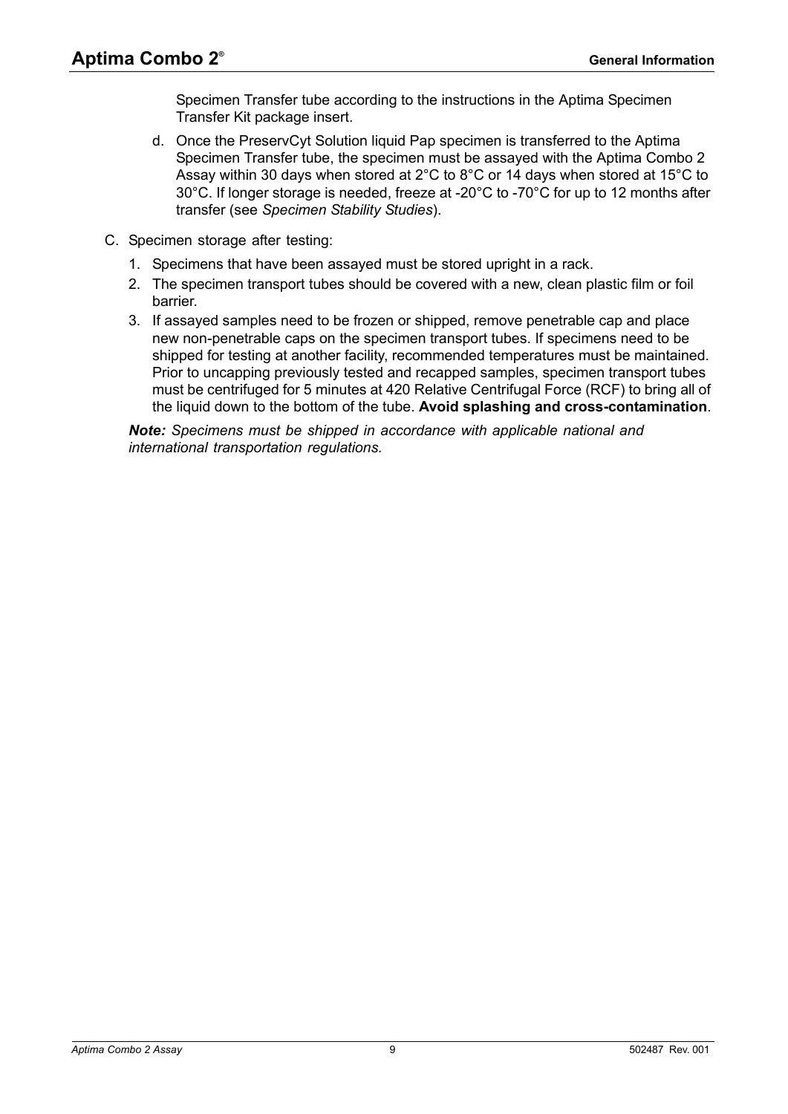Specimen Transfer tube according to the instructions in the Aptima Specimen Transfer Kit package insert.

- d. Once the PreservCyt Solution liquid Pap specimen is transferred to the Aptima Specimen Transfer tube, the specimen must be assayed with the Aptima Combo 2 Assay within 30 days when stored at 2°C to 8°C or 14 days when stored at 15°C to 30°C. If longer storage is needed, freeze at -20°C to -70°C for up to 12 months after transfer (see *[Specimen Stability Studies](#page-67-0)*).
- C. Specimen storage after testing:
	- 1. Specimens that have been assayed must be stored upright in a rack.
	- 2. The specimen transport tubes should be covered with a new, clean plastic film or foil barrier.
	- 3. If assayed samples need to be frozen or shipped, remove penetrable cap and place new non-penetrable caps on the specimen transport tubes. If specimens need to be shipped for testing at another facility, recommended temperatures must be maintained. Prior to uncapping previously tested and recapped samples, specimen transport tubes must be centrifuged for 5 minutes at 420 Relative Centrifugal Force (RCF) to bring all of the liquid down to the bottom of the tube. **Avoid splashing and cross-contamination**.

*Note: Specimens must be shipped in accordance with applicable national and international transportation regulations.*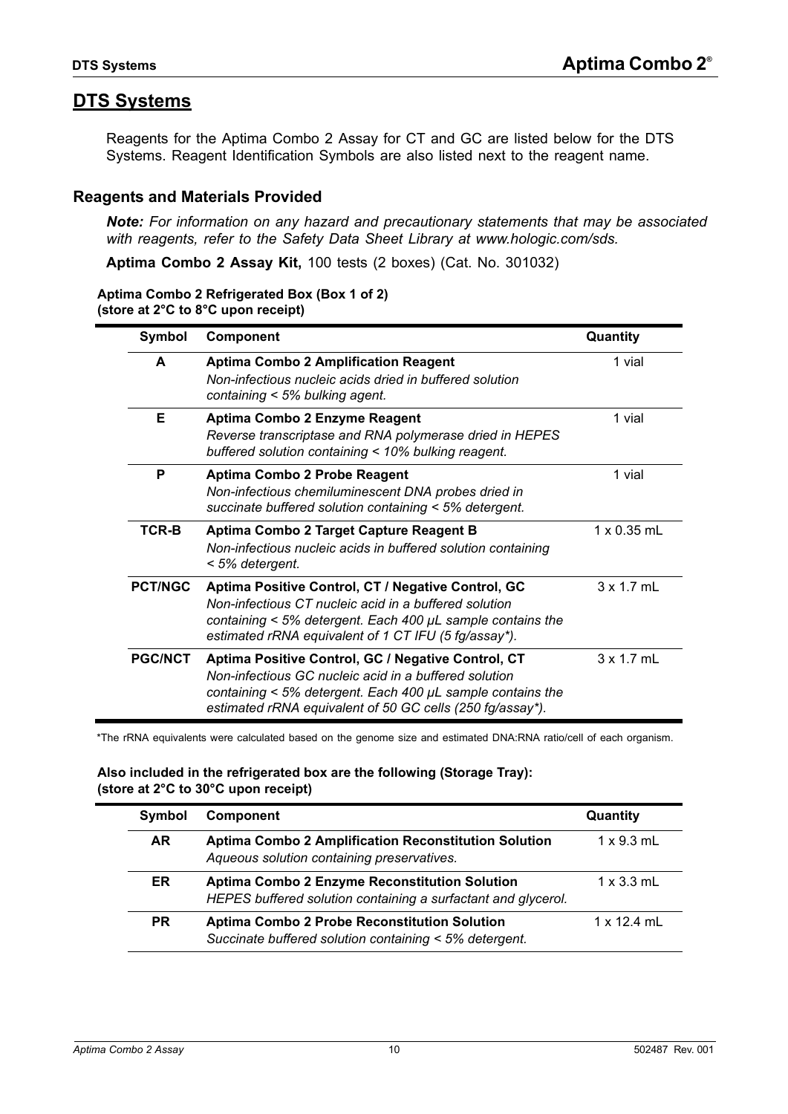# <span id="page-9-0"></span>**DTS Systems**

Reagents for the Aptima Combo 2 Assay for CT and GC are listed below for the DTS Systems. Reagent Identification Symbols are also listed next to the reagent name.

## <span id="page-9-1"></span>**Reagents and Materials Provided**

*Note: For information on any hazard and precautionary statements that may be associated with reagents, refer to the Safety Data Sheet Library at www.hologic.com/sds.*

**Aptima Combo 2 Assay Kit,** 100 tests (2 boxes) (Cat. No. 301032)

#### **Aptima Combo 2 Refrigerated Box (Box 1 of 2) (store at 2°C to 8°C upon receipt)**

| Symbol         | <b>Component</b>                                                                                                                                                                                                                         | Quantity           |
|----------------|------------------------------------------------------------------------------------------------------------------------------------------------------------------------------------------------------------------------------------------|--------------------|
| A              | <b>Aptima Combo 2 Amplification Reagent</b><br>Non-infectious nucleic acids dried in buffered solution<br>containing < 5% bulking agent.                                                                                                 | 1 vial             |
| Е              | Aptima Combo 2 Enzyme Reagent<br>Reverse transcriptase and RNA polymerase dried in HEPES<br>buffered solution containing < 10% bulking reagent.                                                                                          | 1 vial             |
| P              | <b>Aptima Combo 2 Probe Reagent</b><br>Non-infectious chemiluminescent DNA probes dried in<br>succinate buffered solution containing < 5% detergent.                                                                                     | 1 vial             |
| TCR-B          | Aptima Combo 2 Target Capture Reagent B<br>Non-infectious nucleic acids in buffered solution containing<br>< 5% detergent.                                                                                                               | $1 \times 0.35$ mL |
| <b>PCT/NGC</b> | Aptima Positive Control, CT / Negative Control, GC<br>Non-infectious CT nucleic acid in a buffered solution<br>containing $<$ 5% detergent. Each 400 $\mu$ L sample contains the<br>estimated rRNA equivalent of 1 CT IFU (5 fg/assay*). | 3 x 1.7 mL         |
| <b>PGC/NCT</b> | Aptima Positive Control, GC / Negative Control, CT<br>Non-infectious GC nucleic acid in a buffered solution<br>containing < 5% detergent. Each 400 µL sample contains the<br>estimated rRNA equivalent of 50 GC cells (250 fg/assay*).   | $3 \times 1.7$ mL  |

\*The rRNA equivalents were calculated based on the genome size and estimated DNA:RNA ratio/cell of each organism.

#### **Also included in the refrigerated box are the following (Storage Tray): (store at 2°C to 30°C upon receipt)**

| Symbol    | <b>Component</b>                                                                                               | Quantity          |
|-----------|----------------------------------------------------------------------------------------------------------------|-------------------|
| AR.       | <b>Aptima Combo 2 Amplification Reconstitution Solution</b><br>Aqueous solution containing preservatives.      | $1 \times 9.3$ mL |
| ER        | Aptima Combo 2 Enzyme Reconstitution Solution<br>HEPES buffered solution containing a surfactant and glycerol. | $1 \times 3.3$ mL |
| <b>PR</b> | <b>Aptima Combo 2 Probe Reconstitution Solution</b><br>Succinate buffered solution containing < 5% detergent.  | 1 x 12 4 ml       |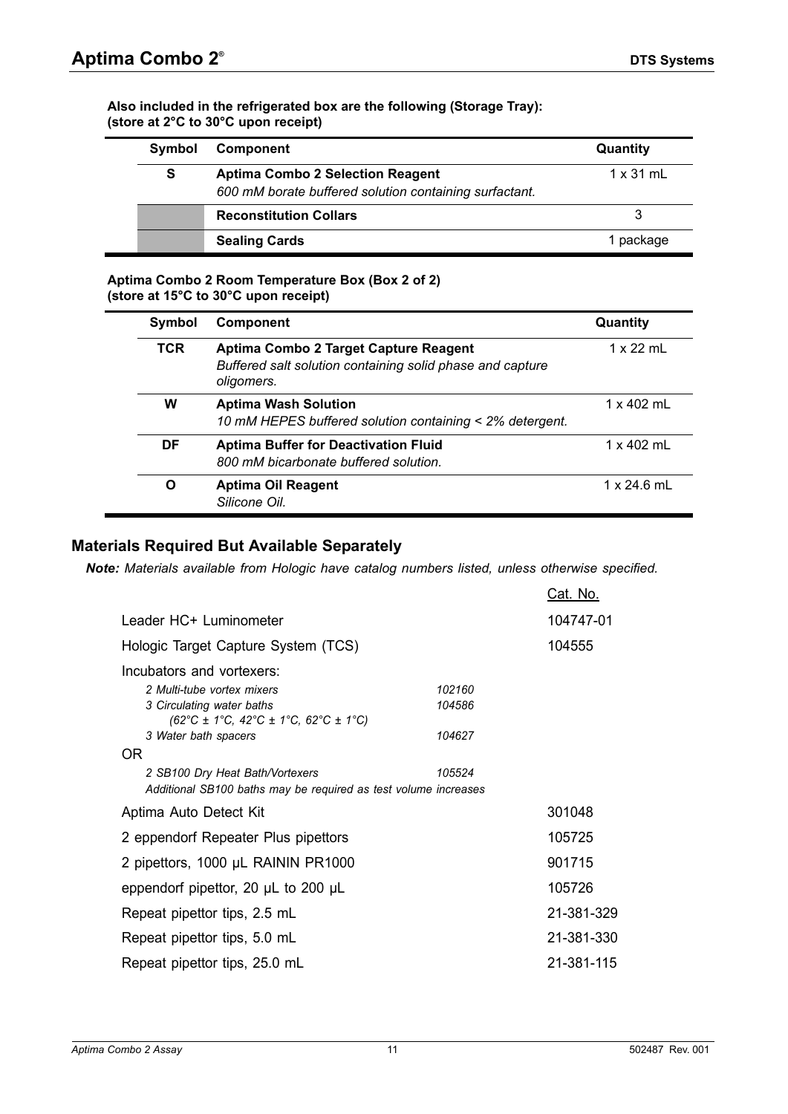#### **Also included in the refrigerated box are the following (Storage Tray): (store at 2°C to 30°C upon receipt)**

| Symbol | <b>Component</b>                                                                                  | Quantity         |
|--------|---------------------------------------------------------------------------------------------------|------------------|
| S      | <b>Aptima Combo 2 Selection Reagent</b><br>600 mM borate buffered solution containing surfactant. | $1 \times 31$ mL |
|        | <b>Reconstitution Collars</b>                                                                     |                  |
|        | <b>Sealing Cards</b>                                                                              | 1 package        |

#### **Aptima Combo 2 Room Temperature Box (Box 2 of 2) (store at 15°C to 30°C upon receipt)**

| Symbol     | <b>Component</b>                                                                                                 | Quantity           |
|------------|------------------------------------------------------------------------------------------------------------------|--------------------|
| <b>TCR</b> | Aptima Combo 2 Target Capture Reagent<br>Buffered salt solution containing solid phase and capture<br>oligomers. | $1 \times 22$ mL   |
| W          | <b>Aptima Wash Solution</b><br>10 mM HEPES buffered solution containing < 2% detergent.                          | $1 \times 402$ mL  |
| DF         | <b>Aptima Buffer for Deactivation Fluid</b><br>800 mM bicarbonate buffered solution.                             | $1 \times 402$ mL  |
| O          | <b>Aptima Oil Reagent</b><br>Silicone Oil.                                                                       | $1 \times 24.6$ mL |

# <span id="page-10-0"></span>**Materials Required But Available Separately**

*Note: Materials available from Hologic have catalog numbers listed, unless otherwise specified.*

|                                                                                                                                                               |        | <u> Cat. No.</u> |
|---------------------------------------------------------------------------------------------------------------------------------------------------------------|--------|------------------|
| Leader HC+ Luminometer                                                                                                                                        |        | 104747-01        |
| Hologic Target Capture System (TCS)                                                                                                                           |        | 104555           |
| Incubators and vortexers:                                                                                                                                     |        |                  |
| 2 Multi-tube vortex mixers                                                                                                                                    | 102160 |                  |
| 3 Circulating water baths<br>$(62^{\circ}\text{C} \pm 1^{\circ}\text{C}, 42^{\circ}\text{C} \pm 1^{\circ}\text{C}, 62^{\circ}\text{C} \pm 1^{\circ}\text{C})$ | 104586 |                  |
| 3 Water bath spacers                                                                                                                                          | 104627 |                  |
| OR.                                                                                                                                                           |        |                  |
| 2 SB100 Dry Heat Bath/Vortexers<br>Additional SB100 baths may be required as test volume increases                                                            | 105524 |                  |
| Aptima Auto Detect Kit                                                                                                                                        |        | 301048           |
| 2 eppendorf Repeater Plus pipettors                                                                                                                           |        | 105725           |
| 2 pipettors, 1000 µL RAININ PR1000                                                                                                                            |        | 901715           |
| eppendorf pipettor, 20 $\mu$ L to 200 $\mu$ L                                                                                                                 |        | 105726           |
| Repeat pipettor tips, 2.5 mL                                                                                                                                  |        | 21-381-329       |
| Repeat pipettor tips, 5.0 mL                                                                                                                                  |        | 21-381-330       |
| Repeat pipettor tips, 25.0 mL                                                                                                                                 |        | 21-381-115       |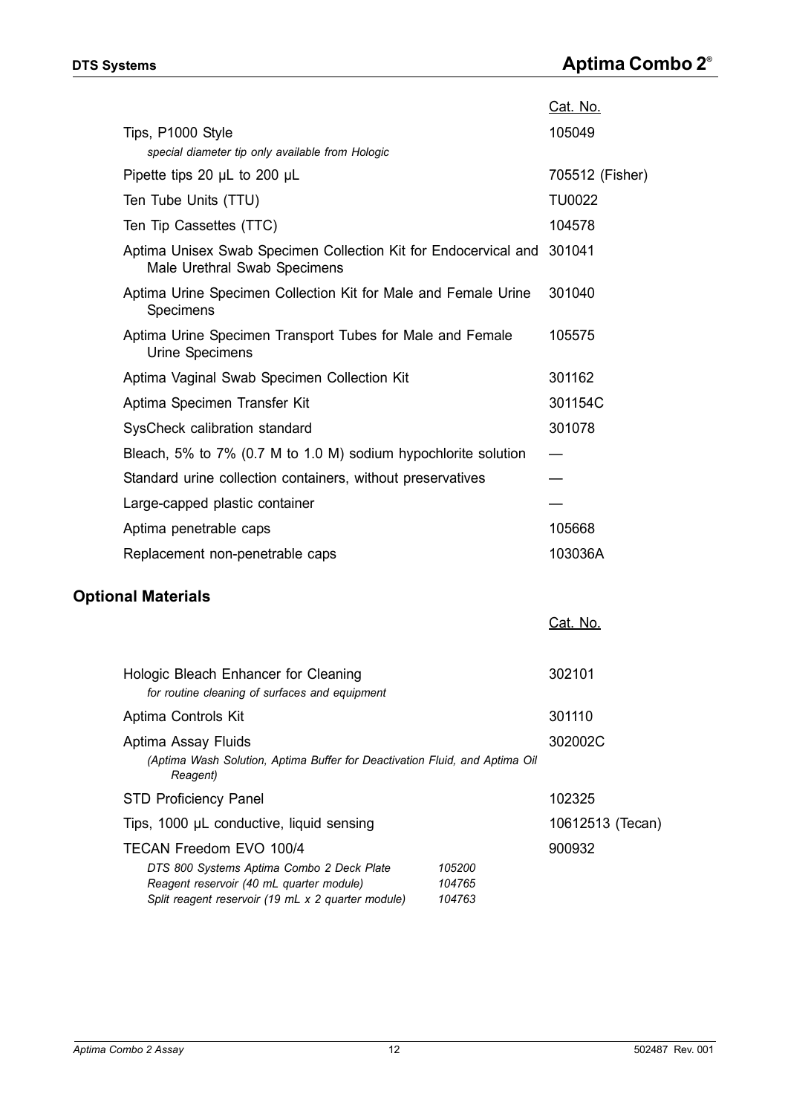|                                                                                                        | Cat. No.        |
|--------------------------------------------------------------------------------------------------------|-----------------|
| Tips, P1000 Style                                                                                      | 105049          |
| special diameter tip only available from Hologic                                                       |                 |
| Pipette tips 20 $\mu$ L to 200 $\mu$ L                                                                 | 705512 (Fisher) |
| Ten Tube Units (TTU)                                                                                   | <b>TU0022</b>   |
| Ten Tip Cassettes (TTC)                                                                                | 104578          |
| Aptima Unisex Swab Specimen Collection Kit for Endocervical and 301041<br>Male Urethral Swab Specimens |                 |
| Aptima Urine Specimen Collection Kit for Male and Female Urine<br>Specimens                            | 301040          |
| Aptima Urine Specimen Transport Tubes for Male and Female<br>Urine Specimens                           | 105575          |
| Aptima Vaginal Swab Specimen Collection Kit                                                            | 301162          |
| Aptima Specimen Transfer Kit                                                                           | 301154C         |
| SysCheck calibration standard                                                                          | 301078          |
| Bleach, 5% to 7% (0.7 M to 1.0 M) sodium hypochlorite solution                                         |                 |
| Standard urine collection containers, without preservatives                                            |                 |
| Large-capped plastic container                                                                         |                 |
| Aptima penetrable caps                                                                                 | 105668          |
| Replacement non-penetrable caps                                                                        | 103036A         |
| <b>Optional Materials</b>                                                                              |                 |
|                                                                                                        | Cat. No.        |
| Hologic Bleach Enhancer for Cleaning<br>for routing classing of curricos and equipment                 | 302101          |

<span id="page-11-0"></span>

| Hologic Bleach Enhancer for Cleaning                                                    |        | 302101           |
|-----------------------------------------------------------------------------------------|--------|------------------|
| for routine cleaning of surfaces and equipment                                          |        |                  |
| Aptima Controls Kit                                                                     |        | 301110           |
| Aptima Assay Fluids                                                                     |        | 302002C          |
| (Aptima Wash Solution, Aptima Buffer for Deactivation Fluid, and Aptima Oil<br>Reagent) |        |                  |
| <b>STD Proficiency Panel</b>                                                            |        | 102325           |
| Tips, 1000 µL conductive, liquid sensing                                                |        | 10612513 (Tecan) |
| TECAN Freedom EVO 100/4                                                                 |        | 900932           |
| DTS 800 Systems Aptima Combo 2 Deck Plate                                               | 105200 |                  |
| Reagent reservoir (40 mL quarter module)                                                | 104765 |                  |
| Split reagent reservoir (19 mL x 2 quarter module)                                      | 104763 |                  |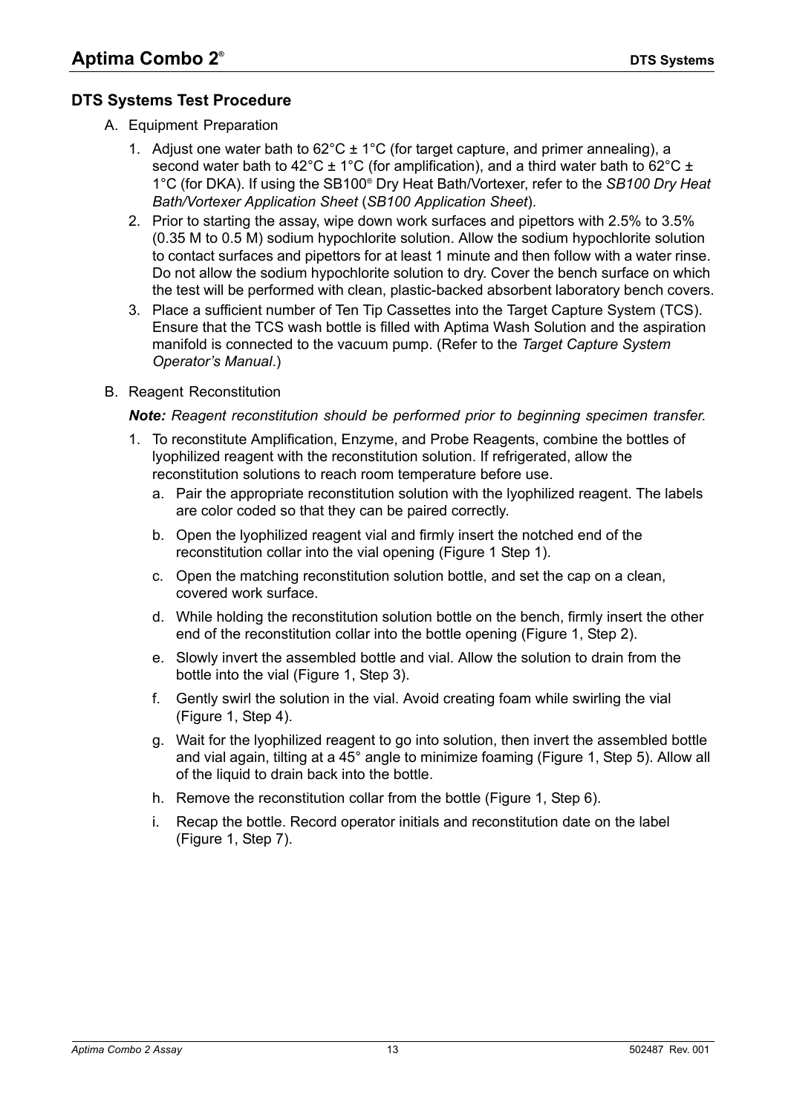# <span id="page-12-1"></span><span id="page-12-0"></span>**DTS Systems Test Procedure**

- A. Equipment Preparation
	- 1. Adjust one water bath to  $62^{\circ}$ C ± 1<sup>o</sup>C (for target capture, and primer annealing), a second water bath to 42°C  $\pm$  1°C (for amplification), and a third water bath to 62°C  $\pm$ 1°C (for DKA). If using the SB100® Dry Heat Bath/Vortexer, refer to the *SB100 Dry Heat Bath/Vortexer Application Sheet* (*SB100 Application Sheet*).
	- 2. Prior to starting the assay, wipe down work surfaces and pipettors with 2.5% to 3.5% (0.35 M to 0.5 M) sodium hypochlorite solution. Allow the sodium hypochlorite solution to contact surfaces and pipettors for at least 1 minute and then follow with a water rinse. Do not allow the sodium hypochlorite solution to dry. Cover the bench surface on which the test will be performed with clean, plastic-backed absorbent laboratory bench covers.
	- 3. Place a sufficient number of Ten Tip Cassettes into the Target Capture System (TCS). Ensure that the TCS wash bottle is filled with Aptima Wash Solution and the aspiration manifold is connected to the vacuum pump. (Refer to the *Target Capture System Operator's Manual*.)
- B. Reagent Reconstitution

#### *Note: Reagent reconstitution should be performed prior to beginning specimen transfer.*

- 1. To reconstitute Amplification, Enzyme, and Probe Reagents, combine the bottles of lyophilized reagent with the reconstitution solution. If refrigerated, allow the reconstitution solutions to reach room temperature before use.
	- a. Pair the appropriate reconstitution solution with the lyophilized reagent. The labels are color coded so that they can be paired correctly.
	- b. Open the lyophilized reagent vial and firmly insert the notched end of the reconstitution collar into the vial opening [\(Figure 1](#page-13-0) Step 1).
	- c. Open the matching reconstitution solution bottle, and set the cap on a clean, covered work surface.
	- d. While holding the reconstitution solution bottle on the bench, firmly insert the other end of the reconstitution collar into the bottle opening ([Figure 1,](#page-13-0) Step 2).
	- e. Slowly invert the assembled bottle and vial. Allow the solution to drain from the bottle into the vial [\(Figure 1,](#page-13-0) Step 3).
	- f. Gently swirl the solution in the vial. Avoid creating foam while swirling the vial ([Figure 1](#page-13-0), Step 4).
	- g. Wait for the lyophilized reagent to go into solution, then invert the assembled bottle and vial again, tilting at a 45° angle to minimize foaming ([Figure 1](#page-13-0), Step 5). Allow all of the liquid to drain back into the bottle.
	- h. Remove the reconstitution collar from the bottle [\(Figure 1](#page-13-0), Step 6).
	- i. Recap the bottle. Record operator initials and reconstitution date on the label ([Figure 1](#page-13-0), Step 7).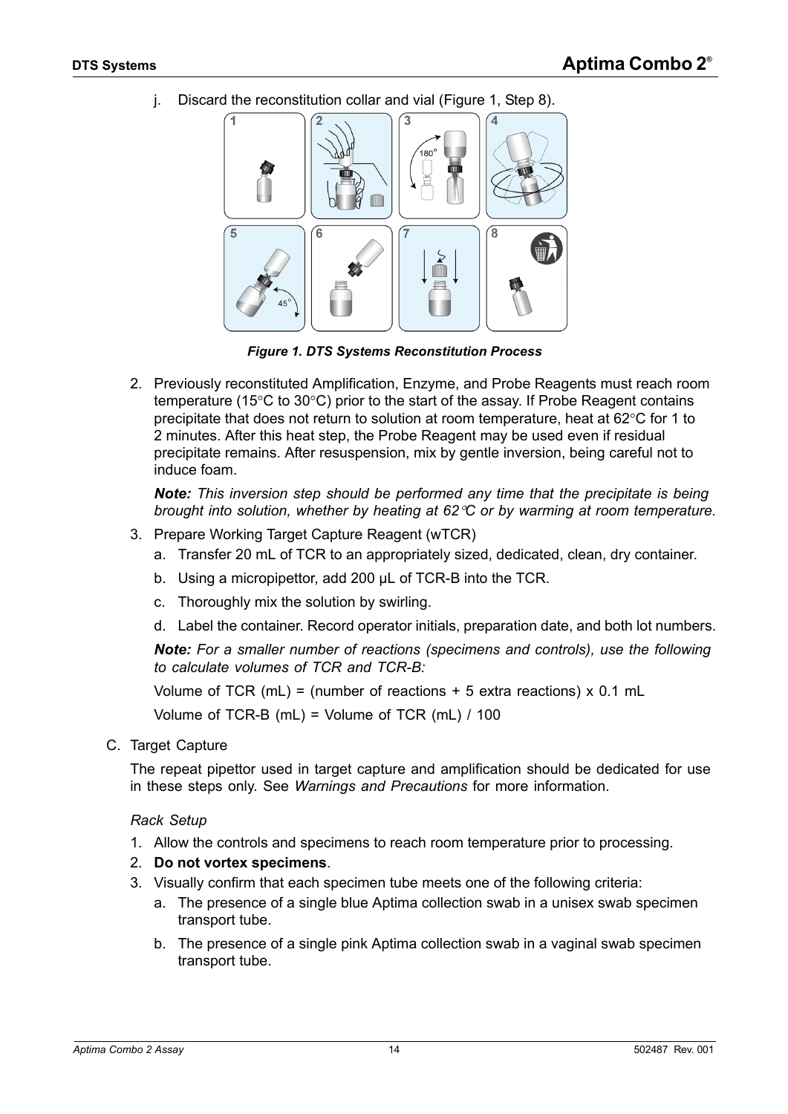j. Discard the reconstitution collar and vial [\(Figure 1,](#page-13-0) Step 8).



*Figure 1. DTS Systems Reconstitution Process*

<span id="page-13-0"></span>2. Previously reconstituted Amplification, Enzyme, and Probe Reagents must reach room temperature (15 $\degree$ C to 30 $\degree$ C) prior to the start of the assay. If Probe Reagent contains precipitate that does not return to solution at room temperature, heat at  $62^{\circ}$ C for 1 to 2 minutes. After this heat step, the Probe Reagent may be used even if residual precipitate remains. After resuspension, mix by gentle inversion, being careful not to induce foam.

*Note: This inversion step should be performed any time that the precipitate is being brought into solution, whether by heating at 62C or by warming at room temperature.*

- 3. Prepare Working Target Capture Reagent (wTCR)
	- a. Transfer 20 mL of TCR to an appropriately sized, dedicated, clean, dry container.
	- b. Using a micropipettor, add 200 µL of TCR-B into the TCR.
	- c. Thoroughly mix the solution by swirling.
	- d. Label the container. Record operator initials, preparation date, and both lot numbers.

*Note: For a smaller number of reactions (specimens and controls), use the following to calculate volumes of TCR and TCR-B:*

Volume of TCR (mL) = (number of reactions  $+5$  extra reactions) x 0.1 mL

Volume of TCR-B (mL) = Volume of TCR (mL) / 100

C. Target Capture

The repeat pipettor used in target capture and amplification should be dedicated for use in these steps only. See *[Warnings and Precautions](#page-3-0)* for more information.

#### *Rack Setup*

- 1. Allow the controls and specimens to reach room temperature prior to processing.
- 2. **Do not vortex specimens**.
- 3. Visually confirm that each specimen tube meets one of the following criteria:
	- a. The presence of a single blue Aptima collection swab in a unisex swab specimen transport tube.
	- b. The presence of a single pink Aptima collection swab in a vaginal swab specimen transport tube.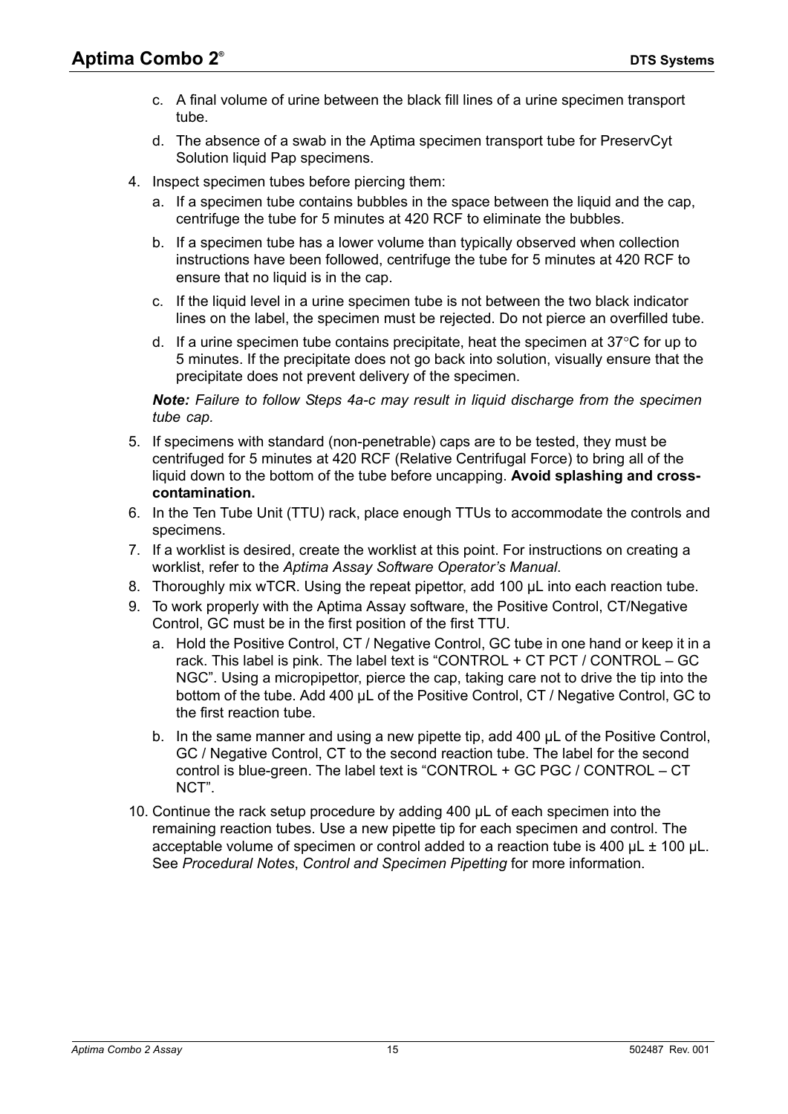- c. A final volume of urine between the black fill lines of a urine specimen transport tube.
- d. The absence of a swab in the Aptima specimen transport tube for PreservCyt Solution liquid Pap specimens.
- 4. Inspect specimen tubes before piercing them:
	- a. If a specimen tube contains bubbles in the space between the liquid and the cap, centrifuge the tube for 5 minutes at 420 RCF to eliminate the bubbles.
	- b. If a specimen tube has a lower volume than typically observed when collection instructions have been followed, centrifuge the tube for 5 minutes at 420 RCF to ensure that no liquid is in the cap.
	- c. If the liquid level in a urine specimen tube is not between the two black indicator lines on the label, the specimen must be rejected. Do not pierce an overfilled tube.
	- d. If a urine specimen tube contains precipitate, heat the specimen at  $37^{\circ}$ C for up to 5 minutes. If the precipitate does not go back into solution, visually ensure that the precipitate does not prevent delivery of the specimen.

*Note: Failure to follow Steps 4a-c may result in liquid discharge from the specimen tube cap.*

- 5. If specimens with standard (non-penetrable) caps are to be tested, they must be centrifuged for 5 minutes at 420 RCF (Relative Centrifugal Force) to bring all of the liquid down to the bottom of the tube before uncapping. **Avoid splashing and crosscontamination.**
- 6. In the Ten Tube Unit (TTU) rack, place enough TTUs to accommodate the controls and specimens.
- 7. If a worklist is desired, create the worklist at this point. For instructions on creating a worklist, refer to the *Aptima Assay Software Operator's Manual*.
- 8. Thoroughly mix wTCR. Using the repeat pipettor, add 100 µL into each reaction tube.
- 9. To work properly with the Aptima Assay software, the Positive Control, CT/Negative Control, GC must be in the first position of the first TTU.
	- a. Hold the Positive Control, CT / Negative Control, GC tube in one hand or keep it in a rack. This label is pink. The label text is "CONTROL + CT PCT / CONTROL – GC NGC". Using a micropipettor, pierce the cap, taking care not to drive the tip into the bottom of the tube. Add 400 µL of the Positive Control, CT / Negative Control, GC to the first reaction tube.
	- b. In the same manner and using a new pipette tip, add 400 µL of the Positive Control, GC / Negative Control, CT to the second reaction tube. The label for the second control is blue-green. The label text is "CONTROL + GC PGC / CONTROL – CT NCT".
- 10. Continue the rack setup procedure by adding 400 µL of each specimen into the remaining reaction tubes. Use a new pipette tip for each specimen and control. The acceptable volume of specimen or control added to a reaction tube is 400  $\mu$ L  $\pm$  100  $\mu$ L. See *[Procedural Notes](#page-18-0)*, *[Control and Specimen Pipetting](#page-18-1)* for more information.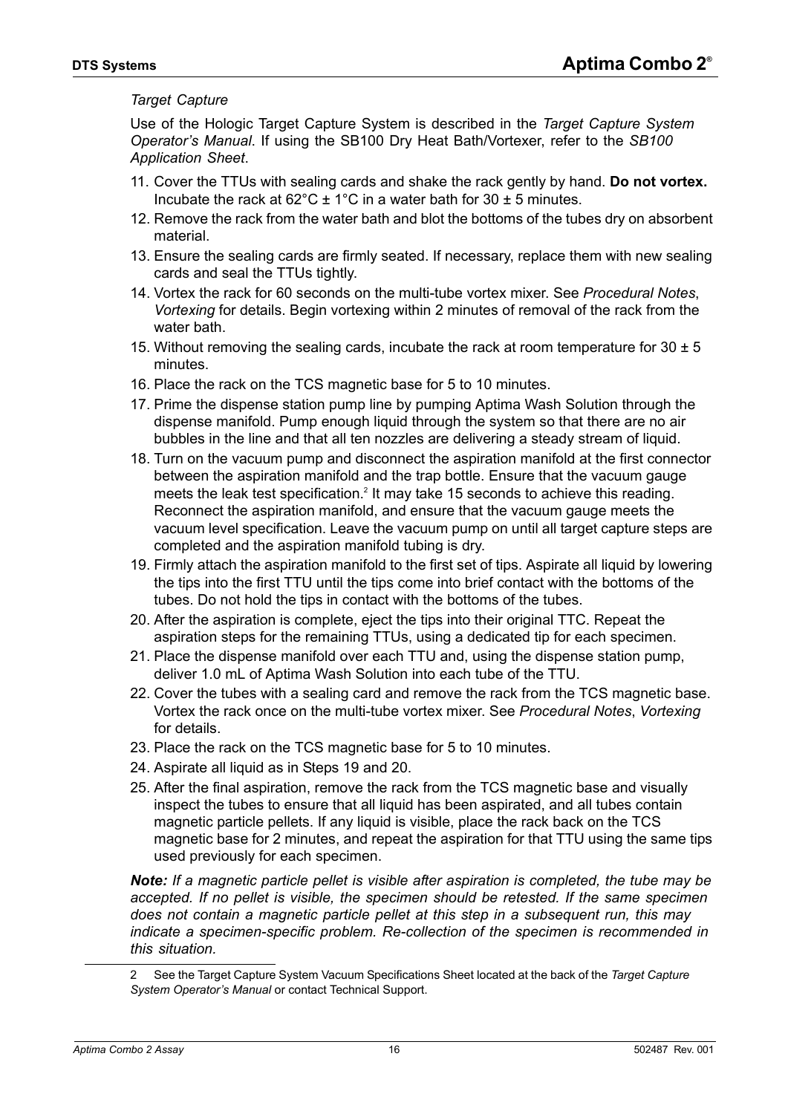#### *Target Capture*

Use of the Hologic Target Capture System is described in the *Target Capture System Operator's Manual*. If using the SB100 Dry Heat Bath/Vortexer, refer to the *SB100 Application Sheet*.

- 11. Cover the TTUs with sealing cards and shake the rack gently by hand. **Do not vortex.**  Incubate the rack at  $62^{\circ}$ C ± 1<sup>°</sup>C in a water bath for 30 ± 5 minutes.
- 12. Remove the rack from the water bath and blot the bottoms of the tubes dry on absorbent material.
- 13. Ensure the sealing cards are firmly seated. If necessary, replace them with new sealing cards and seal the TTUs tightly.
- 14. Vortex the rack for 60 seconds on the multi-tube vortex mixer. See *[Procedural Notes](#page-18-0)*, *[Vortexing](#page-18-2)* for details. Begin vortexing within 2 minutes of removal of the rack from the water bath.
- 15. Without removing the sealing cards, incubate the rack at room temperature for  $30 \pm 5$ minutes.
- 16. Place the rack on the TCS magnetic base for 5 to 10 minutes.
- 17. Prime the dispense station pump line by pumping Aptima Wash Solution through the dispense manifold. Pump enough liquid through the system so that there are no air bubbles in the line and that all ten nozzles are delivering a steady stream of liquid.
- 18. Turn on the vacuum pump and disconnect the aspiration manifold at the first connector between the aspiration manifold and the trap bottle. Ensure that the vacuum gauge meets the leak test specification.<sup>2</sup> It may take 15 seconds to achieve this reading. Reconnect the aspiration manifold, and ensure that the vacuum gauge meets the vacuum level specification. Leave the vacuum pump on until all target capture steps are completed and the aspiration manifold tubing is dry.
- <span id="page-15-0"></span>19. Firmly attach the aspiration manifold to the first set of tips. Aspirate all liquid by lowering the tips into the first TTU until the tips come into brief contact with the bottoms of the tubes. Do not hold the tips in contact with the bottoms of the tubes.
- <span id="page-15-1"></span>20. After the aspiration is complete, eject the tips into their original TTC. Repeat the aspiration steps for the remaining TTUs, using a dedicated tip for each specimen.
- 21. Place the dispense manifold over each TTU and, using the dispense station pump, deliver 1.0 mL of Aptima Wash Solution into each tube of the TTU.
- 22. Cover the tubes with a sealing card and remove the rack from the TCS magnetic base. Vortex the rack once on the multi-tube vortex mixer. See *[Procedural Notes](#page-18-0)*, *[Vortexing](#page-18-2)* for details.
- 23. Place the rack on the TCS magnetic base for 5 to 10 minutes.
- 24. Aspirate all liquid as in [Steps 19 and](#page-15-0) [20](#page-15-1).
- 25. After the final aspiration, remove the rack from the TCS magnetic base and visually inspect the tubes to ensure that all liquid has been aspirated, and all tubes contain magnetic particle pellets. If any liquid is visible, place the rack back on the TCS magnetic base for 2 minutes, and repeat the aspiration for that TTU using the same tips used previously for each specimen.

*Note: If a magnetic particle pellet is visible after aspiration is completed, the tube may be*  accepted. If no pellet is visible, the specimen should be retested. If the same specimen *does not contain a magnetic particle pellet at this step in a subsequent run, this may indicate a specimen-specific problem. Re-collection of the specimen is recommended in this situation.*

<sup>2</sup> See the Target Capture System Vacuum Specifications Sheet located at the back of the *Target Capture System Operator's Manual* or contact Technical Support.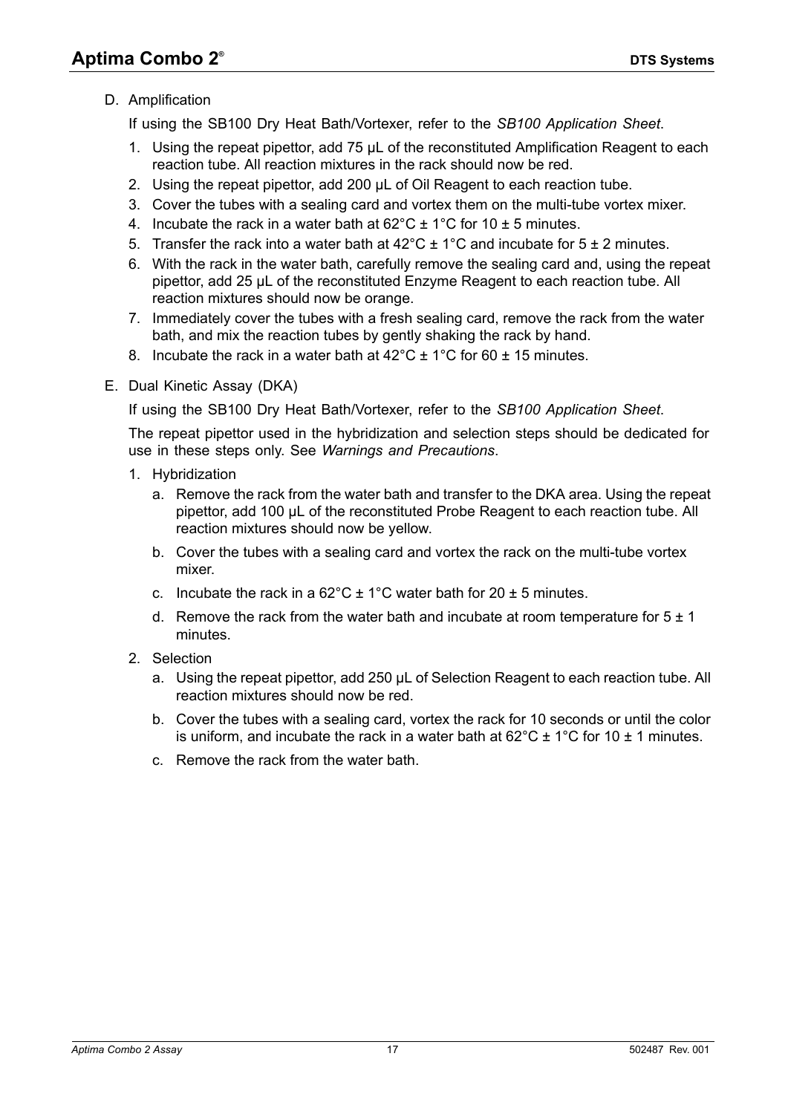# D. Amplification

If using the SB100 Dry Heat Bath/Vortexer, refer to the *SB100 Application Sheet*.

- 1. Using the repeat pipettor, add 75 µL of the reconstituted Amplification Reagent to each reaction tube. All reaction mixtures in the rack should now be red.
- 2. Using the repeat pipettor, add 200 µL of Oil Reagent to each reaction tube.
- 3. Cover the tubes with a sealing card and vortex them on the multi-tube vortex mixer.
- 4. Incubate the rack in a water bath at  $62^{\circ}$ C  $\pm$  1°C for 10  $\pm$  5 minutes.
- 5. Transfer the rack into a water bath at  $42^{\circ}$ C  $\pm$  1°C and incubate for 5  $\pm$  2 minutes.
- 6. With the rack in the water bath, carefully remove the sealing card and, using the repeat pipettor, add 25 µL of the reconstituted Enzyme Reagent to each reaction tube. All reaction mixtures should now be orange.
- 7. Immediately cover the tubes with a fresh sealing card, remove the rack from the water bath, and mix the reaction tubes by gently shaking the rack by hand.
- 8. Incubate the rack in a water bath at  $42^{\circ}$ C  $\pm$  1°C for 60  $\pm$  15 minutes.
- E. Dual Kinetic Assay (DKA)

If using the SB100 Dry Heat Bath/Vortexer, refer to the *SB100 Application Sheet*.

The repeat pipettor used in the hybridization and selection steps should be dedicated for use in these steps only. See *[Warnings and Precautions](#page-3-0)*.

- 1. Hybridization
	- a. Remove the rack from the water bath and transfer to the DKA area. Using the repeat pipettor, add 100 µL of the reconstituted Probe Reagent to each reaction tube. All reaction mixtures should now be yellow.
	- b. Cover the tubes with a sealing card and vortex the rack on the multi-tube vortex mixer.
	- c. Incubate the rack in a  $62^{\circ}$ C  $\pm$  1°C water bath for 20  $\pm$  5 minutes.
	- d. Remove the rack from the water bath and incubate at room temperature for  $5 \pm 1$ minutes.
- 2. Selection
	- a. Using the repeat pipettor, add 250 µL of Selection Reagent to each reaction tube. All reaction mixtures should now be red.
	- b. Cover the tubes with a sealing card, vortex the rack for 10 seconds or until the color is uniform, and incubate the rack in a water bath at  $62^{\circ}$ C  $\pm$  1<sup>o</sup>C for 10  $\pm$  1 minutes.
	- c. Remove the rack from the water bath.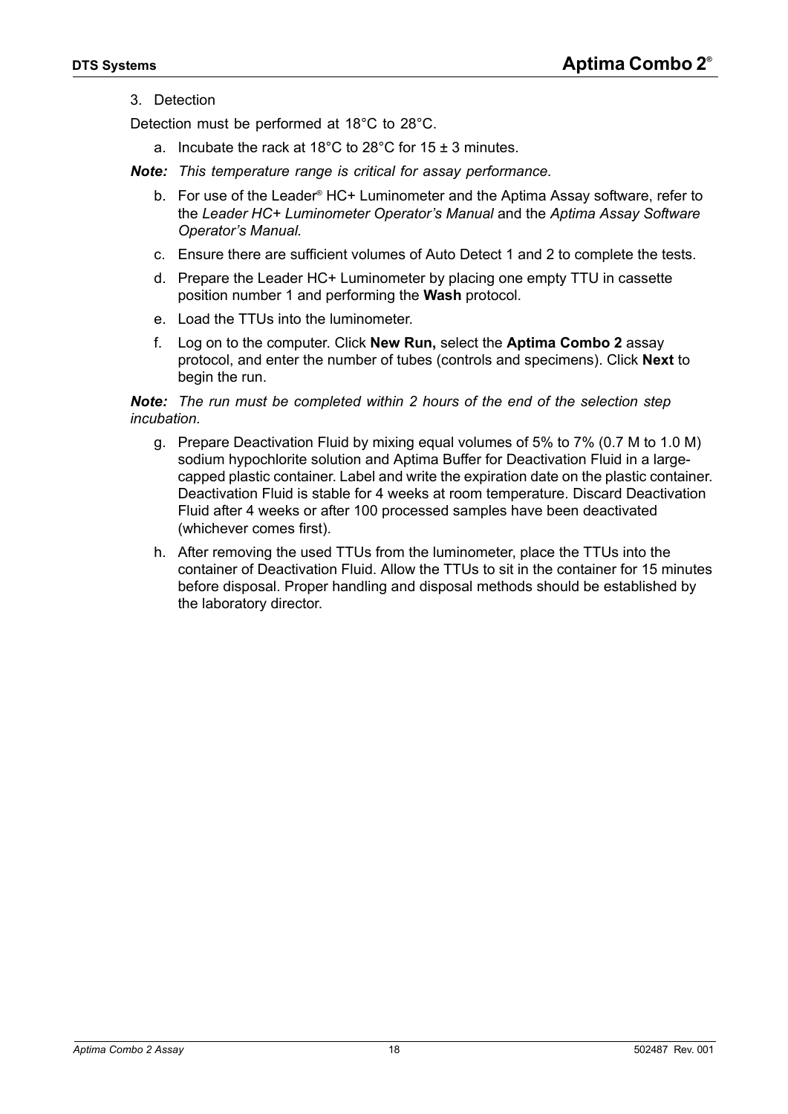#### <span id="page-17-0"></span>3. Detection

Detection must be performed at 18°C to 28°C.

a. Incubate the rack at 18°C to 28°C for 15  $\pm$  3 minutes.

*Note: This temperature range is critical for assay performance.*

- b. For use of the Leader<sup>®</sup> HC+ Luminometer and the Aptima Assay software, refer to the *Leader HC+ Luminometer Operator's Manual* and the *Aptima Assay Software Operator's Manual.*
- c. Ensure there are sufficient volumes of Auto Detect 1 and 2 to complete the tests.
- d. Prepare the Leader HC+ Luminometer by placing one empty TTU in cassette position number 1 and performing the **Wash** protocol.
- e. Load the TTUs into the luminometer.
- f. Log on to the computer. Click **New Run,** select the **Aptima Combo 2** assay protocol, and enter the number of tubes (controls and specimens). Click **Next** to begin the run.

#### *Note: The run must be completed within 2 hours of the end of the selection step incubation.*

- g. Prepare Deactivation Fluid by mixing equal volumes of 5% to 7% (0.7 M to 1.0 M) sodium hypochlorite solution and Aptima Buffer for Deactivation Fluid in a largecapped plastic container. Label and write the expiration date on the plastic container. Deactivation Fluid is stable for 4 weeks at room temperature. Discard Deactivation Fluid after 4 weeks or after 100 processed samples have been deactivated (whichever comes first).
- h. After removing the used TTUs from the luminometer, place the TTUs into the container of Deactivation Fluid. Allow the TTUs to sit in the container for 15 minutes before disposal. Proper handling and disposal methods should be established by the laboratory director.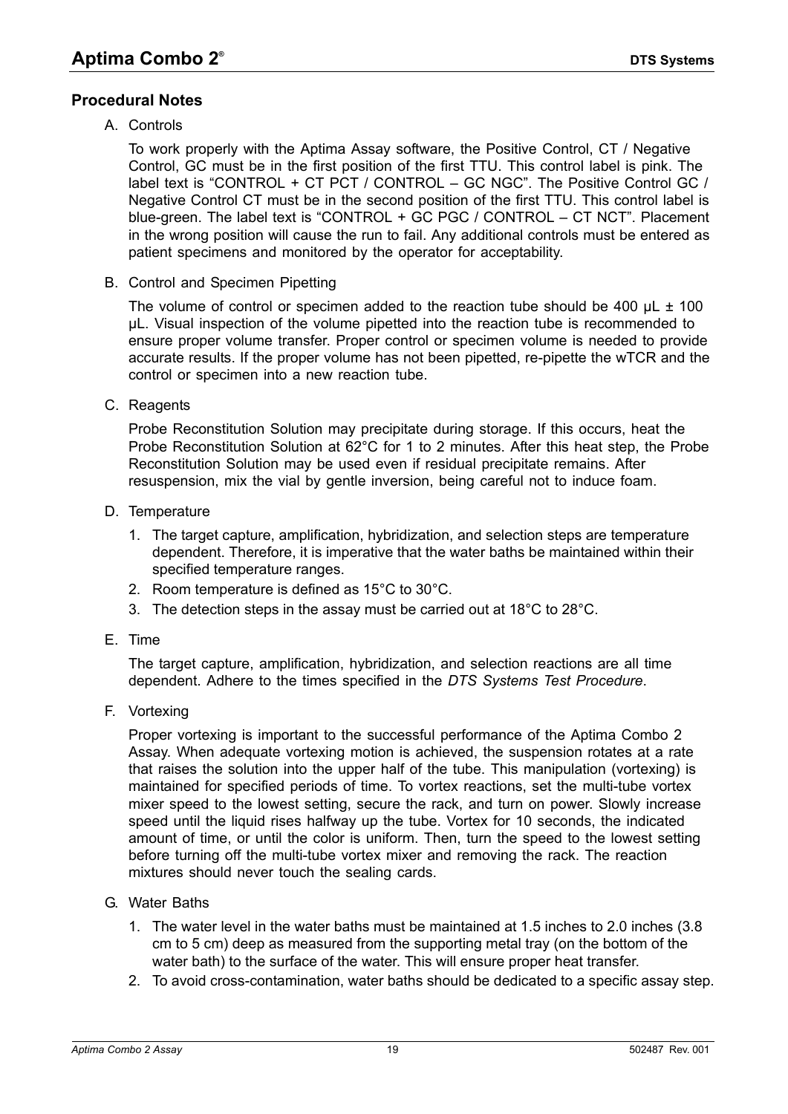# <span id="page-18-0"></span>**Procedural Notes**

A. Controls

To work properly with the Aptima Assay software, the Positive Control, CT / Negative Control, GC must be in the first position of the first TTU. This control label is pink. The label text is "CONTROL + CT PCT / CONTROL – GC NGC". The Positive Control GC / Negative Control CT must be in the second position of the first TTU. This control label is blue-green. The label text is "CONTROL + GC PGC / CONTROL – CT NCT". Placement in the wrong position will cause the run to fail. Any additional controls must be entered as patient specimens and monitored by the operator for acceptability.

<span id="page-18-1"></span>B. Control and Specimen Pipetting

The volume of control or specimen added to the reaction tube should be 400  $\mu$ L  $\pm$  100 µL. Visual inspection of the volume pipetted into the reaction tube is recommended to ensure proper volume transfer. Proper control or specimen volume is needed to provide accurate results. If the proper volume has not been pipetted, re-pipette the wTCR and the control or specimen into a new reaction tube.

C. Reagents

Probe Reconstitution Solution may precipitate during storage. If this occurs, heat the Probe Reconstitution Solution at 62°C for 1 to 2 minutes. After this heat step, the Probe Reconstitution Solution may be used even if residual precipitate remains. After resuspension, mix the vial by gentle inversion, being careful not to induce foam.

- D. Temperature
	- 1. The target capture, amplification, hybridization, and selection steps are temperature dependent. Therefore, it is imperative that the water baths be maintained within their specified temperature ranges.
	- 2. Room temperature is defined as 15°C to 30°C.
	- 3. The detection steps in the assay must be carried out at 18°C to 28°C.
- E. Time

The target capture, amplification, hybridization, and selection reactions are all time dependent. Adhere to the times specified in the *[DTS Systems Test Procedure](#page-12-0)*.

<span id="page-18-2"></span>F. Vortexing

Proper vortexing is important to the successful performance of the Aptima Combo 2 Assay. When adequate vortexing motion is achieved, the suspension rotates at a rate that raises the solution into the upper half of the tube. This manipulation (vortexing) is maintained for specified periods of time. To vortex reactions, set the multi-tube vortex mixer speed to the lowest setting, secure the rack, and turn on power. Slowly increase speed until the liquid rises halfway up the tube. Vortex for 10 seconds, the indicated amount of time, or until the color is uniform. Then, turn the speed to the lowest setting before turning off the multi-tube vortex mixer and removing the rack. The reaction mixtures should never touch the sealing cards.

- G. Water Baths
	- 1. The water level in the water baths must be maintained at 1.5 inches to 2.0 inches (3.8 cm to 5 cm) deep as measured from the supporting metal tray (on the bottom of the water bath) to the surface of the water. This will ensure proper heat transfer.
	- 2. To avoid cross-contamination, water baths should be dedicated to a specific assay step.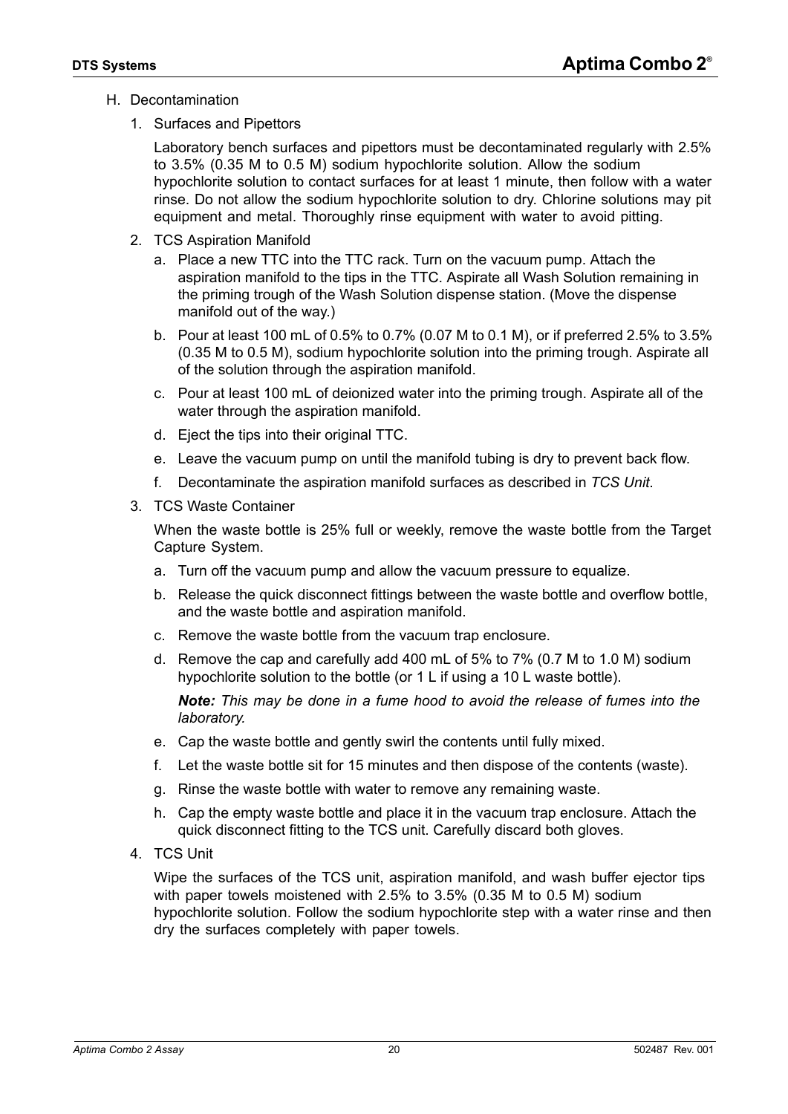- <span id="page-19-1"></span>H. Decontamination
	- 1. Surfaces and Pipettors

Laboratory bench surfaces and pipettors must be decontaminated regularly with 2.5% to 3.5% (0.35 M to 0.5 M) sodium hypochlorite solution. Allow the sodium hypochlorite solution to contact surfaces for at least 1 minute, then follow with a water rinse. Do not allow the sodium hypochlorite solution to dry. Chlorine solutions may pit equipment and metal. Thoroughly rinse equipment with water to avoid pitting.

- 2. TCS Aspiration Manifold
	- a. Place a new TTC into the TTC rack. Turn on the vacuum pump. Attach the aspiration manifold to the tips in the TTC. Aspirate all Wash Solution remaining in the priming trough of the Wash Solution dispense station. (Move the dispense manifold out of the way.)
	- b. Pour at least 100 mL of 0.5% to 0.7% (0.07 M to 0.1 M), or if preferred 2.5% to 3.5% (0.35 M to 0.5 M), sodium hypochlorite solution into the priming trough. Aspirate all of the solution through the aspiration manifold.
	- c. Pour at least 100 mL of deionized water into the priming trough. Aspirate all of the water through the aspiration manifold.
	- d. Eject the tips into their original TTC.
	- e. Leave the vacuum pump on until the manifold tubing is dry to prevent back flow.
	- f. Decontaminate the aspiration manifold surfaces as described in *[TCS Unit](#page-19-0)*.
- 3. TCS Waste Container

When the waste bottle is 25% full or weekly, remove the waste bottle from the Target Capture System.

- a. Turn off the vacuum pump and allow the vacuum pressure to equalize.
- b. Release the quick disconnect fittings between the waste bottle and overflow bottle, and the waste bottle and aspiration manifold.
- c. Remove the waste bottle from the vacuum trap enclosure.
- d. Remove the cap and carefully add 400 mL of 5% to 7% (0.7 M to 1.0 M) sodium hypochlorite solution to the bottle (or 1 L if using a 10 L waste bottle).

*Note: This may be done in a fume hood to avoid the release of fumes into the laboratory.*

- e. Cap the waste bottle and gently swirl the contents until fully mixed.
- f. Let the waste bottle sit for 15 minutes and then dispose of the contents (waste).
- g. Rinse the waste bottle with water to remove any remaining waste.
- h. Cap the empty waste bottle and place it in the vacuum trap enclosure. Attach the quick disconnect fitting to the TCS unit. Carefully discard both gloves.
- <span id="page-19-0"></span>4. TCS Unit

Wipe the surfaces of the TCS unit, aspiration manifold, and wash buffer ejector tips with paper towels moistened with 2.5% to 3.5% (0.35 M to 0.5 M) sodium hypochlorite solution. Follow the sodium hypochlorite step with a water rinse and then dry the surfaces completely with paper towels.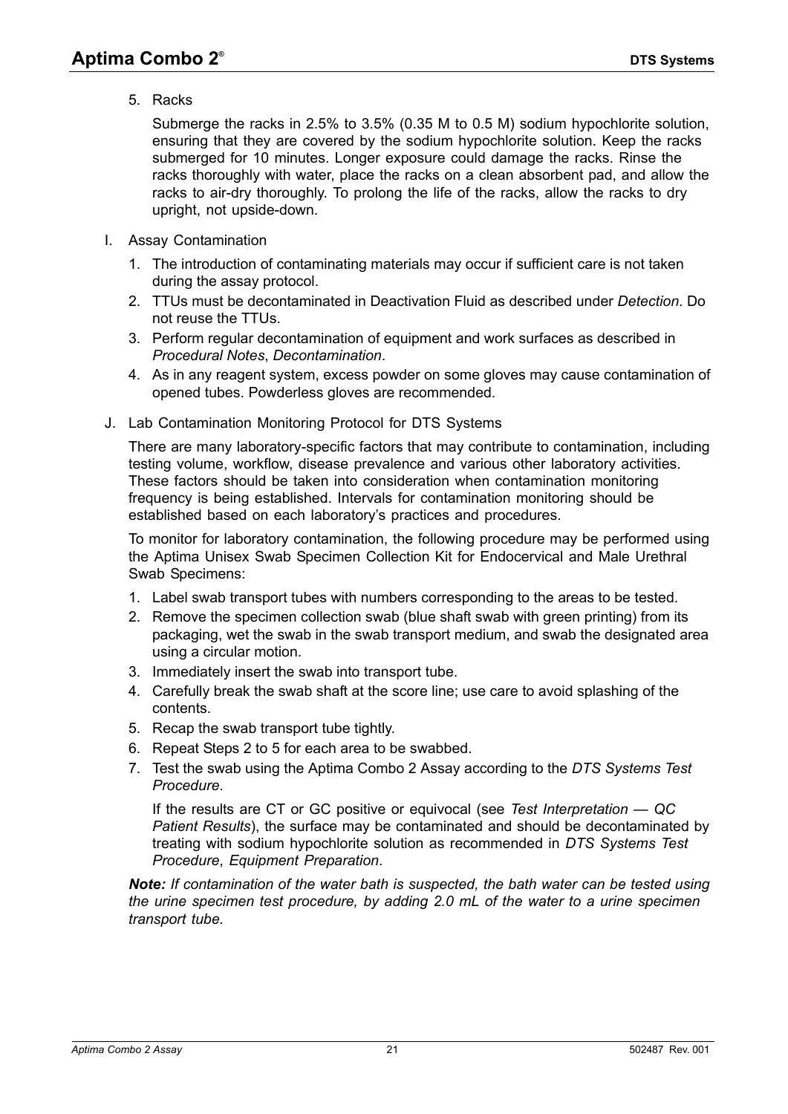5. Racks

Submerge the racks in 2.5% to 3.5% (0.35 M to 0.5 M) sodium hypochlorite solution, ensuring that they are covered by the sodium hypochlorite solution. Keep the racks submerged for 10 minutes. Longer exposure could damage the racks. Rinse the racks thoroughly with water, place the racks on a clean absorbent pad, and allow the racks to air-dry thoroughly. To prolong the life of the racks, allow the racks to dry upright, not upside-down.

- <span id="page-20-2"></span>I. Assay Contamination
	- 1. The introduction of contaminating materials may occur if sufficient care is not taken during the assay protocol.
	- 2. TTUs must be decontaminated in Deactivation Fluid as described under *[Detection](#page-17-0)*. Do not reuse the TTUs.
	- 3. Perform regular decontamination of equipment and work surfaces as described in *[Procedural Notes](#page-18-0)*, *[Decontamination](#page-19-1)*.
	- 4. As in any reagent system, excess powder on some gloves may cause contamination of opened tubes. Powderless gloves are recommended.
- J. Lab Contamination Monitoring Protocol for DTS Systems

There are many laboratory-specific factors that may contribute to contamination, including testing volume, workflow, disease prevalence and various other laboratory activities. These factors should be taken into consideration when contamination monitoring frequency is being established. Intervals for contamination monitoring should be established based on each laboratory's practices and procedures.

To monitor for laboratory contamination, the following procedure may be performed using the Aptima Unisex Swab Specimen Collection Kit for Endocervical and Male Urethral Swab Specimens:

- 1. Label swab transport tubes with numbers corresponding to the areas to be tested.
- <span id="page-20-0"></span>2. Remove the specimen collection swab (blue shaft swab with green printing) from its packaging, wet the swab in the swab transport medium, and swab the designated area using a circular motion.
- 3. Immediately insert the swab into transport tube.
- 4. Carefully break the swab shaft at the score line; use care to avoid splashing of the contents.
- <span id="page-20-1"></span>5. Recap the swab transport tube tightly.
- 6. Repeat Steps [2](#page-20-0) to [5](#page-20-1) for each area to be swabbed.
- 7. Test the swab using the Aptima Combo 2 Assay according to the *[DTS Systems Test](#page-12-0)  [Procedure](#page-12-0)*.

If the results are CT or GC positive or equivocal (see *[Test Interpretation — QC](#page-35-0)  [Patient Results](#page-35-0)*), the surface may be contaminated and should be decontaminated by treating with sodium hypochlorite solution as recommended in *[DTS Systems Test](#page-12-0)  [Procedure](#page-12-0)*, *[Equipment Preparation](#page-12-1)*.

*Note: If contamination of the water bath is suspected, the bath water can be tested using the urine specimen test procedure, by adding 2.0 mL of the water to a urine specimen transport tube.*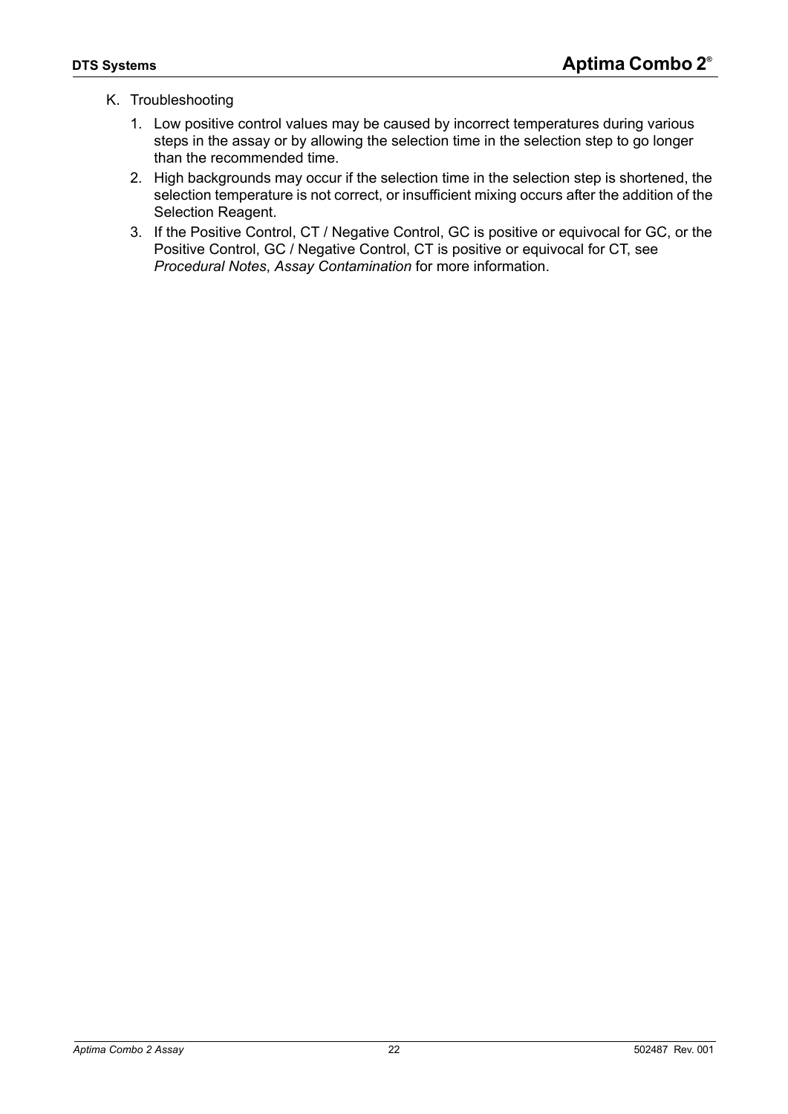## K. Troubleshooting

- 1. Low positive control values may be caused by incorrect temperatures during various steps in the assay or by allowing the selection time in the selection step to go longer than the recommended time.
- 2. High backgrounds may occur if the selection time in the selection step is shortened, the selection temperature is not correct, or insufficient mixing occurs after the addition of the Selection Reagent.
- 3. If the Positive Control, CT / Negative Control, GC is positive or equivocal for GC, or the Positive Control, GC / Negative Control, CT is positive or equivocal for CT, see *[Procedural Notes](#page-18-0)*, *[Assay Contamination](#page-20-2)* for more information.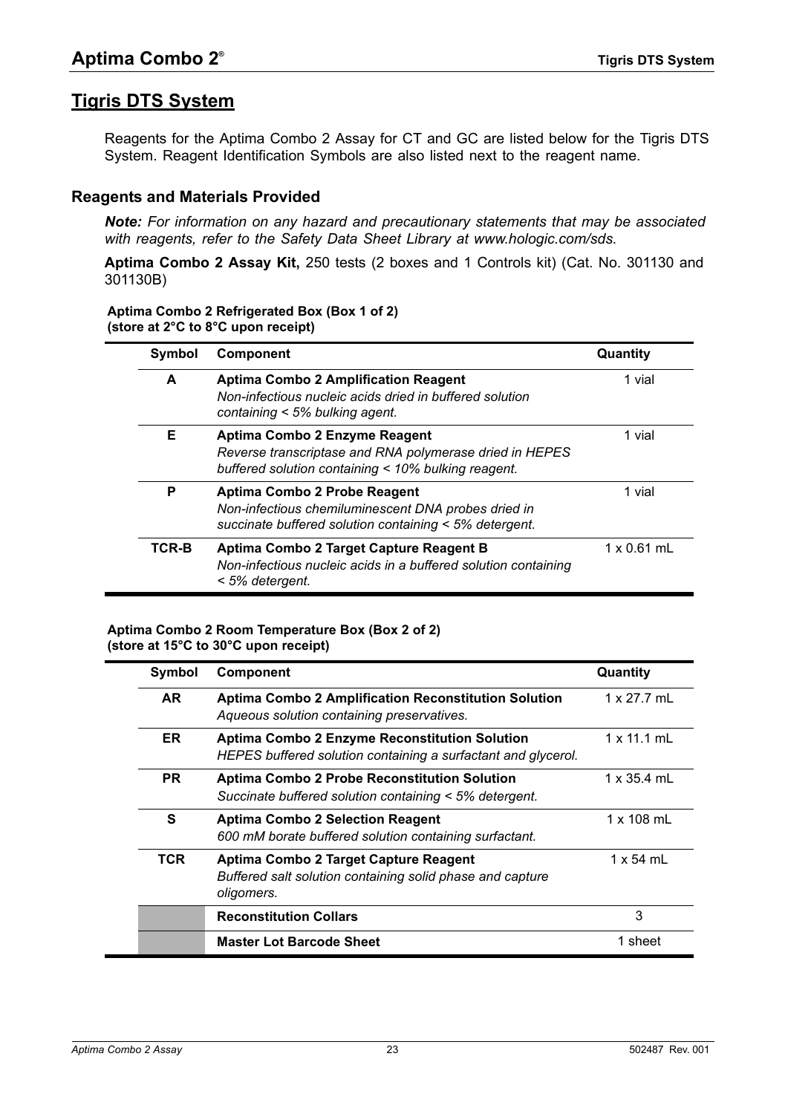# <span id="page-22-0"></span>**Tigris DTS System**

Reagents for the Aptima Combo 2 Assay for CT and GC are listed below for the Tigris DTS System. Reagent Identification Symbols are also listed next to the reagent name.

#### <span id="page-22-1"></span>**Reagents and Materials Provided**

*Note: For information on any hazard and precautionary statements that may be associated with reagents, refer to the Safety Data Sheet Library at www.hologic.com/sds.*

**Aptima Combo 2 Assay Kit,** 250 tests (2 boxes and 1 Controls kit) (Cat. No. 301130 and 301130B)

#### **Aptima Combo 2 Refrigerated Box (Box 1 of 2) (store at 2°C to 8°C upon receipt)**

| Symbol | Component                                                                                                                                       | Quantity           |
|--------|-------------------------------------------------------------------------------------------------------------------------------------------------|--------------------|
| A      | <b>Aptima Combo 2 Amplification Reagent</b><br>Non-infectious nucleic acids dried in buffered solution<br>containing < 5% bulking agent.        | 1 vial             |
| Е      | Aptima Combo 2 Enzyme Reagent<br>Reverse transcriptase and RNA polymerase dried in HEPES<br>buffered solution containing < 10% bulking reagent. | 1 vial             |
| P      | Aptima Combo 2 Probe Reagent<br>Non-infectious chemiluminescent DNA probes dried in<br>succinate buffered solution containing < 5% detergent.   | 1 vial             |
| TCR-B  | Aptima Combo 2 Target Capture Reagent B<br>Non-infectious nucleic acids in a buffered solution containing<br>< 5% detergent.                    | $1 \times 0.61$ mL |

#### **Aptima Combo 2 Room Temperature Box (Box 2 of 2) (store at 15°C to 30°C upon receipt)**

| Symbol    | <b>Component</b>                                                                                                      | Quantity           |
|-----------|-----------------------------------------------------------------------------------------------------------------------|--------------------|
| AR.       | <b>Aptima Combo 2 Amplification Reconstitution Solution</b><br>Aqueous solution containing preservatives.             | 1 x 27.7 mL        |
| ER.       | <b>Aptima Combo 2 Enzyme Reconstitution Solution</b><br>HEPES buffered solution containing a surfactant and glycerol. | $1 \times 11.1$ mL |
| <b>PR</b> | <b>Aptima Combo 2 Probe Reconstitution Solution</b><br>Succinate buffered solution containing < 5% detergent.         | $1 \times 35.4$ mL |
| S         | <b>Aptima Combo 2 Selection Reagent</b><br>600 mM borate buffered solution containing surfactant.                     | 1 x 108 mL         |
| TCR       | Aptima Combo 2 Target Capture Reagent<br>Buffered salt solution containing solid phase and capture<br>oligomers.      | 1 x 54 mL          |
|           | <b>Reconstitution Collars</b>                                                                                         | 3                  |
|           | <b>Master Lot Barcode Sheet</b>                                                                                       | 1 sheet            |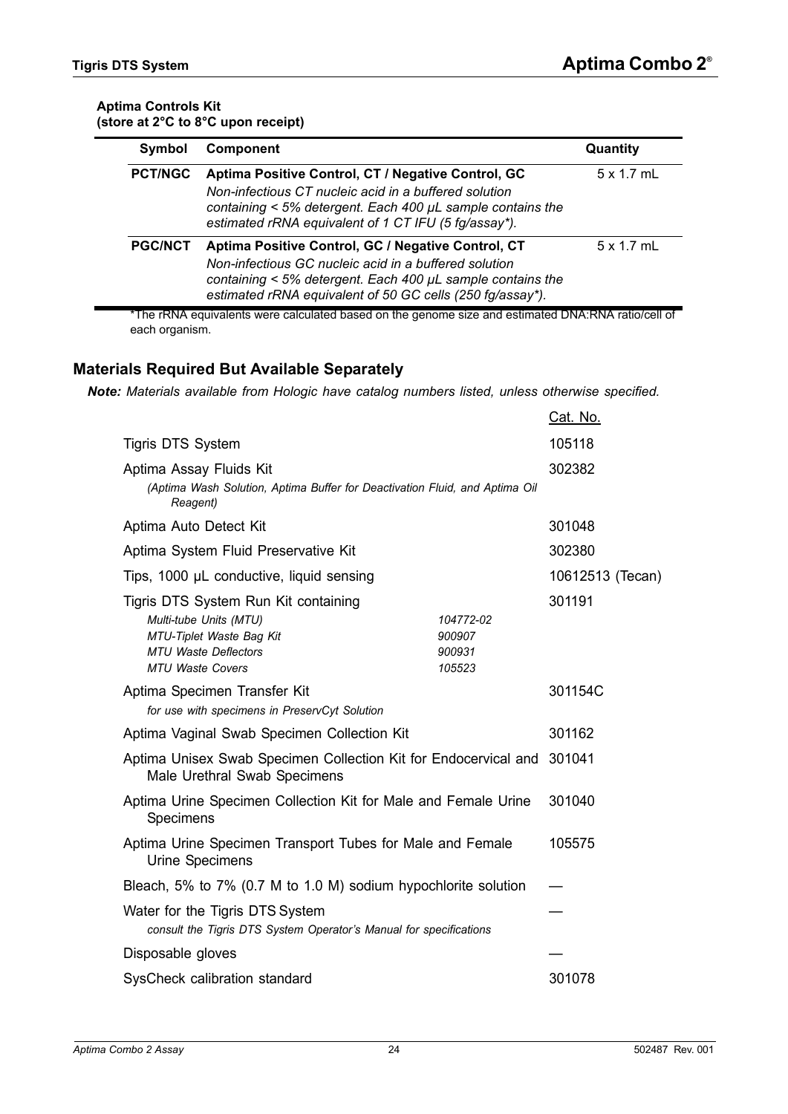#### **Aptima Controls Kit (store at 2°C to 8°C upon receipt)**

| Symbol         | <b>Component</b>                                                                                                                                                                                                                       | Quantity          |
|----------------|----------------------------------------------------------------------------------------------------------------------------------------------------------------------------------------------------------------------------------------|-------------------|
| <b>PCT/NGC</b> | Aptima Positive Control, CT / Negative Control, GC<br>Non-infectious CT nucleic acid in a buffered solution<br>containing < 5% detergent. Each 400 µL sample contains the<br>estimated rRNA equivalent of 1 CT IFU (5 fg/assay*).      | $5 \times 1.7$ mL |
| <b>PGC/NCT</b> | Aptima Positive Control, GC / Negative Control, CT<br>Non-infectious GC nucleic acid in a buffered solution<br>containing < 5% detergent. Each 400 µL sample contains the<br>estimated rRNA equivalent of 50 GC cells (250 fg/assay*). | $5 \times 1.7$ mL |

\*The rRNA equivalents were calculated based on the genome size and estimated DNA:RNA ratio/cell of each organism.

## <span id="page-23-0"></span>**Materials Required But Available Separately**

*Note: Materials available from Hologic have catalog numbers listed, unless otherwise specified.*

|                                                                        | Cat. No.                                                                                                                                                                                                                                                                                                                                           |  |
|------------------------------------------------------------------------|----------------------------------------------------------------------------------------------------------------------------------------------------------------------------------------------------------------------------------------------------------------------------------------------------------------------------------------------------|--|
|                                                                        | 105118                                                                                                                                                                                                                                                                                                                                             |  |
|                                                                        | 302382                                                                                                                                                                                                                                                                                                                                             |  |
|                                                                        | 301048                                                                                                                                                                                                                                                                                                                                             |  |
|                                                                        | 302380                                                                                                                                                                                                                                                                                                                                             |  |
|                                                                        | 10612513 (Tecan)                                                                                                                                                                                                                                                                                                                                   |  |
| 104772-02<br>900907<br>900931<br>105523                                | 301191                                                                                                                                                                                                                                                                                                                                             |  |
|                                                                        | 301154C                                                                                                                                                                                                                                                                                                                                            |  |
|                                                                        | 301162                                                                                                                                                                                                                                                                                                                                             |  |
| Aptima Unisex Swab Specimen Collection Kit for Endocervical and 301041 |                                                                                                                                                                                                                                                                                                                                                    |  |
|                                                                        | 301040                                                                                                                                                                                                                                                                                                                                             |  |
|                                                                        | 105575                                                                                                                                                                                                                                                                                                                                             |  |
|                                                                        |                                                                                                                                                                                                                                                                                                                                                    |  |
|                                                                        |                                                                                                                                                                                                                                                                                                                                                    |  |
|                                                                        |                                                                                                                                                                                                                                                                                                                                                    |  |
| SysCheck calibration standard                                          |                                                                                                                                                                                                                                                                                                                                                    |  |
|                                                                        | (Aptima Wash Solution, Aptima Buffer for Deactivation Fluid, and Aptima Oil<br>Aptima Urine Specimen Collection Kit for Male and Female Urine<br>Aptima Urine Specimen Transport Tubes for Male and Female<br>Bleach, 5% to 7% (0.7 M to 1.0 M) sodium hypochlorite solution<br>consult the Tigris DTS System Operator's Manual for specifications |  |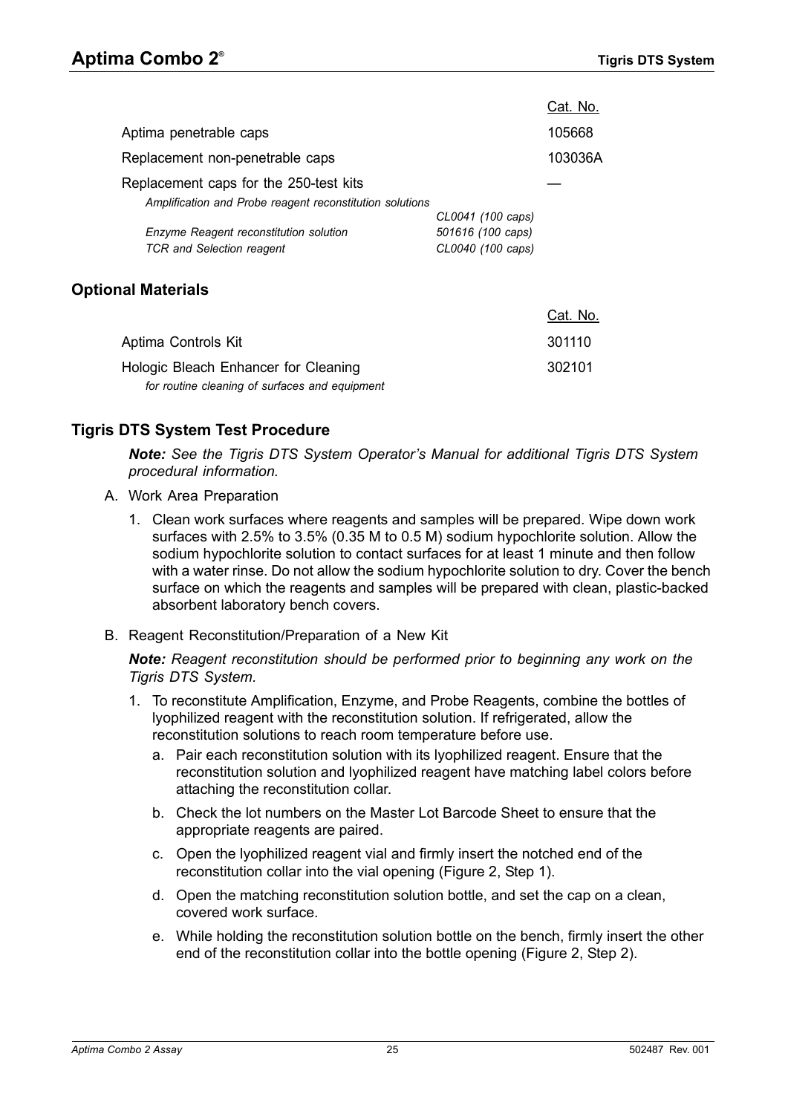|                                                          |                   | Cat. No. |
|----------------------------------------------------------|-------------------|----------|
| Aptima penetrable caps                                   |                   | 105668   |
| Replacement non-penetrable caps                          |                   | 103036A  |
| Replacement caps for the 250-test kits                   |                   |          |
| Amplification and Probe reagent reconstitution solutions |                   |          |
|                                                          | CL0041 (100 caps) |          |
| Enzyme Reagent reconstitution solution                   | 501616 (100 caps) |          |
| <b>TCR</b> and Selection reagent                         | CL0040 (100 caps) |          |
|                                                          |                   |          |
|                                                          |                   |          |

# <span id="page-24-0"></span>**Optional Materials**

|                                                | Cat. No. |
|------------------------------------------------|----------|
| Aptima Controls Kit                            | 301110   |
| Hologic Bleach Enhancer for Cleaning           | 302101   |
| for routine cleaning of surfaces and equipment |          |

# <span id="page-24-1"></span>**Tigris DTS System Test Procedure**

*Note: See the Tigris DTS System Operator's Manual for additional Tigris DTS System procedural information.*

- A. Work Area Preparation
	- 1. Clean work surfaces where reagents and samples will be prepared. Wipe down work surfaces with 2.5% to 3.5% (0.35 M to 0.5 M) sodium hypochlorite solution. Allow the sodium hypochlorite solution to contact surfaces for at least 1 minute and then follow with a water rinse. Do not allow the sodium hypochlorite solution to dry. Cover the bench surface on which the reagents and samples will be prepared with clean, plastic-backed absorbent laboratory bench covers.
- B. Reagent Reconstitution/Preparation of a New Kit

*Note: Reagent reconstitution should be performed prior to beginning any work on the Tigris DTS System.*

- 1. To reconstitute Amplification, Enzyme, and Probe Reagents, combine the bottles of lyophilized reagent with the reconstitution solution. If refrigerated, allow the reconstitution solutions to reach room temperature before use.
	- a. Pair each reconstitution solution with its lyophilized reagent. Ensure that the reconstitution solution and lyophilized reagent have matching label colors before attaching the reconstitution collar.
	- b. Check the lot numbers on the Master Lot Barcode Sheet to ensure that the appropriate reagents are paired.
	- c. Open the lyophilized reagent vial and firmly insert the notched end of the reconstitution collar into the vial opening [\(Figure 2,](#page-25-0) Step 1).
	- d. Open the matching reconstitution solution bottle, and set the cap on a clean, covered work surface.
	- e. While holding the reconstitution solution bottle on the bench, firmly insert the other end of the reconstitution collar into the bottle opening ([Figure 2,](#page-25-0) Step 2).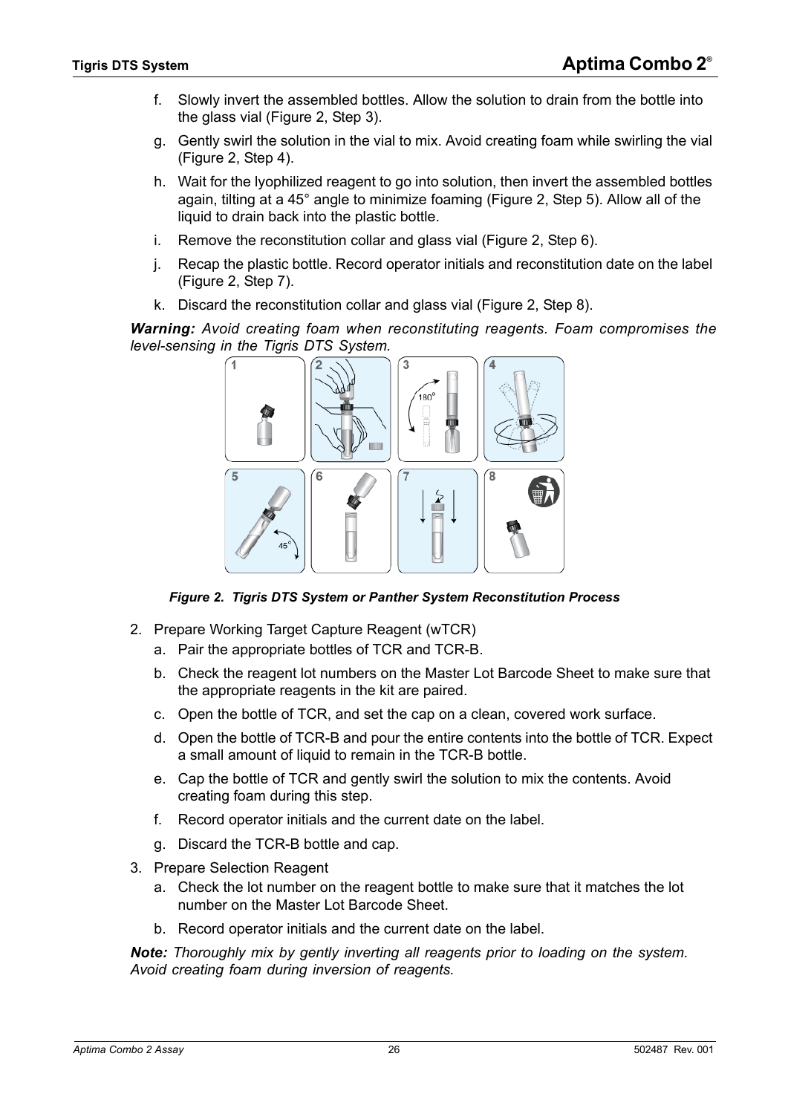- f. Slowly invert the assembled bottles. Allow the solution to drain from the bottle into the glass vial ([Figure 2,](#page-25-0) Step 3).
- g. Gently swirl the solution in the vial to mix. Avoid creating foam while swirling the vial [\(Figure 2](#page-25-0), Step 4).
- h. Wait for the lyophilized reagent to go into solution, then invert the assembled bottles again, tilting at a 45° angle to minimize foaming [\(Figure 2,](#page-25-0) Step 5). Allow all of the liquid to drain back into the plastic bottle.
- i. Remove the reconstitution collar and glass vial ([Figure 2,](#page-25-0) Step 6).
- j. Recap the plastic bottle. Record operator initials and reconstitution date on the label [\(Figure 2](#page-25-0), Step 7).
- k. Discard the reconstitution collar and glass vial [\(Figure 2](#page-25-0), Step 8).

*Warning: Avoid creating foam when reconstituting reagents. Foam compromises the level-sensing in the Tigris DTS System.*



*Figure 2. Tigris DTS System or Panther System Reconstitution Process*

- <span id="page-25-0"></span>2. Prepare Working Target Capture Reagent (wTCR)
	- a. Pair the appropriate bottles of TCR and TCR-B.
	- b. Check the reagent lot numbers on the Master Lot Barcode Sheet to make sure that the appropriate reagents in the kit are paired.
	- c. Open the bottle of TCR, and set the cap on a clean, covered work surface.
	- d. Open the bottle of TCR-B and pour the entire contents into the bottle of TCR. Expect a small amount of liquid to remain in the TCR-B bottle.
	- e. Cap the bottle of TCR and gently swirl the solution to mix the contents. Avoid creating foam during this step.
	- f. Record operator initials and the current date on the label.
	- g. Discard the TCR-B bottle and cap.
- 3. Prepare Selection Reagent
	- a. Check the lot number on the reagent bottle to make sure that it matches the lot number on the Master Lot Barcode Sheet.
	- b. Record operator initials and the current date on the label.

*Note: Thoroughly mix by gently inverting all reagents prior to loading on the system. Avoid creating foam during inversion of reagents.*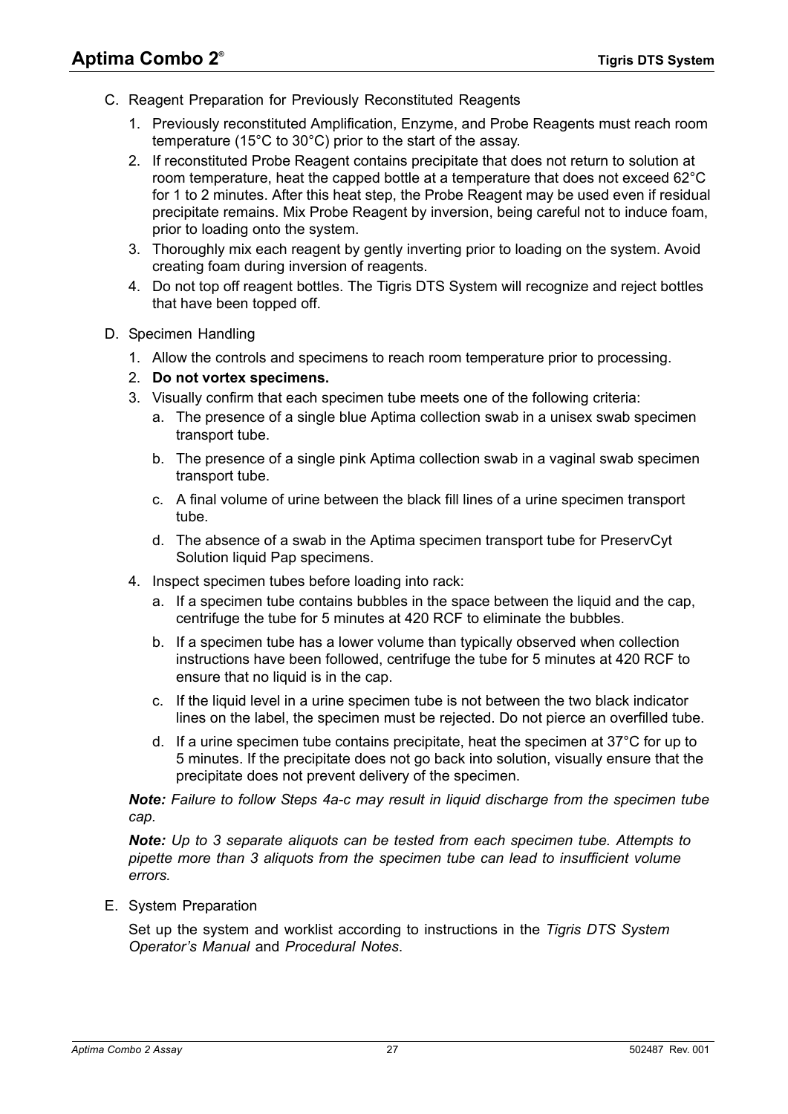- C. Reagent Preparation for Previously Reconstituted Reagents
	- 1. Previously reconstituted Amplification, Enzyme, and Probe Reagents must reach room temperature (15°C to 30°C) prior to the start of the assay.
	- 2. If reconstituted Probe Reagent contains precipitate that does not return to solution at room temperature, heat the capped bottle at a temperature that does not exceed 62°C for 1 to 2 minutes. After this heat step, the Probe Reagent may be used even if residual precipitate remains. Mix Probe Reagent by inversion, being careful not to induce foam, prior to loading onto the system.
	- 3. Thoroughly mix each reagent by gently inverting prior to loading on the system. Avoid creating foam during inversion of reagents.
	- 4. Do not top off reagent bottles. The Tigris DTS System will recognize and reject bottles that have been topped off.
- D. Specimen Handling
	- 1. Allow the controls and specimens to reach room temperature prior to processing.
	- 2. **Do not vortex specimens.**
	- 3. Visually confirm that each specimen tube meets one of the following criteria:
		- a. The presence of a single blue Aptima collection swab in a unisex swab specimen transport tube.
		- b. The presence of a single pink Aptima collection swab in a vaginal swab specimen transport tube.
		- c. A final volume of urine between the black fill lines of a urine specimen transport tube.
		- d. The absence of a swab in the Aptima specimen transport tube for PreservCyt Solution liquid Pap specimens.
	- 4. Inspect specimen tubes before loading into rack:
		- a. If a specimen tube contains bubbles in the space between the liquid and the cap, centrifuge the tube for 5 minutes at 420 RCF to eliminate the bubbles.
		- b. If a specimen tube has a lower volume than typically observed when collection instructions have been followed, centrifuge the tube for 5 minutes at 420 RCF to ensure that no liquid is in the cap.
		- c. If the liquid level in a urine specimen tube is not between the two black indicator lines on the label, the specimen must be rejected. Do not pierce an overfilled tube.
		- d. If a urine specimen tube contains precipitate, heat the specimen at  $37^{\circ}$ C for up to 5 minutes. If the precipitate does not go back into solution, visually ensure that the precipitate does not prevent delivery of the specimen.

*Note: Failure to follow Steps 4a-c may result in liquid discharge from the specimen tube cap.*

*Note: Up to 3 separate aliquots can be tested from each specimen tube. Attempts to pipette more than 3 aliquots from the specimen tube can lead to insufficient volume errors.*

E. System Preparation

Set up the system and worklist according to instructions in the *Tigris DTS System Operator's Manual* and *[Procedural Notes](#page-27-0)*.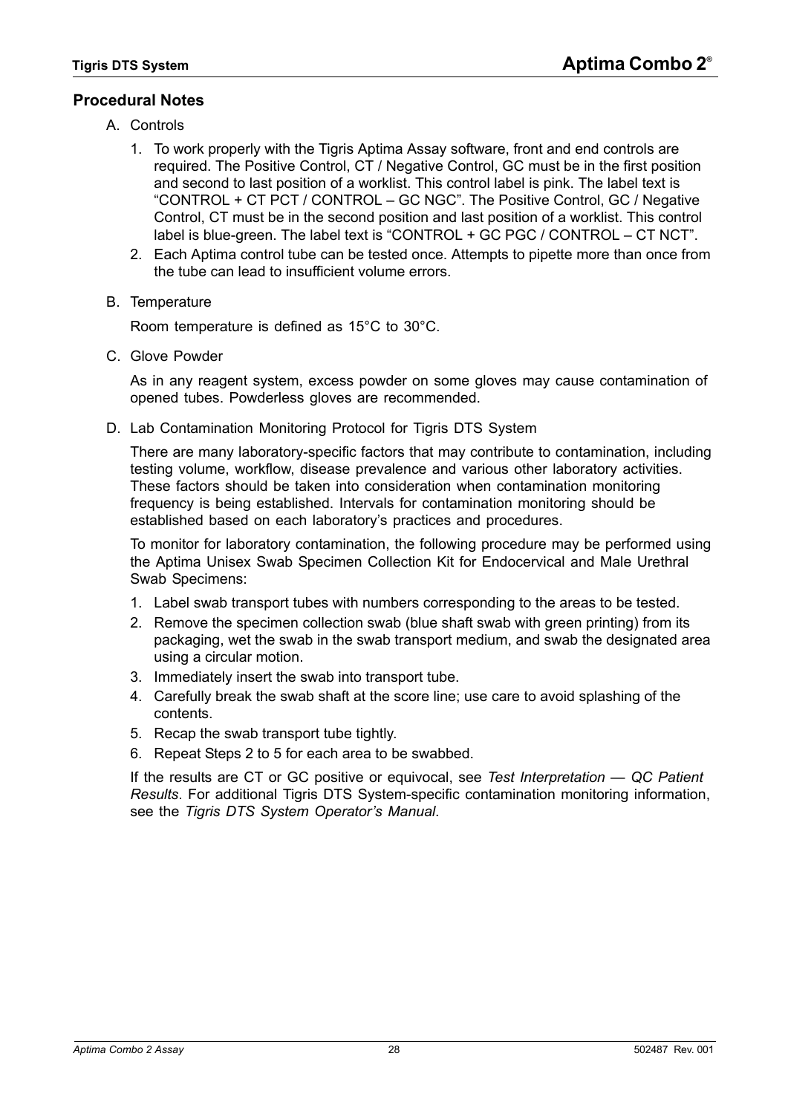# <span id="page-27-0"></span>**Procedural Notes**

- A. Controls
	- 1. To work properly with the Tigris Aptima Assay software, front and end controls are required. The Positive Control, CT / Negative Control, GC must be in the first position and second to last position of a worklist. This control label is pink. The label text is "CONTROL + CT PCT / CONTROL – GC NGC". The Positive Control, GC / Negative Control, CT must be in the second position and last position of a worklist. This control label is blue-green. The label text is "CONTROL + GC PGC / CONTROL – CT NCT".
	- 2. Each Aptima control tube can be tested once. Attempts to pipette more than once from the tube can lead to insufficient volume errors.
- B. Temperature

Room temperature is defined as 15°C to 30°C.

C. Glove Powder

As in any reagent system, excess powder on some gloves may cause contamination of opened tubes. Powderless gloves are recommended.

D. Lab Contamination Monitoring Protocol for Tigris DTS System

There are many laboratory-specific factors that may contribute to contamination, including testing volume, workflow, disease prevalence and various other laboratory activities. These factors should be taken into consideration when contamination monitoring frequency is being established. Intervals for contamination monitoring should be established based on each laboratory's practices and procedures.

To monitor for laboratory contamination, the following procedure may be performed using the Aptima Unisex Swab Specimen Collection Kit for Endocervical and Male Urethral Swab Specimens:

- 1. Label swab transport tubes with numbers corresponding to the areas to be tested.
- <span id="page-27-1"></span>2. Remove the specimen collection swab (blue shaft swab with green printing) from its packaging, wet the swab in the swab transport medium, and swab the designated area using a circular motion.
- 3. Immediately insert the swab into transport tube.
- 4. Carefully break the swab shaft at the score line; use care to avoid splashing of the contents.
- <span id="page-27-2"></span>5. Recap the swab transport tube tightly.
- 6. Repeat Steps [2](#page-27-1) to [5](#page-27-2) for each area to be swabbed.

If the results are CT or GC positive or equivocal, see *[Test Interpretation — QC Patient](#page-35-0)  [Results](#page-35-0)*. For additional Tigris DTS System-specific contamination monitoring information, see the *Tigris DTS System Operator's Manual*.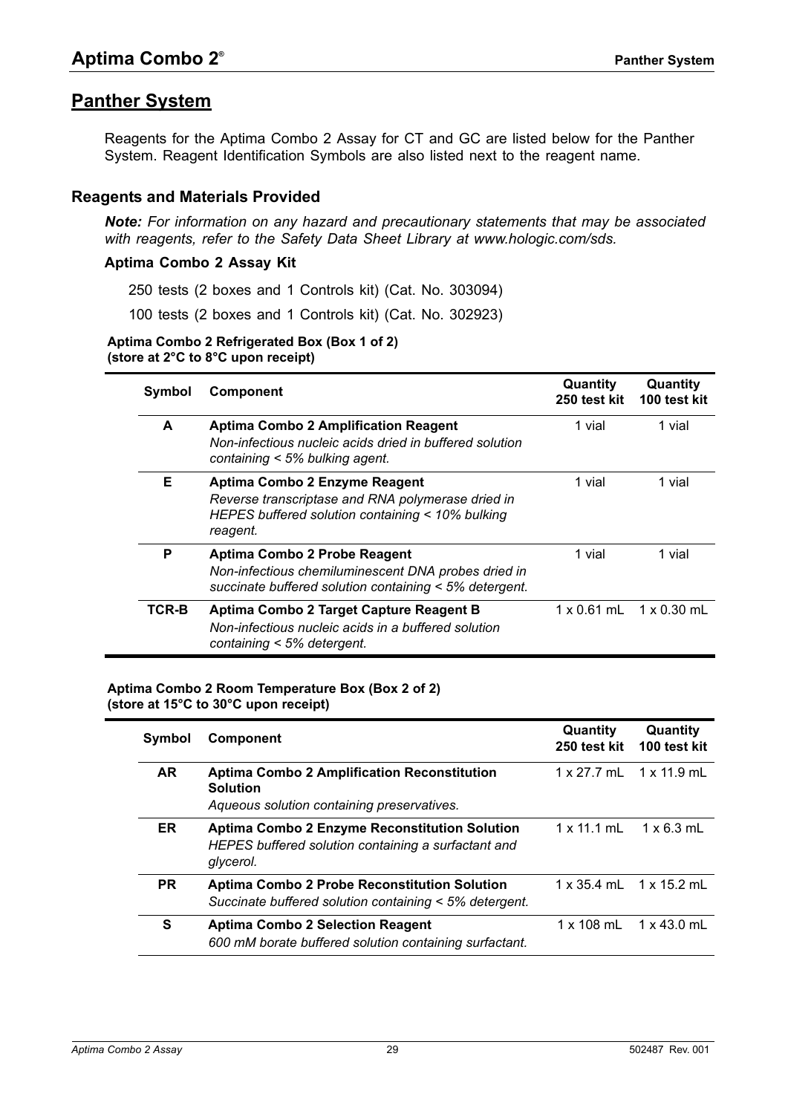# <span id="page-28-0"></span>**Panther System**

Reagents for the Aptima Combo 2 Assay for CT and GC are listed below for the Panther System. Reagent Identification Symbols are also listed next to the reagent name.

## <span id="page-28-1"></span>**Reagents and Materials Provided**

*Note: For information on any hazard and precautionary statements that may be associated with reagents, refer to the Safety Data Sheet Library at www.hologic.com/sds.*

#### **Aptima Combo 2 Assay Kit**

250 tests (2 boxes and 1 Controls kit) (Cat. No. 303094)

100 tests (2 boxes and 1 Controls kit) (Cat. No. 302923)

#### **Aptima Combo 2 Refrigerated Box (Box 1 of 2) (store at 2°C to 8°C upon receipt)**

| Symbol | <b>Component</b>                                                                                                                                   | Quantity<br>250 test kit | Quantity<br>100 test kit              |
|--------|----------------------------------------------------------------------------------------------------------------------------------------------------|--------------------------|---------------------------------------|
| A      | <b>Aptima Combo 2 Amplification Reagent</b><br>Non-infectious nucleic acids dried in buffered solution<br>containing $<$ 5% bulking agent.         | 1 vial                   | 1 vial                                |
| Е      | Aptima Combo 2 Enzyme Reagent<br>Reverse transcriptase and RNA polymerase dried in<br>HEPES buffered solution containing < 10% bulking<br>reagent. | 1 vial                   | 1 vial                                |
| P      | Aptima Combo 2 Probe Reagent<br>Non-infectious chemiluminescent DNA probes dried in<br>succinate buffered solution containing < 5% detergent.      | 1 vial                   | 1 vial                                |
| TCR-B  | Aptima Combo 2 Target Capture Reagent B<br>Non-infectious nucleic acids in a buffered solution<br>containing < 5% detergent.                       |                          | $1 \times 0.61$ mL $1 \times 0.30$ mL |

#### **Aptima Combo 2 Room Temperature Box (Box 2 of 2) (store at 15°C to 30°C upon receipt)**

| Symbol    | <b>Component</b>                                                                                                         | Quantity<br>250 test kit              | Quantity<br>100 test kit   |
|-----------|--------------------------------------------------------------------------------------------------------------------------|---------------------------------------|----------------------------|
| <b>AR</b> | <b>Aptima Combo 2 Amplification Reconstitution</b><br><b>Solution</b><br>Aqueous solution containing preservatives.      | 1 x 27.7 mL 1 x 11.9 mL               |                            |
| ER.       | <b>Aptima Combo 2 Enzyme Reconstitution Solution</b><br>HEPES buffered solution containing a surfactant and<br>glycerol. | $1 \times 11.1 \text{ mL}$            | $1 \times 6.3$ mL          |
| PR.       | <b>Aptima Combo 2 Probe Reconstitution Solution</b><br>Succinate buffered solution containing < 5% detergent.            | $1 \times 35.4$ mL $1 \times 15.2$ mL |                            |
| S         | <b>Aptima Combo 2 Selection Reagent</b><br>600 mM borate buffered solution containing surfactant.                        | $1 \times 108$ mL                     | $1 \times 43.0 \text{ mL}$ |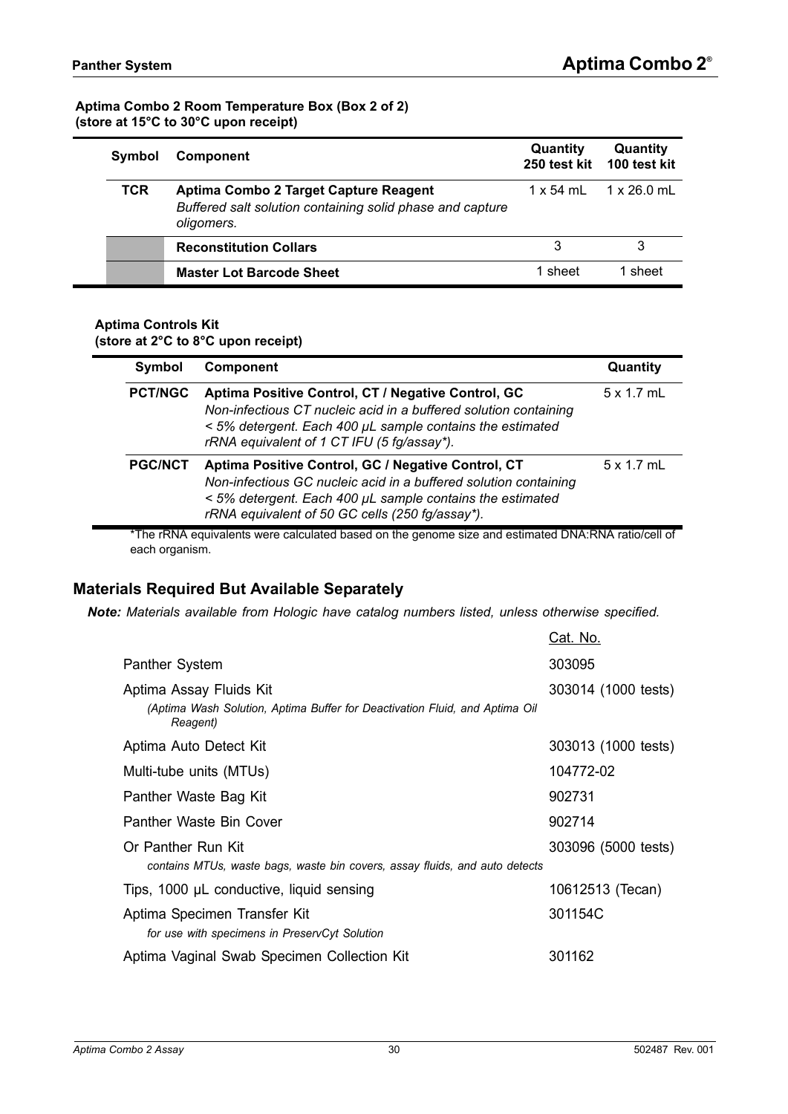#### **Aptima Combo 2 Room Temperature Box (Box 2 of 2) (store at 15°C to 30°C upon receipt)**

| Symbol | <b>Component</b>                                                                                                 | Quantity  | Quantity<br>250 test kit 100 test kit |
|--------|------------------------------------------------------------------------------------------------------------------|-----------|---------------------------------------|
| TCR    | Aptima Combo 2 Target Capture Reagent<br>Buffered salt solution containing solid phase and capture<br>oligomers. | 1 x 54 mL | $1 \times 26.0$ mL                    |
|        | <b>Reconstitution Collars</b>                                                                                    | 3         | 3                                     |
|        | <b>Master Lot Barcode Sheet</b>                                                                                  | 1 sheet   | 1 sheet                               |

#### **Aptima Controls Kit (store at 2°C to 8°C upon receipt)**

| Symbol         | <b>Component</b>                                                                                                                                                                                                                       | Quantity          |
|----------------|----------------------------------------------------------------------------------------------------------------------------------------------------------------------------------------------------------------------------------------|-------------------|
| <b>PCT/NGC</b> | Aptima Positive Control, CT / Negative Control, GC<br>Non-infectious CT nucleic acid in a buffered solution containing<br>< 5% detergent. Each 400 µL sample contains the estimated<br>rRNA equivalent of 1 CT IFU (5 fg/assay*).      | $5 \times 1.7$ mL |
| <b>PGC/NCT</b> | Aptima Positive Control, GC / Negative Control, CT<br>Non-infectious GC nucleic acid in a buffered solution containing<br>< 5% detergent. Each 400 µL sample contains the estimated<br>rRNA equivalent of 50 GC cells (250 fg/assay*). | $5 \times 1.7$ mL |

\*The rRNA equivalents were calculated based on the genome size and estimated DNA:RNA ratio/cell of each organism.

# <span id="page-29-0"></span>**Materials Required But Available Separately**

*Note: Materials available from Hologic have catalog numbers listed, unless otherwise specified.*

|                                                                                                                    | <u> Cat. No.</u>    |
|--------------------------------------------------------------------------------------------------------------------|---------------------|
| Panther System                                                                                                     | 303095              |
| Aptima Assay Fluids Kit<br>(Aptima Wash Solution, Aptima Buffer for Deactivation Fluid, and Aptima Oil<br>Reagent) | 303014 (1000 tests) |
| Aptima Auto Detect Kit                                                                                             | 303013 (1000 tests) |
| Multi-tube units (MTUs)                                                                                            | 104772-02           |
| Panther Waste Bag Kit                                                                                              | 902731              |
| Panther Waste Bin Cover                                                                                            | 902714              |
| Or Panther Run Kit<br>contains MTUs, waste bags, waste bin covers, assay fluids, and auto detects                  | 303096 (5000 tests) |
| Tips, 1000 µL conductive, liquid sensing                                                                           | 10612513 (Tecan)    |
| Aptima Specimen Transfer Kit<br>for use with specimens in PreservCyt Solution                                      | 301154C             |
| Aptima Vaginal Swab Specimen Collection Kit                                                                        | 301162              |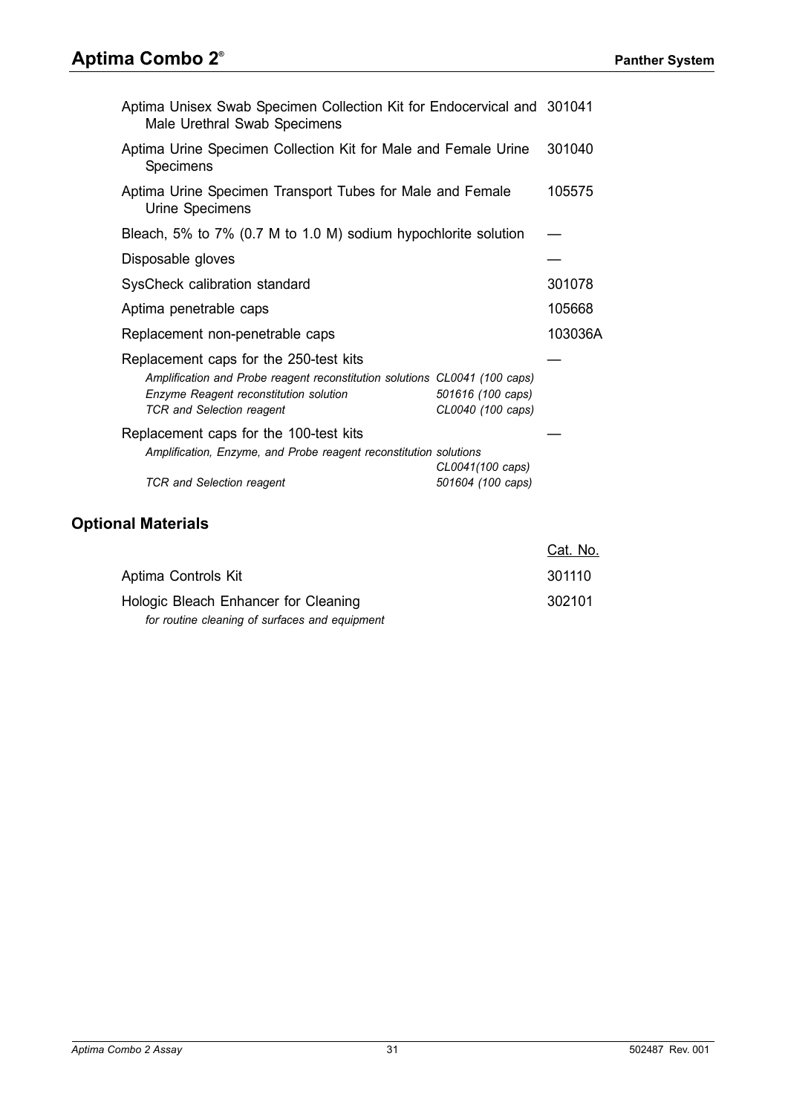# **Aptima Combo 2®**

| Aptima Unisex Swab Specimen Collection Kit for Endocervical and 301041<br>Male Urethral Swab Specimens                                                                                                                                                                                                                                                |                                                                                 |         |
|-------------------------------------------------------------------------------------------------------------------------------------------------------------------------------------------------------------------------------------------------------------------------------------------------------------------------------------------------------|---------------------------------------------------------------------------------|---------|
| Aptima Urine Specimen Collection Kit for Male and Female Urine<br>Specimens                                                                                                                                                                                                                                                                           |                                                                                 | 301040  |
| Aptima Urine Specimen Transport Tubes for Male and Female<br>Urine Specimens                                                                                                                                                                                                                                                                          |                                                                                 | 105575  |
| Bleach, 5% to 7% (0.7 M to 1.0 M) sodium hypochlorite solution                                                                                                                                                                                                                                                                                        |                                                                                 |         |
| Disposable gloves                                                                                                                                                                                                                                                                                                                                     |                                                                                 |         |
| SysCheck calibration standard                                                                                                                                                                                                                                                                                                                         |                                                                                 | 301078  |
| Aptima penetrable caps                                                                                                                                                                                                                                                                                                                                |                                                                                 | 105668  |
| Replacement non-penetrable caps                                                                                                                                                                                                                                                                                                                       |                                                                                 | 103036A |
| Replacement caps for the 250-test kits<br>Amplification and Probe reagent reconstitution solutions CL0041 (100 caps)<br>Enzyme Reagent reconstitution solution<br><b>TCR</b> and Selection reagent<br>Replacement caps for the 100-test kits<br>Amplification, Enzyme, and Probe reagent reconstitution solutions<br><b>TCR</b> and Selection reagent | 501616 (100 caps)<br>CL0040 (100 caps)<br>CL0041(100 caps)<br>501604 (100 caps) |         |

# <span id="page-30-0"></span>**Optional Materials**

|                                                | <u>Cat. No.</u> |
|------------------------------------------------|-----------------|
| Aptima Controls Kit                            | 301110          |
| Hologic Bleach Enhancer for Cleaning           | 302101          |
| for routine cleaning of surfaces and equipment |                 |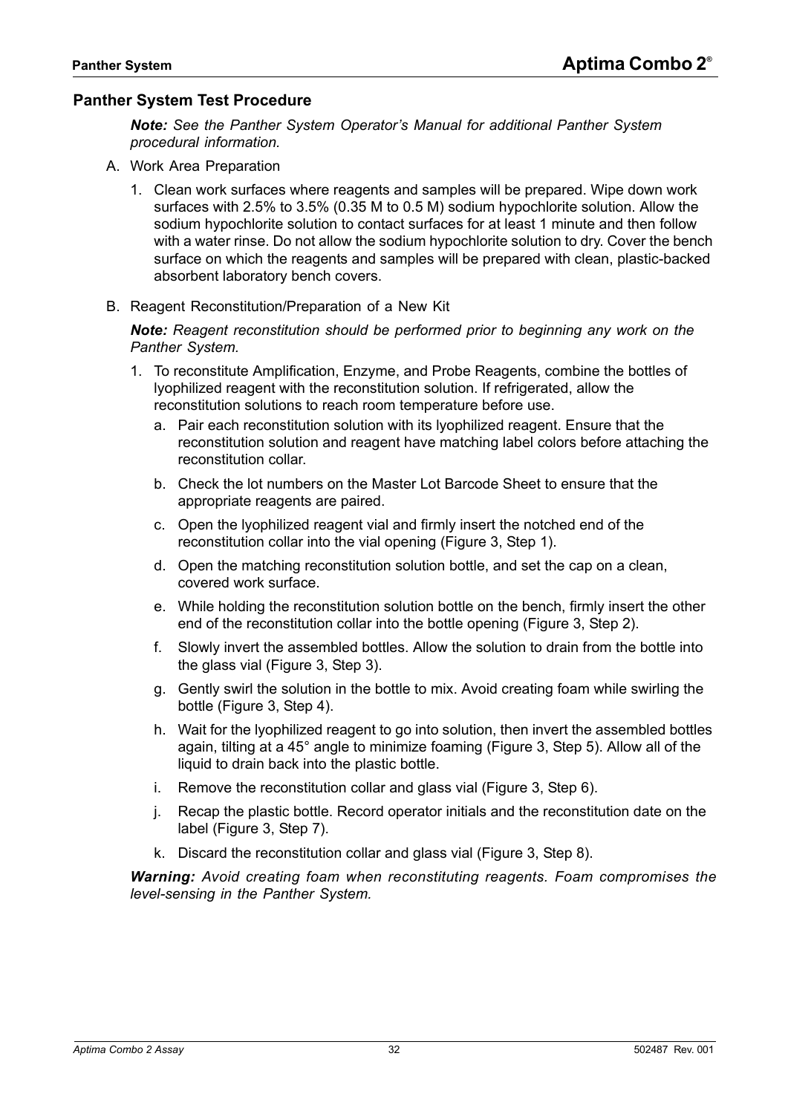## <span id="page-31-0"></span>**Panther System Test Procedure**

*Note: See the Panther System Operator's Manual for additional Panther System procedural information.*

- A. Work Area Preparation
	- 1. Clean work surfaces where reagents and samples will be prepared. Wipe down work surfaces with 2.5% to 3.5% (0.35 M to 0.5 M) sodium hypochlorite solution. Allow the sodium hypochlorite solution to contact surfaces for at least 1 minute and then follow with a water rinse. Do not allow the sodium hypochlorite solution to dry. Cover the bench surface on which the reagents and samples will be prepared with clean, plastic-backed absorbent laboratory bench covers.
- B. Reagent Reconstitution/Preparation of a New Kit

*Note: Reagent reconstitution should be performed prior to beginning any work on the Panther System.*

- 1. To reconstitute Amplification, Enzyme, and Probe Reagents, combine the bottles of lyophilized reagent with the reconstitution solution. If refrigerated, allow the reconstitution solutions to reach room temperature before use.
	- a. Pair each reconstitution solution with its lyophilized reagent. Ensure that the reconstitution solution and reagent have matching label colors before attaching the reconstitution collar.
	- b. Check the lot numbers on the Master Lot Barcode Sheet to ensure that the appropriate reagents are paired.
	- c. Open the lyophilized reagent vial and firmly insert the notched end of the reconstitution collar into the vial opening ([Figure 3,](#page-32-0) Step 1).
	- d. Open the matching reconstitution solution bottle, and set the cap on a clean, covered work surface.
	- e. While holding the reconstitution solution bottle on the bench, firmly insert the other end of the reconstitution collar into the bottle opening ([Figure 3](#page-32-0), Step 2).
	- f. Slowly invert the assembled bottles. Allow the solution to drain from the bottle into the glass vial ([Figure 3,](#page-32-0) Step 3).
	- g. Gently swirl the solution in the bottle to mix. Avoid creating foam while swirling the bottle [\(Figure 3](#page-32-0), Step 4).
	- h. Wait for the lyophilized reagent to go into solution, then invert the assembled bottles again, tilting at a 45° angle to minimize foaming [\(Figure 3,](#page-32-0) Step 5). Allow all of the liquid to drain back into the plastic bottle.
	- i. Remove the reconstitution collar and glass vial ([Figure 3,](#page-32-0) Step 6).
	- j. Recap the plastic bottle. Record operator initials and the reconstitution date on the label [\(Figure 3,](#page-32-0) Step 7).
	- k. Discard the reconstitution collar and glass vial [\(Figure 3](#page-32-0), Step 8).

*Warning: Avoid creating foam when reconstituting reagents. Foam compromises the level-sensing in the Panther System.*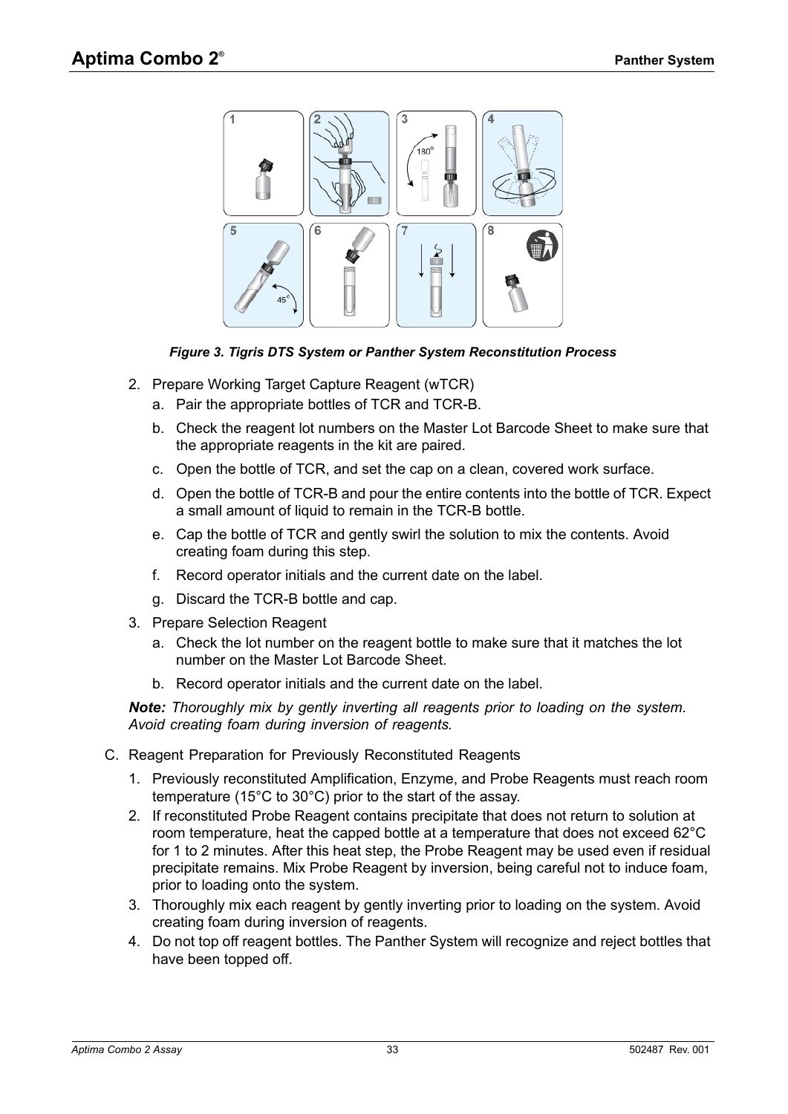

*Figure 3. Tigris DTS System or Panther System Reconstitution Process*

- <span id="page-32-0"></span>2. Prepare Working Target Capture Reagent (wTCR)
	- a. Pair the appropriate bottles of TCR and TCR-B.
	- b. Check the reagent lot numbers on the Master Lot Barcode Sheet to make sure that the appropriate reagents in the kit are paired.
	- c. Open the bottle of TCR, and set the cap on a clean, covered work surface.
	- d. Open the bottle of TCR-B and pour the entire contents into the bottle of TCR. Expect a small amount of liquid to remain in the TCR-B bottle.
	- e. Cap the bottle of TCR and gently swirl the solution to mix the contents. Avoid creating foam during this step.
	- f. Record operator initials and the current date on the label.
	- g. Discard the TCR-B bottle and cap.
- 3. Prepare Selection Reagent
	- a. Check the lot number on the reagent bottle to make sure that it matches the lot number on the Master Lot Barcode Sheet.
	- b. Record operator initials and the current date on the label.

*Note: Thoroughly mix by gently inverting all reagents prior to loading on the system. Avoid creating foam during inversion of reagents.*

- C. Reagent Preparation for Previously Reconstituted Reagents
	- 1. Previously reconstituted Amplification, Enzyme, and Probe Reagents must reach room temperature (15°C to 30°C) prior to the start of the assay.
	- 2. If reconstituted Probe Reagent contains precipitate that does not return to solution at room temperature, heat the capped bottle at a temperature that does not exceed 62°C for 1 to 2 minutes. After this heat step, the Probe Reagent may be used even if residual precipitate remains. Mix Probe Reagent by inversion, being careful not to induce foam, prior to loading onto the system.
	- 3. Thoroughly mix each reagent by gently inverting prior to loading on the system. Avoid creating foam during inversion of reagents.
	- 4. Do not top off reagent bottles. The Panther System will recognize and reject bottles that have been topped off.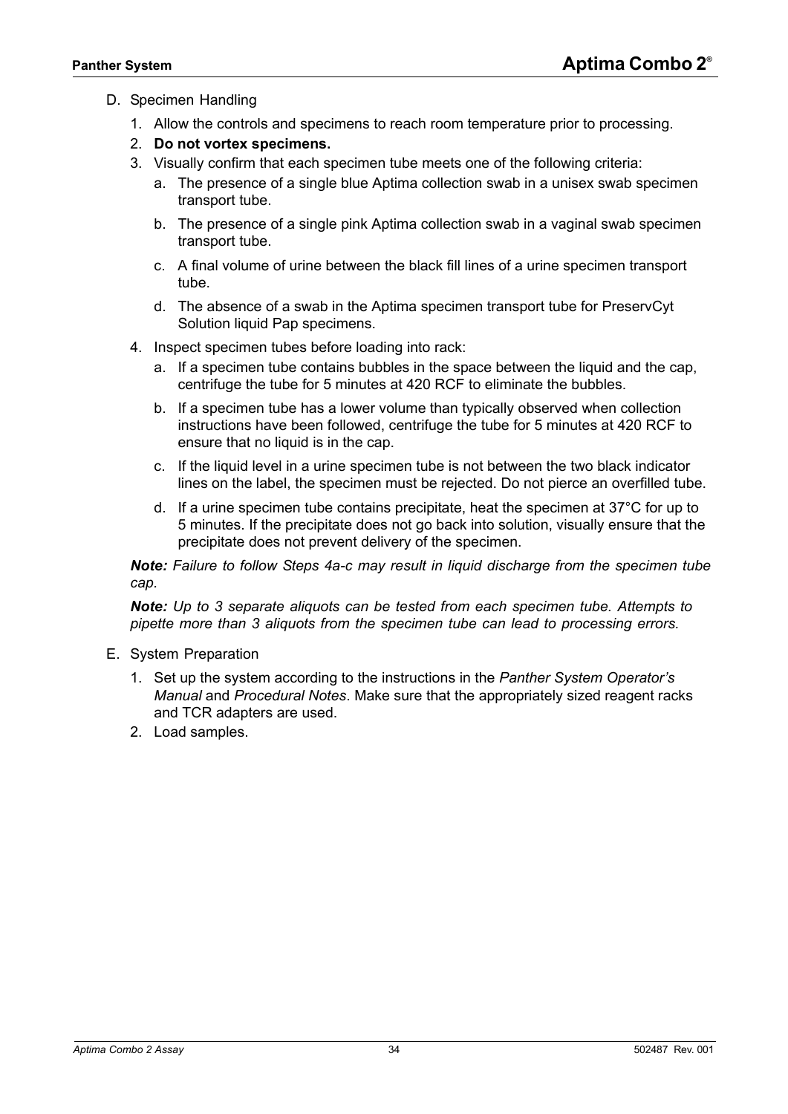#### D. Specimen Handling

- 1. Allow the controls and specimens to reach room temperature prior to processing.
- 2. **Do not vortex specimens.**
- 3. Visually confirm that each specimen tube meets one of the following criteria:
	- a. The presence of a single blue Aptima collection swab in a unisex swab specimen transport tube.
	- b. The presence of a single pink Aptima collection swab in a vaginal swab specimen transport tube.
	- c. A final volume of urine between the black fill lines of a urine specimen transport tube.
	- d. The absence of a swab in the Aptima specimen transport tube for PreservCyt Solution liquid Pap specimens.
- <span id="page-33-0"></span>4. Inspect specimen tubes before loading into rack:
	- a. If a specimen tube contains bubbles in the space between the liquid and the cap, centrifuge the tube for 5 minutes at 420 RCF to eliminate the bubbles.
	- b. If a specimen tube has a lower volume than typically observed when collection instructions have been followed, centrifuge the tube for 5 minutes at 420 RCF to ensure that no liquid is in the cap.
	- c. If the liquid level in a urine specimen tube is not between the two black indicator lines on the label, the specimen must be rejected. Do not pierce an overfilled tube.
	- d. If a urine specimen tube contains precipitate, heat the specimen at  $37^{\circ}$ C for up to 5 minutes. If the precipitate does not go back into solution, visually ensure that the precipitate does not prevent delivery of the specimen.

*Note: Failure to follow Steps [4](#page-33-0)a-c may result in liquid discharge from the specimen tube cap.*

*Note: Up to 3 separate aliquots can be tested from each specimen tube. Attempts to pipette more than 3 aliquots from the specimen tube can lead to processing errors.*

- E. System Preparation
	- 1. Set up the system according to the instructions in the *Panther System Operator's Manual* and *[Procedural Notes](#page-34-0)*. Make sure that the appropriately sized reagent racks and TCR adapters are used.
	- 2. Load samples.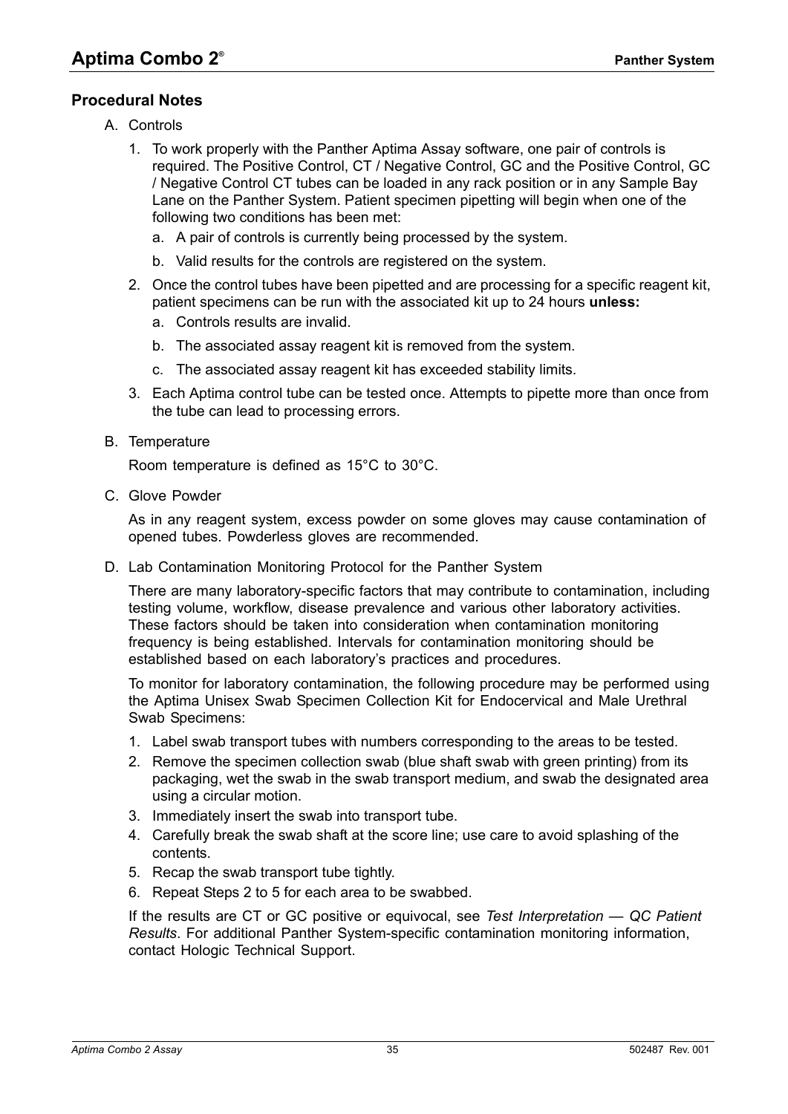# <span id="page-34-0"></span>**Procedural Notes**

- A. Controls
	- 1. To work properly with the Panther Aptima Assay software, one pair of controls is required. The Positive Control, CT / Negative Control, GC and the Positive Control, GC / Negative Control CT tubes can be loaded in any rack position or in any Sample Bay Lane on the Panther System. Patient specimen pipetting will begin when one of the following two conditions has been met:
		- a. A pair of controls is currently being processed by the system.
		- b. Valid results for the controls are registered on the system.
	- 2. Once the control tubes have been pipetted and are processing for a specific reagent kit, patient specimens can be run with the associated kit up to 24 hours **unless:**
		- a. Controls results are invalid.
		- b. The associated assay reagent kit is removed from the system.
		- c. The associated assay reagent kit has exceeded stability limits.
	- 3. Each Aptima control tube can be tested once. Attempts to pipette more than once from the tube can lead to processing errors.
- B. Temperature

Room temperature is defined as 15°C to 30°C.

C. Glove Powder

As in any reagent system, excess powder on some gloves may cause contamination of opened tubes. Powderless gloves are recommended.

D. Lab Contamination Monitoring Protocol for the Panther System

There are many laboratory-specific factors that may contribute to contamination, including testing volume, workflow, disease prevalence and various other laboratory activities. These factors should be taken into consideration when contamination monitoring frequency is being established. Intervals for contamination monitoring should be established based on each laboratory's practices and procedures.

To monitor for laboratory contamination, the following procedure may be performed using the Aptima Unisex Swab Specimen Collection Kit for Endocervical and Male Urethral Swab Specimens:

- 1. Label swab transport tubes with numbers corresponding to the areas to be tested.
- <span id="page-34-1"></span>2. Remove the specimen collection swab (blue shaft swab with green printing) from its packaging, wet the swab in the swab transport medium, and swab the designated area using a circular motion.
- 3. Immediately insert the swab into transport tube.
- 4. Carefully break the swab shaft at the score line; use care to avoid splashing of the contents.
- <span id="page-34-2"></span>5. Recap the swab transport tube tightly.
- 6. Repeat Steps [2](#page-34-1) to [5](#page-34-2) for each area to be swabbed.

If the results are CT or GC positive or equivocal, see *[Test Interpretation — QC Patient](#page-35-0)  [Results](#page-35-0)*. For additional Panther System-specific contamination monitoring information, contact Hologic Technical Support.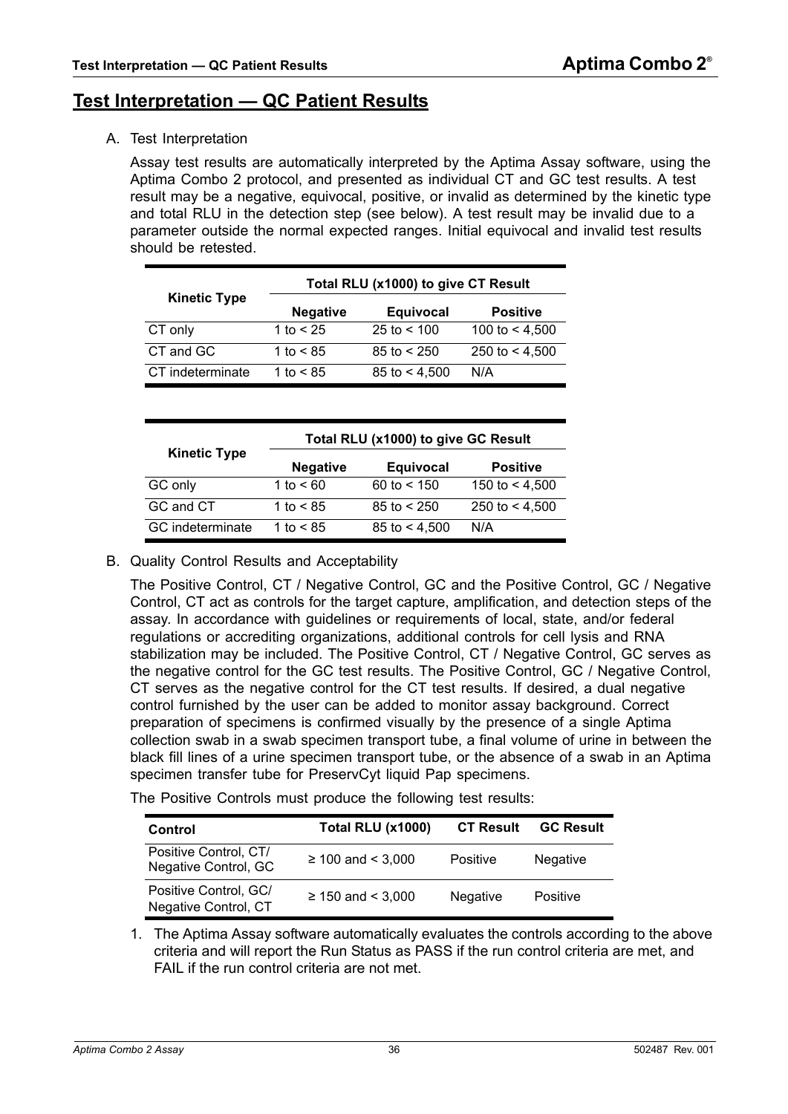# <span id="page-35-0"></span>**Test Interpretation — QC Patient Results**

A. Test Interpretation

Assay test results are automatically interpreted by the Aptima Assay software, using the Aptima Combo 2 protocol, and presented as individual CT and GC test results. A test result may be a negative, equivocal, positive, or invalid as determined by the kinetic type and total RLU in the detection step (see below). A test result may be invalid due to a parameter outside the normal expected ranges. Initial equivocal and invalid test results should be retested.

| <b>Kinetic Type</b> | Total RLU (x1000) to give CT Result |                       |                  |  |
|---------------------|-------------------------------------|-----------------------|------------------|--|
|                     | <b>Negative</b>                     | <b>Equivocal</b>      | <b>Positive</b>  |  |
| CT only             | 1 to $< 25$                         | $25 \text{ to } 500$  | 100 to $<$ 4,500 |  |
| CT and GC           | 1 to $< 85$                         | $85 \text{ to} < 250$ | 250 to $<$ 4,500 |  |
| CT indeterminate    | 1 to $< 85$                         | 85 to $<$ 4,500       | N/A              |  |

|                     | Total RLU (x1000) to give GC Result |                       |                  |  |
|---------------------|-------------------------------------|-----------------------|------------------|--|
| <b>Kinetic Type</b> | <b>Negative</b>                     | <b>Equivocal</b>      | <b>Positive</b>  |  |
| GC only             | 1 to $< 60$                         | 60 to $< 150$         | 150 to $<$ 4,500 |  |
| GC and CT           | 1 to $< 85$                         | $85 \text{ to} < 250$ | 250 to $<$ 4,500 |  |
| GC indeterminate    | 1 to $< 85$                         | 85 to $< 4,500$       | N/A              |  |

#### B. Quality Control Results and Acceptability

The Positive Control, CT / Negative Control, GC and the Positive Control, GC / Negative Control, CT act as controls for the target capture, amplification, and detection steps of the assay. In accordance with guidelines or requirements of local, state, and/or federal regulations or accrediting organizations, additional controls for cell lysis and RNA stabilization may be included. The Positive Control, CT / Negative Control, GC serves as the negative control for the GC test results. The Positive Control, GC / Negative Control, CT serves as the negative control for the CT test results. If desired, a dual negative control furnished by the user can be added to monitor assay background. Correct preparation of specimens is confirmed visually by the presence of a single Aptima collection swab in a swab specimen transport tube, a final volume of urine in between the black fill lines of a urine specimen transport tube, or the absence of a swab in an Aptima specimen transfer tube for PreservCyt liquid Pap specimens.

The Positive Controls must produce the following test results:

| Control                                       | <b>Total RLU (x1000)</b> | <b>CT Result</b> | <b>GC Result</b> |
|-----------------------------------------------|--------------------------|------------------|------------------|
| Positive Control, CT/<br>Negative Control, GC | $≥ 100$ and < 3,000      | Positive         | Negative         |
| Positive Control, GC/<br>Negative Control, CT | $≥ 150$ and < 3,000      | <b>Negative</b>  | Positive         |

1. The Aptima Assay software automatically evaluates the controls according to the above criteria and will report the Run Status as PASS if the run control criteria are met, and FAIL if the run control criteria are not met.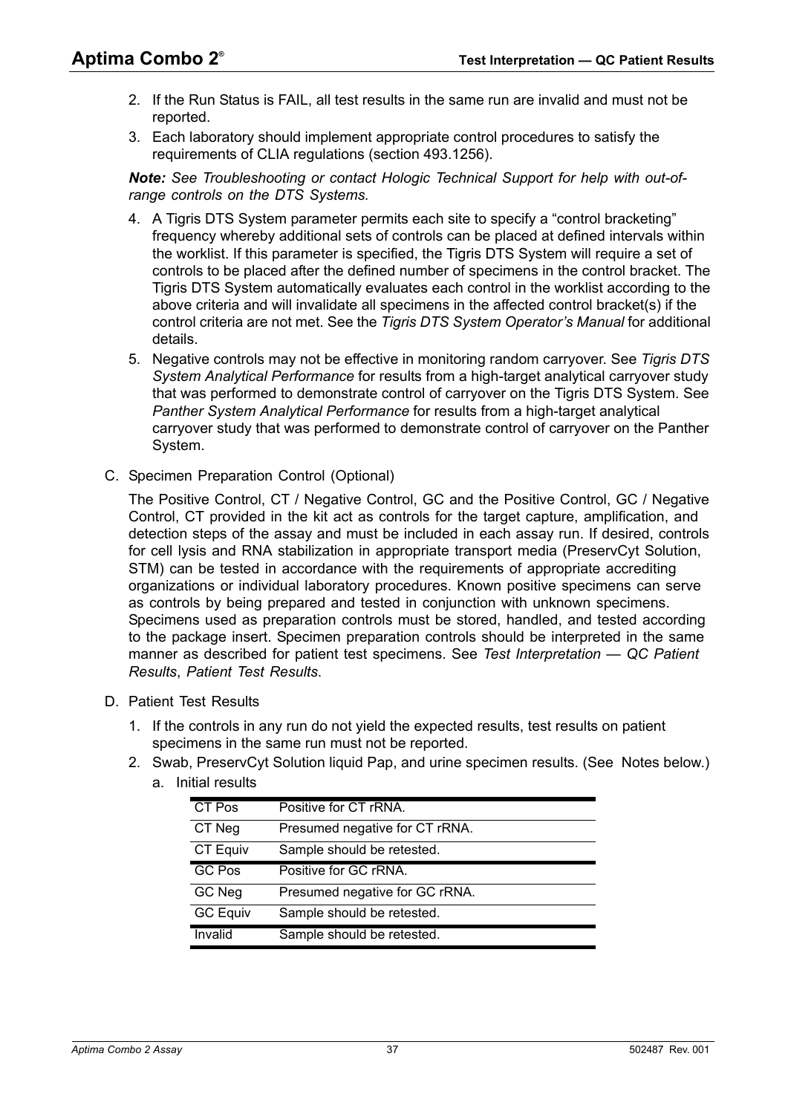- 2. If the Run Status is FAIL, all test results in the same run are invalid and must not be reported.
- 3. Each laboratory should implement appropriate control procedures to satisfy the requirements of CLIA regulations (section 493.1256).

*Note: See [Troubleshooting](#page-21-0) or contact Hologic Technical Support for help with out-ofrange controls on the DTS Systems.*

- 4. A Tigris DTS System parameter permits each site to specify a "control bracketing" frequency whereby additional sets of controls can be placed at defined intervals within the worklist. If this parameter is specified, the Tigris DTS System will require a set of controls to be placed after the defined number of specimens in the control bracket. The Tigris DTS System automatically evaluates each control in the worklist according to the above criteria and will invalidate all specimens in the affected control bracket(s) if the control criteria are not met. See the *Tigris DTS System Operator's Manual* for additional details.
- 5. Negative controls may not be effective in monitoring random carryover. See *[Tigris DTS](#page-75-0)  [System Analytical Performance](#page-75-0)* for results from a high-target analytical carryover study that was performed to demonstrate control of carryover on the Tigris DTS System. See *[Panther System Analytical Performance](#page-78-0)* for results from a high-target analytical carryover study that was performed to demonstrate control of carryover on the Panther System.
- C. Specimen Preparation Control (Optional)

The Positive Control, CT / Negative Control, GC and the Positive Control, GC / Negative Control, CT provided in the kit act as controls for the target capture, amplification, and detection steps of the assay and must be included in each assay run. If desired, controls for cell lysis and RNA stabilization in appropriate transport media (PreservCyt Solution, STM) can be tested in accordance with the requirements of appropriate accrediting organizations or individual laboratory procedures. Known positive specimens can serve as controls by being prepared and tested in conjunction with unknown specimens. Specimens used as preparation controls must be stored, handled, and tested according to the package insert. Specimen preparation controls should be interpreted in the same manner as described for patient test specimens. See *[Test Interpretation — QC Patient](#page-35-0)  [Results](#page-35-0)*, *[Patient Test Results](#page-36-0)*.

- <span id="page-36-0"></span>D. Patient Test Results
	- 1. If the controls in any run do not yield the expected results, test results on patient specimens in the same run must not be reported.
	- 2. Swab, PreservCyt Solution liquid Pap, and urine specimen results. (SeeNotes below.) a. Initial

| Initial results |                                |
|-----------------|--------------------------------|
| CT Pos          | Positive for CT rRNA.          |
| CT Neg          | Presumed negative for CT rRNA. |
| CT Equiv        | Sample should be retested.     |
| GC Pos          | Positive for GC rRNA.          |
| GC Neg          | Presumed negative for GC rRNA. |

GC Equiv Sample should be retested. Invalid Sample should be retested.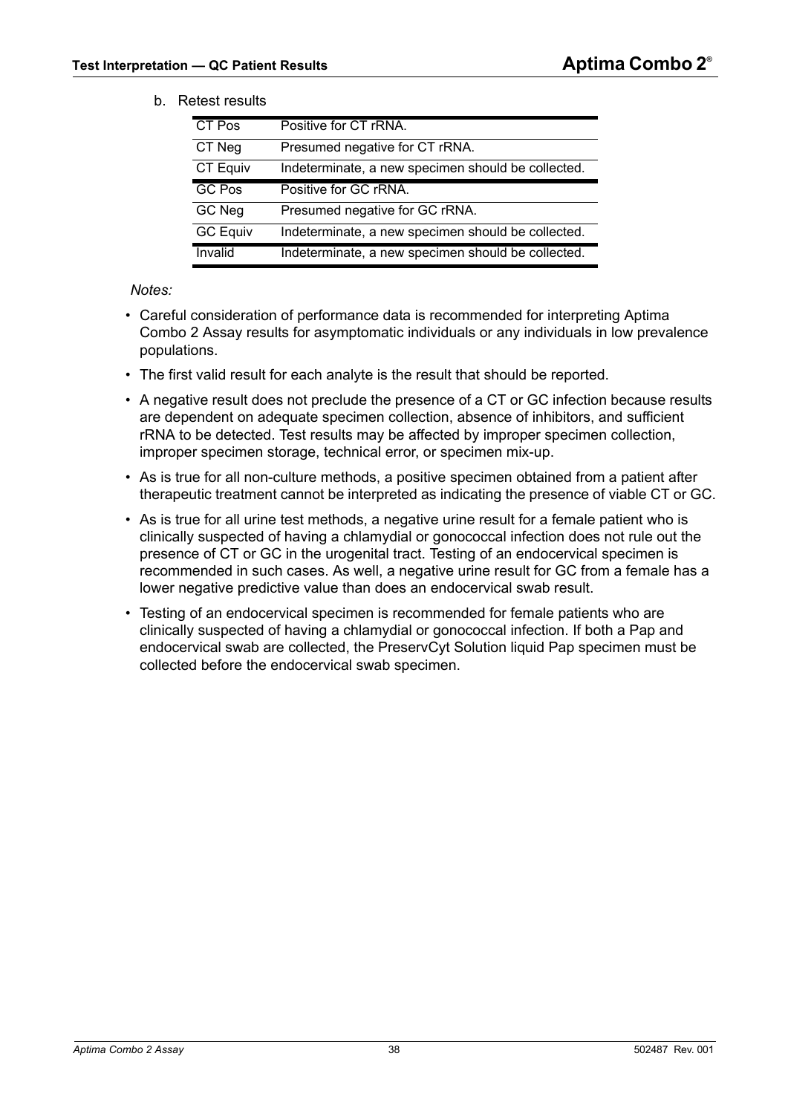### b. Retest results

| <b>CT Pos</b>   | Positive for CT rRNA.                              |
|-----------------|----------------------------------------------------|
| CT Neg          | Presumed negative for CT rRNA.                     |
| CT Equiv        | Indeterminate, a new specimen should be collected. |
| <b>GC Pos</b>   | Positive for GC rRNA.                              |
| GC Neg          | Presumed negative for GC rRNA.                     |
| <b>GC Equiv</b> | Indeterminate, a new specimen should be collected. |
| Invalid         | Indeterminate, a new specimen should be collected. |

<span id="page-37-0"></span>*Notes:*

- Careful consideration of performance data is recommended for interpreting Aptima Combo 2 Assay results for asymptomatic individuals or any individuals in low prevalence populations.
- The first valid result for each analyte is the result that should be reported.
- A negative result does not preclude the presence of a CT or GC infection because results are dependent on adequate specimen collection, absence of inhibitors, and sufficient rRNA to be detected. Test results may be affected by improper specimen collection, improper specimen storage, technical error, or specimen mix-up.
- As is true for all non-culture methods, a positive specimen obtained from a patient after therapeutic treatment cannot be interpreted as indicating the presence of viable CT or GC.
- As is true for all urine test methods, a negative urine result for a female patient who is clinically suspected of having a chlamydial or gonococcal infection does not rule out the presence of CT or GC in the urogenital tract. Testing of an endocervical specimen is recommended in such cases. As well, a negative urine result for GC from a female has a lower negative predictive value than does an endocervical swab result.
- Testing of an endocervical specimen is recommended for female patients who are clinically suspected of having a chlamydial or gonococcal infection. If both a Pap and endocervical swab are collected, the PreservCyt Solution liquid Pap specimen must be collected before the endocervical swab specimen.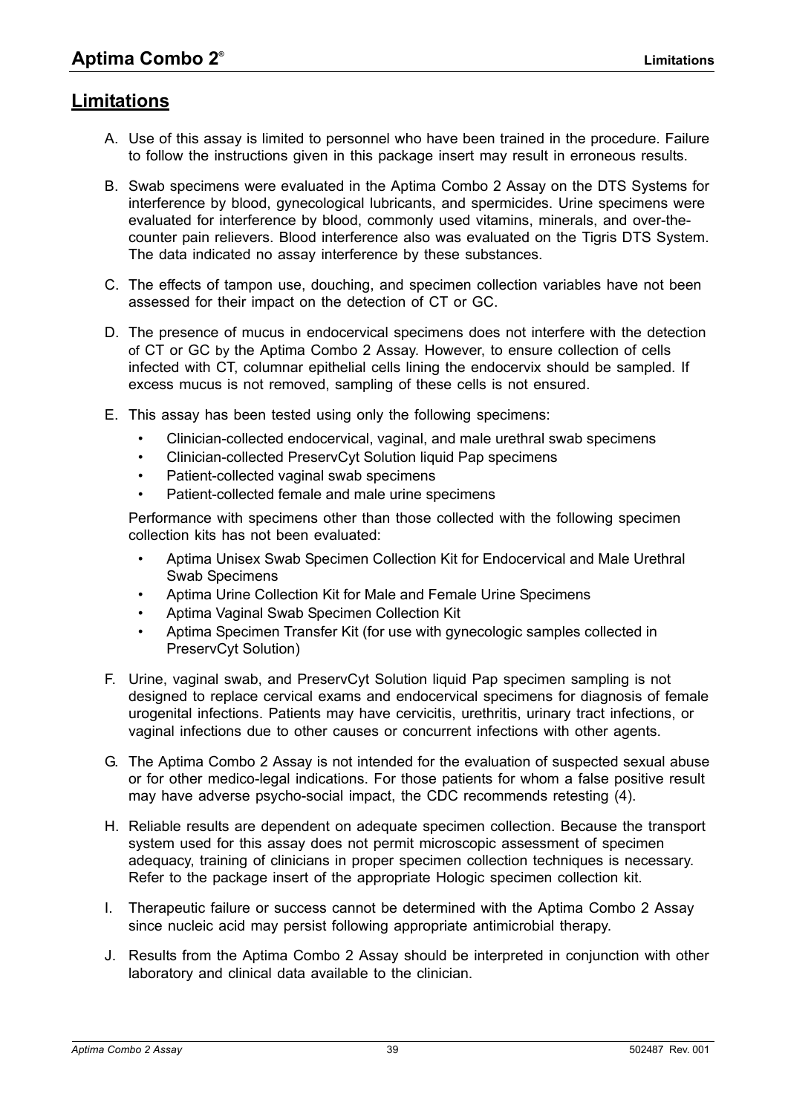# **Limitations**

- A. Use of this assay is limited to personnel who have been trained in the procedure. Failure to follow the instructions given in this package insert may result in erroneous results.
- B. Swab specimens were evaluated in the Aptima Combo 2 Assay on the DTS Systems for interference by blood, gynecological lubricants, and spermicides. Urine specimens were evaluated for interference by blood, commonly used vitamins, minerals, and over-thecounter pain relievers. Blood interference also was evaluated on the Tigris DTS System. The data indicated no assay interference by these substances.
- C. The effects of tampon use, douching, and specimen collection variables have not been assessed for their impact on the detection of CT or GC.
- D. The presence of mucus in endocervical specimens does not interfere with the detection of CT or GC by the Aptima Combo 2 Assay. However, to ensure collection of cells infected with CT, columnar epithelial cells lining the endocervix should be sampled. If excess mucus is not removed, sampling of these cells is not ensured.
- E. This assay has been tested using only the following specimens:
	- Clinician-collected endocervical, vaginal, and male urethral swab specimens
	- Clinician-collected PreservCyt Solution liquid Pap specimens
	- Patient-collected vaginal swab specimens
	- Patient-collected female and male urine specimens

Performance with specimens other than those collected with the following specimen collection kits has not been evaluated:

- Aptima Unisex Swab Specimen Collection Kit for Endocervical and Male Urethral Swab Specimens
- Aptima Urine Collection Kit for Male and Female Urine Specimens
- Aptima Vaginal Swab Specimen Collection Kit
- Aptima Specimen Transfer Kit (for use with gynecologic samples collected in PreservCyt Solution)
- F. Urine, vaginal swab, and PreservCyt Solution liquid Pap specimen sampling is not designed to replace cervical exams and endocervical specimens for diagnosis of female urogenital infections. Patients may have cervicitis, urethritis, urinary tract infections, or vaginal infections due to other causes or concurrent infections with other agents.
- G. The Aptima Combo 2 Assay is not intended for the evaluation of suspected sexual abuse or for other medico-legal indications. For those patients for whom a false positive result may have adverse psycho-social impact, the CDC recommends retesting ([4](#page-80-0)).
- H. Reliable results are dependent on adequate specimen collection. Because the transport system used for this assay does not permit microscopic assessment of specimen adequacy, training of clinicians in proper specimen collection techniques is necessary. Refer to the package insert of the appropriate Hologic specimen collection kit.
- I. Therapeutic failure or success cannot be determined with the Aptima Combo 2 Assay since nucleic acid may persist following appropriate antimicrobial therapy.
- J. Results from the Aptima Combo 2 Assay should be interpreted in conjunction with other laboratory and clinical data available to the clinician.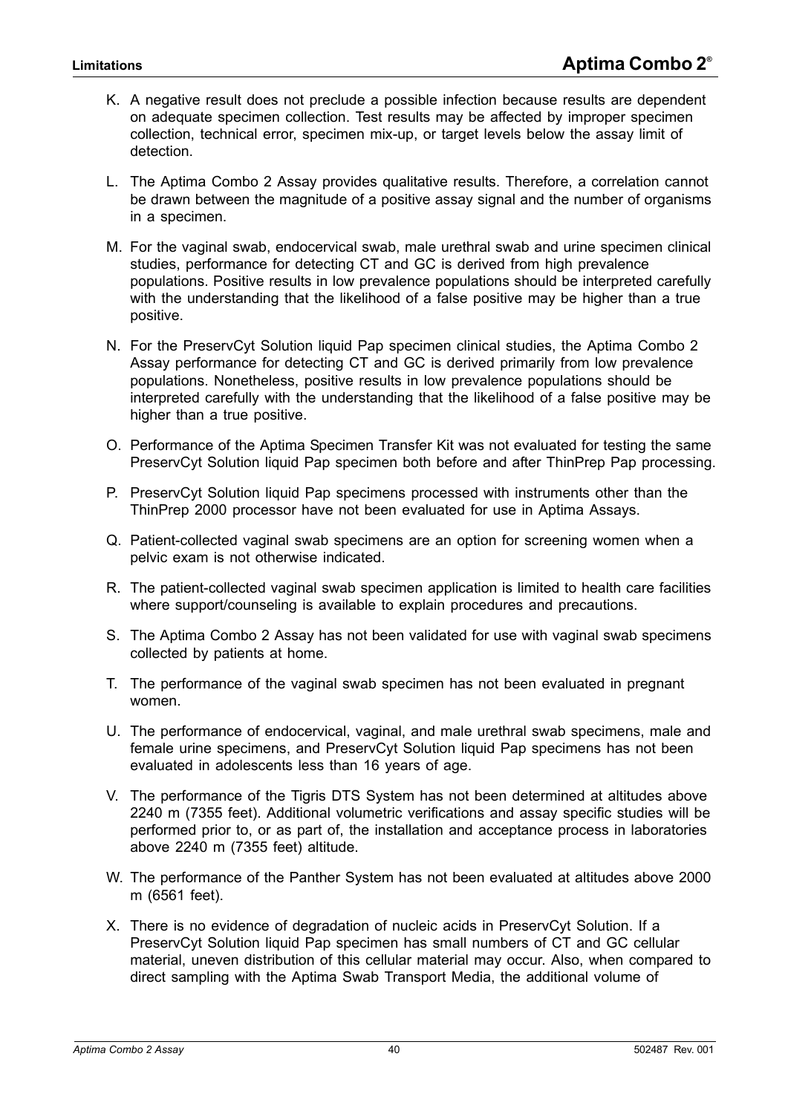- K. A negative result does not preclude a possible infection because results are dependent on adequate specimen collection. Test results may be affected by improper specimen collection, technical error, specimen mix-up, or target levels below the assay limit of detection.
- L. The Aptima Combo 2 Assay provides qualitative results. Therefore, a correlation cannot be drawn between the magnitude of a positive assay signal and the number of organisms in a specimen.
- M. For the vaginal swab, endocervical swab, male urethral swab and urine specimen clinical studies, performance for detecting CT and GC is derived from high prevalence populations. Positive results in low prevalence populations should be interpreted carefully with the understanding that the likelihood of a false positive may be higher than a true positive.
- N. For the PreservCyt Solution liquid Pap specimen clinical studies, the Aptima Combo 2 Assay performance for detecting CT and GC is derived primarily from low prevalence populations. Nonetheless, positive results in low prevalence populations should be interpreted carefully with the understanding that the likelihood of a false positive may be higher than a true positive.
- O. Performance of the Aptima Specimen Transfer Kit was not evaluated for testing the same PreservCyt Solution liquid Pap specimen both before and after ThinPrep Pap processing.
- P. PreservCyt Solution liquid Pap specimens processed with instruments other than the ThinPrep 2000 processor have not been evaluated for use in Aptima Assays.
- Q. Patient-collected vaginal swab specimens are an option for screening women when a pelvic exam is not otherwise indicated.
- R. The patient-collected vaginal swab specimen application is limited to health care facilities where support/counseling is available to explain procedures and precautions.
- S. The Aptima Combo 2 Assay has not been validated for use with vaginal swab specimens collected by patients at home.
- T. The performance of the vaginal swab specimen has not been evaluated in pregnant women.
- U. The performance of endocervical, vaginal, and male urethral swab specimens, male and female urine specimens, and PreservCyt Solution liquid Pap specimens has not been evaluated in adolescents less than 16 years of age.
- V. The performance of the Tigris DTS System has not been determined at altitudes above 2240 m (7355 feet). Additional volumetric verifications and assay specific studies will be performed prior to, or as part of, the installation and acceptance process in laboratories above 2240 m (7355 feet) altitude.
- W. The performance of the Panther System has not been evaluated at altitudes above 2000 m (6561 feet).
- X. There is no evidence of degradation of nucleic acids in PreservCyt Solution. If a PreservCyt Solution liquid Pap specimen has small numbers of CT and GC cellular material, uneven distribution of this cellular material may occur. Also, when compared to direct sampling with the Aptima Swab Transport Media, the additional volume of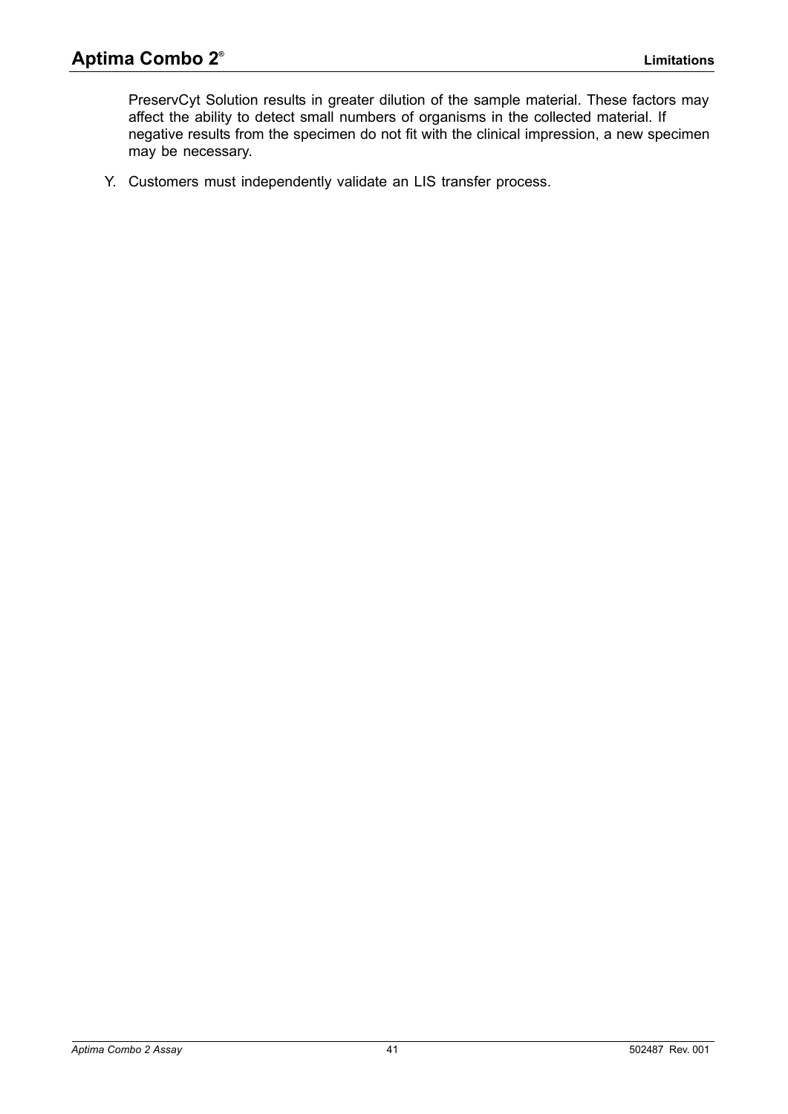PreservCyt Solution results in greater dilution of the sample material. These factors may affect the ability to detect small numbers of organisms in the collected material. If negative results from the specimen do not fit with the clinical impression, a new specimen may be necessary.

Y. Customers must independently validate an LIS transfer process.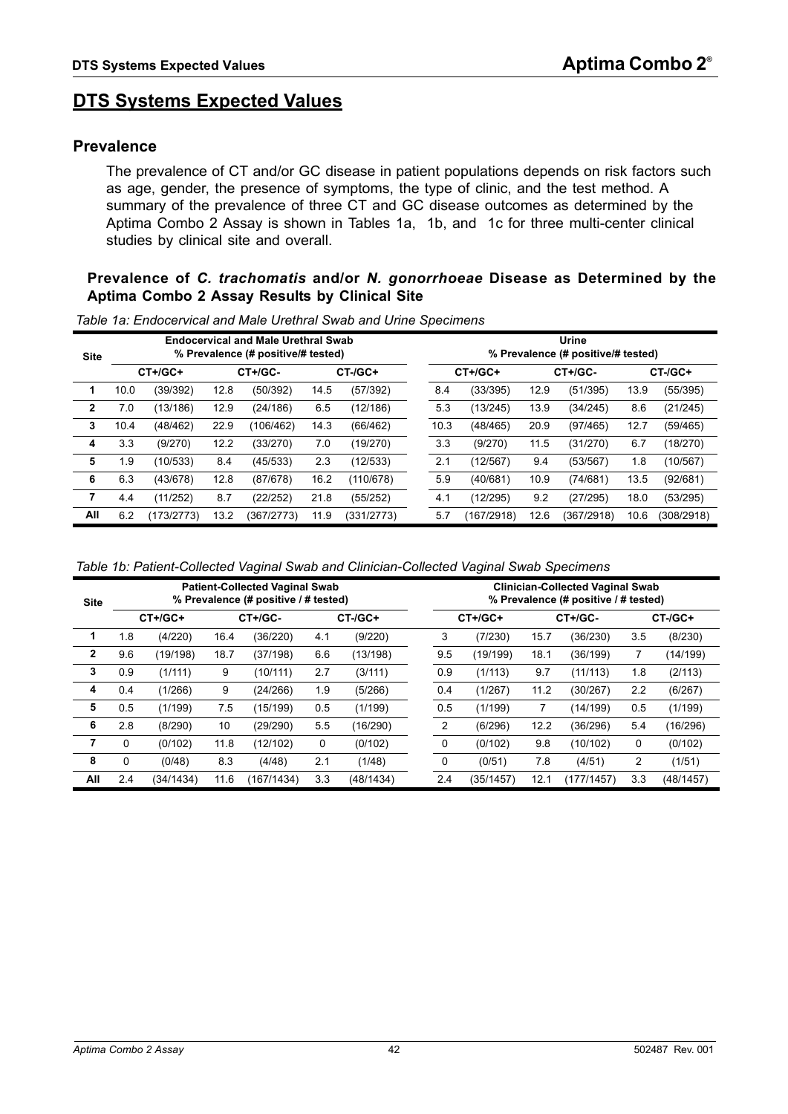# **DTS Systems Expected Values**

### **Prevalence**

The prevalence of CT and/or GC disease in patient populations depends on risk factors such as age, gender, the presence of symptoms, the type of clinic, and the test method. A summary of the prevalence of three CT and GC disease outcomes as determined by the Aptima Combo 2 Assay is shown in [Tables 1a,](#page-41-0) [1b,](#page-41-1) and [1c](#page-42-0) for three multi-center clinical studies by clinical site and overall.

#### **Prevalence of** *C. trachomatis* **and/or** *N. gonorrhoeae* **Disease as Determined by the Aptima Combo 2 Assay Results by Clinical Site**

**Site Endocervical and Male Urethral Swab % Prevalence (# positive/# tested) Urine % Prevalence (# positive/# tested) CT+/GC+ CT+/GC- CT-/GC+ CT+/GC+ CT+/GC- CT-/GC+ 1** 10.0 (39/392) 12.8 (50/392) 14.5 (57/392) 8.4 (33/395) 12.9 (51/395) 13.9 (55/395) **2** 7.0 (13/186) 12.9 (24/186) 6.5 (12/186) 5.3 (13/245) 13.9 (34/245) 8.6 (21/245) **3** 10.4 (48/462) 22.9 (106/462) 14.3 (66/462) 10.3 (48/465) 20.9 (97/465) 12.7 (59/465) **4** 3.3 (9/270) 12.2 (33/270) 7.0 (19/270) 3.3 (9/270) 11.5 (31/270) 6.7 (18/270) **5** 1.9 (10/533) 8.4 (45/533) 2.3 (12/533) 2.1 (12/567) 9.4 (53/567) 1.8 (10/567) **6** 6.3 (43/678) 12.8 (87/678) 16.2 (110/678) 5.9 (40/681) 10.9 (74/681) 13.5 (92/681) **7** 4.4 (11/252) 8.7 (22/252) 21.8 (55/252) 4.1 (12/295) 9.2 (27/295) 18.0 (53/295) **All** 6.2 (173/2773) 13.2 (367/2773) 11.9 (331/2773) 5.7 (167/2918) 12.6 (367/2918) 10.6 (308/2918)

<span id="page-41-0"></span>*Table 1a: Endocervical and Male Urethral Swab and Urine Specimens*

<span id="page-41-1"></span>

|  |  |  |  |  | Table 1b: Patient-Collected Vaginal Swab and Clinician-Collected Vaginal Swab Specimens |
|--|--|--|--|--|-----------------------------------------------------------------------------------------|
|  |  |  |  |  |                                                                                         |

| <b>Site</b>  | <b>Patient-Collected Vaginal Swab</b><br>% Prevalence (# positive / # tested) |           |      |            |     |               |  | <b>Clinician-Collected Vaginal Swab</b><br>% Prevalence (# positive / # tested) |           |      |            |     |               |  |
|--------------|-------------------------------------------------------------------------------|-----------|------|------------|-----|---------------|--|---------------------------------------------------------------------------------|-----------|------|------------|-----|---------------|--|
|              |                                                                               | CT+/GC+   |      | CT+/GC-    |     | $CT$ -/ $GC+$ |  |                                                                                 | CT+/GC+   |      | CT+/GC-    |     | $CT$ -/ $GC+$ |  |
|              | 1.8                                                                           | (4/220)   | 16.4 | (36/220)   | 4.1 | (9/220)       |  | 3                                                                               | (7/230)   | 15.7 | (36/230)   | 3.5 | (8/230)       |  |
| $\mathbf{2}$ | 9.6                                                                           | (19/198)  | 18.7 | (37/198)   | 6.6 | (13/198)      |  | 9.5                                                                             | (19/199)  | 18.1 | (36/199)   |     | (14/199)      |  |
| 3            | 0.9                                                                           | (1/111)   | 9    | (10/111)   | 2.7 | (3/111)       |  | 0.9                                                                             | (1/113)   | 9.7  | (11/113)   | 1.8 | (2/113)       |  |
| 4            | 0.4                                                                           | (1/266)   | 9    | (24/266)   | 1.9 | (5/266)       |  | 0.4                                                                             | (1/267)   | 11.2 | (30/267)   | 2.2 | (6/267)       |  |
| 5            | 0.5                                                                           | (1/199)   | 7.5  | (15/199)   | 0.5 | (1/199)       |  | 0.5                                                                             | (1/199)   |      | (14/199)   | 0.5 | (1/199)       |  |
| 6            | 2.8                                                                           | (8/290)   | 10   | (29/290)   | 5.5 | (16/290)      |  | 2                                                                               | (6/296)   | 12.2 | (36/296)   | 5.4 | (16/296)      |  |
| 7            | 0                                                                             | (0/102)   | 11.8 | (12/102)   | 0   | (0/102)       |  | 0                                                                               | (0/102)   | 9.8  | (10/102)   | 0   | (0/102)       |  |
| 8            | 0                                                                             | (0/48)    | 8.3  | (4/48)     | 2.1 | (1/48)        |  | 0                                                                               | (0/51)    | 7.8  | (4/51)     | 2   | (1/51)        |  |
| All          | 2.4                                                                           | (34/1434) | 11.6 | (167/1434) | 3.3 | (48/1434)     |  | 2.4                                                                             | (35/1457) | 12.1 | (177/1457) | 3.3 | (48/1457)     |  |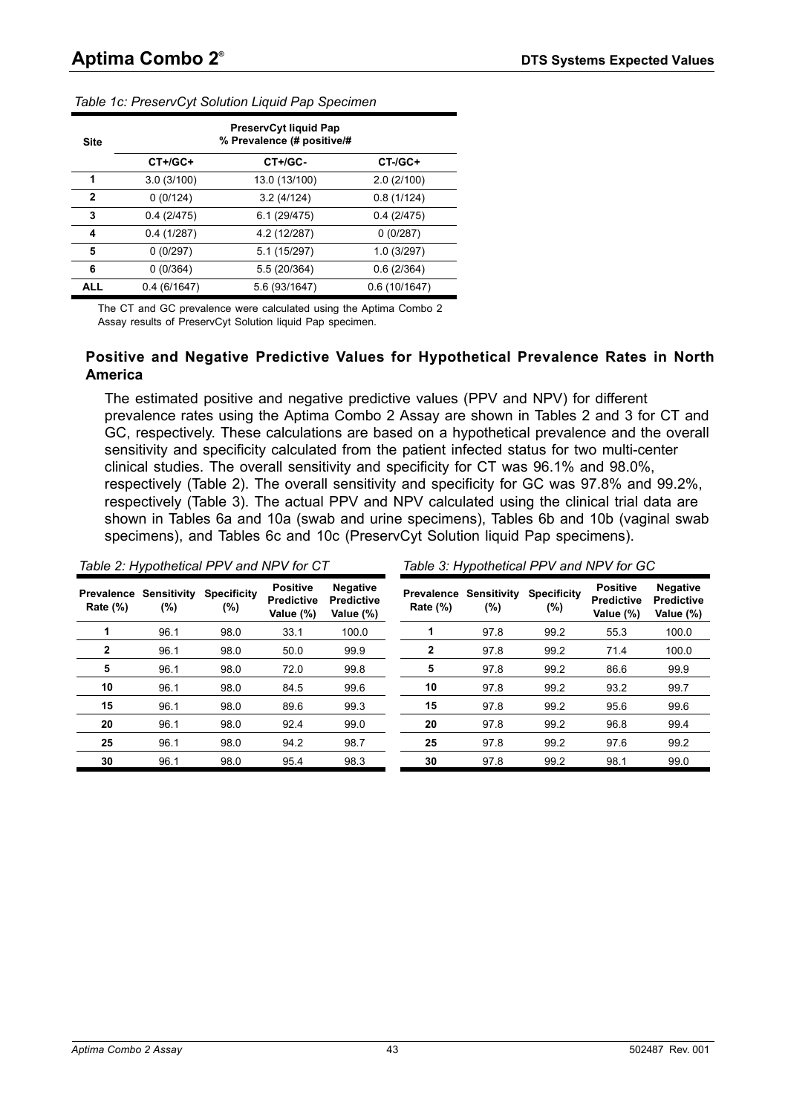| <b>Site</b>  |             | <b>PreservCyt liquid Pap</b><br>% Prevalence (# positive/# |              |
|--------------|-------------|------------------------------------------------------------|--------------|
|              | $CT+ /GC+$  | $CT+ /GC-$                                                 | $CT-(GC+$    |
| 1            | 3.0(3/100)  | 13.0 (13/100)                                              | 2.0(2/100)   |
| $\mathbf{2}$ | 0(0/124)    | 3.2(4/124)                                                 | 0.8(1/124)   |
| 3            | 0.4(2/475)  | 6.1(29/475)                                                | 0.4(2/475)   |
| 4            | 0.4(1/287)  | 4.2 (12/287)                                               | 0(0/287)     |
| 5            | 0(0/297)    | 5.1 (15/297)                                               | 1.0(3/297)   |
| 6            | 0(0/364)    | 5.5 (20/364)                                               | 0.6(2/364)   |
| <b>ALL</b>   | 0.4(6/1647) | 5.6 (93/1647)                                              | 0.6(10/1647) |

<span id="page-42-0"></span>*Table 1c: PreservCyt Solution Liquid Pap Specimen*

The CT and GC prevalence were calculated using the Aptima Combo 2 Assay results of PreservCyt Solution liquid Pap specimen.

#### **Positive and Negative Predictive Values for Hypothetical Prevalence Rates in North America**

The estimated positive and negative predictive values (PPV and NPV) for different prevalence rates using the Aptima Combo 2 Assay are shown in [Tables 2 and](#page-42-1) [3](#page-42-2) for CT and GC, respectively. These calculations are based on a hypothetical prevalence and the overall sensitivity and specificity calculated from the patient infected status for two multi-center clinical studies. The overall sensitivity and specificity for CT was 96.1% and 98.0%, respectively [\(Table 2](#page-42-1)). The overall sensitivity and specificity for GC was 97.8% and 99.2%, respectively [\(Table 3](#page-42-2)). The actual PPV and NPV calculated using the clinical trial data are shown in [Tables 6a and](#page-49-0) [10a](#page-57-0) (swab and urine specimens), [Tables 6b and](#page-50-0) [10b](#page-58-0) (vaginal swab specimens), and [Tables 6c and](#page-51-0) [10c](#page-59-0) (PreservCyt Solution liquid Pap specimens).

<span id="page-42-2"></span><span id="page-42-1"></span>

|                                  |                       | Table 2: Hypothetical PPV and NPV for CT |                                                   |                                                   |             |                                          | Table 3: Hypothetical PPV and NPV for GC |                                                   |                                                   |
|----------------------------------|-----------------------|------------------------------------------|---------------------------------------------------|---------------------------------------------------|-------------|------------------------------------------|------------------------------------------|---------------------------------------------------|---------------------------------------------------|
| <b>Prevalence</b><br>Rate $(\%)$ | Sensitivity<br>$(\%)$ | <b>Specificity</b><br>(%)                | <b>Positive</b><br><b>Predictive</b><br>Value (%) | <b>Negative</b><br><b>Predictive</b><br>Value (%) | Rate $(\%)$ | <b>Prevalence Sensitivity</b><br>$(\% )$ | <b>Specificity</b><br>$(\%)$             | <b>Positive</b><br><b>Predictive</b><br>Value (%) | <b>Negative</b><br><b>Predictive</b><br>Value (%) |
|                                  | 96.1                  | 98.0                                     | 33.1                                              | 100.0                                             |             | 97.8                                     | 99.2                                     | 55.3                                              | 100.0                                             |
| 2                                | 96.1                  | 98.0                                     | 50.0                                              | 99.9                                              | 2           | 97.8                                     | 99.2                                     | 71.4                                              | 100.0                                             |
| 5                                | 96.1                  | 98.0                                     | 72.0                                              | 99.8                                              | 5           | 97.8                                     | 99.2                                     | 86.6                                              | 99.9                                              |
| 10                               | 96.1                  | 98.0                                     | 84.5                                              | 99.6                                              | 10          | 97.8                                     | 99.2                                     | 93.2                                              | 99.7                                              |
| 15                               | 96.1                  | 98.0                                     | 89.6                                              | 99.3                                              | 15          | 97.8                                     | 99.2                                     | 95.6                                              | 99.6                                              |
| 20                               | 96.1                  | 98.0                                     | 92.4                                              | 99.0                                              | 20          | 97.8                                     | 99.2                                     | 96.8                                              | 99.4                                              |
| 25                               | 96.1                  | 98.0                                     | 94.2                                              | 98.7                                              | 25          | 97.8                                     | 99.2                                     | 97.6                                              | 99.2                                              |
| 30                               | 96.1                  | 98.0                                     | 95.4                                              | 98.3                                              | 30          | 97.8                                     | 99.2                                     | 98.1                                              | 99.0                                              |
|                                  |                       |                                          |                                                   |                                                   |             |                                          |                                          |                                                   |                                                   |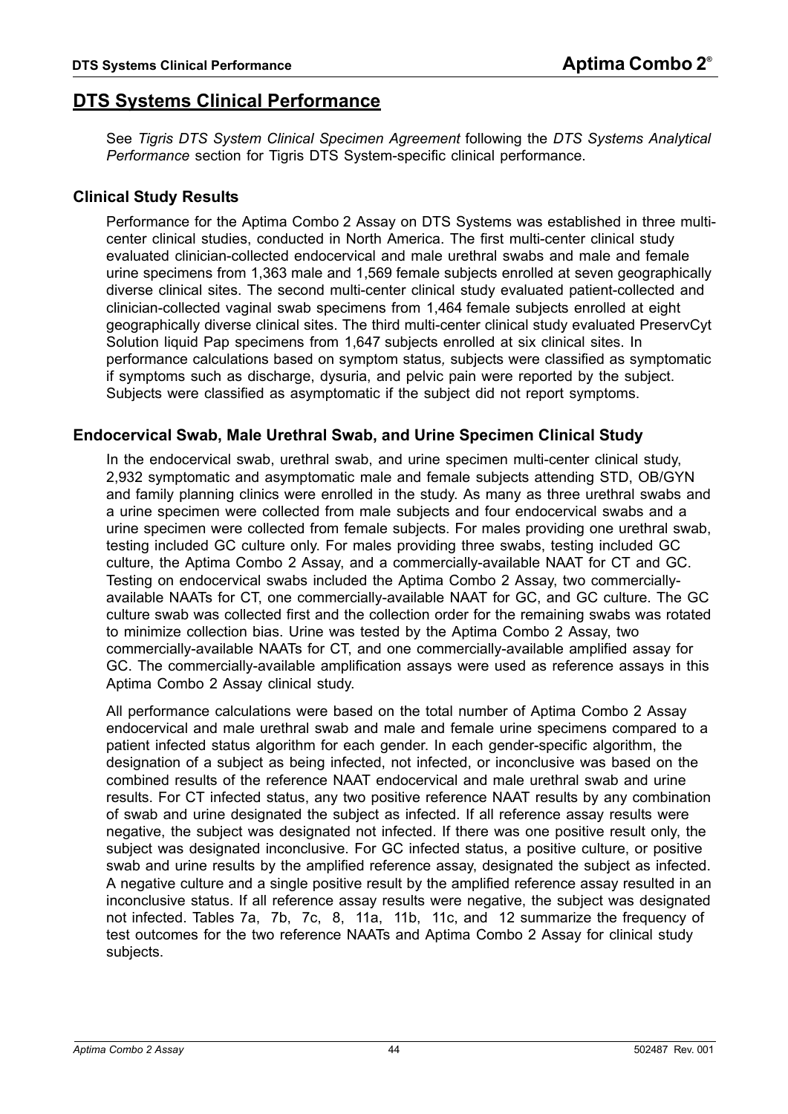# **DTS Systems Clinical Performance**

See *[Tigris DTS System Clinical Specimen Agreement](#page-69-0)* following the *[DTS Systems Analytical](#page-65-0)  [Performance](#page-65-0)* section for Tigris DTS System-specific clinical performance.

## **Clinical Study Results**

Performance for the Aptima Combo 2 Assay on DTS Systems was established in three multicenter clinical studies, conducted in North America. The first multi-center clinical study evaluated clinician-collected endocervical and male urethral swabs and male and female urine specimens from 1,363 male and 1,569 female subjects enrolled at seven geographically diverse clinical sites. The second multi-center clinical study evaluated patient-collected and clinician-collected vaginal swab specimens from 1,464 female subjects enrolled at eight geographically diverse clinical sites. The third multi-center clinical study evaluated PreservCyt Solution liquid Pap specimens from 1,647 subjects enrolled at six clinical sites. In performance calculations based on symptom status*,* subjects were classified as symptomatic if symptoms such as discharge, dysuria, and pelvic pain were reported by the subject. Subjects were classified as asymptomatic if the subject did not report symptoms.

## <span id="page-43-0"></span>**Endocervical Swab, Male Urethral Swab, and Urine Specimen Clinical Study**

In the endocervical swab, urethral swab, and urine specimen multi-center clinical study, 2,932 symptomatic and asymptomatic male and female subjects attending STD, OB/GYN and family planning clinics were enrolled in the study. As many as three urethral swabs and a urine specimen were collected from male subjects and four endocervical swabs and a urine specimen were collected from female subjects. For males providing one urethral swab, testing included GC culture only. For males providing three swabs, testing included GC culture, the Aptima Combo 2 Assay, and a commercially-available NAAT for CT and GC. Testing on endocervical swabs included the Aptima Combo 2 Assay, two commerciallyavailable NAATs for CT, one commercially-available NAAT for GC, and GC culture. The GC culture swab was collected first and the collection order for the remaining swabs was rotated to minimize collection bias. Urine was tested by the Aptima Combo 2 Assay, two commercially-available NAATs for CT, and one commercially-available amplified assay for GC. The commercially-available amplification assays were used as reference assays in this Aptima Combo 2 Assay clinical study.

All performance calculations were based on the total number of Aptima Combo 2 Assay endocervical and male urethral swab and male and female urine specimens compared to a patient infected status algorithm for each gender. In each gender-specific algorithm, the designation of a subject as being infected, not infected, or inconclusive was based on the combined results of the reference NAAT endocervical and male urethral swab and urine results. For CT infected status, any two positive reference NAAT results by any combination of swab and urine designated the subject as infected. If all reference assay results were negative, the subject was designated not infected. If there was one positive result only, the subject was designated inconclusive. For GC infected status, a positive culture, or positive swab and urine results by the amplified reference assay, designated the subject as infected. A negative culture and a single positive result by the amplified reference assay resulted in an inconclusive status. If all reference assay results were negative, the subject was designated not infected. [Tables 7a,](#page-52-0) [7b,](#page-53-0) [7c,](#page-54-0) [8,](#page-54-1) [11a,](#page-60-0) [11b,](#page-61-0) [11c, and](#page-62-0) [12](#page-62-1) summarize the frequency of test outcomes for the two reference NAATs and Aptima Combo 2 Assay for clinical study subjects.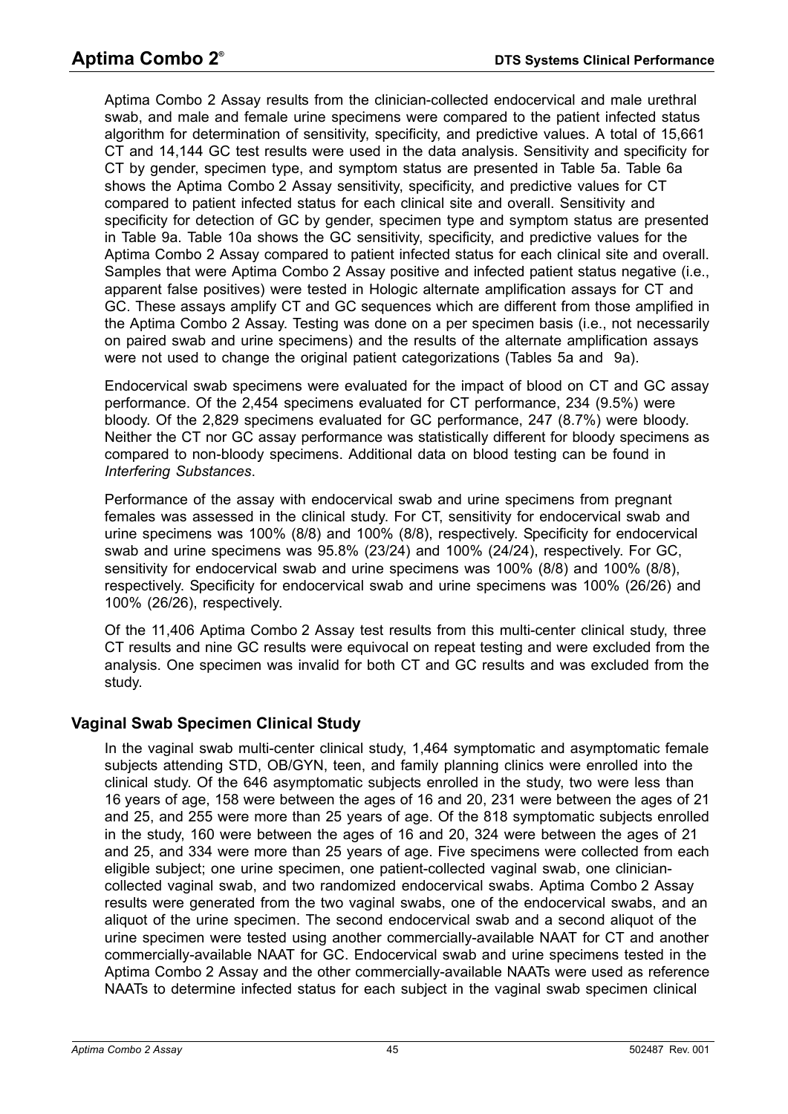Aptima Combo 2 Assay results from the clinician-collected endocervical and male urethral swab, and male and female urine specimens were compared to the patient infected status algorithm for determination of sensitivity, specificity, and predictive values. A total of 15,661 CT and 14,144 GC test results were used in the data analysis. Sensitivity and specificity for CT by gender, specimen type, and symptom status are presented in [Table 5a](#page-47-0). [Table 6a](#page-49-0)  shows the Aptima Combo 2 Assay sensitivity, specificity, and predictive values for CT compared to patient infected status for each clinical site and overall. Sensitivity and specificity for detection of GC by gender, specimen type and symptom status are presented in [Table 9a](#page-55-0). [Table 10a](#page-57-0) shows the GC sensitivity, specificity, and predictive values for the Aptima Combo 2 Assay compared to patient infected status for each clinical site and overall. Samples that were Aptima Combo 2 Assay positive and infected patient status negative (i.e., apparent false positives) were tested in Hologic alternate amplification assays for CT and GC. These assays amplify CT and GC sequences which are different from those amplified in the Aptima Combo 2 Assay. Testing was done on a per specimen basis (i.e., not necessarily on paired swab and urine specimens) and the results of the alternate amplification assays were not used to change the original patient categorizations [\(Tables 5a and](#page-47-0) [9a](#page-55-0)).

Endocervical swab specimens were evaluated for the impact of blood on CT and GC assay performance. Of the 2,454 specimens evaluated for CT performance, 234 (9.5%) were bloody. Of the 2,829 specimens evaluated for GC performance, 247 (8.7%) were bloody. Neither the CT nor GC assay performance was statistically different for bloody specimens as compared to non-bloody specimens. Additional data on blood testing can be found in *[Interfering Substances](#page-66-0)*.

Performance of the assay with endocervical swab and urine specimens from pregnant females was assessed in the clinical study. For CT, sensitivity for endocervical swab and urine specimens was 100% (8/8) and 100% (8/8), respectively. Specificity for endocervical swab and urine specimens was 95.8% (23/24) and 100% (24/24), respectively. For GC, sensitivity for endocervical swab and urine specimens was 100% (8/8) and 100% (8/8), respectively. Specificity for endocervical swab and urine specimens was 100% (26/26) and 100% (26/26), respectively.

Of the 11,406 Aptima Combo 2 Assay test results from this multi-center clinical study, three CT results and nine GC results were equivocal on repeat testing and were excluded from the analysis. One specimen was invalid for both CT and GC results and was excluded from the study.

# **Vaginal Swab Specimen Clinical Study**

In the vaginal swab multi-center clinical study, 1,464 symptomatic and asymptomatic female subjects attending STD, OB/GYN, teen, and family planning clinics were enrolled into the clinical study. Of the 646 asymptomatic subjects enrolled in the study, two were less than 16 years of age, 158 were between the ages of 16 and 20, 231 were between the ages of 21 and 25, and 255 were more than 25 years of age. Of the 818 symptomatic subjects enrolled in the study, 160 were between the ages of 16 and 20, 324 were between the ages of 21 and 25, and 334 were more than 25 years of age. Five specimens were collected from each eligible subject; one urine specimen, one patient-collected vaginal swab, one cliniciancollected vaginal swab, and two randomized endocervical swabs. Aptima Combo 2 Assay results were generated from the two vaginal swabs, one of the endocervical swabs, and an aliquot of the urine specimen. The second endocervical swab and a second aliquot of the urine specimen were tested using another commercially-available NAAT for CT and another commercially-available NAAT for GC. Endocervical swab and urine specimens tested in the Aptima Combo 2 Assay and the other commercially-available NAATs were used as reference NAATs to determine infected status for each subject in the vaginal swab specimen clinical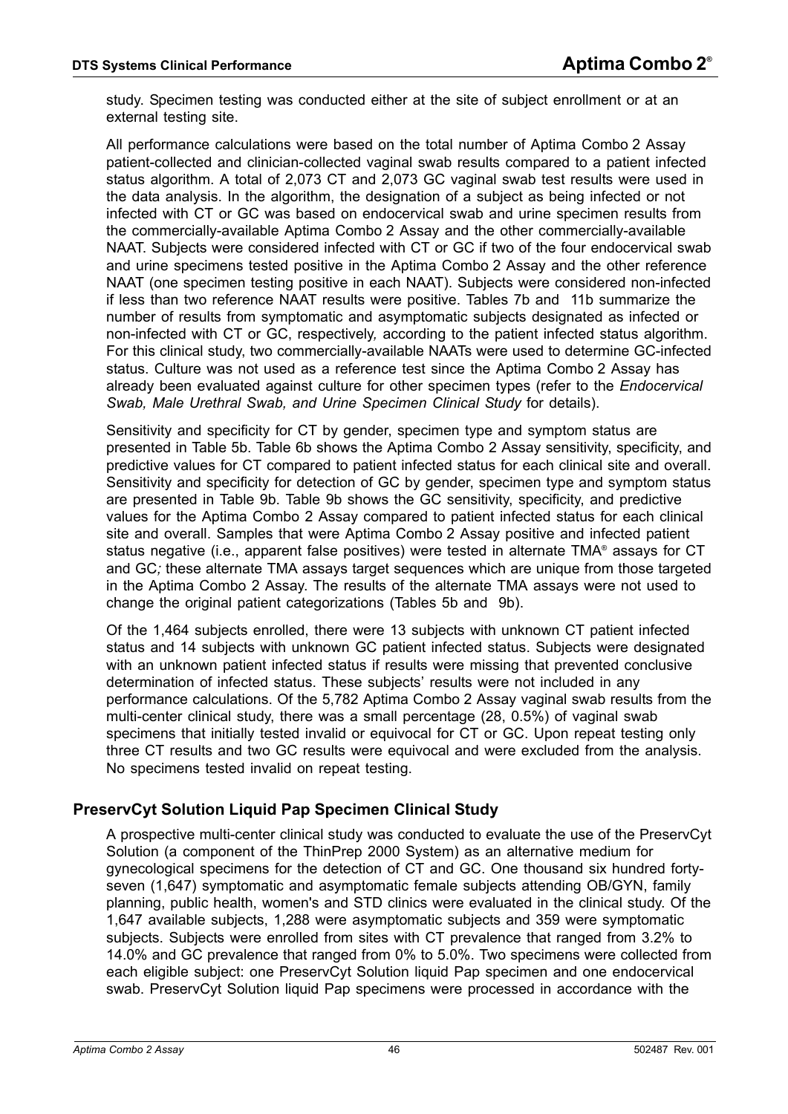study. Specimen testing was conducted either at the site of subject enrollment or at an external testing site.

All performance calculations were based on the total number of Aptima Combo 2 Assay patient-collected and clinician-collected vaginal swab results compared to a patient infected status algorithm. A total of 2,073 CT and 2,073 GC vaginal swab test results were used in the data analysis. In the algorithm, the designation of a subject as being infected or not infected with CT or GC was based on endocervical swab and urine specimen results from the commercially-available Aptima Combo 2 Assay and the other commercially-available NAAT. Subjects were considered infected with CT or GC if two of the four endocervical swab and urine specimens tested positive in the Aptima Combo 2 Assay and the other reference NAAT (one specimen testing positive in each NAAT). Subjects were considered non-infected if less than two reference NAAT results were positive. [Tables 7b and](#page-53-0) [11b](#page-61-0) summarize the number of results from symptomatic and asymptomatic subjects designated as infected or non-infected with CT or GC, respectively*,* according to the patient infected status algorithm. For this clinical study, two commercially-available NAATs were used to determine GC-infected status. Culture was not used as a reference test since the Aptima Combo 2 Assay has already been evaluated against culture for other specimen types (refer to the *[Endocervical](#page-43-0)  [Swab, Male Urethral Swab, and Urine Specimen Clinical Study](#page-43-0)* for details).

Sensitivity and specificity for CT by gender, specimen type and symptom status are presented in [Table 5b](#page-47-1). [Table 6b](#page-50-0) shows the Aptima Combo 2 Assay sensitivity, specificity, and predictive values for CT compared to patient infected status for each clinical site and overall. Sensitivity and specificity for detection of GC by gender, specimen type and symptom status are presented in [Table 9b.](#page-55-1) [Table 9b](#page-55-1) shows the GC sensitivity, specificity, and predictive values for the Aptima Combo 2 Assay compared to patient infected status for each clinical site and overall. Samples that were Aptima Combo 2 Assay positive and infected patient status negative (i.e., apparent false positives) were tested in alternate TMA® assays for CT and GC*;* these alternate TMA assays target sequences which are unique from those targeted in the Aptima Combo 2 Assay. The results of the alternate TMA assays were not used to change the original patient categorizations [\(Tables 5b and](#page-47-1) [9b](#page-55-1)).

Of the 1,464 subjects enrolled, there were 13 subjects with unknown CT patient infected status and 14 subjects with unknown GC patient infected status. Subjects were designated with an unknown patient infected status if results were missing that prevented conclusive determination of infected status. These subjects' results were not included in any performance calculations. Of the 5,782 Aptima Combo 2 Assay vaginal swab results from the multi-center clinical study, there was a small percentage (28, 0.5%) of vaginal swab specimens that initially tested invalid or equivocal for CT or GC. Upon repeat testing only three CT results and two GC results were equivocal and were excluded from the analysis. No specimens tested invalid on repeat testing.

### **PreservCyt Solution Liquid Pap Specimen Clinical Study**

A prospective multi-center clinical study was conducted to evaluate the use of the PreservCyt Solution (a component of the ThinPrep 2000 System) as an alternative medium for gynecological specimens for the detection of CT and GC. One thousand six hundred fortyseven (1,647) symptomatic and asymptomatic female subjects attending OB/GYN, family planning, public health, women's and STD clinics were evaluated in the clinical study. Of the 1,647 available subjects, 1,288 were asymptomatic subjects and 359 were symptomatic subjects. Subjects were enrolled from sites with CT prevalence that ranged from 3.2% to 14.0% and GC prevalence that ranged from 0% to 5.0%. Two specimens were collected from each eligible subject: one PreservCyt Solution liquid Pap specimen and one endocervical swab. PreservCyt Solution liquid Pap specimens were processed in accordance with the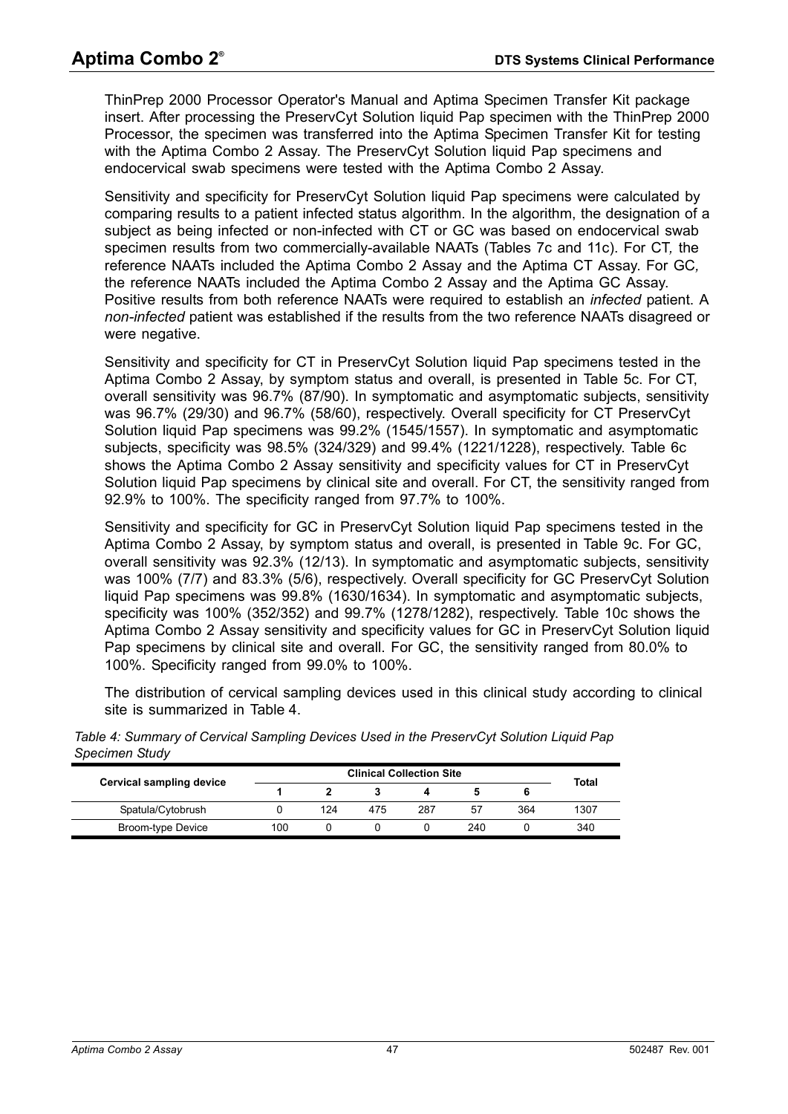ThinPrep 2000 Processor Operator's Manual and Aptima Specimen Transfer Kit package insert. After processing the PreservCyt Solution liquid Pap specimen with the ThinPrep 2000 Processor, the specimen was transferred into the Aptima Specimen Transfer Kit for testing with the Aptima Combo 2 Assay. The PreservCyt Solution liquid Pap specimens and endocervical swab specimens were tested with the Aptima Combo 2 Assay.

Sensitivity and specificity for PreservCyt Solution liquid Pap specimens were calculated by comparing results to a patient infected status algorithm. In the algorithm, the designation of a subject as being infected or non-infected with CT or GC was based on endocervical swab specimen results from two commercially-available NAATs ([Tables 7c and](#page-54-0) [11c\)](#page-62-0). For CT*,* the reference NAATs included the Aptima Combo 2 Assay and the Aptima CT Assay. For GC*,* the reference NAATs included the Aptima Combo 2 Assay and the Aptima GC Assay. Positive results from both reference NAATs were required to establish an *infected* patient. A *non-infected* patient was established if the results from the two reference NAATs disagreed or were negative.

Sensitivity and specificity for CT in PreservCyt Solution liquid Pap specimens tested in the Aptima Combo 2 Assay, by symptom status and overall, is presented in [Table 5c.](#page-48-0) For CT, overall sensitivity was 96.7% (87/90). In symptomatic and asymptomatic subjects, sensitivity was 96.7% (29/30) and 96.7% (58/60), respectively. Overall specificity for CT PreservCyt Solution liquid Pap specimens was 99.2% (1545/1557). In symptomatic and asymptomatic subjects, specificity was 98.5% (324/329) and 99.4% (1221/1228), respectively. [Table 6c](#page-51-0)  shows the Aptima Combo 2 Assay sensitivity and specificity values for CT in PreservCyt Solution liquid Pap specimens by clinical site and overall. For CT, the sensitivity ranged from 92.9% to 100%. The specificity ranged from 97.7% to 100%.

Sensitivity and specificity for GC in PreservCyt Solution liquid Pap specimens tested in the Aptima Combo 2 Assay, by symptom status and overall, is presented in [Table 9c.](#page-56-0) For GC, overall sensitivity was 92.3% (12/13). In symptomatic and asymptomatic subjects, sensitivity was 100% (7/7) and 83.3% (5/6), respectively. Overall specificity for GC PreservCyt Solution liquid Pap specimens was 99.8% (1630/1634). In symptomatic and asymptomatic subjects, specificity was 100% (352/352) and 99.7% (1278/1282), respectively. [Table 10c](#page-59-0) shows the Aptima Combo 2 Assay sensitivity and specificity values for GC in PreservCyt Solution liquid Pap specimens by clinical site and overall. For GC, the sensitivity ranged from 80.0% to 100%. Specificity ranged from 99.0% to 100%.

The distribution of cervical sampling devices used in this clinical study according to clinical site is summarized in [Table 4](#page-46-0).

| <b>Cervical sampling device</b> |     |     |     |     |     |     | Total |  |
|---------------------------------|-----|-----|-----|-----|-----|-----|-------|--|
| Spatula/Cytobrush               |     | 124 | 475 | 287 | 57  | 364 | 1307  |  |
| Broom-type Device               | 100 |     |     |     | 240 |     | 340   |  |

<span id="page-46-0"></span>*Table 4: Summary of Cervical Sampling Devices Used in the PreservCyt Solution Liquid Pap Specimen Study*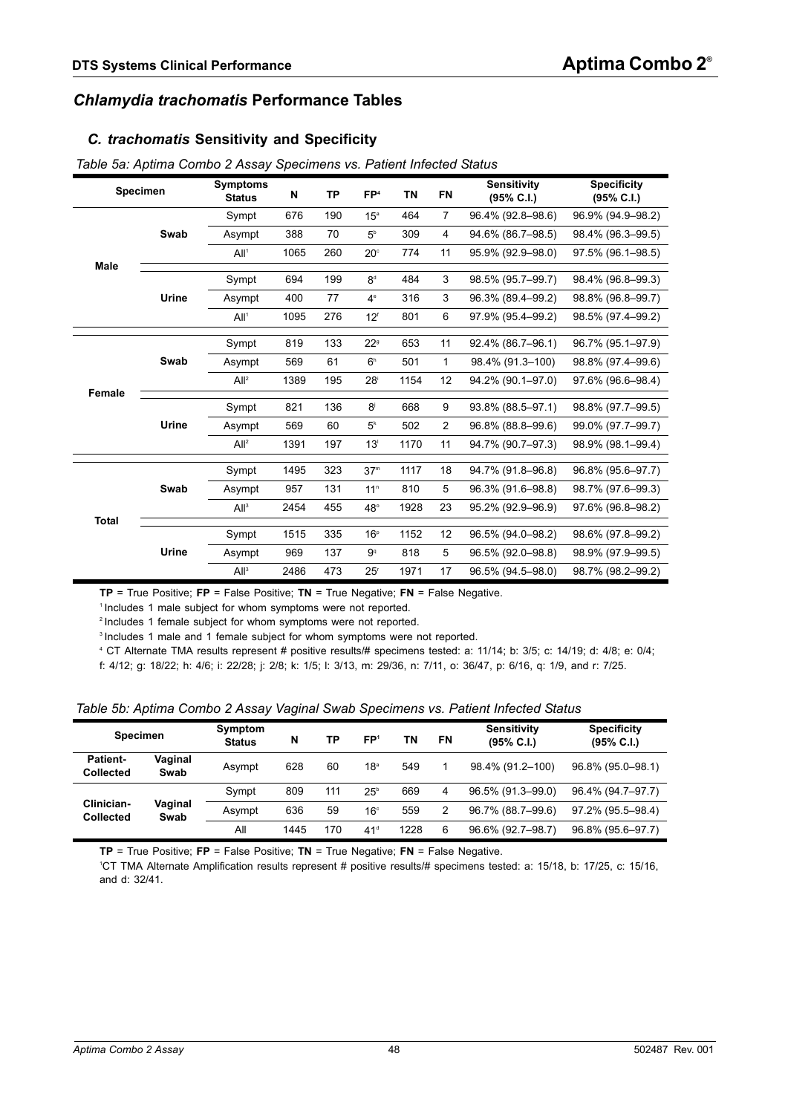## *Chlamydia trachomatis* **Performance Tables**

#### *C. trachomatis* **Sensitivity and Specificity**

| Specimen     |       | <b>Symptoms</b><br><b>Status</b> | N    | TP  | FP <sup>4</sup> | <b>TN</b> | <b>FN</b>      | <b>Sensitivity</b><br>(95% C.I.) | <b>Specificity</b><br>(95% C.I.) |
|--------------|-------|----------------------------------|------|-----|-----------------|-----------|----------------|----------------------------------|----------------------------------|
|              |       | Sympt                            | 676  | 190 | 15 <sup>a</sup> | 464       | $\overline{7}$ | 96.4% (92.8-98.6)                | 96.9% (94.9-98.2)                |
|              | Swab  | Asympt                           | 388  | 70  | 5 <sup>b</sup>  | 309       | 4              | 94.6% (86.7-98.5)                | 98.4% (96.3-99.5)                |
|              |       | All <sup>1</sup>                 | 1065 | 260 | $20^\circ$      | 774       | 11             | 95.9% (92.9-98.0)                | 97.5% (96.1-98.5)                |
| Male         |       | Sympt                            | 694  | 199 | 8 <sup>d</sup>  | 484       | 3              | 98.5% (95.7-99.7)                | 98.4% (96.8-99.3)                |
|              |       |                                  |      |     |                 |           |                |                                  |                                  |
|              | Urine | Asympt                           | 400  | 77  | $4^e$           | 316       | 3              | 96.3% (89.4-99.2)                | 98.8% (96.8-99.7)                |
|              |       | All <sup>1</sup>                 | 1095 | 276 | 12 <sup>f</sup> | 801       | 6              | 97.9% (95.4-99.2)                | 98.5% (97.4-99.2)                |
|              |       |                                  |      |     |                 |           |                |                                  |                                  |
|              |       | Sympt                            | 819  | 133 | $22^{\circ}$    | 653       | 11             | 92.4% (86.7-96.1)                | 96.7% (95.1-97.9)                |
|              | Swab  | Asympt                           | 569  | 61  | 6 <sup>h</sup>  | 501       | $\mathbf{1}$   | 98.4% (91.3-100)                 | 98.8% (97.4-99.6)                |
|              |       | All <sup>2</sup>                 | 1389 | 195 | 28 <sup>i</sup> | 1154      | 12             | 94.2% (90.1-97.0)                | 97.6% (96.6–98.4)                |
| Female       |       |                                  | 821  | 136 | 8 <sup>j</sup>  | 668       | 9              | 93.8% (88.5-97.1)                | 98.8% (97.7-99.5)                |
|              |       | Sympt                            |      |     |                 |           |                |                                  |                                  |
|              | Urine | Asympt                           | 569  | 60  | 5 <sup>k</sup>  | 502       | 2              | 96.8% (88.8-99.6)                | 99.0% (97.7-99.7)                |
|              |       | All <sup>2</sup>                 | 1391 | 197 | 13 <sup>1</sup> | 1170      | 11             | 94.7% (90.7-97.3)                | 98.9% (98.1-99.4)                |
|              |       | Sympt                            | 1495 | 323 | 37 <sup>m</sup> | 1117      | 18             | 94.7% (91.8-96.8)                | 96.8% (95.6-97.7)                |
|              |       |                                  |      |     |                 |           |                |                                  |                                  |
|              | Swab  | Asympt                           | 957  | 131 | 11 <sup>n</sup> | 810       | 5              | 96.3% (91.6-98.8)                | 98.7% (97.6-99.3)                |
| <b>Total</b> |       | All <sup>3</sup>                 | 2454 | 455 | $48^\circ$      | 1928      | 23             | 95.2% (92.9-96.9)                | 97.6% (96.8-98.2)                |
|              |       | Sympt                            | 1515 | 335 | 16 <sup>p</sup> | 1152      | 12             | 96.5% (94.0-98.2)                | 98.6% (97.8-99.2)                |
|              | Urine |                                  |      |     |                 |           |                |                                  |                                  |
|              |       | Asympt                           | 969  | 137 | 9 <sup>q</sup>  | 818       | 5              | 96.5% (92.0-98.8)                | 98.9% (97.9-99.5)                |
|              |       | All <sup>3</sup>                 | 2486 | 473 | 25 <sup>r</sup> | 1971      | 17             | 96.5% (94.5-98.0)                | 98.7% (98.2-99.2)                |

<span id="page-47-0"></span>*Table 5a: Aptima Combo 2 Assay Specimens vs. Patient Infected Status*

**TP** = True Positive; **FP** = False Positive; **TN** = True Negative; **FN** = False Negative. 1 Includes 1 male subject for whom symptoms were not reported.

2 Includes 1 female subject for whom symptoms were not reported.

<sup>3</sup> Includes 1 male and 1 female subject for whom symptoms were not reported.

4 CT Alternate TMA results represent # positive results/# specimens tested: a: 11/14; b: 3/5; c: 14/19; d: 4/8; e: 0/4; f: 4/12; g: 18/22; h: 4/6; i: 22/28; j: 2/8; k: 1/5; l: 3/13, m: 29/36, n: 7/11, o: 36/47, p: 6/16, q: 1/9, and r: 7/25.

<span id="page-47-1"></span>

|  |  | Table 5b: Aptima Combo 2 Assay Vaginal Swab Specimens vs. Patient Infected Status |
|--|--|-----------------------------------------------------------------------------------|
|  |  |                                                                                   |

| <b>Specimen</b>                     |                 | Symptom<br><b>Status</b> | N    | ТP  | FP <sup>1</sup> | ΤN   | FN | <b>Sensitivity</b><br>(95% C.I.) | <b>Specificity</b><br>(95% C.I.) |
|-------------------------------------|-----------------|--------------------------|------|-----|-----------------|------|----|----------------------------------|----------------------------------|
| <b>Patient-</b><br><b>Collected</b> | Vaginal<br>Swab | Asympt                   | 628  | 60  | 18 <sup>a</sup> | 549  |    | 98.4% (91.2-100)                 | 96.8% (95.0-98.1)                |
|                                     |                 | Sympt                    | 809  | 111 | $25^{\circ}$    | 669  | 4  | 96.5% (91.3-99.0)                | 96.4% (94.7-97.7)                |
| Clinician-<br><b>Collected</b>      | Vaginal<br>Swab | Asympt                   | 636  | 59  | 16 <sup>c</sup> | 559  | 2  | 96.7% (88.7-99.6)                | 97.2% (95.5-98.4)                |
|                                     |                 | All                      | 1445 | 170 | 41 <sup>d</sup> | 1228 | 6  | 96.6% (92.7-98.7)                | 96.8% (95.6-97.7)                |

**TP** = True Positive; **FP** = False Positive; **TN** = True Negative; **FN** = False Negative. 1

CT TMA Alternate Amplification results represent # positive results/# specimens tested: a: 15/18, b: 17/25, c: 15/16, and d: 32/41.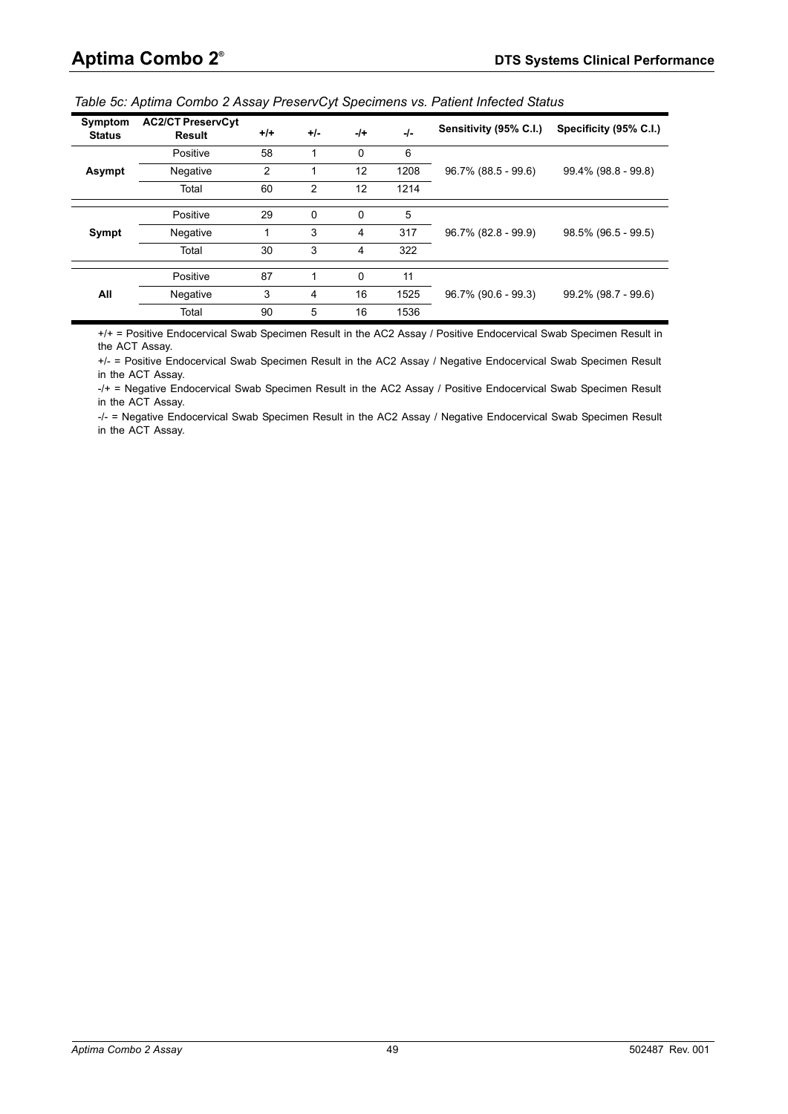<span id="page-48-0"></span>

| Symptom<br><b>Status</b> | <b>AC2/CT PreservCyt</b><br><b>Result</b> | $+/-$          | $+/-$ | $-1+$ | $-I -$ | Sensitivity (95% C.I.) | Specificity (95% C.I.) |  |
|--------------------------|-------------------------------------------|----------------|-------|-------|--------|------------------------|------------------------|--|
|                          | Positive                                  | 58             |       | 0     | 6      |                        |                        |  |
| Asympt                   | Negative                                  | $\overline{2}$ |       | 12    | 1208   | 96.7% (88.5 - 99.6)    | 99.4% (98.8 - 99.8)    |  |
|                          | Total                                     | 60             | 2     | 12    | 1214   |                        |                        |  |
|                          | Positive                                  | 29             | 0     | 0     | 5      |                        |                        |  |
| Sympt                    | Negative                                  | 1              | 3     | 4     | 317    | 96.7% (82.8 - 99.9)    | 98.5% (96.5 - 99.5)    |  |
|                          | Total                                     | 30             | 3     | 4     | 322    |                        |                        |  |
|                          | Positive                                  | 87             |       | 0     | 11     |                        |                        |  |
| All                      | Negative                                  | 3              | 4     | 16    | 1525   | 96.7% (90.6 - 99.3)    | 99.2% (98.7 - 99.6)    |  |
|                          | Total                                     | 90             | 5     | 16    | 1536   |                        |                        |  |

+/+ = Positive Endocervical Swab Specimen Result in the AC2 Assay / Positive Endocervical Swab Specimen Result in the ACT Assay.

+/- = Positive Endocervical Swab Specimen Result in the AC2 Assay / Negative Endocervical Swab Specimen Result in the ACT Assay.

-/+ = Negative Endocervical Swab Specimen Result in the AC2 Assay / Positive Endocervical Swab Specimen Result in the ACT Assay.

-/- = Negative Endocervical Swab Specimen Result in the AC2 Assay / Negative Endocervical Swab Specimen Result in the ACT Assay.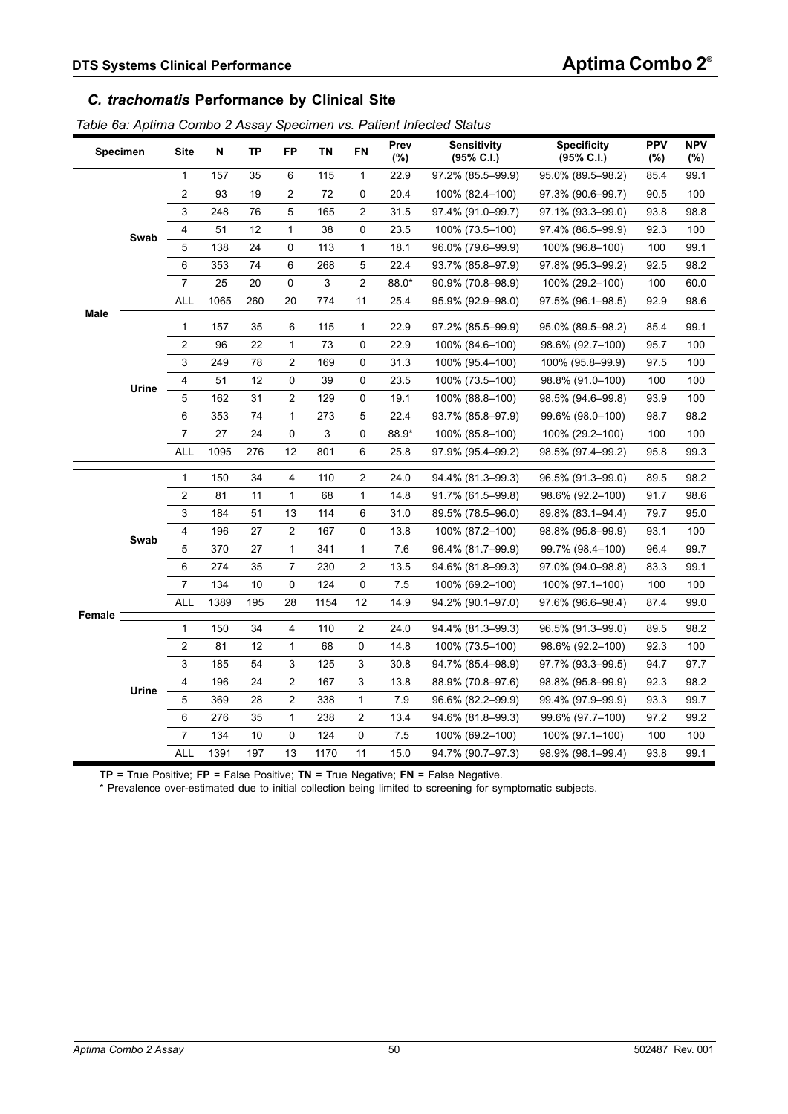## *C. trachomatis* **Performance by Clinical Site**

<span id="page-49-0"></span>

|  |  | Table 6a: Aptima Combo 2 Assay Specimen vs. Patient Infected Status |  |  |
|--|--|---------------------------------------------------------------------|--|--|
|  |  |                                                                     |  |  |

| <b>Specimen</b> |       | <b>Site</b>             | N    | <b>TP</b> | FP                      | <b>TN</b> | FN               | Prev<br>(%) | <b>Sensitivity</b><br>$(95\% \text{ C.1.})$ | <b>Specificity</b><br>(95% C.I.) | <b>PPV</b><br>(%) | <b>NPV</b><br>(%) |
|-----------------|-------|-------------------------|------|-----------|-------------------------|-----------|------------------|-------------|---------------------------------------------|----------------------------------|-------------------|-------------------|
|                 |       | 1                       | 157  | 35        | 6                       | 115       | 1                | 22.9        | 97.2% (85.5-99.9)                           | 95.0% (89.5-98.2)                | 85.4              | 99.1              |
|                 |       | $\overline{c}$          | 93   | 19        | 2                       | 72        | 0                | 20.4        | 100% (82.4–100)                             | 97.3% (90.6–99.7)                | 90.5              | 100               |
|                 |       | 3                       | 248  | 76        | 5                       | 165       | $\boldsymbol{2}$ | 31.5        | 97.4% (91.0-99.7)                           | 97.1% (93.3-99.0)                | 93.8              | 98.8              |
|                 |       | 4                       | 51   | 12        | $\mathbf{1}$            | 38        | 0                | 23.5        | 100% (73.5-100)                             | 97.4% (86.5-99.9)                | 92.3              | 100               |
|                 | Swab  | 5                       | 138  | 24        | $\Omega$                | 113       | $\mathbf{1}$     | 18.1        | 96.0% (79.6-99.9)                           | 100% (96.8-100)                  | 100               | 99.1              |
|                 |       | 6                       | 353  | 74        | 6                       | 268       | 5                | 22.4        | 93.7% (85.8-97.9)                           | 97.8% (95.3–99.2)                | 92.5              | 98.2              |
|                 |       | $\overline{7}$          | 25   | 20        | 0                       | 3         | $\overline{c}$   | 88.0*       | 90.9% (70.8-98.9)                           | 100% (29.2-100)                  | 100               | 60.0              |
| Male            |       | <b>ALL</b>              | 1065 | 260       | 20                      | 774       | 11               | 25.4        | 95.9% (92.9-98.0)                           | 97.5% (96.1-98.5)                | 92.9              | 98.6              |
|                 |       | 1                       | 157  | 35        | 6                       | 115       | $\mathbf 1$      | 22.9        | 97.2% (85.5-99.9)                           | 95.0% (89.5-98.2)                | 85.4              | 99.1              |
|                 |       | $\overline{c}$          | 96   | 22        | $\mathbf{1}$            | 73        | 0                | 22.9        | 100% (84.6-100)                             | 98.6% (92.7–100)                 | 95.7              | 100               |
|                 |       | 3                       | 249  | 78        | 2                       | 169       | 0                | 31.3        | 100% (95.4-100)                             | 100% (95.8-99.9)                 | 97.5              | 100               |
|                 | Urine | 4                       | 51   | 12        | 0                       | 39        | 0                | 23.5        | 100% (73.5-100)                             | 98.8% (91.0-100)                 | 100               | 100               |
|                 |       | 5                       | 162  | 31        | $\overline{2}$          | 129       | 0                | 19.1        | 100% (88.8-100)                             | 98.5% (94.6-99.8)                | 93.9              | 100               |
|                 |       | 6                       | 353  | 74        | $\mathbf{1}$            | 273       | 5                | 22.4        | 93.7% (85.8-97.9)                           | 99.6% (98.0-100)                 | 98.7              | 98.2              |
|                 |       | 7                       | 27   | 24        | 0                       | 3         | 0                | 88.9*       | 100% (85.8-100)                             | 100% (29.2-100)                  | 100               | 100               |
|                 |       | ALL                     | 1095 | 276       | 12                      | 801       | 6                | 25.8        | 97.9% (95.4-99.2)                           | 98.5% (97.4–99.2)                | 95.8              | 99.3              |
|                 |       | 1                       | 150  | 34        | 4                       | 110       | $\sqrt{2}$       | 24.0        | 94.4% (81.3–99.3)                           | 96.5% (91.3–99.0)                | 89.5              | 98.2              |
|                 |       | $\overline{\mathbf{c}}$ | 81   | 11        | $\mathbf{1}$            | 68        | $\mathbf{1}$     | 14.8        | 91.7% (61.5-99.8)                           | 98.6% (92.2-100)                 | 91.7              | 98.6              |
|                 |       | 3                       | 184  | 51        | 13                      | 114       | 6                | 31.0        | 89.5% (78.5-96.0)                           | 89.8% (83.1-94.4)                | 79.7              | 95.0              |
|                 | Swab  | 4                       | 196  | 27        | $\overline{c}$          | 167       | 0                | 13.8        | 100% (87.2-100)                             | 98.8% (95.8-99.9)                | 93.1              | 100               |
|                 |       | 5                       | 370  | 27        | $\mathbf{1}$            | 341       | $\mathbf 1$      | 7.6         | 96.4% (81.7-99.9)                           | 99.7% (98.4-100)                 | 96.4              | 99.7              |
|                 |       | 6                       | 274  | 35        | 7                       | 230       | $\overline{2}$   | 13.5        | 94.6% (81.8-99.3)                           | 97.0% (94.0-98.8)                | 83.3              | 99.1              |
|                 |       | 7                       | 134  | 10        | 0                       | 124       | 0                | 7.5         | 100% (69.2-100)                             | 100% (97.1-100)                  | 100               | 100               |
| Female          |       | ALL                     | 1389 | 195       | 28                      | 1154      | 12               | 14.9        | 94.2% (90.1-97.0)                           | 97.6% (96.6–98.4)                | 87.4              | 99.0              |
|                 |       | 1                       | 150  | 34        | 4                       | 110       | $\overline{2}$   | 24.0        | 94.4% (81.3-99.3)                           | 96.5% (91.3–99.0)                | 89.5              | 98.2              |
|                 |       | $\overline{\mathbf{c}}$ | 81   | 12        | $\mathbf{1}$            | 68        | 0                | 14.8        | 100% (73.5-100)                             | 98.6% (92.2-100)                 | 92.3              | 100               |
|                 |       | 3                       | 185  | 54        | 3                       | 125       | 3                | 30.8        | 94.7% (85.4-98.9)                           | 97.7% (93.3-99.5)                | 94.7              | 97.7              |
|                 | Urine | 4                       | 196  | 24        | $\overline{\mathbf{c}}$ | 167       | 3                | 13.8        | 88.9% (70.8-97.6)                           | 98.8% (95.8-99.9)                | 92.3              | 98.2              |
|                 |       | 5                       | 369  | 28        | $\overline{2}$          | 338       | $\mathbf{1}$     | 7.9         | 96.6% (82.2-99.9)                           | 99.4% (97.9-99.9)                | 93.3              | 99.7              |
|                 |       | 6                       | 276  | 35        | $\mathbf{1}$            | 238       | $\overline{2}$   | 13.4        | 94.6% (81.8-99.3)                           | 99.6% (97.7–100)                 | 97.2              | 99.2              |
|                 |       | 7                       | 134  | 10        | $\mathbf 0$             | 124       | $\mathbf 0$      | 7.5         | 100% (69.2-100)                             | 100% (97.1-100)                  | 100               | 100               |
|                 |       | <b>ALL</b>              | 1391 | 197       | 13                      | 1170      | 11               | 15.0        | 94.7% (90.7-97.3)                           | 98.9% (98.1-99.4)                | 93.8              | 99.1              |

**TP** = True Positive; **FP** = False Positive; **TN** = True Negative; **FN** = False Negative.

\* Prevalence over-estimated due to initial collection being limited to screening for symptomatic subjects.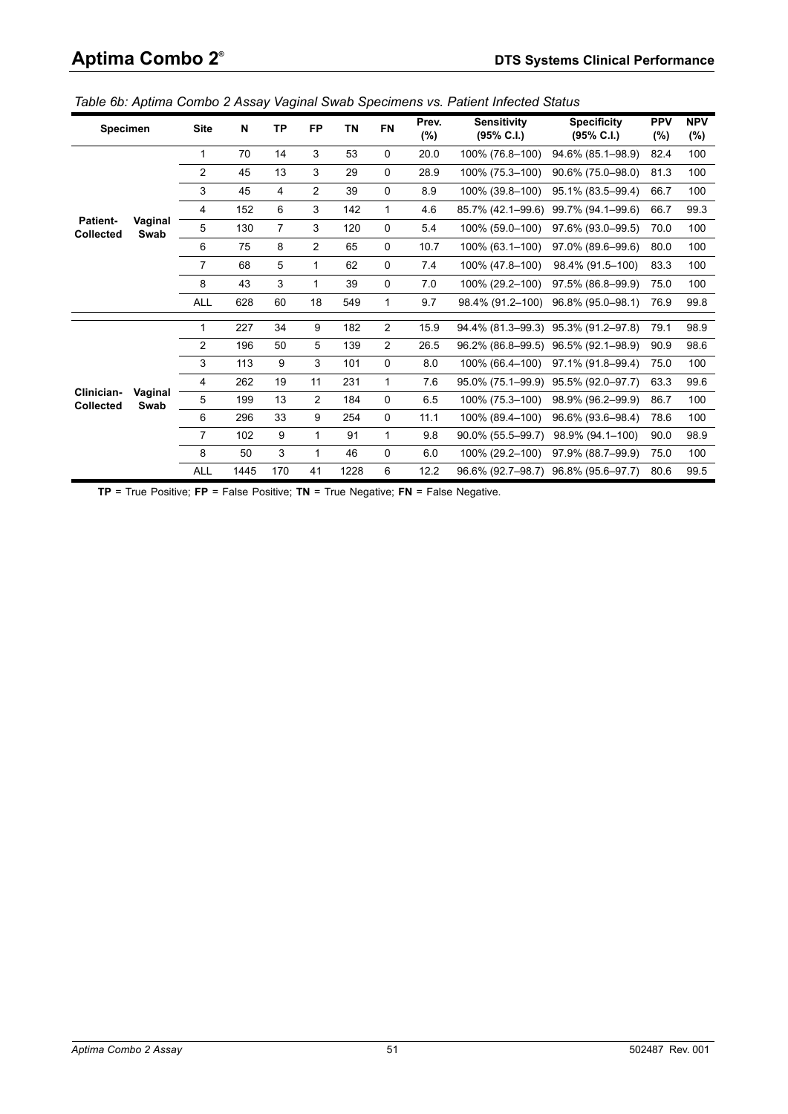| <b>Specimen</b>                |                                    | <b>Site</b>    | N    | TP             | <b>FP</b>      | TN   | <b>FN</b>    | Prev.<br>$(\%)$ | <b>Sensitivity</b><br>$(95\% \text{ C.1.})$ | <b>Specificity</b><br>$(95\% \text{ C.I.})$ | <b>PPV</b><br>(%)                    | <b>NPV</b><br>(%) |
|--------------------------------|------------------------------------|----------------|------|----------------|----------------|------|--------------|-----------------|---------------------------------------------|---------------------------------------------|--------------------------------------|-------------------|
|                                |                                    | 1              | 70   | 14             | 3              | 53   | 0            | 20.0            | 100% (76.8-100)                             | 94.6% (85.1-98.9)                           | 82.4                                 | 100               |
|                                |                                    | $\overline{c}$ | 45   | 13             | 3              | 29   | $\mathbf 0$  | 28.9            | 100% (75.3-100)                             | 90.6% (75.0-98.0)                           | 81.3                                 | 100               |
|                                |                                    | 3              | 45   | 4              | $\overline{2}$ | 39   | $\mathbf 0$  | 8.9             | 100% (39.8-100)                             | 95.1% (83.5-99.4)                           | 66.7                                 | 100               |
|                                |                                    | 4              | 152  | 6              | 3              | 142  | $\mathbf{1}$ | 4.6             | 85.7% (42.1-99.6)                           | 99.7% (94.1-99.6)                           | 66.7                                 | 99.3              |
| <b>Patient-</b><br>Collected   |                                    | 5              | 130  | $\overline{7}$ | 3              | 120  | 0            | 5.4             | 100% (59.0-100)                             | 97.6% (93.0-99.5)                           | 70.0                                 | 100               |
|                                |                                    | 6              | 75   | 8              | $\overline{2}$ | 65   | 0            | 10.7            | 100% (63.1-100)                             | 97.0% (89.6-99.6)                           | 80.0                                 | 100               |
|                                |                                    | 7              | 68   | 5              | 1              | 62   | $\mathbf 0$  | 7.4             | 100% (47.8-100)                             | 98.4% (91.5-100)                            | 83.3                                 | 100               |
|                                |                                    | 8              | 43   | 3              | 1              | 39   | $\mathbf 0$  | 7.0             | 100% (29.2-100)                             | 97.5% (86.8-99.9)                           | 75.0                                 | 100               |
|                                |                                    | <b>ALL</b>     | 628  | 60             | 18             | 549  | $\mathbf{1}$ | 9.7             |                                             | 98.4% (91.2-100) 96.8% (95.0-98.1)          | 76.9                                 | 99.8              |
|                                |                                    | 1              | 227  | 34             | 9              | 182  | 2            | 15.9            |                                             | 94.4% (81.3-99.3) 95.3% (91.2-97.8)         | 79.1                                 | 98.9              |
|                                |                                    | $\overline{2}$ | 196  | 50             | 5              | 139  | 2            | 26.5            |                                             | 96.2% (86.8–99.5) 96.5% (92.1–98.9)         | 90.9                                 | 98.6              |
|                                |                                    | 3              | 113  | 9              | 3              | 101  | $\mathbf 0$  | 8.0             | 100% (66.4-100)                             | 97.1% (91.8-99.4)                           | 75.0                                 | 100               |
|                                |                                    | $\overline{4}$ | 262  | 19             | 11             | 231  | $\mathbf{1}$ | 7.6             |                                             | 95.0% (75.1-99.9) 95.5% (92.0-97.7)         | 63.3                                 | 99.6              |
| Clinician-<br><b>Collected</b> |                                    | 5              | 199  | 13             | $\overline{2}$ | 184  | $\mathbf 0$  | 6.5             | 100% (75.3-100)                             | 98.9% (96.2-99.9)                           | 86.7<br>78.6<br>90.0<br>75.0<br>80.6 | 100               |
|                                |                                    | 6              | 296  | 33             | 9              | 254  | $\mathbf 0$  | 11.1            | 100% (89.4-100)                             | 96.6% (93.6-98.4)                           |                                      | 100               |
|                                |                                    | 7              | 102  | 9              | 1              | 91   | $\mathbf{1}$ | 9.8             | 90.0% (55.5-99.7)                           | 98.9% (94.1-100)                            |                                      | 98.9              |
|                                |                                    | 8              | 50   | 3              | $\mathbf{1}$   | 46   | $\mathbf 0$  | 6.0             | 100% (29.2-100)                             | 97.9% (88.7-99.9)                           |                                      | 100               |
|                                | Vaginal<br>Swab<br>Vaginal<br>Swab | <b>ALL</b>     | 1445 | 170            | 41             | 1228 | 6            | 12.2            |                                             | 96.6% (92.7-98.7) 96.8% (95.6-97.7)         |                                      | 99.5              |

<span id="page-50-0"></span>*Table 6b: Aptima Combo 2 Assay Vaginal Swab Specimens vs. Patient Infected Status*

**TP** = True Positive; **FP** = False Positive; **TN** = True Negative; **FN** = False Negative.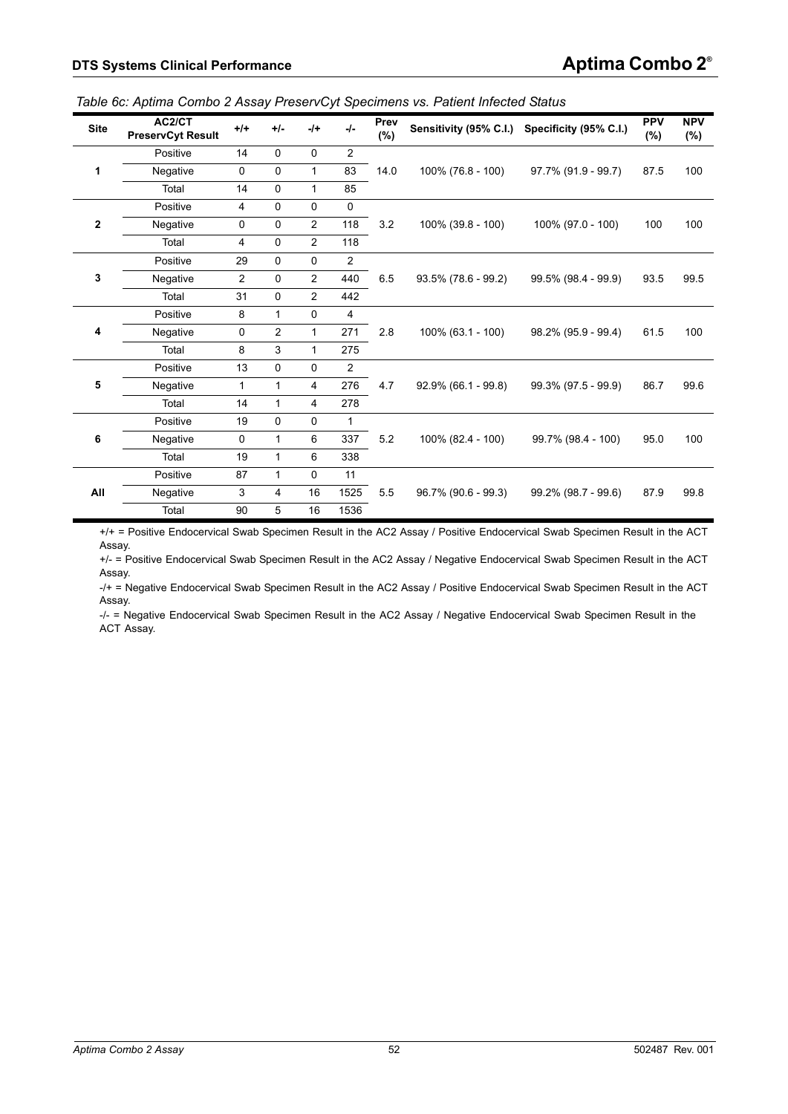| <b>Site</b>    | AC2/CT<br><b>PreservCyt Result</b> | $+/-$          | $+/-$       | $-$ /+         | $-I -$         | Prev<br>(%) |                        | Sensitivity (95% C.I.) Specificity (95% C.I.) | <b>PPV</b><br>$(\%)$ | <b>NPV</b><br>$(\%)$ |
|----------------|------------------------------------|----------------|-------------|----------------|----------------|-------------|------------------------|-----------------------------------------------|----------------------|----------------------|
|                | Positive                           | 14             | $\mathbf 0$ | $\mathbf 0$    | $\overline{2}$ |             |                        |                                               |                      |                      |
| 1              | Negative                           | $\mathbf 0$    | $\mathbf 0$ | $\mathbf{1}$   | 83             | 14.0        | 100% (76.8 - 100)      | 97.7% (91.9 - 99.7)                           | 87.5                 | 100                  |
|                | Total                              | 14             | $\mathbf 0$ | $\mathbf{1}$   | 85             |             |                        |                                               |                      |                      |
|                | Positive                           | $\overline{4}$ | $\mathbf 0$ | 0              | $\mathbf 0$    |             |                        |                                               |                      |                      |
| $\overline{2}$ | Negative                           | $\pmb{0}$      | $\mathbf 0$ | 2              | 118            | 3.2         | 100% (39.8 - 100)      | 100% (97.0 - 100)                             | 100                  | 100                  |
|                | Total                              | 4              | $\mathbf 0$ | $\overline{2}$ | 118            |             |                        |                                               |                      |                      |
|                | Positive                           | 29             | $\mathbf 0$ | 0              | 2              |             |                        |                                               |                      |                      |
| 3              | Negative                           | $\overline{2}$ | $\mathbf 0$ | $\overline{c}$ | 440            | 6.5         | 93.5% (78.6 - 99.2)    | 99.5% (98.4 - 99.9)                           | 93.5                 | 99.5                 |
|                | Total                              | 31             | $\mathbf 0$ | 2              | 442            |             |                        |                                               |                      |                      |
|                | Positive                           | 8              | 1           | 0              | $\overline{4}$ |             |                        |                                               |                      |                      |
| 4              | Negative                           | $\mathbf 0$    | 2           | $\mathbf{1}$   | 271            | 2.8         | 100% (63.1 - 100)      | 98.2% (95.9 - 99.4)                           | 61.5                 | 100                  |
|                | Total                              | 8              | 3           | $\mathbf{1}$   | 275            |             |                        |                                               |                      |                      |
|                | Positive                           | 13             | $\mathbf 0$ | $\mathbf 0$    | $\overline{2}$ |             |                        |                                               |                      |                      |
| 5              | Negative                           | $\mathbf{1}$   | 1           | 4              | 276            | 4.7         | $92.9\%$ (66.1 - 99.8) | 99.3% (97.5 - 99.9)                           | 86.7                 | 99.6                 |
|                | Total                              | 14             | 1           | $\overline{4}$ | 278            |             |                        |                                               |                      |                      |
|                | Positive                           | 19             | $\mathbf 0$ | 0              | 1              |             |                        |                                               |                      |                      |
| 6              | Negative                           | 0              | 1           | 6              | 337            | 5.2         | 100% (82.4 - 100)      | 99.7% (98.4 - 100)                            | 95.0                 | 100                  |
|                | Total                              | 19             | 1           | 6              | 338            |             |                        |                                               |                      |                      |
|                | Positive                           | 87             | 1           | 0              | 11             |             |                        |                                               |                      |                      |
| All            | Negative                           | 3              | 4           | 16             | 1525           | 5.5         | 96.7% (90.6 - 99.3)    | 99.2% (98.7 - 99.6)                           | 87.9                 | 99.8                 |
|                | Total                              | 90             | 5           | 16             | 1536           |             |                        |                                               |                      |                      |

<span id="page-51-0"></span>*Table 6c: Aptima Combo 2 Assay PreservCyt Specimens vs. Patient Infected Status*

+/+ = Positive Endocervical Swab Specimen Result in the AC2 Assay / Positive Endocervical Swab Specimen Result in the ACT Assay.

+/- = Positive Endocervical Swab Specimen Result in the AC2 Assay / Negative Endocervical Swab Specimen Result in the ACT Assay.

-/+ = Negative Endocervical Swab Specimen Result in the AC2 Assay / Positive Endocervical Swab Specimen Result in the ACT Assay.

-/- = Negative Endocervical Swab Specimen Result in the AC2 Assay / Negative Endocervical Swab Specimen Result in the ACT Assay.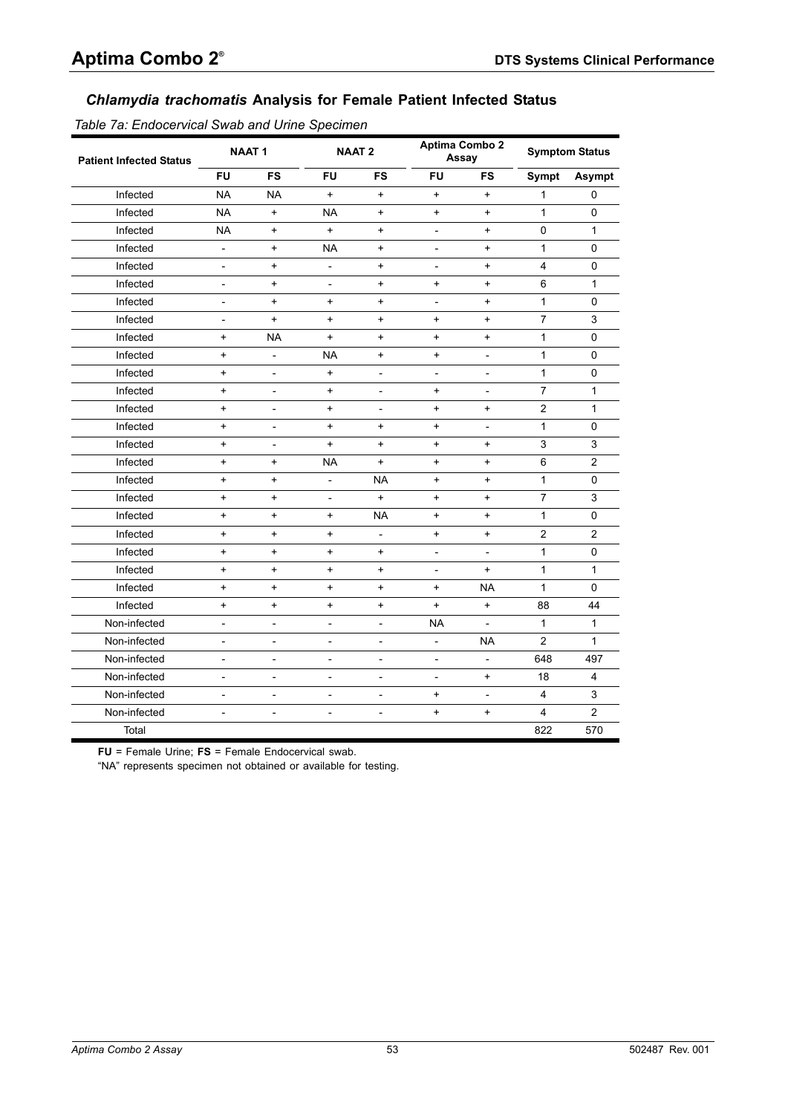# *Chlamydia trachomatis* **Analysis for Female Patient Infected Status**

<span id="page-52-0"></span>*Table 7a: Endocervical Swab and Urine Specimen*

| <b>Patient Infected Status</b> |                          | <b>NAAT1</b>                     |                                  | <b>NAAT2</b>                     |                          | <b>Aptima Combo 2</b><br>Assay   |                | <b>Symptom Status</b> |
|--------------------------------|--------------------------|----------------------------------|----------------------------------|----------------------------------|--------------------------|----------------------------------|----------------|-----------------------|
|                                | <b>FU</b>                | <b>FS</b>                        | <b>FU</b>                        | FS                               | FU                       | FS                               | <b>Sympt</b>   | Asympt                |
| Infected                       | <b>NA</b>                | <b>NA</b>                        | $\ddot{}$                        | $\ddot{}$                        | $+$                      | $\ddot{}$                        | 1              | $\mathbf 0$           |
| Infected                       | <b>NA</b>                | $+$                              | <b>NA</b>                        | $\ddot{}$                        | $+$                      | $\ddot{}$                        | $\mathbf{1}$   | 0                     |
| Infected                       | <b>NA</b>                | $\ddot{}$                        | $\ddot{}$                        | $\begin{array}{c} + \end{array}$ | $\overline{\phantom{m}}$ | $\ddot{}$                        | 0              | $\mathbf{1}$          |
| Infected                       | $\overline{\phantom{a}}$ | $\ddot{}$                        | <b>NA</b>                        | $\ddot{}$                        | $\overline{\phantom{a}}$ | $\ddot{}$                        | 1              | 0                     |
| Infected                       | $\overline{\phantom{a}}$ | $\ddot{}$                        | $\overline{\phantom{a}}$         | $\ddot{}$                        | $\overline{\phantom{a}}$ | $\ddot{}$                        | 4              | $\pmb{0}$             |
| Infected                       | $\overline{\phantom{a}}$ | $\ddot{}$                        | $\overline{\phantom{a}}$         | $\begin{array}{c} + \end{array}$ | $\ddot{}$                | $\begin{array}{c} + \end{array}$ | 6              | $\mathbf{1}$          |
| Infected                       | $\overline{\phantom{m}}$ | $\ddot{}$                        | $\ddot{}$                        | $\ddot{}$                        | $\overline{\phantom{a}}$ | $\ddot{}$                        | $\mathbf{1}$   | $\Omega$              |
| Infected                       | $\overline{\phantom{a}}$ | $+$                              | $\ddot{}$                        | $\begin{array}{c} + \end{array}$ | $+$                      | $\ddot{}$                        | $\overline{7}$ | 3                     |
| Infected                       | $\ddot{}$                | <b>NA</b>                        | $\ddot{}$                        | $\begin{array}{c} + \end{array}$ | $\ddot{}$                | $\begin{array}{c} + \end{array}$ | 1              | 0                     |
| Infected                       | $\ddot{}$                | $\overline{a}$                   | <b>NA</b>                        | $\begin{array}{c} + \end{array}$ | $\ddot{}$                | $\overline{\phantom{0}}$         | $\mathbf{1}$   | 0                     |
| Infected                       | $\ddot{}$                | $\overline{\phantom{0}}$         | $\ddot{}$                        | $\overline{\phantom{a}}$         | $\overline{\phantom{a}}$ | $\overline{\phantom{0}}$         | $\mathbf{1}$   | 0                     |
| Infected                       | $\ddot{}$                | $\overline{\phantom{a}}$         | $\ddot{}$                        | $\overline{\phantom{a}}$         | $\ddot{}$                | $\overline{\phantom{a}}$         | $\overline{7}$ | $\mathbf{1}$          |
| Infected                       | $\ddot{}$                | $\overline{\phantom{a}}$         | $\ddot{}$                        | $\overline{\phantom{a}}$         | $+$                      | $\ddot{}$                        | $\overline{c}$ | $\mathbf{1}$          |
| Infected                       | $\ddot{}$                | $\overline{\phantom{a}}$         | $\ddot{}$                        | $\ddot{}$                        | $\ddot{}$                | $\overline{\phantom{0}}$         | $\mathbf{1}$   | $\Omega$              |
| Infected                       | $\ddot{}$                | $\overline{a}$                   | $\ddot{}$                        | $\ddot{}$                        | $+$                      | $+$                              | 3              | 3                     |
| Infected                       | $\ddot{}$                | $\begin{array}{c} + \end{array}$ | <b>NA</b>                        | $\begin{array}{c} + \end{array}$ | $\ddot{}$                | $\ddot{}$                        | 6              | 2                     |
| Infected                       | $\ddot{}$                | $\begin{array}{c} + \end{array}$ | $\overline{\phantom{a}}$         | <b>NA</b>                        | $\ddot{}$                | $\begin{array}{c} + \end{array}$ | 1              | 0                     |
| Infected                       | $\ddot{}$                | $\ddot{}$                        | $\overline{\phantom{a}}$         | $\begin{array}{c} + \end{array}$ | $+$                      | $\ddot{}$                        | $\overline{7}$ | 3                     |
| Infected                       | $\ddot{}$                | $\ddot{}$                        | $\ddot{}$                        | <b>NA</b>                        | $+$                      | $\ddot{}$                        | $\mathbf{1}$   | 0                     |
| Infected                       | $\ddot{}$                | $\ddot{}$                        | $\begin{array}{c} + \end{array}$ | $\overline{\phantom{a}}$         | $\ddot{}$                | $\ddot{}$                        | $\overline{2}$ | 2                     |
| Infected                       | $\ddot{}$                | $\ddot{}$                        | $\ddot{}$                        | $\ddot{}$                        | $\overline{a}$           | $\overline{a}$                   | $\mathbf{1}$   | $\mathbf 0$           |
| Infected                       | $\ddot{}$                | $+$                              | $+$                              | $\ddot{}$                        | $\overline{a}$           | $+$                              | $\mathbf{1}$   | $\mathbf{1}$          |
| Infected                       | $\ddot{}$                | $\ddot{}$                        | $\ddot{}$                        | $\begin{array}{c} + \end{array}$ | $\ddot{}$                | <b>NA</b>                        | $\mathbf{1}$   | 0                     |
| Infected                       | $\ddot{}$                | $\ddot{}$                        | $\ddot{}$                        | $\begin{array}{c} + \end{array}$ | $\ddot{}$                | $\ddot{}$                        | 88             | 44                    |
| Non-infected                   | $\overline{\phantom{a}}$ | $\frac{1}{2}$                    | $\overline{\phantom{a}}$         | $\frac{1}{2}$                    | <b>NA</b>                | $\overline{a}$                   | $\mathbf{1}$   | $\mathbf{1}$          |
| Non-infected                   | $\overline{\phantom{a}}$ | $\overline{\phantom{0}}$         | $\overline{\phantom{a}}$         | $\frac{1}{2}$                    | $\overline{a}$           | <b>NA</b>                        | $\overline{2}$ | $\mathbf{1}$          |
| Non-infected                   | $\overline{\phantom{a}}$ | $\overline{\phantom{0}}$         | $\overline{\phantom{a}}$         | $\overline{a}$                   | $\overline{\phantom{a}}$ | $\overline{\phantom{a}}$         | 648            | 497                   |
| Non-infected                   | $\overline{\phantom{a}}$ | $\overline{\phantom{a}}$         | $\overline{\phantom{a}}$         | $\overline{\phantom{0}}$         | $\overline{\phantom{a}}$ | $\ddot{}$                        | 18             | 4                     |
| Non-infected                   | $\overline{\phantom{a}}$ | $\frac{1}{2}$                    | $\overline{\phantom{a}}$         | $\overline{\phantom{a}}$         | $\ddot{}$                | $\overline{\phantom{0}}$         | 4              | 3                     |
| Non-infected                   | $\overline{\phantom{0}}$ | $\overline{\phantom{a}}$         | $\overline{\phantom{a}}$         | $\overline{\phantom{0}}$         | $+$                      | $+$                              | 4              | $\overline{2}$        |
| Total                          |                          |                                  |                                  |                                  |                          |                                  | 822            | 570                   |

**FU** = Female Urine; **FS** = Female Endocervical swab.

"NA" represents specimen not obtained or available for testing.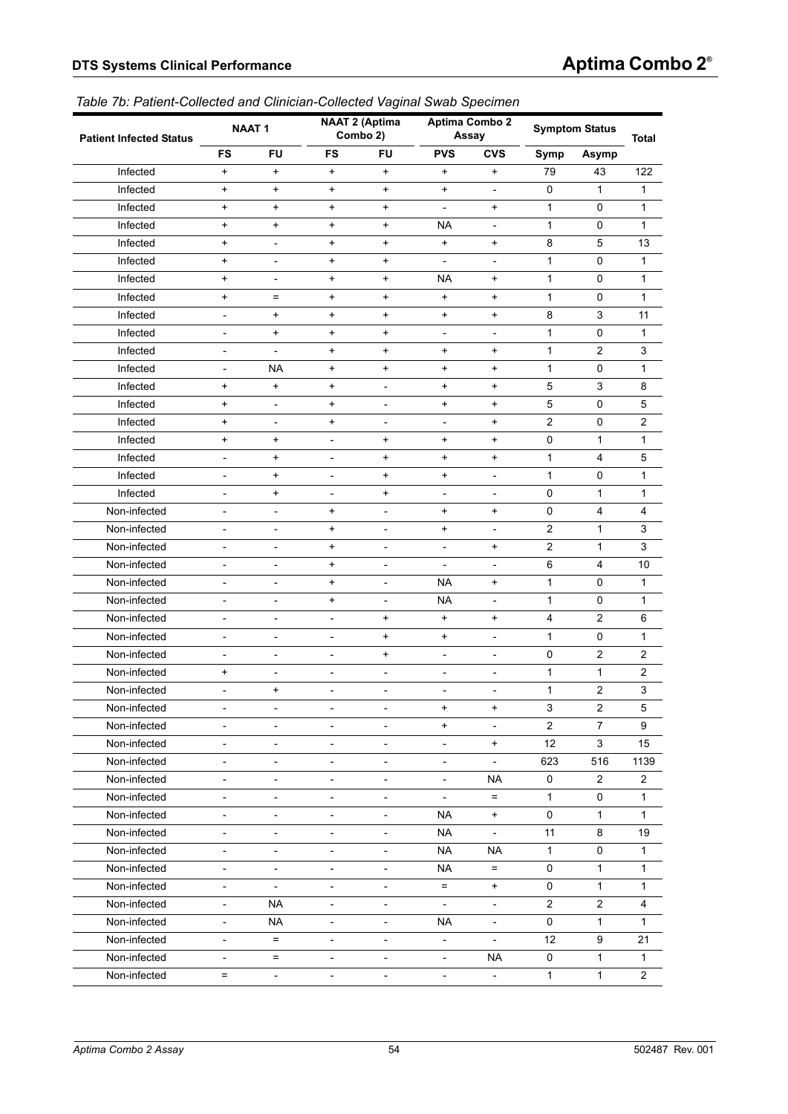#### <span id="page-53-0"></span>*Table 7b: Patient-Collected and Clinician-Collected Vaginal Swab Specimen*

| <b>Patient Infected Status</b> |                          | <b>NAAT1</b>             |                          | <b>NAAT 2 (Aptima</b><br>Combo 2) |                              | Aptima Combo 2<br>Assay      |                | <b>Symptom Status</b>   | Total                     |
|--------------------------------|--------------------------|--------------------------|--------------------------|-----------------------------------|------------------------------|------------------------------|----------------|-------------------------|---------------------------|
|                                | <b>FS</b>                | <b>FU</b>                | <b>FS</b>                | <b>FU</b>                         | <b>PVS</b>                   | <b>CVS</b>                   | Symp           | <b>Asymp</b>            |                           |
| Infected                       | $\ddot{}$                | $+$                      | $\ddot{}$                | $\ddot{}$                         | $\ddot{}$                    | $\ddot{}$                    | 79             | 43                      | 122                       |
| Infected                       | $+$                      | $+$                      | $+$                      | $\ddot{}$                         | $\ddot{}$                    | $\blacksquare$               | 0              | 1                       | 1                         |
| Infected                       | $\ddot{}$                | $+$                      | $+$                      | $\ddot{}$                         | $\overline{\phantom{a}}$     | $\ddot{}$                    | $\mathbf{1}$   | 0                       | 1                         |
| Infected                       | $+$                      | $+$                      | $+$                      | $\ddot{}$                         | <b>NA</b>                    | $\blacksquare$               | $\mathbf{1}$   | 0                       | 1                         |
| Infected                       | $\ddot{}$                | $\overline{a}$           | $\ddot{}$                | $\ddot{}$                         | $\ddot{}$                    | $\ddot{}$                    | 8              | 5                       | 13                        |
| Infected                       | $+$                      | $\overline{\phantom{a}}$ | $+$                      | $\ddot{}$                         | $\overline{\phantom{a}}$     | $\overline{\phantom{a}}$     | 1              | 0                       | 1                         |
| Infected                       | $\ddot{}$                | $\overline{\phantom{a}}$ | $\ddot{}$                | $\ddot{}$                         | <b>NA</b>                    | $\ddot{}$                    | $\mathbf{1}$   | 0                       | 1                         |
| Infected                       | $\ddot{}$                | $=$                      | $+$                      | $\ddot{}$                         | $\ddot{}$                    | $\ddot{}$                    | $\mathbf{1}$   | 0                       | 1                         |
| Infected                       | $\overline{\phantom{m}}$ | $+$                      | $+$                      | $\begin{array}{c} + \end{array}$  | $\ddot{}$                    | $\ddot{}$                    | 8              | 3                       | 11                        |
| Infected                       | $\overline{\phantom{m}}$ | $\ddot{}$                | $+$                      | $\begin{array}{c} + \end{array}$  | $\overline{\phantom{a}}$     | $\blacksquare$               | $\mathbf{1}$   | 0                       | 1                         |
| Infected                       | $\qquad \qquad -$        | $\blacksquare$           | $+$                      | $\ddot{}$                         | $\ddot{}$                    | $\ddot{}$                    | $\mathbf{1}$   | $\overline{2}$          | 3                         |
| Infected                       | $\overline{\phantom{m}}$ | NA                       | $+$                      | $\ddot{}$                         | $\ddot{}$                    | $\ddot{}$                    | $\mathbf{1}$   | 0                       | 1                         |
| Infected                       | $\ddot{}$                | $+$                      | $+$                      | $\overline{\phantom{a}}$          | $\ddot{}$                    | $\ddot{}$                    | 5              | 3                       | 8                         |
| Infected                       | $+$                      | $\overline{\phantom{a}}$ | $+$                      | $\overline{\phantom{a}}$          | $\ddot{}$                    | $\ddot{}$                    | $\mathbf 5$    | 0                       | 5                         |
| Infected                       | $\ddot{}$                | $\overline{\phantom{a}}$ | $+$                      | $\overline{\phantom{a}}$          | $\overline{\phantom{a}}$     | $\ddot{}$                    | 2              | 0                       | 2                         |
| Infected                       | $\ddot{}$                | $+$                      | $\overline{\phantom{0}}$ | $\begin{array}{c} + \end{array}$  | $\ddot{}$                    | $\ddot{}$                    | 0              | 1                       | 1                         |
| Infected                       | $\overline{\phantom{m}}$ | $+$                      | $\overline{a}$           | $\begin{array}{c} + \end{array}$  | $\ddot{}$                    | $\ddot{}$                    | 1              | $\overline{4}$          | 5                         |
| Infected                       | $\overline{\phantom{m}}$ | $\ddot{}$                | $\overline{\phantom{m}}$ | $\ddot{}$                         | $\ddot{}$                    | $\qquad \qquad -$            | $\mathbf{1}$   | 0                       | 1                         |
| Infected                       | $\qquad \qquad -$        | $+$                      | $\overline{\phantom{a}}$ | $\ddot{}$                         | $\overline{\phantom{a}}$     | $\blacksquare$               | 0              | 1                       | 1                         |
| Non-infected                   | $\overline{\phantom{m}}$ | $\overline{\phantom{m}}$ | $+$                      | $\overline{\phantom{0}}$          | $\ddot{}$                    | $\ddot{}$                    | $\mathsf 0$    | $\overline{4}$          | 4                         |
| Non-infected                   | $\overline{a}$           | $\overline{a}$           | $+$                      | $\overline{\phantom{a}}$          | $\ddot{}$                    | $\qquad \qquad \blacksquare$ | 2              | 1                       | 3                         |
| Non-infected                   | $\qquad \qquad -$        | $\qquad \qquad -$        | $+$                      | $\overline{\phantom{a}}$          | $\overline{\phantom{a}}$     | $\ddot{}$                    | $\overline{2}$ | 1                       | 3                         |
| Non-infected                   | $\qquad \qquad -$        | $\overline{\phantom{a}}$ | $\ddot{}$                | $\overline{\phantom{a}}$          | $\overline{\phantom{a}}$     | $\overline{\phantom{a}}$     | 6              | 4                       | 10                        |
| Non-infected                   | $\overline{\phantom{m}}$ | $\overline{\phantom{m}}$ | $+$                      | $\overline{\phantom{m}}$          | <b>NA</b>                    | $\ddot{}$                    | $\mathbf{1}$   | 0                       | 1                         |
| Non-infected                   | $\overline{a}$           | $\overline{\phantom{0}}$ | $+$                      | $\frac{1}{2}$                     | <b>NA</b>                    | $\qquad \qquad \blacksquare$ | 1              | 0                       | 1                         |
| Non-infected                   | $\overline{\phantom{m}}$ | $\overline{\phantom{a}}$ | $\frac{1}{2}$            | $\begin{array}{c} + \end{array}$  | $+$                          | $\ddot{}$                    | 4              | $\overline{\mathbf{c}}$ | 6                         |
| Non-infected                   | $\qquad \qquad -$        | $\overline{\phantom{a}}$ | $\overline{\phantom{a}}$ | $\ddot{}$                         | $\ddot{}$                    | $\overline{\phantom{a}}$     | $\mathbf{1}$   | 0                       | 1                         |
| Non-infected                   | $\overline{\phantom{m}}$ | $\qquad \qquad -$        | $\overline{a}$           | $\ddot{}$                         | $\overline{\phantom{0}}$     | $\overline{a}$               | 0              | $\overline{c}$          | 2                         |
| Non-infected                   | $\ddot{}$                | $\overline{\phantom{0}}$ | $\overline{\phantom{0}}$ | $\overline{\phantom{a}}$          | $\qquad \qquad \blacksquare$ | $\qquad \qquad \blacksquare$ | 1              | 1                       | 2                         |
| Non-infected                   | L,                       | $+$                      | $\qquad \qquad -$        | $\overline{\phantom{a}}$          | $\qquad \qquad -$            | $\overline{a}$               | 1              | $\overline{2}$          | $\ensuremath{\mathsf{3}}$ |
| Non-infected                   |                          |                          |                          |                                   | $\ddot{}$                    | $\ddot{}$                    | 3              | $\boldsymbol{2}$        | 5                         |
| Non-infected                   | $\overline{a}$           | $\overline{\phantom{m}}$ | $\overline{a}$           | $\overline{\phantom{a}}$          | $\ddot{}$                    | $\overline{\phantom{m}}$     | $\overline{c}$ | $\overline{7}$          | 9                         |
| Non-infected                   | $\overline{\phantom{0}}$ | $\overline{\phantom{a}}$ | $\overline{\phantom{0}}$ | $\overline{\phantom{a}}$          | $\overline{\phantom{m}}$     | $+$                          | 12             | 3                       | 15                        |
| Non-infected                   | $\overline{\phantom{0}}$ | $\overline{\phantom{a}}$ | $\overline{\phantom{a}}$ | $\overline{\phantom{a}}$          | $\overline{\phantom{a}}$     | $\equiv$                     | 623            | 516                     | 1139                      |
| Non-infected                   | $\qquad \qquad -$        | $\overline{\phantom{a}}$ | $\overline{\phantom{0}}$ | $\overline{\phantom{a}}$          | $\overline{\phantom{a}}$     | <b>NA</b>                    | 0              | $\overline{2}$          | 2                         |
| Non-infected                   | $\qquad \qquad -$        | $\blacksquare$           | L,                       | $\overline{\phantom{a}}$          | $\overline{\phantom{a}}$     | $\equiv$                     | $\mathbf{1}$   | 0                       | $\mathbf{1}$              |
| Non-infected                   | $\qquad \qquad -$        | $\overline{\phantom{a}}$ | $\overline{\phantom{0}}$ | $\overline{\phantom{a}}$          | <b>NA</b>                    | $\ddot{}$                    | 0              | 1                       | 1                         |
| Non-infected                   | ÷,                       | $\overline{\phantom{a}}$ | $\overline{\phantom{a}}$ | $\overline{\phantom{a}}$          | <b>NA</b>                    | $\overline{\phantom{a}}$     | 11             | 8                       | 19                        |
| Non-infected                   | $\qquad \qquad -$        | $\overline{\phantom{a}}$ | $\overline{\phantom{0}}$ | $\overline{\phantom{a}}$          | <b>NA</b>                    | <b>NA</b>                    | $\mathbf{1}$   | 0                       | 1                         |
| Non-infected                   | $\qquad \qquad -$        | $\blacksquare$           | L,                       | $\overline{\phantom{a}}$          | <b>NA</b>                    | $\equiv$                     | 0              | 1                       | 1                         |
| Non-infected                   | $\overline{a}$           | $\blacksquare$           | $\overline{\phantom{0}}$ | $\overline{\phantom{a}}$          | $=$                          | $+$                          | 0              | 1                       | 1                         |
| Non-infected                   | $\overline{\phantom{0}}$ | <b>NA</b>                | $\qquad \qquad -$        | $\overline{\phantom{a}}$          | $\overline{\phantom{a}}$     | $\overline{\phantom{a}}$     | $\overline{c}$ | $\overline{c}$          | 4                         |
| Non-infected                   | $\qquad \qquad -$        | <b>NA</b>                | $\overline{\phantom{a}}$ | $\overline{\phantom{a}}$          | <b>NA</b>                    | $\blacksquare$               | 0              | $\mathbf{1}$            | 1                         |
| Non-infected                   | $\qquad \qquad -$        | $=$                      | L,                       | $\overline{\phantom{a}}$          | $\overline{\phantom{a}}$     | $\Box$                       | 12             | 9                       | 21                        |
| Non-infected                   | $\qquad \qquad -$        | $=$                      | $\overline{\phantom{0}}$ | $\overline{\phantom{a}}$          | $\blacksquare$               | <b>NA</b>                    | 0              | 1                       | 1                         |
| Non-infected                   | $=$                      | $\overline{\phantom{a}}$ | $\overline{\phantom{a}}$ | $\overline{\phantom{a}}$          | $\overline{\phantom{a}}$     | $\overline{\phantom{a}}$     | $\mathbf 1$    | $\mathbf{1}$            | $\overline{c}$            |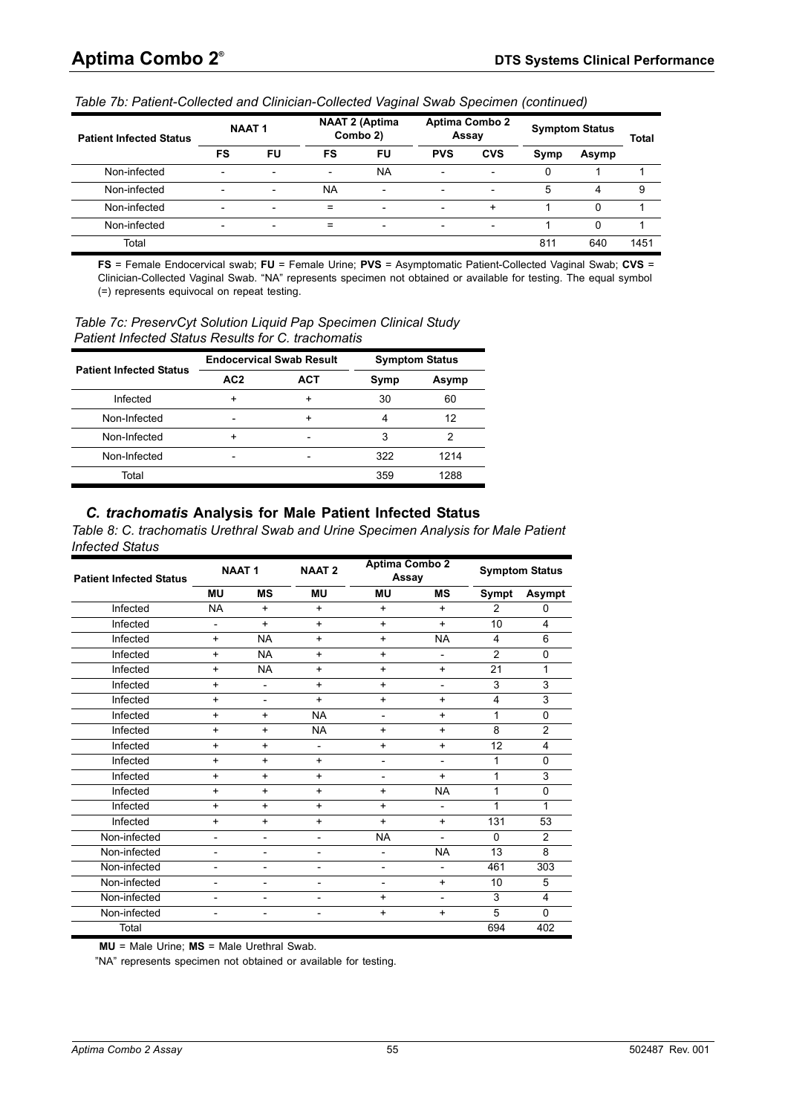| <b>Patient Infected Status</b> |                          | <b>NAAT1</b>             |           | <b>NAAT 2 (Aptima</b><br><b>Aptima Combo 2</b><br><b>Symptom Status</b><br>Combo 2)<br>Assay |                          |                          | <b>Total</b> |          |      |
|--------------------------------|--------------------------|--------------------------|-----------|----------------------------------------------------------------------------------------------|--------------------------|--------------------------|--------------|----------|------|
|                                | FS                       | FU                       | FS        | FU                                                                                           | <b>PVS</b>               | <b>CVS</b>               | Symp         | Asymp    |      |
| Non-infected                   | $\overline{\phantom{0}}$ |                          | -         | <b>NA</b>                                                                                    | $\overline{\phantom{0}}$ | $\overline{\phantom{a}}$ | 0            |          |      |
| Non-infected                   | $\overline{\phantom{0}}$ | $\overline{\phantom{0}}$ | <b>NA</b> | $\overline{\phantom{0}}$                                                                     | $\overline{\phantom{0}}$ | $\overline{\phantom{a}}$ | 5            | 4        | 9    |
| Non-infected                   | $\overline{\phantom{0}}$ | $\overline{\phantom{0}}$ | $=$       | $\overline{\phantom{0}}$                                                                     | $\overline{\phantom{0}}$ | $\ddot{}$                |              | $\Omega$ |      |
| Non-infected                   | $\overline{\phantom{0}}$ |                          | $=$       | $\overline{\phantom{0}}$                                                                     | $\overline{\phantom{0}}$ | $\overline{\phantom{a}}$ |              | 0        |      |
| Total                          |                          |                          |           |                                                                                              |                          |                          | 811          | 640      | 1451 |

*Table 7b: Patient-Collected and Clinician-Collected Vaginal Swab Specimen (continued)*

**FS** = Female Endocervical swab; **FU** = Female Urine; **PVS** = Asymptomatic Patient-Collected Vaginal Swab; **CVS** = Clinician-Collected Vaginal Swab. "NA" represents specimen not obtained or available for testing. The equal symbol (=) represents equivocal on repeat testing.

<span id="page-54-0"></span>*Table 7c: PreservCyt Solution Liquid Pap Specimen Clinical Study Patient Infected Status Results for C. trachomatis*

| <b>Patient Infected Status</b> |                 | <b>Endocervical Swab Result</b> |      | <b>Symptom Status</b> |
|--------------------------------|-----------------|---------------------------------|------|-----------------------|
|                                | AC <sub>2</sub> | ACT                             | Symp | Asymp                 |
| Infected                       | +               |                                 | 30   | 60                    |
| Non-Infected                   | -               |                                 | 4    | 12                    |
| Non-Infected                   |                 |                                 | 3    |                       |
| Non-Infected                   |                 |                                 | 322  | 1214                  |
| Total                          |                 |                                 | 359  | 1288                  |

#### *C. trachomatis* **Analysis for Male Patient Infected Status**

<span id="page-54-1"></span>*Table 8: C. trachomatis Urethral Swab and Urine Specimen Analysis for Male Patient Infected Status*

| <b>Patient Infected Status</b> |                              | <b>NAAT1</b>             | <b>NAAT2</b>             | Aptima Combo 2<br>Assay  |                          |                | <b>Symptom Status</b>   |
|--------------------------------|------------------------------|--------------------------|--------------------------|--------------------------|--------------------------|----------------|-------------------------|
|                                | <b>MU</b>                    | <b>MS</b>                | <b>MU</b>                | MU                       | <b>MS</b>                | Sympt          | Asympt                  |
| Infected                       | <b>NA</b>                    | $+$                      | $+$                      | $\ddot{}$                | $\ddot{}$                | $\overline{2}$ | $\Omega$                |
| Infected                       | $\overline{\phantom{a}}$     | $+$                      | $+$                      | $\ddot{}$                | $\ddot{}$                | 10             | $\overline{4}$          |
| Infected                       | $\ddot{}$                    | <b>NA</b>                | $+$                      | $\ddot{}$                | <b>NA</b>                | 4              | 6                       |
| Infected                       | $\ddot{}$                    | <b>NA</b>                | $\ddot{}$                | $\ddot{}$                | $\overline{\phantom{a}}$ | $\overline{2}$ | $\mathbf 0$             |
| Infected                       | $\ddot{}$                    | <b>NA</b>                | $\ddot{}$                | $\ddot{}$                | $\ddot{}$                | 21             | 1                       |
| Infected                       | $\ddot{}$                    | $\overline{\phantom{a}}$ | $\ddot{}$                | $\ddot{}$                | $\overline{\phantom{a}}$ | 3              | 3                       |
| Infected                       | $\ddot{}$                    | $\overline{\phantom{0}}$ | $\ddot{}$                | $\ddot{}$                | $\ddot{}$                | 4              | 3                       |
| Infected                       | $+$                          | +                        | <b>NA</b>                | $\overline{\phantom{a}}$ | $+$                      | 1              | 0                       |
| Infected                       | $+$                          | $+$                      | <b>NA</b>                | $\ddot{}$                | $+$                      | 8              | $\overline{2}$          |
| Infected                       | $+$                          | $+$                      | $\overline{\phantom{a}}$ | $\ddot{}$                | $+$                      | 12             | 4                       |
| Infected                       | $+$                          | $+$                      | $+$                      | $\overline{\phantom{a}}$ | $\overline{\phantom{a}}$ | 1              | 0                       |
| Infected                       | $\ddot{}$                    | $+$                      | $+$                      | $\overline{\phantom{a}}$ | $+$                      | 1              | 3                       |
| Infected                       | $+$                          | $+$                      | $+$                      | $\ddot{}$                | <b>NA</b>                | 1              | 0                       |
| Infected                       | $\ddot{}$                    | $+$                      | $+$                      | $\ddot{}$                | $\overline{a}$           | 1              | 1                       |
| Infected                       | $+$                          | $+$                      | $+$                      | $\ddot{}$                | $+$                      | 131            | 53                      |
| Non-infected                   | $\overline{\phantom{0}}$     | $\overline{\phantom{0}}$ | $\overline{\phantom{0}}$ | <b>NA</b>                | $\overline{\phantom{0}}$ | $\Omega$       | $\overline{2}$          |
| Non-infected                   | $\overline{\phantom{0}}$     | $\overline{\phantom{0}}$ | $\overline{\phantom{0}}$ | $\overline{a}$           | <b>NA</b>                | 13             | 8                       |
| Non-infected                   |                              |                          |                          | $\overline{\phantom{0}}$ | $\overline{a}$           | 461            | 303                     |
| Non-infected                   |                              |                          |                          | $\overline{\phantom{a}}$ | $\ddot{}$                | 10             | 5                       |
| Non-infected                   |                              |                          |                          | $\pmb{+}$                |                          | 3              | $\overline{\mathbf{4}}$ |
| Non-infected                   | $\qquad \qquad \blacksquare$ | $\overline{\phantom{a}}$ | $\overline{a}$           | $\ddot{}$                | $\ddot{}$                | 5              | $\mathbf{0}$            |
| Total                          |                              |                          |                          |                          |                          | 694            | 402                     |

**MU** = Male Urine; **MS** = Male Urethral Swab.

"NA" represents specimen not obtained or available for testing.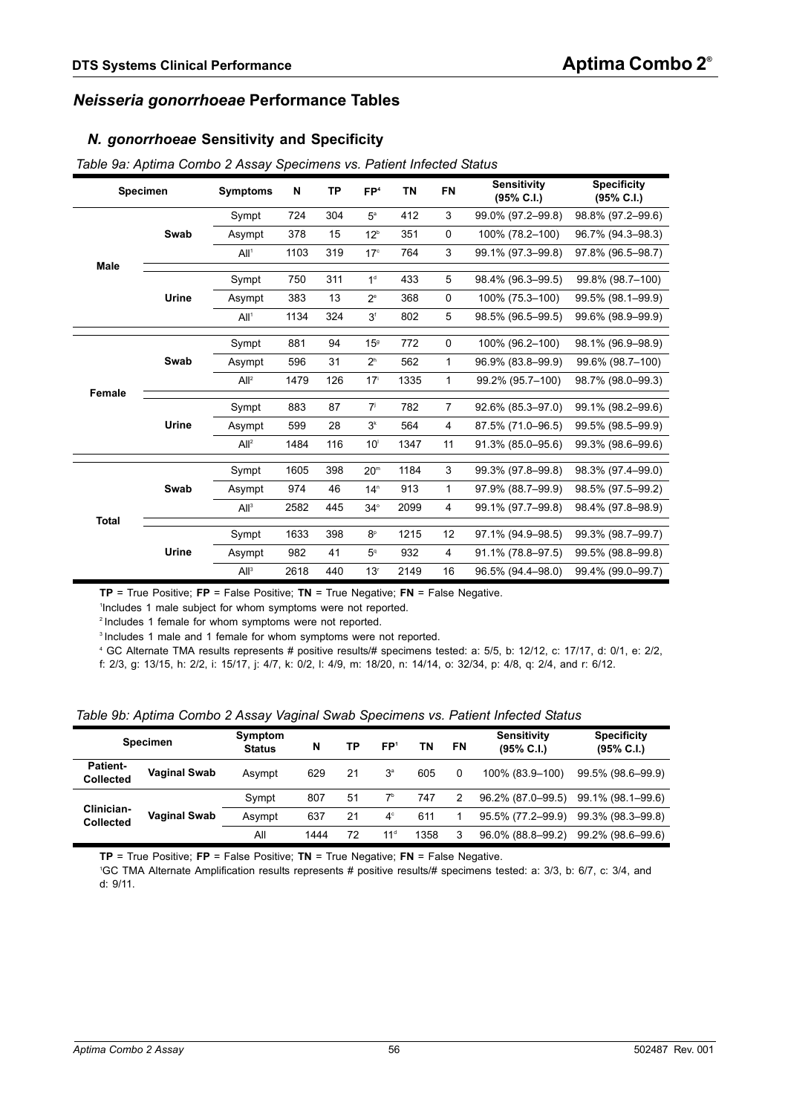### *Neisseria gonorrhoeae* **Performance Tables**

#### *N. gonorrhoeae* **Sensitivity and Specificity**

| <b>Specimen</b> |        | <b>Symptoms</b>  | N    | <b>TP</b>                                                                                                                                                                                                                                                                                                                                                                                                                                                                                                                                                                                                                                                                                   | FP <sup>4</sup> | <b>TN</b>         | <b>FN</b> | <b>Sensitivity</b><br>(95% C.I.) | <b>Specificity</b><br>$(95\% \text{ C.I.})$ |
|-----------------|--------|------------------|------|---------------------------------------------------------------------------------------------------------------------------------------------------------------------------------------------------------------------------------------------------------------------------------------------------------------------------------------------------------------------------------------------------------------------------------------------------------------------------------------------------------------------------------------------------------------------------------------------------------------------------------------------------------------------------------------------|-----------------|-------------------|-----------|----------------------------------|---------------------------------------------|
|                 |        | Sympt            | 724  | 304                                                                                                                                                                                                                                                                                                                                                                                                                                                                                                                                                                                                                                                                                         | $5^{\circ}$     | 412               | 3         | 99.0% (97.2-99.8)                | 98.8% (97.2-99.6)                           |
|                 | Swab   | Asympt           | 378  | 15<br>12 <sup>b</sup><br>$\mathbf 0$<br>351<br>3<br>319<br>764<br>17 <sup>c</sup><br>1 <sup>d</sup><br>311<br>433<br>5<br>13<br>0<br>$2^e$<br>368<br>5<br>324<br>3 <sup>f</sup><br>802<br>94<br>772<br>$\mathbf 0$<br>15 <sup>9</sup><br>31<br>2 <sup>h</sup><br>562<br>1<br>1<br>126<br>17 <sup>i</sup><br>1335<br>$\overline{7}$<br>87<br>7 <sup>j</sup><br>782<br>28<br>3 <sup>k</sup><br>564<br>4<br>116<br>10 <sup>1</sup><br>1347<br>11<br>398<br>20 <sup>m</sup><br>1184<br>3<br>46<br>913<br>1<br>14 <sup>n</sup><br>2099<br>445<br>4<br>$34^\circ$<br>398<br>1215<br>12<br>8 <sup>p</sup><br>932<br>41<br>5 <sup>q</sup><br>$\overline{4}$<br>440<br>2149<br>16<br>13 <sup>r</sup> | 100% (78.2-100) | 96.7% (94.3-98.3) |           |                                  |                                             |
|                 |        | All <sup>1</sup> | 1103 |                                                                                                                                                                                                                                                                                                                                                                                                                                                                                                                                                                                                                                                                                             |                 |                   |           | 99.1% (97.3-99.8)                | 97.8% (96.5-98.7)                           |
| <b>Male</b>     |        | Sympt            | 750  |                                                                                                                                                                                                                                                                                                                                                                                                                                                                                                                                                                                                                                                                                             |                 |                   |           | 98.4% (96.3-99.5)                | 99.8% (98.7-100)                            |
|                 | Urine  | Asympt           | 383  |                                                                                                                                                                                                                                                                                                                                                                                                                                                                                                                                                                                                                                                                                             |                 |                   |           | 100% (75.3-100)                  | 99.5% (98.1-99.9)                           |
|                 |        | All <sup>1</sup> | 1134 |                                                                                                                                                                                                                                                                                                                                                                                                                                                                                                                                                                                                                                                                                             |                 |                   |           | 98.5% (96.5-99.5)                | 99.6% (98.9-99.9)                           |
|                 |        | Sympt            | 881  |                                                                                                                                                                                                                                                                                                                                                                                                                                                                                                                                                                                                                                                                                             |                 |                   |           | 100% (96.2-100)                  | 98.1% (96.9-98.9)                           |
|                 | Swab   | Asympt           | 596  |                                                                                                                                                                                                                                                                                                                                                                                                                                                                                                                                                                                                                                                                                             |                 |                   |           | 96.9% (83.8-99.9)                | 99.6% (98.7-100)                            |
|                 |        | All <sup>2</sup> | 1479 |                                                                                                                                                                                                                                                                                                                                                                                                                                                                                                                                                                                                                                                                                             |                 |                   |           | 99.2% (95.7-100)                 | 98.7% (98.0-99.3)                           |
|                 | Female | Sympt            | 883  |                                                                                                                                                                                                                                                                                                                                                                                                                                                                                                                                                                                                                                                                                             |                 |                   |           | 92.6% (85.3-97.0)                | 99.1% (98.2-99.6)                           |
|                 | Urine  | Asympt           | 599  |                                                                                                                                                                                                                                                                                                                                                                                                                                                                                                                                                                                                                                                                                             |                 |                   |           | 87.5% (71.0-96.5)                | 99.5% (98.5-99.9)                           |
|                 |        | All <sup>2</sup> | 1484 |                                                                                                                                                                                                                                                                                                                                                                                                                                                                                                                                                                                                                                                                                             |                 |                   |           | 91.3% (85.0-95.6)                | 99.3% (98.6-99.6)                           |
|                 |        | Sympt            | 1605 |                                                                                                                                                                                                                                                                                                                                                                                                                                                                                                                                                                                                                                                                                             |                 |                   |           | 99.3% (97.8-99.8)                | 98.3% (97.4-99.0)                           |
|                 | Swab   | Asympt           | 974  |                                                                                                                                                                                                                                                                                                                                                                                                                                                                                                                                                                                                                                                                                             |                 |                   |           | 97.9% (88.7-99.9)                | 98.5% (97.5-99.2)                           |
|                 |        | All <sup>3</sup> | 2582 |                                                                                                                                                                                                                                                                                                                                                                                                                                                                                                                                                                                                                                                                                             |                 |                   |           | 99.1% (97.7-99.8)                | 98.4% (97.8-98.9)                           |
| <b>Total</b>    |        | Sympt            | 1633 |                                                                                                                                                                                                                                                                                                                                                                                                                                                                                                                                                                                                                                                                                             |                 |                   |           | 97.1% (94.9-98.5)                | 99.3% (98.7-99.7)                           |
|                 | Urine  | Asympt           | 982  |                                                                                                                                                                                                                                                                                                                                                                                                                                                                                                                                                                                                                                                                                             |                 |                   |           | 91.1% (78.8-97.5)                | 99.5% (98.8-99.8)                           |
|                 |        | All <sup>3</sup> | 2618 |                                                                                                                                                                                                                                                                                                                                                                                                                                                                                                                                                                                                                                                                                             |                 |                   |           | 96.5% (94.4-98.0)                | 99.4% (99.0-99.7)                           |

<span id="page-55-0"></span>*Table 9a: Aptima Combo 2 Assay Specimens vs. Patient Infected Status*

**TP** = True Positive; **FP** = False Positive; **TN** = True Negative; **FN** = False Negative.

1 Includes 1 male subject for whom symptoms were not reported.

2 Includes 1 female for whom symptoms were not reported.

<sup>3</sup> Includes 1 male and 1 female for whom symptoms were not reported.

4 GC Alternate TMA results represents # positive results/# specimens tested: a: 5/5, b: 12/12, c: 17/17, d: 0/1, e: 2/2, f: 2/3, g: 13/15, h: 2/2, i: 15/17, j: 4/7, k: 0/2, l: 4/9, m: 18/20, n: 14/14, o: 32/34, p: 4/8, q: 2/4, and r: 6/12.

<span id="page-55-1"></span>

| <b>Specimen</b>                     |                     | Symptom<br><b>Status</b> | N    |    | FP1<br>ΤN<br>ΤP |      | FN | Sensitivity<br>$(95\% \text{ C.1})$ | <b>Specificity</b><br>$(95\% \, C.I.)$ |
|-------------------------------------|---------------------|--------------------------|------|----|-----------------|------|----|-------------------------------------|----------------------------------------|
| <b>Patient-</b><br><b>Collected</b> | <b>Vaginal Swab</b> | Asympt                   | 629  | 21 | 3 <sup>a</sup>  | 605  | 0  | 100% (83.9-100)                     | 99.5% (98.6-99.9)                      |
|                                     |                     | Sympt                    | 807  | 51 | $7^{\rm b}$     | 747  | 2  | 96.2% (87.0-99.5)                   | 99.1% (98.1-99.6)                      |
| Clinician-<br><b>Collected</b>      | <b>Vaginal Swab</b> | Asympt                   | 637  | 21 | $4^\circ$       | 611  |    | 95.5% (77.2-99.9)                   | 99.3% (98.3-99.8)                      |
|                                     |                     | All                      | 1444 | 72 | 11 <sup>d</sup> | 1358 | 3  | 96.0% (88.8-99.2)                   | 99.2% (98.6-99.6)                      |

**TP** = True Positive; **FP** = False Positive; **TN** = True Negative; **FN** = False Negative.

1 GC TMA Alternate Amplification results represents # positive results/# specimens tested: a: 3/3, b: 6/7, c: 3/4, and d: 9/11.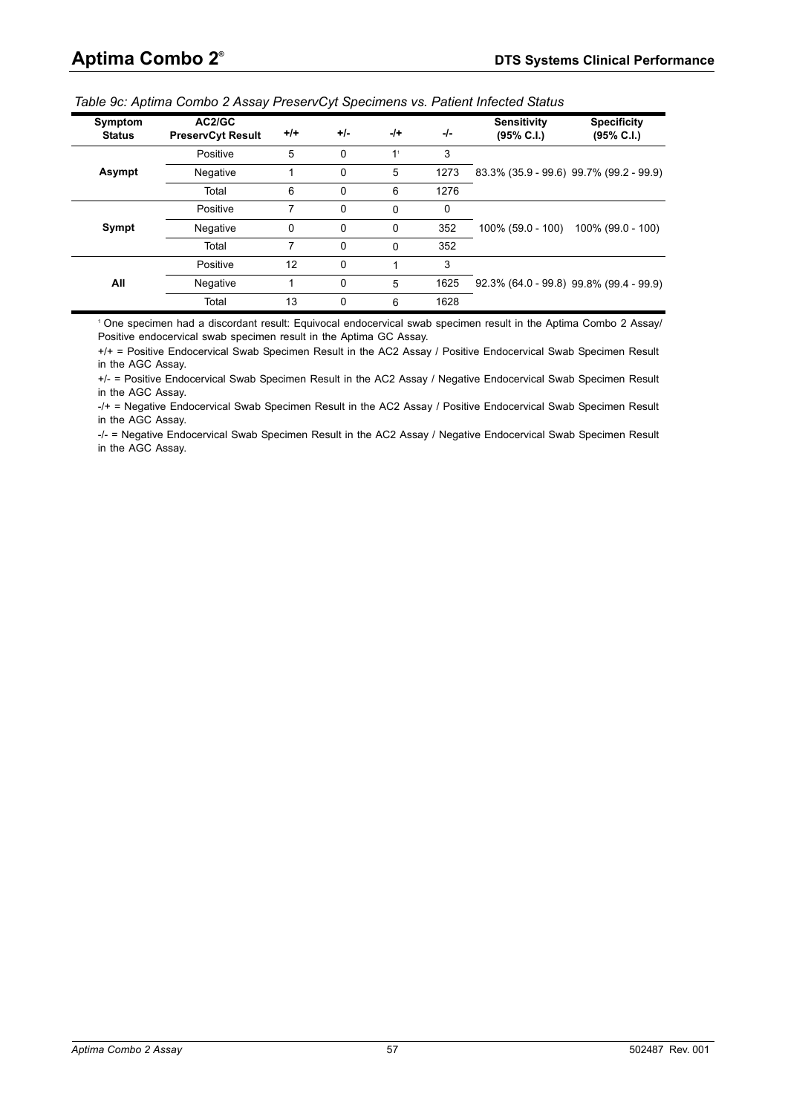| Symptom<br><b>Status</b> | AC2/GC<br><b>PreservCyt Result</b> | $+/-$ | $+/-$    | $-1+$          | -/-  | <b>Sensitivity</b><br>(95% C.I.)           | <b>Specificity</b><br>$(95\% \text{ C.I.})$ |
|--------------------------|------------------------------------|-------|----------|----------------|------|--------------------------------------------|---------------------------------------------|
|                          | Positive                           | 5     | 0        | 1 <sup>1</sup> | 3    |                                            |                                             |
| Asympt                   | Negative                           |       | 0        | 5              | 1273 | 83.3% (35.9 - 99.6) 99.7% (99.2 - 99.9)    |                                             |
|                          | Total                              | 6     | 0        | 6              | 1276 |                                            |                                             |
|                          | Positive                           |       | $\Omega$ | $\Omega$       | 0    |                                            |                                             |
| Sympt                    | Negative                           | 0     | 0        | $\Omega$       | 352  | 100% (59.0 - 100)                          | 100% (99.0 - 100)                           |
|                          | Total                              | 7     | $\Omega$ | $\Omega$       | 352  |                                            |                                             |
|                          | Positive                           | 12    | 0        |                | 3    |                                            |                                             |
| All                      | Negative                           |       | 0        | 5              | 1625 | $92.3\%$ (64.0 - 99.8) 99.8% (99.4 - 99.9) |                                             |
|                          | Total                              | 13    | $\Omega$ | 6              | 1628 |                                            |                                             |

<span id="page-56-0"></span>*Table 9c: Aptima Combo 2 Assay PreservCyt Specimens vs. Patient Infected Status*

1 One specimen had a discordant result: Equivocal endocervical swab specimen result in the Aptima Combo 2 Assay/ Positive endocervical swab specimen result in the Aptima GC Assay.

+/+ = Positive Endocervical Swab Specimen Result in the AC2 Assay / Positive Endocervical Swab Specimen Result in the AGC Assay.

+/- = Positive Endocervical Swab Specimen Result in the AC2 Assay / Negative Endocervical Swab Specimen Result in the AGC Assay.

-/+ = Negative Endocervical Swab Specimen Result in the AC2 Assay / Positive Endocervical Swab Specimen Result in the AGC Assay.

-/- = Negative Endocervical Swab Specimen Result in the AC2 Assay / Negative Endocervical Swab Specimen Result in the AGC Assay.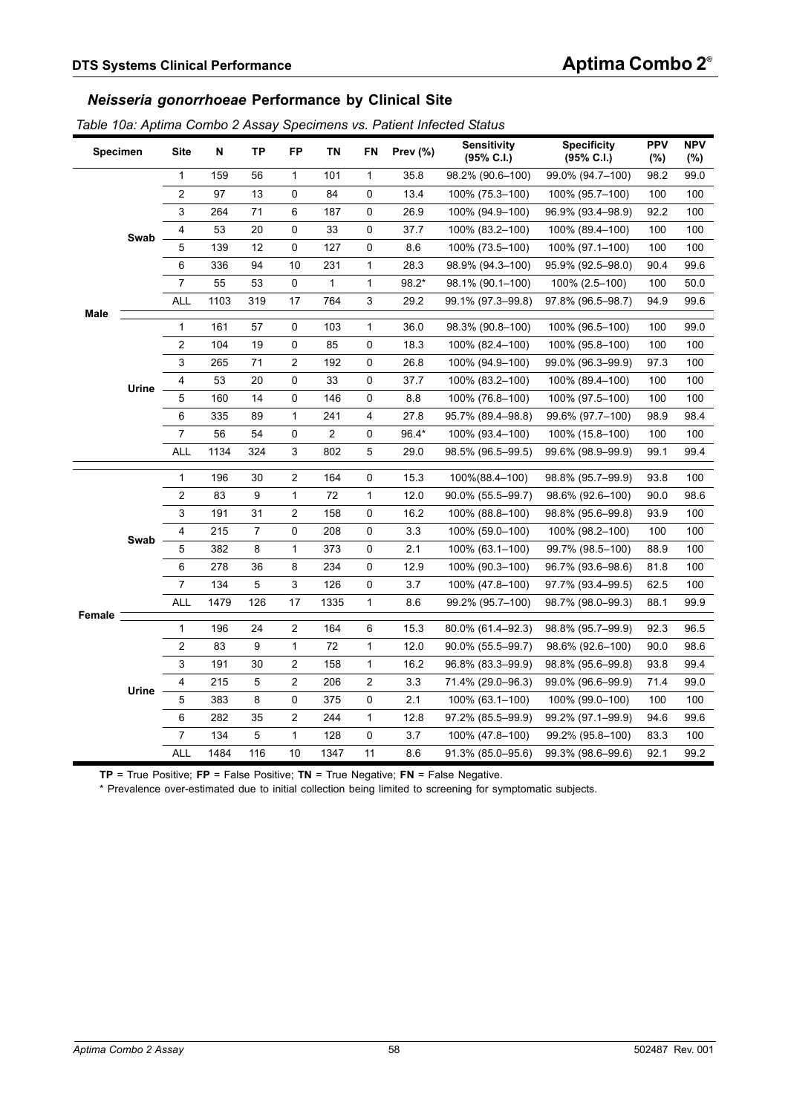#### *Neisseria gonorrhoeae* **Performance by Clinical Site**

<span id="page-57-0"></span>

|  |  |  | Table 10a: Aptima Combo 2 Assay Specimens vs. Patient Infected Status |  |  |
|--|--|--|-----------------------------------------------------------------------|--|--|
|  |  |  |                                                                       |  |  |

|                                                                                                                                                                                                                                                                                                                                                                                                                                                                                                                                                                                                                                                                                                                                                                                                                                                                                                                                                                                                                                                                                                                                                                                                                                                                                                                                                                                                                                                                                                                                                                                                                                                                                                                                                                                                                                                         | <b>Site</b>      | N                 | TP   | <b>FP</b> | <b>TN</b> | FN           | Prev $(\%)$ | <b>Sensitivity</b><br>(95% C.I.) | <b>Specificity</b><br>$(95\% \text{ C.1})$ | <b>PPV</b><br>(%) | <b>NPV</b><br>(%) |
|---------------------------------------------------------------------------------------------------------------------------------------------------------------------------------------------------------------------------------------------------------------------------------------------------------------------------------------------------------------------------------------------------------------------------------------------------------------------------------------------------------------------------------------------------------------------------------------------------------------------------------------------------------------------------------------------------------------------------------------------------------------------------------------------------------------------------------------------------------------------------------------------------------------------------------------------------------------------------------------------------------------------------------------------------------------------------------------------------------------------------------------------------------------------------------------------------------------------------------------------------------------------------------------------------------------------------------------------------------------------------------------------------------------------------------------------------------------------------------------------------------------------------------------------------------------------------------------------------------------------------------------------------------------------------------------------------------------------------------------------------------------------------------------------------------------------------------------------------------|------------------|-------------------|------|-----------|-----------|--------------|-------------|----------------------------------|--------------------------------------------|-------------------|-------------------|
|                                                                                                                                                                                                                                                                                                                                                                                                                                                                                                                                                                                                                                                                                                                                                                                                                                                                                                                                                                                                                                                                                                                                                                                                                                                                                                                                                                                                                                                                                                                                                                                                                                                                                                                                                                                                                                                         | $\mathbf{1}$     | 159               | 56   | 1         | 101       | $\mathbf{1}$ | 35.8        | 98.2% (90.6-100)                 | 99.0% (94.7-100)                           | 98.2              | 99.0              |
|                                                                                                                                                                                                                                                                                                                                                                                                                                                                                                                                                                                                                                                                                                                                                                                                                                                                                                                                                                                                                                                                                                                                                                                                                                                                                                                                                                                                                                                                                                                                                                                                                                                                                                                                                                                                                                                         | $\boldsymbol{2}$ | 97                | 13   | 0         | 84        | 0            | 13.4        | 100% (75.3–100)                  | 100% (95.7–100)                            | 100               | 100               |
| <b>Specimen</b><br>71<br>3<br>264<br>6<br>187<br>26.9<br>0<br>4<br>53<br>0<br>33<br>37.7<br>20<br>0<br>Swab<br>5<br>139<br>12<br>0<br>127<br>0<br>8.6<br>336<br>94<br>10<br>$\mathbf{1}$<br>28.3<br>6<br>231<br>$\overline{7}$<br>55<br>53<br>0<br>1<br>$98.2*$<br>1<br><b>ALL</b><br>319<br>17<br>1103<br>764<br>3<br>29.2<br>Male<br>$\mathbf{1}$<br>161<br>57<br>$\pmb{0}$<br>103<br>$\mathbf{1}$<br>36.0<br>$\overline{\mathbf{c}}$<br>0<br>104<br>19<br>85<br>0<br>18.3<br>2<br>3<br>265<br>71<br>192<br>26.8<br>0<br>0<br>4<br>53<br>20<br>33<br>0<br>37.7<br>Urine<br>5<br>160<br>14<br>0<br>146<br>8.8<br>0<br>335<br>$\mathbf{1}$<br>27.8<br>6<br>89<br>241<br>4<br>$\overline{7}$<br>56<br>54<br>0<br>2<br>0<br>96.4*<br><b>ALL</b><br>3<br>1134<br>324<br>802<br>5<br>29.0<br>$\mathbf{1}$<br>196<br>$\overline{\mathbf{c}}$<br>15.3<br>30<br>164<br>0<br>$\overline{\mathbf{c}}$<br>9<br>$\mathbf{1}$<br>72<br>83<br>$\mathbf{1}$<br>12.0<br>3<br>31<br>2<br>191<br>158<br>16.2<br>0<br>$\overline{7}$<br>0<br>4<br>215<br>0<br>3.3<br>208<br>Swab<br>5<br>8<br>$\mathbf 1$<br>382<br>2.1<br>373<br>0<br>8<br>6<br>278<br>36<br>234<br>0<br>12.9<br>$\overline{7}$<br>$\overline{5}$<br>3<br>134<br>126<br>0<br>3.7<br><b>ALL</b><br>17<br>1479<br>126<br>$\mathbf{1}$<br>1335<br>8.6<br><b>Female</b><br>$\mathbf{1}$<br>196<br>24<br>$\overline{\mathbf{c}}$<br>164<br>6<br>15.3<br>$\overline{\mathbf{c}}$<br>9<br>$\mathbf{1}$<br>83<br>72<br>$\mathbf{1}$<br>12.0<br>3<br>2<br>191<br>30<br>158<br>16.2<br>1<br>5<br>2<br>4<br>215<br>$\overline{c}$<br>3.3<br>206<br>Urine<br>5<br>383<br>8<br>0<br>375<br>0<br>2.1<br>282<br>$\overline{\mathbf{c}}$<br>6<br>35<br>244<br>$\mathbf{1}$<br>12.8<br>$\overline{7}$<br>$\overline{5}$<br>$\mathbf{1}$<br>134<br>128<br>0<br>3.7<br><b>ALL</b><br>1484<br>116<br>10<br>11<br>1347<br>8.6 | 100% (94.9-100)  | 96.9% (93.4-98.9) | 92.2 | 100       |           |              |             |                                  |                                            |                   |                   |
|                                                                                                                                                                                                                                                                                                                                                                                                                                                                                                                                                                                                                                                                                                                                                                                                                                                                                                                                                                                                                                                                                                                                                                                                                                                                                                                                                                                                                                                                                                                                                                                                                                                                                                                                                                                                                                                         |                  |                   |      |           |           |              |             | 100% (83.2-100)                  | 100% (89.4-100)                            | 100               | 100               |
|                                                                                                                                                                                                                                                                                                                                                                                                                                                                                                                                                                                                                                                                                                                                                                                                                                                                                                                                                                                                                                                                                                                                                                                                                                                                                                                                                                                                                                                                                                                                                                                                                                                                                                                                                                                                                                                         |                  |                   |      |           |           |              |             | 100% (73.5-100)                  | 100% (97.1-100)                            | 100               | 100               |
|                                                                                                                                                                                                                                                                                                                                                                                                                                                                                                                                                                                                                                                                                                                                                                                                                                                                                                                                                                                                                                                                                                                                                                                                                                                                                                                                                                                                                                                                                                                                                                                                                                                                                                                                                                                                                                                         |                  |                   |      |           |           |              |             | 98.9% (94.3-100)                 | 95.9% (92.5-98.0)                          | 90.4              | 99.6              |
|                                                                                                                                                                                                                                                                                                                                                                                                                                                                                                                                                                                                                                                                                                                                                                                                                                                                                                                                                                                                                                                                                                                                                                                                                                                                                                                                                                                                                                                                                                                                                                                                                                                                                                                                                                                                                                                         |                  |                   |      |           |           |              |             | 98.1% (90.1-100)                 | 100% (2.5-100)                             | 100               | 50.0              |
|                                                                                                                                                                                                                                                                                                                                                                                                                                                                                                                                                                                                                                                                                                                                                                                                                                                                                                                                                                                                                                                                                                                                                                                                                                                                                                                                                                                                                                                                                                                                                                                                                                                                                                                                                                                                                                                         |                  |                   |      |           |           |              |             | 99.1% (97.3-99.8)                | 97.8% (96.5-98.7)                          | 94.9              | 99.6              |
|                                                                                                                                                                                                                                                                                                                                                                                                                                                                                                                                                                                                                                                                                                                                                                                                                                                                                                                                                                                                                                                                                                                                                                                                                                                                                                                                                                                                                                                                                                                                                                                                                                                                                                                                                                                                                                                         |                  |                   |      |           |           |              |             | 98.3% (90.8-100)                 | 100% (96.5–100)                            | 100               | 99.0              |
|                                                                                                                                                                                                                                                                                                                                                                                                                                                                                                                                                                                                                                                                                                                                                                                                                                                                                                                                                                                                                                                                                                                                                                                                                                                                                                                                                                                                                                                                                                                                                                                                                                                                                                                                                                                                                                                         |                  |                   |      |           |           |              |             | 100% (82.4-100)                  | 100% (95.8-100)                            | 100               | 100               |
|                                                                                                                                                                                                                                                                                                                                                                                                                                                                                                                                                                                                                                                                                                                                                                                                                                                                                                                                                                                                                                                                                                                                                                                                                                                                                                                                                                                                                                                                                                                                                                                                                                                                                                                                                                                                                                                         |                  |                   |      |           |           |              |             | 100% (94.9-100)                  | 99.0% (96.3-99.9)                          | 97.3              | 100               |
|                                                                                                                                                                                                                                                                                                                                                                                                                                                                                                                                                                                                                                                                                                                                                                                                                                                                                                                                                                                                                                                                                                                                                                                                                                                                                                                                                                                                                                                                                                                                                                                                                                                                                                                                                                                                                                                         |                  |                   |      |           |           |              |             | 100% (83.2-100)                  | 100% (89.4-100)                            | 100               | 100               |
|                                                                                                                                                                                                                                                                                                                                                                                                                                                                                                                                                                                                                                                                                                                                                                                                                                                                                                                                                                                                                                                                                                                                                                                                                                                                                                                                                                                                                                                                                                                                                                                                                                                                                                                                                                                                                                                         |                  |                   |      |           |           |              |             | 100% (76.8-100)                  | 100% (97.5-100)                            | 100               | 100               |
|                                                                                                                                                                                                                                                                                                                                                                                                                                                                                                                                                                                                                                                                                                                                                                                                                                                                                                                                                                                                                                                                                                                                                                                                                                                                                                                                                                                                                                                                                                                                                                                                                                                                                                                                                                                                                                                         |                  |                   |      |           |           |              |             | 95.7% (89.4-98.8)                | 99.6% (97.7-100)                           | 98.9              | 98.4              |
|                                                                                                                                                                                                                                                                                                                                                                                                                                                                                                                                                                                                                                                                                                                                                                                                                                                                                                                                                                                                                                                                                                                                                                                                                                                                                                                                                                                                                                                                                                                                                                                                                                                                                                                                                                                                                                                         |                  |                   |      |           |           |              |             | 100% (93.4-100)                  | 100% (15.8-100)                            | 100               | 100               |
|                                                                                                                                                                                                                                                                                                                                                                                                                                                                                                                                                                                                                                                                                                                                                                                                                                                                                                                                                                                                                                                                                                                                                                                                                                                                                                                                                                                                                                                                                                                                                                                                                                                                                                                                                                                                                                                         |                  |                   |      |           |           |              |             | 98.5% (96.5–99.5)                | 99.6% (98.9-99.9)                          | 99.1              | 99.4              |
|                                                                                                                                                                                                                                                                                                                                                                                                                                                                                                                                                                                                                                                                                                                                                                                                                                                                                                                                                                                                                                                                                                                                                                                                                                                                                                                                                                                                                                                                                                                                                                                                                                                                                                                                                                                                                                                         |                  |                   |      |           |           |              |             | 100%(88.4-100)                   | 98.8% (95.7-99.9)                          | 93.8              | 100               |
|                                                                                                                                                                                                                                                                                                                                                                                                                                                                                                                                                                                                                                                                                                                                                                                                                                                                                                                                                                                                                                                                                                                                                                                                                                                                                                                                                                                                                                                                                                                                                                                                                                                                                                                                                                                                                                                         |                  |                   |      |           |           |              |             | 90.0% (55.5-99.7)                | 98.6% (92.6-100)                           | 90.0              | 98.6              |
|                                                                                                                                                                                                                                                                                                                                                                                                                                                                                                                                                                                                                                                                                                                                                                                                                                                                                                                                                                                                                                                                                                                                                                                                                                                                                                                                                                                                                                                                                                                                                                                                                                                                                                                                                                                                                                                         |                  |                   |      |           |           |              |             | 100% (88.8-100)                  | 98.8% (95.6-99.8)                          | 93.9              | 100               |
|                                                                                                                                                                                                                                                                                                                                                                                                                                                                                                                                                                                                                                                                                                                                                                                                                                                                                                                                                                                                                                                                                                                                                                                                                                                                                                                                                                                                                                                                                                                                                                                                                                                                                                                                                                                                                                                         |                  |                   |      |           |           |              |             | 100% (59.0-100)                  | 100% (98.2-100)                            | 100               | 100               |
|                                                                                                                                                                                                                                                                                                                                                                                                                                                                                                                                                                                                                                                                                                                                                                                                                                                                                                                                                                                                                                                                                                                                                                                                                                                                                                                                                                                                                                                                                                                                                                                                                                                                                                                                                                                                                                                         |                  |                   |      |           |           |              |             | 100% (63.1-100)                  | 99.7% (98.5-100)                           | 88.9              | 100               |
|                                                                                                                                                                                                                                                                                                                                                                                                                                                                                                                                                                                                                                                                                                                                                                                                                                                                                                                                                                                                                                                                                                                                                                                                                                                                                                                                                                                                                                                                                                                                                                                                                                                                                                                                                                                                                                                         |                  |                   |      |           |           |              |             | 100% (90.3-100)                  | 96.7% (93.6-98.6)                          | 81.8              | 100               |
|                                                                                                                                                                                                                                                                                                                                                                                                                                                                                                                                                                                                                                                                                                                                                                                                                                                                                                                                                                                                                                                                                                                                                                                                                                                                                                                                                                                                                                                                                                                                                                                                                                                                                                                                                                                                                                                         |                  |                   |      |           |           |              |             | 100% (47.8-100)                  | 97.7% (93.4-99.5)                          | 62.5              | 100               |
|                                                                                                                                                                                                                                                                                                                                                                                                                                                                                                                                                                                                                                                                                                                                                                                                                                                                                                                                                                                                                                                                                                                                                                                                                                                                                                                                                                                                                                                                                                                                                                                                                                                                                                                                                                                                                                                         |                  |                   |      |           |           |              |             | 99.2% (95.7-100)                 | 98.7% (98.0-99.3)                          | 88.1              | 99.9              |
|                                                                                                                                                                                                                                                                                                                                                                                                                                                                                                                                                                                                                                                                                                                                                                                                                                                                                                                                                                                                                                                                                                                                                                                                                                                                                                                                                                                                                                                                                                                                                                                                                                                                                                                                                                                                                                                         |                  |                   |      |           |           |              |             | 80.0% (61.4-92.3)                | 98.8% (95.7-99.9)                          | 92.3              | 96.5              |
|                                                                                                                                                                                                                                                                                                                                                                                                                                                                                                                                                                                                                                                                                                                                                                                                                                                                                                                                                                                                                                                                                                                                                                                                                                                                                                                                                                                                                                                                                                                                                                                                                                                                                                                                                                                                                                                         |                  |                   |      |           |           |              |             | 90.0% (55.5-99.7)                | 98.6% (92.6-100)                           | 90.0              | 98.6              |
|                                                                                                                                                                                                                                                                                                                                                                                                                                                                                                                                                                                                                                                                                                                                                                                                                                                                                                                                                                                                                                                                                                                                                                                                                                                                                                                                                                                                                                                                                                                                                                                                                                                                                                                                                                                                                                                         |                  |                   |      |           |           |              |             | 96.8% (83.3-99.9)                | 98.8% (95.6-99.8)                          | 93.8              | 99.4              |
|                                                                                                                                                                                                                                                                                                                                                                                                                                                                                                                                                                                                                                                                                                                                                                                                                                                                                                                                                                                                                                                                                                                                                                                                                                                                                                                                                                                                                                                                                                                                                                                                                                                                                                                                                                                                                                                         |                  |                   |      |           |           |              |             | 71.4% (29.0-96.3)                | 99.0% (96.6-99.9)                          | 71.4              | 99.0              |
|                                                                                                                                                                                                                                                                                                                                                                                                                                                                                                                                                                                                                                                                                                                                                                                                                                                                                                                                                                                                                                                                                                                                                                                                                                                                                                                                                                                                                                                                                                                                                                                                                                                                                                                                                                                                                                                         |                  |                   |      |           |           |              |             | 100% (63.1-100)                  | 100% (99.0-100)                            | 100               | 100               |
|                                                                                                                                                                                                                                                                                                                                                                                                                                                                                                                                                                                                                                                                                                                                                                                                                                                                                                                                                                                                                                                                                                                                                                                                                                                                                                                                                                                                                                                                                                                                                                                                                                                                                                                                                                                                                                                         |                  |                   |      |           |           |              |             | 97.2% (85.5-99.9)                | 99.2% (97.1-99.9)                          | 94.6              | 99.6              |
|                                                                                                                                                                                                                                                                                                                                                                                                                                                                                                                                                                                                                                                                                                                                                                                                                                                                                                                                                                                                                                                                                                                                                                                                                                                                                                                                                                                                                                                                                                                                                                                                                                                                                                                                                                                                                                                         |                  |                   |      |           |           |              |             | 100% (47.8-100)                  | 99.2% (95.8-100)                           | 83.3              | 100               |
|                                                                                                                                                                                                                                                                                                                                                                                                                                                                                                                                                                                                                                                                                                                                                                                                                                                                                                                                                                                                                                                                                                                                                                                                                                                                                                                                                                                                                                                                                                                                                                                                                                                                                                                                                                                                                                                         |                  |                   |      |           |           |              |             | 91.3% (85.0-95.6)                | 99.3% (98.6-99.6)                          | 92.1              | 99.2              |

**TP** = True Positive; **FP** = False Positive; **TN** = True Negative; **FN** = False Negative.

\* Prevalence over-estimated due to initial collection being limited to screening for symptomatic subjects.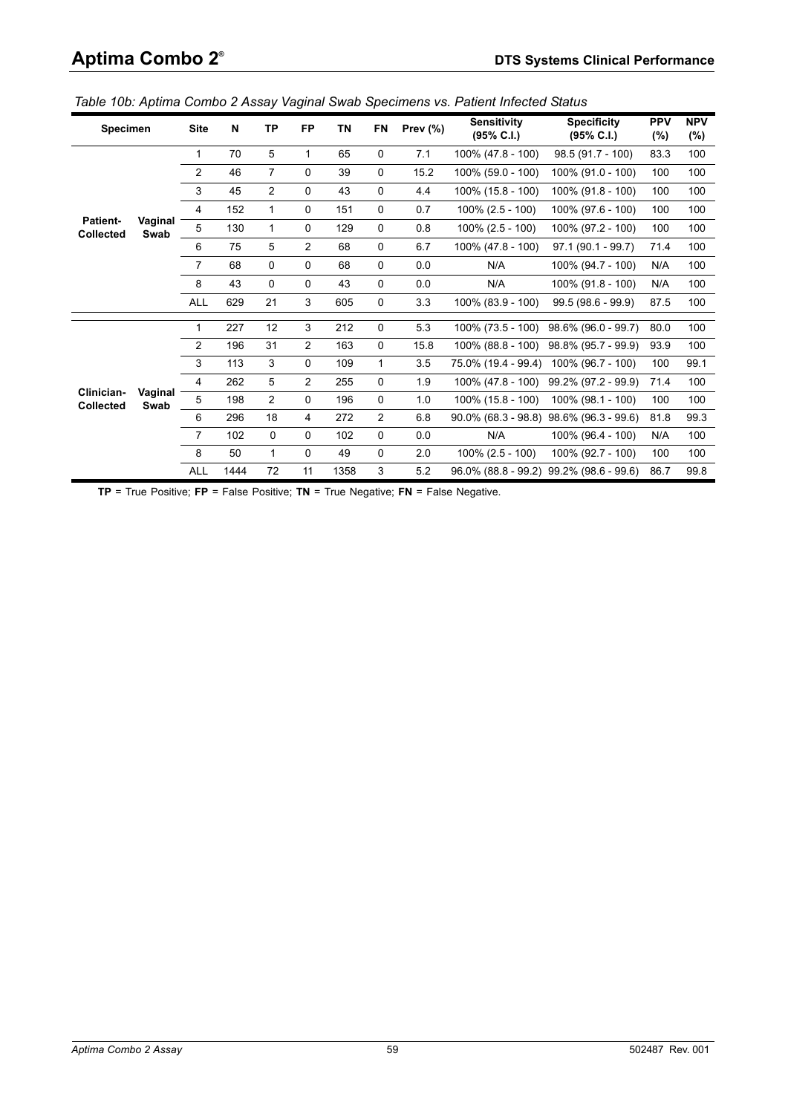| Specimen                            |                 | <b>Site</b>    | N    | TP             | <b>FP</b>      | ΤN   | <b>FN</b>      | Prev $(\%)$ | <b>Sensitivity</b><br>(95% C.I.) | <b>Specificity</b><br>$(95\% \text{ C.1})$ | <b>PPV</b><br>(%) | <b>NPV</b><br>$(\%)$ |
|-------------------------------------|-----------------|----------------|------|----------------|----------------|------|----------------|-------------|----------------------------------|--------------------------------------------|-------------------|----------------------|
|                                     |                 | $\mathbf{1}$   | 70   | 5              | $\mathbf{1}$   | 65   | 0              | 7.1         | 100% (47.8 - 100)                | $98.5(91.7 - 100)$                         | 83.3              | 100                  |
|                                     |                 | 2              | 46   | $\overline{7}$ | 0              | 39   | $\mathbf 0$    | 15.2        | 100% (59.0 - 100)                | 100% (91.0 - 100)                          | 100               | 100                  |
|                                     |                 | 3              | 45   | $\overline{2}$ | 0              | 43   | $\mathbf 0$    | 4.4         | 100% (15.8 - 100)                | 100% (91.8 - 100)                          | 100               | 100                  |
|                                     |                 | $\overline{4}$ | 152  | $\mathbf{1}$   | 0              | 151  | 0              | 0.7         | $100\%$ (2.5 - 100)              | 100% (97.6 - 100)                          | 100               | 100                  |
| <b>Patient-</b><br><b>Collected</b> | Vaginal<br>Swab | 5              | 130  | $\mathbf{1}$   | 0              | 129  | 0              | 0.8         | $100\%$ (2.5 - 100)              | 100% (97.2 - 100)                          | 100               | 100                  |
|                                     |                 | 6              | 75   | 5              | $\overline{2}$ | 68   | 0              | 6.7         | 100% (47.8 - 100)                | $97.1(90.1 - 99.7)$                        | 71.4              | 100                  |
|                                     |                 | $\overline{7}$ | 68   | 0              | 0              | 68   | $\mathbf 0$    | 0.0         | N/A                              | 100% (94.7 - 100)                          | N/A               | 100                  |
|                                     |                 | 8              | 43   | 0              | 0              | 43   | 0              | 0.0         | N/A                              | 100% (91.8 - 100)                          | N/A               | 100                  |
|                                     |                 | <b>ALL</b>     | 629  | 21             | 3              | 605  | 0              | 3.3         | 100% (83.9 - 100)                | $99.5(98.6 - 99.9)$                        | 87.5              | 100                  |
|                                     |                 | $\mathbf{1}$   | 227  | 12             | 3              | 212  | 0              | 5.3         | 100% (73.5 - 100)                | $98.6\%$ (96.0 - 99.7)                     | 80.0              | 100                  |
|                                     |                 | 2              | 196  | 31             | $\overline{2}$ | 163  | $\mathbf 0$    | 15.8        | 100% (88.8 - 100)                | 98.8% (95.7 - 99.9)                        | 93.9              | 100                  |
|                                     |                 | 3              | 113  | 3              | 0              | 109  | 1              | 3.5         | 75.0% (19.4 - 99.4)              | 100% (96.7 - 100)                          | 100               | 99.1                 |
|                                     |                 | $\overline{4}$ | 262  | 5              | $\overline{2}$ | 255  | $\mathbf 0$    | 1.9         | 100% (47.8 - 100)                | 99.2% (97.2 - 99.9)                        | 71.4              | 100                  |
| Clinician-<br>Collected             | Vaginal<br>Swab | 5              | 198  | $\overline{2}$ | 0              | 196  | $\mathbf 0$    | 1.0         | 100% (15.8 - 100)                | 100% (98.1 - 100)                          | 100               | 100                  |
|                                     |                 | 6              | 296  | 18             | 4              | 272  | $\overline{2}$ | 6.8         |                                  | 90.0% (68.3 - 98.8) 98.6% (96.3 - 99.6)    | 81.8              | 99.3                 |
|                                     |                 | $\overline{7}$ | 102  | 0              | 0              | 102  | 0              | 0.0         | N/A                              | 100% (96.4 - 100)                          | N/A               | 100                  |
|                                     |                 | 8              | 50   | $\mathbf{1}$   | 0              | 49   | 0              | 2.0         | $100\%$ (2.5 - 100)              | 100% (92.7 - 100)                          | 100               | 100                  |
|                                     |                 | <b>ALL</b>     | 1444 | 72             | 11             | 1358 | 3              | 5.2         |                                  | 96.0% (88.8 - 99.2) 99.2% (98.6 - 99.6)    | 86.7              | 99.8                 |

<span id="page-58-0"></span>*Table 10b: Aptima Combo 2 Assay Vaginal Swab Specimens vs. Patient Infected Status*

**TP** = True Positive; **FP** = False Positive; **TN** = True Negative; **FN** = False Negative.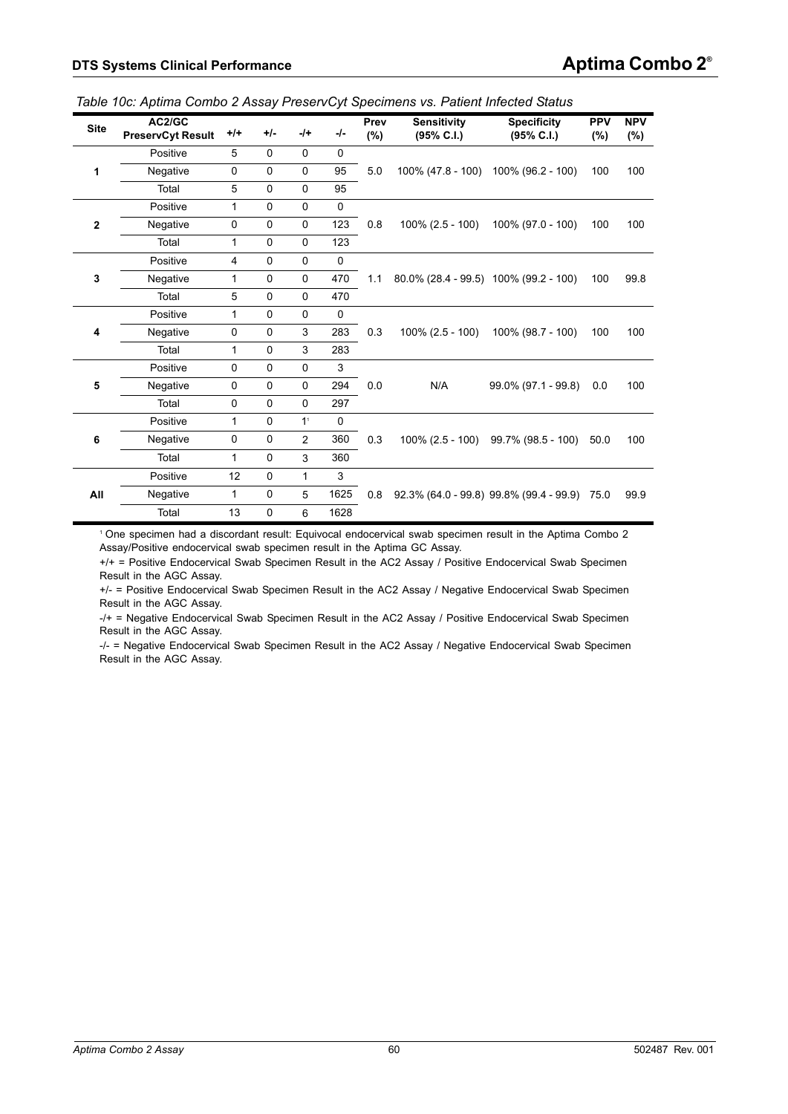| <b>Site</b> | AC2/GC<br><b>PreservCyt Result</b> | $+/+$          | $+/-$       | $-$ /+         | -/-         | Prev<br>(%) | <b>Sensitivity</b><br>(95% C.I.)      | <b>Specificity</b><br>(95% C.I.)             | <b>PPV</b><br>$(\%)$ | <b>NPV</b><br>(%) |
|-------------|------------------------------------|----------------|-------------|----------------|-------------|-------------|---------------------------------------|----------------------------------------------|----------------------|-------------------|
|             | Positive                           | 5              | $\mathbf 0$ | 0              | $\mathbf 0$ |             |                                       |                                              |                      |                   |
| 1           | Negative                           | $\mathbf 0$    | $\mathbf 0$ | $\mathbf 0$    | 95          | 5.0         |                                       | 100% (47.8 - 100) 100% (96.2 - 100)          | 100                  | 100               |
|             | Total                              | 5              | $\mathbf 0$ | 0              | 95          |             |                                       |                                              |                      |                   |
|             | Positive                           | 1              | $\mathbf 0$ | 0              | $\mathbf 0$ |             |                                       |                                              |                      |                   |
| $\mathbf 2$ | Negative                           | 0              | 0           | 0              | 123         | 0.8         | $100\%$ (2.5 - 100)                   | 100% (97.0 - 100)                            | 100                  | 100               |
|             | Total                              | 1              | $\mathbf 0$ | $\mathbf 0$    | 123         |             |                                       |                                              |                      |                   |
|             | Positive                           | $\overline{4}$ | $\mathbf 0$ | 0              | $\mathbf 0$ |             |                                       |                                              |                      |                   |
| 3           | Negative                           | $\mathbf{1}$   | $\mathbf 0$ | 0              | 470         | 1.1         | 80.0% (28.4 - 99.5) 100% (99.2 - 100) |                                              | 100                  | 99.8              |
|             | Total                              | 5              | $\mathbf 0$ | $\mathbf 0$    | 470         |             |                                       |                                              |                      |                   |
|             | Positive                           | 1              | $\mathbf 0$ | 0              | $\mathbf 0$ |             |                                       |                                              |                      |                   |
| 4           | Negative                           | $\mathbf 0$    | $\mathbf 0$ | 3              | 283         | 0.3         | $100\%$ (2.5 - 100)                   | 100% (98.7 - 100)                            | 100                  | 100               |
|             | Total                              | 1              | $\mathbf 0$ | 3              | 283         |             |                                       |                                              |                      |                   |
|             | Positive                           | $\mathbf 0$    | $\mathbf 0$ | 0              | $\mathsf 3$ |             |                                       |                                              |                      |                   |
| 5           | Negative                           | 0              | 0           | 0              | 294         | 0.0         | N/A                                   | 99.0% (97.1 - 99.8)                          | 0.0                  | 100               |
|             | Total                              | $\mathbf 0$    | $\mathbf 0$ | 0              | 297         |             |                                       |                                              |                      |                   |
|             | Positive                           | $\mathbf{1}$   | $\mathbf 0$ | 1 <sup>1</sup> | $\mathbf 0$ |             |                                       |                                              |                      |                   |
| 6           | Negative                           | $\pmb{0}$      | $\mathbf 0$ | $\overline{2}$ | 360         | 0.3         |                                       | 100% (2.5 - 100) 99.7% (98.5 - 100)          | 50.0                 | 100               |
|             | Total                              | 1              | $\mathbf 0$ | 3              | 360         |             |                                       |                                              |                      |                   |
|             | Positive                           | 12             | 0           | 1              | 3           |             |                                       |                                              |                      |                   |
| All         | Negative                           | 1              | 0           | 5              | 1625        | 0.8         |                                       | 92.3% (64.0 - 99.8) 99.8% (99.4 - 99.9) 75.0 |                      | 99.9              |
|             | Total                              | 13             | 0           | 6              | 1628        |             |                                       |                                              |                      |                   |

<span id="page-59-0"></span>*Table 10c: Aptima Combo 2 Assay PreservCyt Specimens vs. Patient Infected Status*

1 One specimen had a discordant result: Equivocal endocervical swab specimen result in the Aptima Combo 2 Assay/Positive endocervical swab specimen result in the Aptima GC Assay.

+/+ = Positive Endocervical Swab Specimen Result in the AC2 Assay / Positive Endocervical Swab Specimen Result in the AGC Assay.

+/- = Positive Endocervical Swab Specimen Result in the AC2 Assay / Negative Endocervical Swab Specimen Result in the AGC Assay.

-/+ = Negative Endocervical Swab Specimen Result in the AC2 Assay / Positive Endocervical Swab Specimen Result in the AGC Assay.

-/- = Negative Endocervical Swab Specimen Result in the AC2 Assay / Negative Endocervical Swab Specimen Result in the AGC Assay.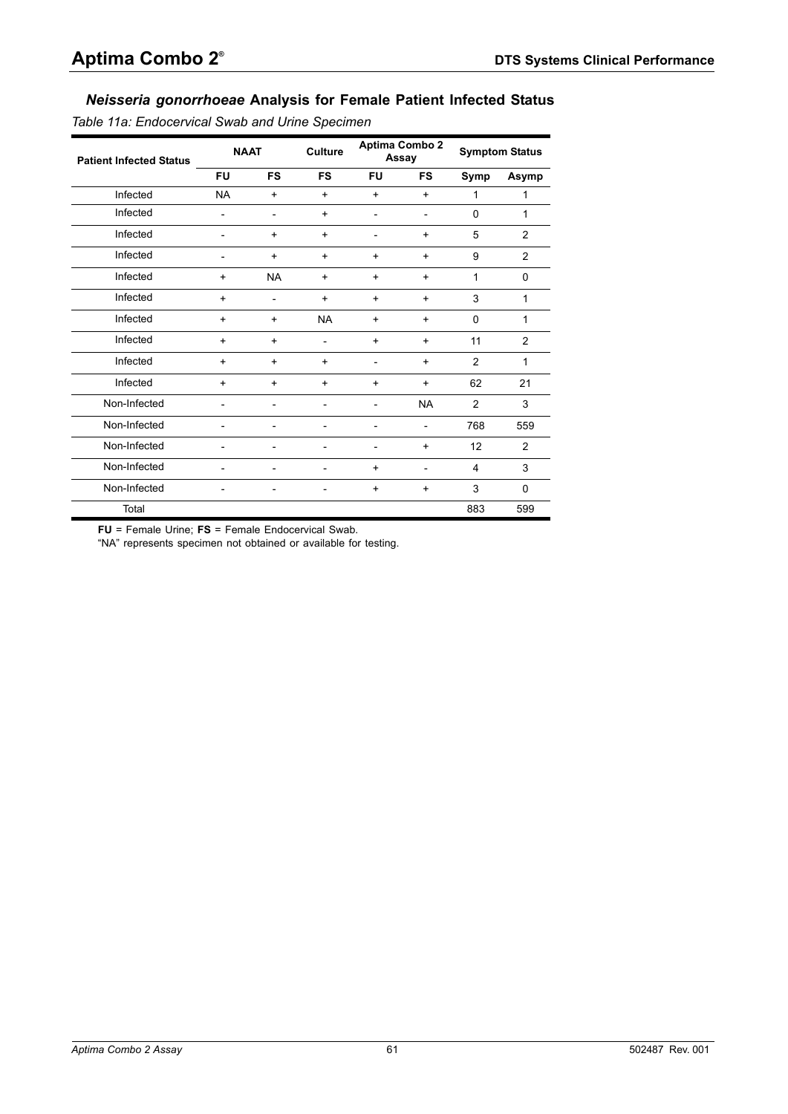# *Neisseria gonorrhoeae* **Analysis for Female Patient Infected Status**

<span id="page-60-0"></span>*Table 11a: Endocervical Swab and Urine Specimen*

| <b>Patient Infected Status</b> | <b>NAAT</b> |           | <b>Culture</b>           |                | Aptima Combo 2<br>Assay  |                | <b>Symptom Status</b> |
|--------------------------------|-------------|-----------|--------------------------|----------------|--------------------------|----------------|-----------------------|
|                                | <b>FU</b>   | <b>FS</b> | <b>FS</b>                | <b>FU</b>      | <b>FS</b>                | Symp           | Asymp                 |
| Infected                       | <b>NA</b>   | $\ddot{}$ | $+$                      | $+$            | $\ddot{}$                | 1              | 1                     |
| Infected                       |             |           | $+$                      | $\overline{a}$ | $\overline{\phantom{a}}$ | 0              | 1                     |
| Infected                       |             | $\ddot{}$ | $\ddot{}$                | -              | $\ddot{}$                | 5              | $\overline{2}$        |
| Infected                       |             | $\ddot{}$ | $\ddot{}$                | $\ddot{}$      | $\ddot{}$                | 9              | $\overline{2}$        |
| Infected                       | $\ddot{}$   | <b>NA</b> | $\ddot{}$                | $\ddot{}$      | $\ddot{}$                | 1              | $\Omega$              |
| Infected                       | $\ddot{}$   |           | $\ddot{}$                | $\ddot{}$      | $\ddot{}$                | 3              | $\mathbf{1}$          |
| Infected                       | $\ddot{}$   | $\ddot{}$ | <b>NA</b>                | $\ddot{}$      | $\ddot{}$                | $\Omega$       | 1                     |
| Infected                       | $\ddot{}$   | $\ddot{}$ | $\overline{\phantom{a}}$ | $\ddot{}$      | $\ddot{}$                | 11             | $\overline{2}$        |
| Infected                       | $\ddot{}$   | $\ddot{}$ | $\ddot{}$                | $\overline{a}$ | $\ddot{}$                | $\overline{2}$ | $\mathbf{1}$          |
| Infected                       | $\ddot{}$   | $\ddot{}$ | $\ddot{}$                | $\ddot{}$      | $\ddot{}$                | 62             | 21                    |
| Non-Infected                   |             |           |                          | -              | <b>NA</b>                | 2              | 3                     |
| Non-Infected                   |             |           |                          | $\overline{a}$ | $\overline{a}$           | 768            | 559                   |
| Non-Infected                   |             |           |                          | -              | $\ddot{}$                | 12             | $\overline{2}$        |
| Non-Infected                   |             |           |                          | $\ddot{}$      | $\overline{\phantom{0}}$ | 4              | 3                     |
| Non-Infected                   |             |           |                          | $\ddot{}$      | $\ddot{}$                | 3              | $\Omega$              |
| Total                          |             |           |                          |                |                          | 883            | 599                   |

**FU** = Female Urine; **FS** = Female Endocervical Swab.

"NA" represents specimen not obtained or available for testing.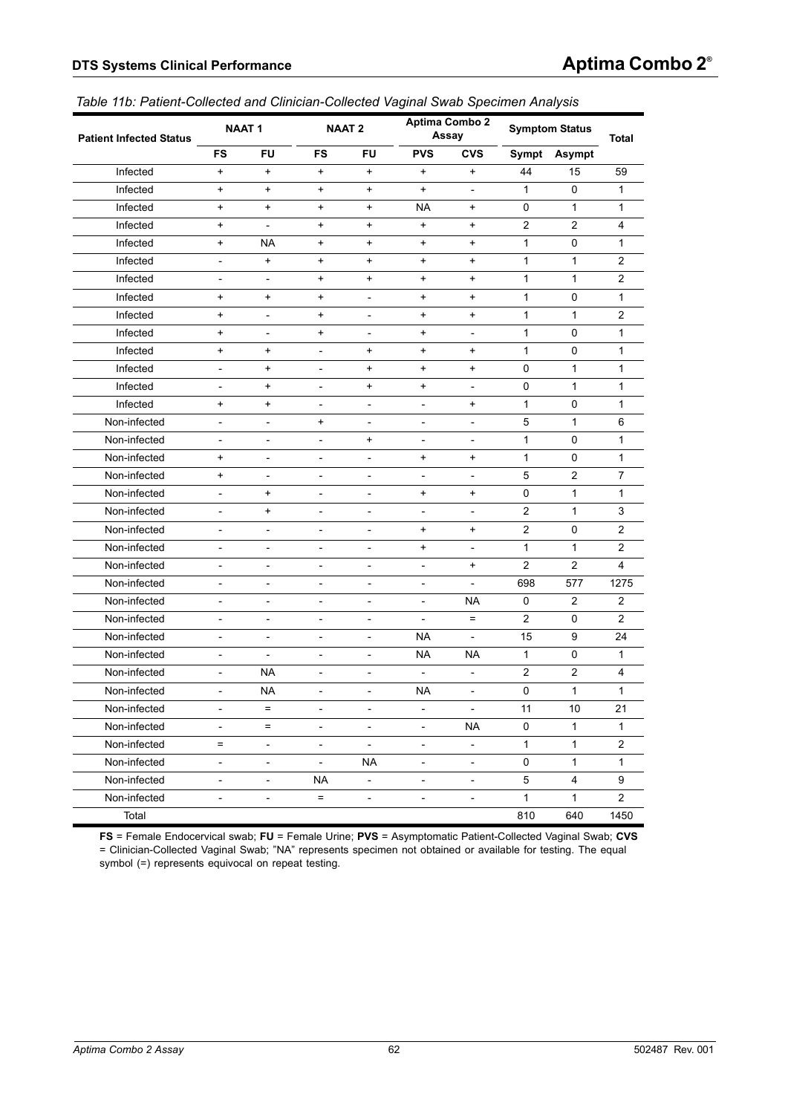<span id="page-61-0"></span>

| <b>Patient Infected Status</b> |                          | <b>NAAT1</b>             |                          | <b>NAAT 2</b>                |                              | <b>Aptima Combo 2</b><br>Assay |                | <b>Symptom Status</b> | <b>Total</b>   |
|--------------------------------|--------------------------|--------------------------|--------------------------|------------------------------|------------------------------|--------------------------------|----------------|-----------------------|----------------|
|                                | <b>FS</b>                | <b>FU</b>                | FS                       | <b>FU</b>                    | <b>PVS</b>                   | <b>CVS</b>                     |                | Sympt Asympt          |                |
| Infected                       | $+$                      | $+$                      | $\ddot{}$                | $\ddot{}$                    | $\ddot{}$                    | $\ddot{}$                      | 44             | 15                    | 59             |
| Infected                       | $+$                      | $+$                      | +                        | $\ddot{}$                    | $\ddot{}$                    | $\blacksquare$                 | $\mathbf{1}$   | 0                     | 1              |
| Infected                       | $+$                      | $+$                      | $\ddot{}$                | $\ddot{}$                    | <b>NA</b>                    | $\ddot{}$                      | 0              | $\mathbf{1}$          | $\mathbf{1}$   |
| Infected                       | $\ddot{}$                | $\overline{\phantom{a}}$ | +                        | $\ddot{}$                    | $\ddot{}$                    | $\ddot{}$                      | $\overline{2}$ | $\overline{2}$        | 4              |
| Infected                       | $+$                      | <b>NA</b>                | $\ddot{}$                | $\ddot{}$                    | $\ddot{}$                    | $\ddot{}$                      | 1              | $\Omega$              | $\mathbf{1}$   |
| Infected                       | $\overline{a}$           | $\ddot{}$                | $\ddot{}$                | $\ddot{}$                    | $\ddot{}$                    | $\ddot{}$                      | $\mathbf{1}$   | $\mathbf{1}$          | $\overline{2}$ |
| Infected                       | $\overline{\phantom{0}}$ | $\overline{\phantom{a}}$ | $\ddot{}$                | $\ddot{}$                    | $\ddot{}$                    | $\ddot{}$                      | 1              | $\mathbf{1}$          | 2              |
| Infected                       | $\ddot{}$                | $\ddot{}$                | $\ddot{}$                | $\overline{\phantom{a}}$     | $\ddot{}$                    | $\ddot{}$                      | 1              | 0                     | 1              |
| Infected                       | $\ddot{}$                | $\overline{a}$           | $\ddot{}$                | $\overline{\phantom{a}}$     | $\ddot{}$                    | $\ddot{}$                      | 1              | $\mathbf{1}$          | 2              |
| Infected                       | $\ddot{}$                | $\overline{a}$           | $\ddot{}$                | $\overline{\phantom{a}}$     | $\ddot{}$                    | $\overline{\phantom{a}}$       | 1              | 0                     | $\mathbf{1}$   |
| Infected                       | $\ddot{}$                | $\ddot{}$                | $\overline{\phantom{a}}$ | $\ddot{}$                    | $\ddot{}$                    | $\ddot{}$                      | 1              | 0                     | 1              |
| Infected                       | $\overline{\phantom{0}}$ | $\ddot{}$                | $\overline{\phantom{a}}$ | $\ddot{}$                    | $\ddot{}$                    | $\ddot{}$                      | 0              | 1                     | 1              |
| Infected                       | $\overline{a}$           | $+$                      | $\overline{\phantom{a}}$ | $\ddot{}$                    | $\ddot{}$                    | $\overline{\phantom{a}}$       | 0              | $\mathbf{1}$          | $\mathbf{1}$   |
| Infected                       | $\ddot{}$                | $+$                      | $\overline{a}$           | $\overline{\phantom{a}}$     | $\overline{\phantom{a}}$     | $\ddot{}$                      | $\mathbf{1}$   | 0                     | $\mathbf{1}$   |
| Non-infected                   | $\overline{a}$           | $\overline{a}$           | $\ddot{}$                | $\overline{\phantom{0}}$     | $\overline{\phantom{a}}$     | $\overline{\phantom{a}}$       | 5              | $\mathbf{1}$          | 6              |
| Non-infected                   | $\overline{a}$           | $\overline{a}$           | $\overline{\phantom{a}}$ | $\ddot{}$                    | $\overline{a}$               | $\overline{\phantom{a}}$       | 1              | 0                     | 1              |
| Non-infected                   | $\ddot{}$                | $\overline{a}$           | $\overline{a}$           | $\overline{a}$               | $\ddot{}$                    | $\ddot{}$                      | 1              | $\Omega$              | 1              |
| Non-infected                   | $\ddot{}$                | $\overline{a}$           | $\overline{\phantom{a}}$ | $\overline{a}$               | $\overline{a}$               | $\overline{\phantom{a}}$       | 5              | $\overline{2}$        | $\overline{7}$ |
| Non-infected                   | $\overline{a}$           | $\ddot{}$                | $\overline{\phantom{a}}$ | $\qquad \qquad \blacksquare$ | $\ddot{}$                    | $\ddot{}$                      | 0              | $\mathbf{1}$          | 1              |
| Non-infected                   | $\overline{a}$           | $\ddot{}$                | $\overline{\phantom{a}}$ | $\qquad \qquad \blacksquare$ | $\overline{a}$               | $\overline{\phantom{a}}$       | $\overline{2}$ | $\mathbf{1}$          | 3              |
| Non-infected                   | $\overline{a}$           | $\overline{a}$           | $\frac{1}{2}$            | $\overline{a}$               | $+$                          | $\ddot{}$                      | $\overline{2}$ | 0                     | 2              |
| Non-infected                   | $\overline{a}$           | $\overline{a}$           | $\overline{\phantom{a}}$ | $\overline{a}$               | $\ddot{}$                    | $\overline{a}$                 | $\mathbf{1}$   | $\mathbf{1}$          | 2              |
| Non-infected                   | $\overline{a}$           | $\overline{\phantom{0}}$ | $\overline{\phantom{a}}$ | $\qquad \qquad \blacksquare$ | $\overline{\phantom{a}}$     | $\ddot{}$                      | $\overline{2}$ | 2                     | 4              |
| Non-infected                   | $\overline{a}$           | $\overline{\phantom{0}}$ | $\overline{\phantom{a}}$ | $\qquad \qquad \blacksquare$ | $\overline{\phantom{a}}$     | $\overline{\phantom{a}}$       | 698            | 577                   | 1275           |
| Non-infected                   | $\overline{a}$           | $\overline{\phantom{0}}$ | $\overline{\phantom{a}}$ | $\qquad \qquad \blacksquare$ | $\overline{\phantom{m}}$     | <b>NA</b>                      | 0              | 2                     | 2              |
| Non-infected                   | $\overline{a}$           | $\overline{\phantom{0}}$ | $\overline{\phantom{a}}$ | $\overline{\phantom{0}}$     | $\overline{a}$               | $=$                            | $\overline{2}$ | 0                     | 2              |
| Non-infected                   | $\overline{a}$           | $\overline{\phantom{0}}$ | $\qquad \qquad -$        | $\qquad \qquad -$            | <b>NA</b>                    | $\overline{\phantom{a}}$       | 15             | 9                     | 24             |
| Non-infected                   | $\overline{a}$           | $\overline{\phantom{a}}$ | $\overline{\phantom{a}}$ | $\qquad \qquad \blacksquare$ | <b>NA</b>                    | <b>NA</b>                      | $\mathbf{1}$   | 0                     | 1              |
| Non-infected                   | $\overline{a}$           | <b>NA</b>                | $\overline{a}$           | $\overline{\phantom{0}}$     |                              |                                | $\overline{c}$ | $\overline{2}$        | 4              |
| Non-infected                   | $\overline{a}$           | NA.                      | $\overline{\phantom{a}}$ | $\overline{\phantom{0}}$     | <b>NA</b>                    | $\overline{\phantom{a}}$       | 0              | $\mathbf{1}$          | $\mathbf{1}$   |
| Non-infected                   | $\overline{\phantom{0}}$ | $=$                      | $\overline{\phantom{a}}$ | $\overline{\phantom{a}}$     | $\qquad \qquad \blacksquare$ | $\overline{\phantom{a}}$       | 11             | 10                    | 21             |
| Non-infected                   | $\overline{\phantom{a}}$ | $=$                      | $\blacksquare$           | $\equiv$                     | $\Box$                       | <b>NA</b>                      | $\mathsf{O}$   | $\mathbf{1}$          | $\mathbf{1}$   |
| Non-infected                   | $=$                      | $\overline{\phantom{a}}$ | $\overline{\phantom{a}}$ | $\equiv$                     | $\overline{\phantom{a}}$     | $\overline{\phantom{a}}$       | $\mathbf{1}$   | $\mathbf{1}$          | $\overline{2}$ |
| Non-infected                   | -                        | $\overline{\phantom{0}}$ | $\overline{\phantom{a}}$ | <b>NA</b>                    | $\overline{\phantom{a}}$     | $\overline{\phantom{a}}$       | $\pmb{0}$      | $\mathbf{1}$          | $\mathbf{1}$   |
| Non-infected                   | $\overline{\phantom{0}}$ | $\overline{\phantom{a}}$ | <b>NA</b>                | $\overline{\phantom{a}}$     | $\overline{\phantom{a}}$     | $\overline{\phantom{a}}$       | $\,$ 5 $\,$    | 4                     | 9              |
| Non-infected                   | $\overline{\phantom{0}}$ | $\overline{\phantom{0}}$ | $\equiv$                 | $\overline{\phantom{a}}$     | $\overline{\phantom{a}}$     | $\blacksquare$                 | $\mathbf{1}$   | $\mathbf{1}$          | $\overline{2}$ |
| Total                          |                          |                          |                          |                              |                              |                                | 810            | 640                   | 1450           |

**FS** = Female Endocervical swab; **FU** = Female Urine; **PVS** = Asymptomatic Patient-Collected Vaginal Swab; **CVS** = Clinician-Collected Vaginal Swab; "NA" represents specimen not obtained or available for testing. The equal symbol (=) represents equivocal on repeat testing.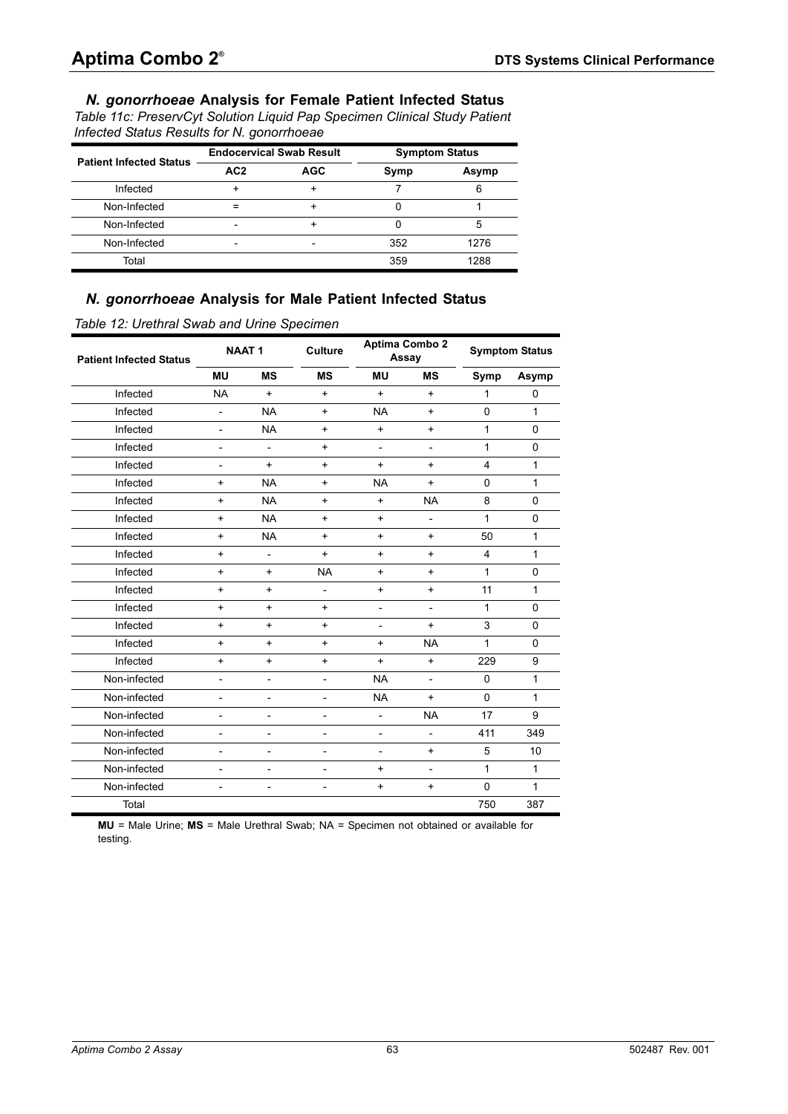### *N. gonorrhoeae* **Analysis for Female Patient Infected Status**

<span id="page-62-0"></span>*Table 11c: PreservCyt Solution Liquid Pap Specimen Clinical Study Patient Infected Status Results for N. gonorrhoeae*

| <b>Patient Infected Status</b> |                 | <b>Endocervical Swab Result</b> | <b>Symptom Status</b> |       |  |  |
|--------------------------------|-----------------|---------------------------------|-----------------------|-------|--|--|
|                                | AC <sub>2</sub> | <b>AGC</b>                      | Symp                  | Asymp |  |  |
| Infected                       |                 |                                 |                       |       |  |  |
| Non-Infected                   |                 |                                 |                       |       |  |  |
| Non-Infected                   |                 |                                 |                       | 5     |  |  |
| Non-Infected                   |                 |                                 | 352                   | 1276  |  |  |
| Total                          |                 |                                 | 359                   | 1288  |  |  |

#### *N. gonorrhoeae* **Analysis for Male Patient Infected Status**

| <b>Patient Infected Status</b> |                              | <b>NAAT1</b>                     | <b>Culture</b>           |                          | <b>Aptima Combo 2</b><br>Assay |                | <b>Symptom Status</b> |
|--------------------------------|------------------------------|----------------------------------|--------------------------|--------------------------|--------------------------------|----------------|-----------------------|
|                                | <b>MU</b>                    | <b>MS</b>                        | <b>MS</b>                | <b>MU</b>                | <b>MS</b>                      | Symp           | Asymp                 |
| Infected                       | <b>NA</b>                    | $\ddot{}$                        | $\ddot{}$                | $+$                      | $+$                            | 1              | 0                     |
| Infected                       | $\overline{\phantom{a}}$     | <b>NA</b>                        | $\ddot{}$                | <b>NA</b>                | $+$                            | $\Omega$       | 1                     |
| Infected                       | $\overline{\phantom{a}}$     | <b>NA</b>                        | $\ddot{}$                | $+$                      | $\ddot{}$                      | 1              | $\Omega$              |
| Infected                       | $\blacksquare$               | $\overline{\phantom{a}}$         | $\ddot{}$                | $\overline{\phantom{a}}$ | $\overline{\phantom{0}}$       | $\mathbf{1}$   | $\mathbf 0$           |
| Infected                       | $\overline{\phantom{m}}$     | $\ddot{}$                        | $\ddot{}$                | $+$                      | $\ddot{}$                      | $\overline{4}$ | $\mathbf{1}$          |
| Infected                       | $\ddot{}$                    | <b>NA</b>                        | $+$                      | <b>NA</b>                | $\ddot{}$                      | $\Omega$       | $\mathbf{1}$          |
| Infected                       | $\ddot{}$                    | <b>NA</b>                        | $\ddot{}$                | $+$                      | <b>NA</b>                      | 8              | 0                     |
| Infected                       | $\ddot{}$                    | <b>NA</b>                        | $\ddot{}$                | $\ddot{}$                | $\overline{\phantom{0}}$       | 1              | $\mathbf{0}$          |
| Infected                       | $\ddot{}$                    | <b>NA</b>                        | $\ddot{}$                | $\ddot{}$                | $\ddot{}$                      | 50             | $\mathbf{1}$          |
| Infected                       | $\ddot{}$                    | $\overline{\phantom{a}}$         | $+$                      | $+$                      | $\ddot{}$                      | $\overline{4}$ | $\mathbf{1}$          |
| Infected                       | $\ddot{}$                    | $\ddot{}$                        | <b>NA</b>                | $+$                      | $+$                            | 1              | $\mathbf 0$           |
| Infected                       | $\ddot{}$                    | $\ddot{}$                        | $\overline{\phantom{0}}$ | $+$                      | $+$                            | 11             | 1                     |
| Infected                       | $\ddot{}$                    | $\ddot{}$                        | $\ddot{}$                | $\overline{a}$           | $\overline{a}$                 | 1              | $\Omega$              |
| Infected                       | $\ddot{}$                    | $\ddot{}$                        | $+$                      | $\overline{a}$           | $+$                            | 3              | 0                     |
| Infected                       | $\ddot{}$                    | $\ddot{}$                        | $\ddot{}$                | $\ddot{}$                | <b>NA</b>                      | $\mathbf{1}$   | 0                     |
| Infected                       | $\ddot{}$                    | $\begin{array}{c} + \end{array}$ | $\ddot{}$                | $\ddot{}$                | $\ddot{}$                      | 229            | 9                     |
| Non-infected                   | $\overline{\phantom{a}}$     | $\overline{a}$                   | $\overline{a}$           | <b>NA</b>                | $\overline{a}$                 | $\Omega$       | 1                     |
| Non-infected                   | $\overline{a}$               | $\overline{a}$                   | $\overline{a}$           | <b>NA</b>                | $+$                            | $\Omega$       | 1                     |
| Non-infected                   | $\qquad \qquad \blacksquare$ | $\overline{a}$                   | $\overline{a}$           | $\overline{\phantom{a}}$ | <b>NA</b>                      | 17             | 9                     |
| Non-infected                   | $\qquad \qquad \blacksquare$ | -                                | $\overline{a}$           | $\overline{a}$           | $\overline{\phantom{0}}$       | 411            | 349                   |
| Non-infected                   | $\qquad \qquad \blacksquare$ | $\overline{\phantom{0}}$         | $\overline{a}$           | $\overline{\phantom{a}}$ | $\ddot{}$                      | 5              | 10                    |
| Non-infected                   | $\overline{a}$               | $\overline{a}$                   | $\overline{a}$           | $+$                      | $\overline{a}$                 | 1              | $\mathbf{1}$          |
| Non-infected                   | $\overline{\phantom{a}}$     | $\overline{\phantom{a}}$         | $\overline{\phantom{a}}$ | $\ddot{}$                | $\ddot{}$                      | $\mathbf 0$    | 1                     |
| Total                          |                              |                                  |                          |                          |                                | 750            | 387                   |

#### <span id="page-62-1"></span>*Table 12: Urethral Swab and Urine Specimen*

**MU** = Male Urine; **MS** = Male Urethral Swab; NA = Specimen not obtained or available for testing.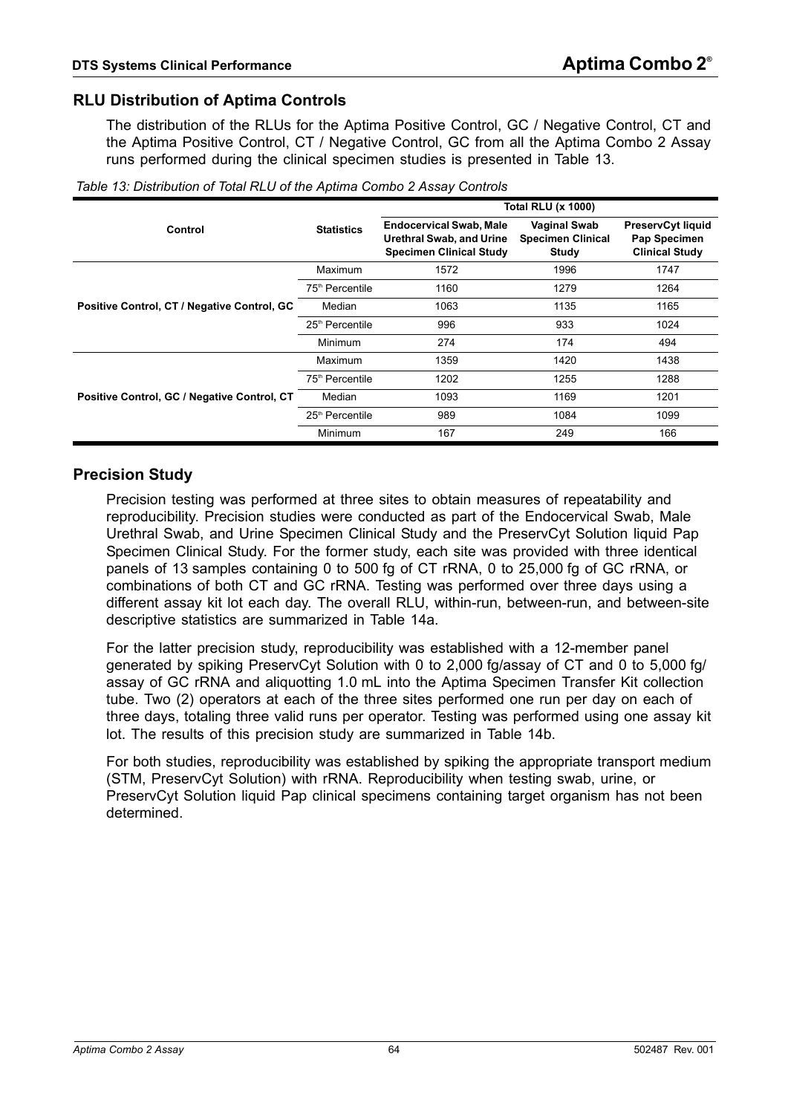### **RLU Distribution of Aptima Controls**

The distribution of the RLUs for the Aptima Positive Control, GC / Negative Control, CT and the Aptima Positive Control, CT / Negative Control, GC from all the Aptima Combo 2 Assay runs performed during the clinical specimen studies is presented in [Table 13.](#page-63-0)

|                                             |                             |                                                                                                     | <b>Total RLU (x 1000)</b>                                |                                                            |
|---------------------------------------------|-----------------------------|-----------------------------------------------------------------------------------------------------|----------------------------------------------------------|------------------------------------------------------------|
| Control                                     | <b>Statistics</b>           | <b>Endocervical Swab, Male</b><br><b>Urethral Swab, and Urine</b><br><b>Specimen Clinical Study</b> | <b>Vaginal Swab</b><br><b>Specimen Clinical</b><br>Study | PreservCyt liquid<br>Pap Specimen<br><b>Clinical Study</b> |
|                                             | Maximum                     | 1572                                                                                                | 1996                                                     | 1747                                                       |
|                                             | 75 <sup>th</sup> Percentile | 1160                                                                                                | 1279                                                     | 1264                                                       |
| Positive Control, CT / Negative Control, GC | Median                      | 1063                                                                                                | 1135                                                     | 1165                                                       |
|                                             | 25 <sup>th</sup> Percentile | 996                                                                                                 | 933                                                      | 1024                                                       |
|                                             | Minimum                     | 274                                                                                                 | 174                                                      | 494                                                        |
|                                             | Maximum                     | 1359                                                                                                | 1420                                                     | 1438                                                       |
|                                             | 75 <sup>th</sup> Percentile | 1202                                                                                                | 1255                                                     | 1288                                                       |
| Positive Control, GC / Negative Control, CT | Median                      | 1093                                                                                                | 1169                                                     | 1201                                                       |
|                                             | 25 <sup>th</sup> Percentile | 989                                                                                                 | 1084                                                     | 1099                                                       |
|                                             | Minimum                     | 167                                                                                                 | 249                                                      | 166                                                        |

<span id="page-63-0"></span>*Table 13: Distribution of Total RLU of the Aptima Combo 2 Assay Controls*

### **Precision Study**

Precision testing was performed at three sites to obtain measures of repeatability and reproducibility. Precision studies were conducted as part of the Endocervical Swab, Male Urethral Swab, and Urine Specimen Clinical Study and the PreservCyt Solution liquid Pap Specimen Clinical Study. For the former study, each site was provided with three identical panels of 13 samples containing 0 to 500 fg of CT rRNA, 0 to 25,000 fg of GC rRNA, or combinations of both CT and GC rRNA. Testing was performed over three days using a different assay kit lot each day. The overall RLU, within-run, between-run, and between-site descriptive statistics are summarized in [Table 14a](#page-64-0).

For the latter precision study, reproducibility was established with a 12-member panel generated by spiking PreservCyt Solution with 0 to 2,000 fg/assay of CT and 0 to 5,000 fg/ assay of GC rRNA and aliquotting 1.0 mL into the Aptima Specimen Transfer Kit collection tube. Two (2) operators at each of the three sites performed one run per day on each of three days, totaling three valid runs per operator. Testing was performed using one assay kit lot. The results of this precision study are summarized in [Table 14b.](#page-64-1)

For both studies, reproducibility was established by spiking the appropriate transport medium (STM, PreservCyt Solution) with rRNA. Reproducibility when testing swab, urine, or PreservCyt Solution liquid Pap clinical specimens containing target organism has not been determined.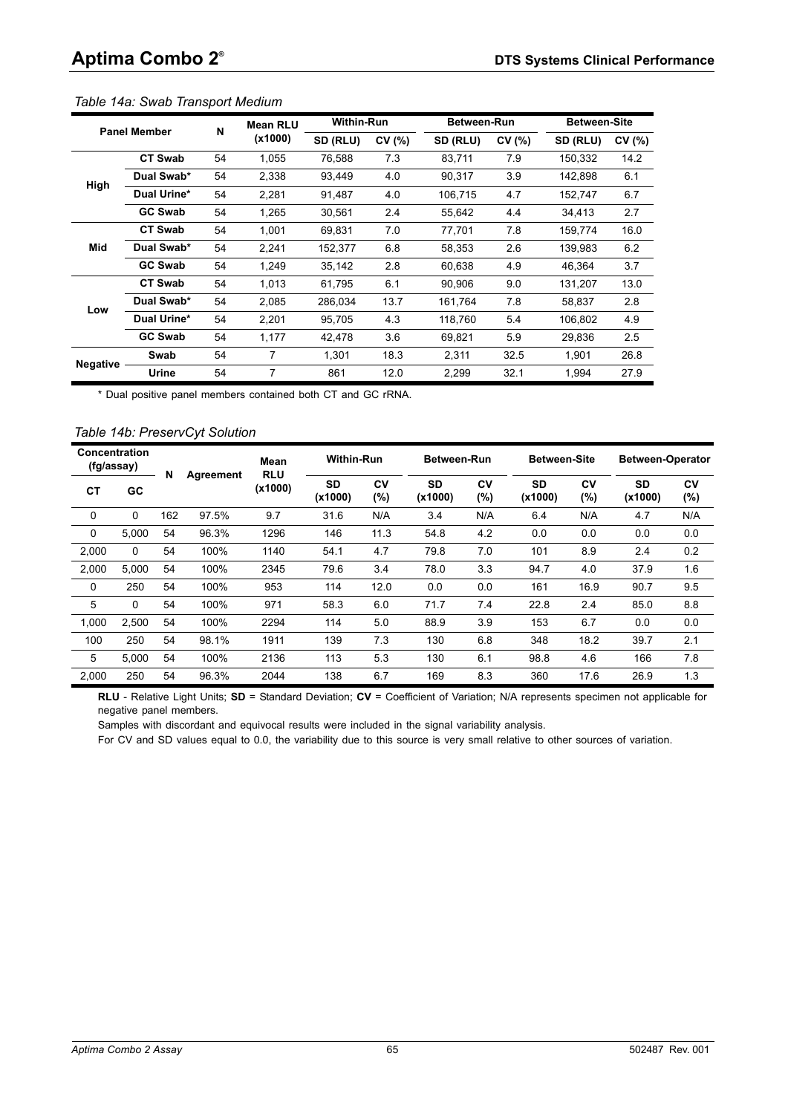|                 | <b>Panel Member</b> | N  | <b>Mean RLU</b> | <b>Within-Run</b> |       | <b>Between-Run</b> |       | <b>Between-Site</b> |       |
|-----------------|---------------------|----|-----------------|-------------------|-------|--------------------|-------|---------------------|-------|
|                 |                     |    | (x1000)         | SD (RLU)          | CV(%) | SD (RLU)           | CV(%) | SD (RLU)            | CV(%) |
|                 | <b>CT Swab</b>      | 54 | 1,055           | 76,588            | 7.3   | 83,711             | 7.9   | 150,332             | 14.2  |
| High            | Dual Swab*          | 54 | 2,338           | 93,449            | 4.0   | 90,317             | 3.9   | 142,898             | 6.1   |
|                 | Dual Urine*         | 54 | 2,281           | 91,487            | 4.0   | 106,715            | 4.7   | 152,747             | 6.7   |
|                 | <b>GC Swab</b>      | 54 | 1,265           | 30,561            | 2.4   | 55,642             | 4.4   | 34,413              | 2.7   |
|                 | <b>CT Swab</b>      | 54 | 1.001           | 69.831            | 7.0   | 77,701             | 7.8   | 159,774             | 16.0  |
| Mid             | Dual Swab*          | 54 | 2,241           | 152,377           | 6.8   | 58.353             | 2.6   | 139.983             | 6.2   |
|                 | <b>GC Swab</b>      | 54 | 1,249           | 35,142            | 2.8   | 60,638             | 4.9   | 46.364              | 3.7   |
|                 | <b>CT Swab</b>      | 54 | 1,013           | 61,795            | 6.1   | 90.906             | 9.0   | 131,207             | 13.0  |
| Low             | Dual Swab*          | 54 | 2.085           | 286,034           | 13.7  | 161,764            | 7.8   | 58.837              | 2.8   |
|                 | Dual Urine*         | 54 | 2,201           | 95,705            | 4.3   | 118,760            | 5.4   | 106,802             | 4.9   |
|                 | <b>GC Swab</b>      | 54 | 1,177           | 42,478            | 3.6   | 69,821             | 5.9   | 29,836              | 2.5   |
| <b>Negative</b> | Swab                | 54 | 7               | 1.301             | 18.3  | 2,311              | 32.5  | 1.901               | 26.8  |
|                 | Urine               | 54 | 7               | 861               | 12.0  | 2,299              | 32.1  | 1,994               | 27.9  |

#### <span id="page-64-0"></span>*Table 14a: Swab Transport Medium*

\* Dual positive panel members contained both CT and GC rRNA.

#### <span id="page-64-1"></span>*Table 14b: PreservCyt Solution*

| Concentration<br>(fg/assay) |          | N   |           | Mean<br><b>RLU</b> | <b>Within-Run</b> |              | <b>Between-Run</b>   |              | <b>Between-Site</b>  |           | <b>Between-Operator</b> |           |
|-----------------------------|----------|-----|-----------|--------------------|-------------------|--------------|----------------------|--------------|----------------------|-----------|-------------------------|-----------|
| CТ                          | GC       |     | Agreement | (x1000)            | SD<br>(x1000)     | CV<br>$(\%)$ | <b>SD</b><br>(x1000) | CV<br>$(\%)$ | <b>SD</b><br>(x1000) | CV<br>(%) | <b>SD</b><br>(x1000)    | CV<br>(%) |
| $\Omega$                    | $\Omega$ | 162 | 97.5%     | 9.7                | 31.6              | N/A          | 3.4                  | N/A          | 6.4                  | N/A       | 4.7                     | N/A       |
| $\Omega$                    | 5,000    | 54  | 96.3%     | 1296               | 146               | 11.3         | 54.8                 | 4.2          | 0.0                  | 0.0       | 0.0                     | 0.0       |
| 2,000                       | 0        | 54  | 100%      | 1140               | 54.1              | 4.7          | 79.8                 | 7.0          | 101                  | 8.9       | 2.4                     | 0.2       |
| 2,000                       | 5.000    | 54  | 100%      | 2345               | 79.6              | 3.4          | 78.0                 | 3.3          | 94.7                 | 4.0       | 37.9                    | 1.6       |
| 0                           | 250      | 54  | 100%      | 953                | 114               | 12.0         | 0.0                  | 0.0          | 161                  | 16.9      | 90.7                    | 9.5       |
| 5                           | $\Omega$ | 54  | 100%      | 971                | 58.3              | 6.0          | 71.7                 | 7.4          | 22.8                 | 2.4       | 85.0                    | 8.8       |
| 1.000                       | 2.500    | 54  | 100%      | 2294               | 114               | 5.0          | 88.9                 | 3.9          | 153                  | 6.7       | 0.0                     | 0.0       |
| 100                         | 250      | 54  | 98.1%     | 1911               | 139               | 7.3          | 130                  | 6.8          | 348                  | 18.2      | 39.7                    | 2.1       |
| 5                           | 5,000    | 54  | 100%      | 2136               | 113               | 5.3          | 130                  | 6.1          | 98.8                 | 4.6       | 166                     | 7.8       |
| 2.000                       | 250      | 54  | 96.3%     | 2044               | 138               | 6.7          | 169                  | 8.3          | 360                  | 17.6      | 26.9                    | 1.3       |

**RLU** - Relative Light Units; **SD** = Standard Deviation; **CV** = Coefficient of Variation; N/A represents specimen not applicable for negative panel members.

Samples with discordant and equivocal results were included in the signal variability analysis.

For CV and SD values equal to 0.0, the variability due to this source is very small relative to other sources of variation.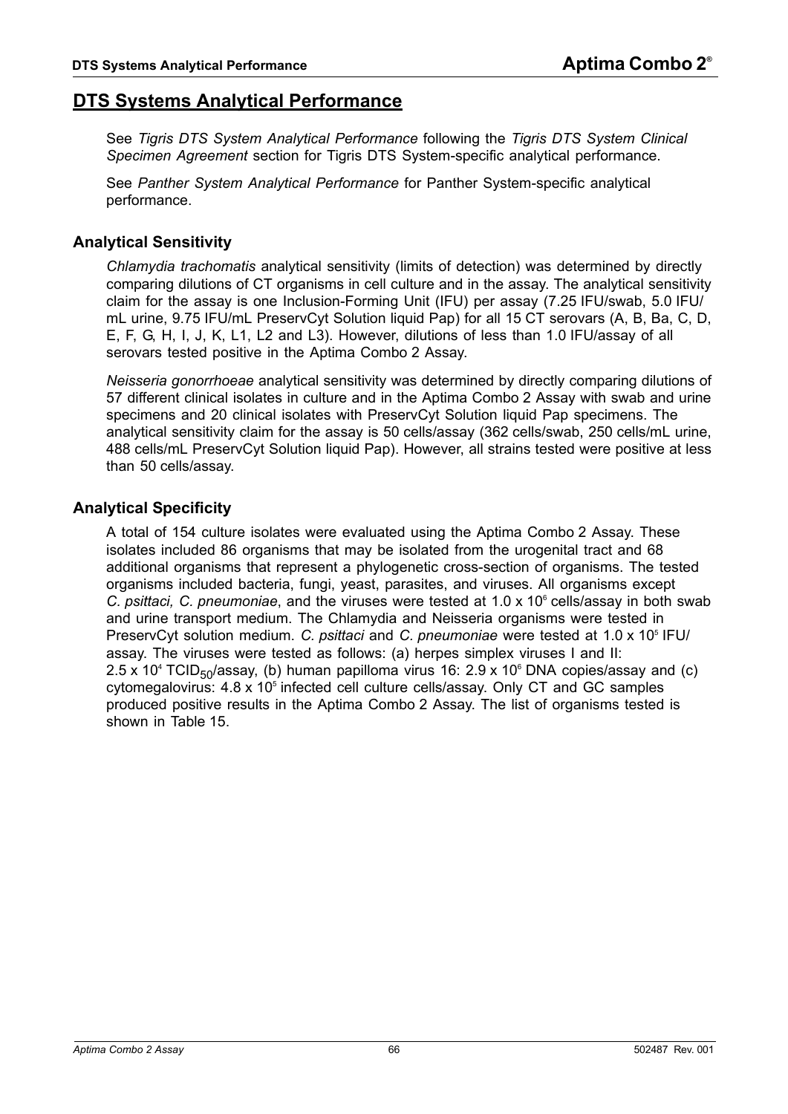# <span id="page-65-0"></span>**DTS Systems Analytical Performance**

See *[Tigris DTS System Analytical Performance](#page-75-0)* following the *[Tigris DTS System Clinical](#page-69-0)  [Specimen Agreement](#page-69-0)* section for Tigris DTS System-specific analytical performance.

See *[Panther System Analytical Performance](#page-78-0)* for Panther System-specific analytical performance.

## **Analytical Sensitivity**

*Chlamydia trachomatis* analytical sensitivity (limits of detection) was determined by directly comparing dilutions of CT organisms in cell culture and in the assay. The analytical sensitivity claim for the assay is one Inclusion-Forming Unit (IFU) per assay (7.25 IFU/swab, 5.0 IFU/ mL urine, 9.75 IFU/mL PreservCyt Solution liquid Pap) for all 15 CT serovars (A, B, Ba, C, D, E, F, G, H, I, J, K, L1, L2 and L3). However, dilutions of less than 1.0 IFU/assay of all serovars tested positive in the Aptima Combo 2 Assay.

*Neisseria gonorrhoeae* analytical sensitivity was determined by directly comparing dilutions of 57 different clinical isolates in culture and in the Aptima Combo 2 Assay with swab and urine specimens and 20 clinical isolates with PreservCyt Solution liquid Pap specimens. The analytical sensitivity claim for the assay is 50 cells/assay (362 cells/swab, 250 cells/mL urine, 488 cells/mL PreservCyt Solution liquid Pap). However, all strains tested were positive at less than 50 cells/assay.

## **Analytical Specificity**

A total of 154 culture isolates were evaluated using the Aptima Combo 2 Assay. These isolates included 86 organisms that may be isolated from the urogenital tract and 68 additional organisms that represent a phylogenetic cross-section of organisms. The tested organisms included bacteria, fungi, yeast, parasites, and viruses. All organisms except C. psittaci, C. pneumoniae, and the viruses were tested at 1.0 x 10<sup>6</sup> cells/assay in both swab and urine transport medium. The Chlamydia and Neisseria organisms were tested in PreservCyt solution medium. C. psittaci and C. pneumoniae were tested at 1.0 x 10<sup>5</sup> IFU/ assay. The viruses were tested as follows: (a) herpes simplex viruses I and II: 2.5 x 10<sup>4</sup> TCID<sub>50</sub>/assay, (b) human papilloma virus 16: 2.9 x 10<sup>6</sup> DNA copies/assay and (c)  $cy$ tomegalovirus:  $4.8 \times 10^5$  infected cell culture cells/assay. Only CT and GC samples produced positive results in the Aptima Combo 2 Assay. The list of organisms tested is shown in [Table 15.](#page-66-1)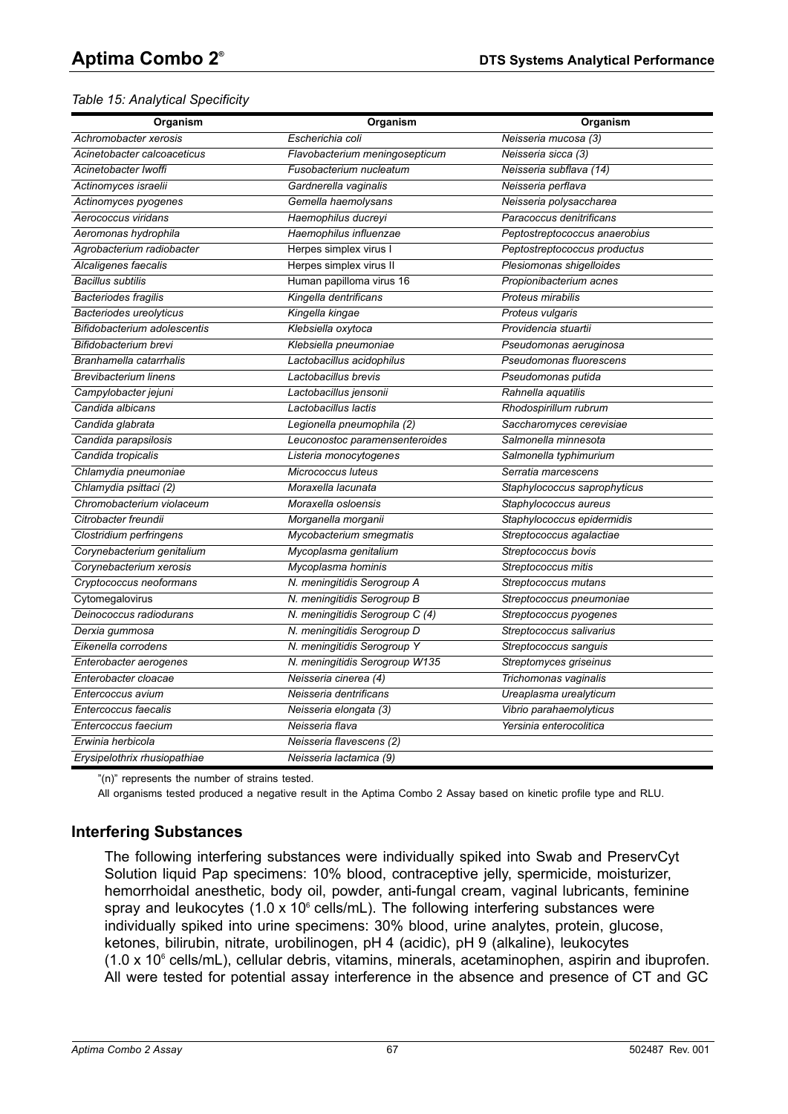#### <span id="page-66-1"></span>*Table 15: Analytical Specificity*

| Organism                       | Organism                        | Organism                      |
|--------------------------------|---------------------------------|-------------------------------|
| Achromobacter xerosis          | Escherichia coli                | Neisseria mucosa (3)          |
| Acinetobacter calcoaceticus    | Flavobacterium meningosepticum  | Neisseria sicca (3)           |
| Acinetobacter Iwoffi           | Fusobacterium nucleatum         | Neisseria subflava (14)       |
| Actinomyces israelii           | Gardnerella vaginalis           | Neisseria perflava            |
| Actinomyces pyogenes           | Gemella haemolysans             | Neisseria polysaccharea       |
| Aerococcus viridans            | Haemophilus ducreyi             | Paracoccus denitrificans      |
| Aeromonas hydrophila           | Haemophilus influenzae          | Peptostreptococcus anaerobius |
| Agrobacterium radiobacter      | Herpes simplex virus I          | Peptostreptococcus productus  |
| Alcaligenes faecalis           | Herpes simplex virus II         | Plesiomonas shigelloides      |
| <b>Bacillus subtilis</b>       | Human papilloma virus 16        | Propionibacterium acnes       |
| <b>Bacteriodes fragilis</b>    | Kingella dentrificans           | Proteus mirabilis             |
| <b>Bacteriodes ureolyticus</b> | Kingella kingae                 | Proteus vulgaris              |
| Bifidobacterium adolescentis   | Klebsiella oxytoca              | Providencia stuartii          |
| Bifidobacterium brevi          | Klebsiella pneumoniae           | Pseudomonas aeruginosa        |
| Branhamella catarrhalis        | Lactobacillus acidophilus       | Pseudomonas fluorescens       |
| <b>Brevibacterium linens</b>   | Lactobacillus brevis            | Pseudomonas putida            |
| Campylobacter jejuni           | Lactobacillus jensonii          | Rahnella aquatilis            |
| Candida albicans               | Lactobacillus lactis            | Rhodospirillum rubrum         |
| Candida glabrata               | Legionella pneumophila (2)      | Saccharomyces cerevisiae      |
| Candida parapsilosis           | Leuconostoc paramensenteroides  | Salmonella minnesota          |
| Candida tropicalis             | Listeria monocytogenes          | Salmonella typhimurium        |
| Chlamydia pneumoniae           | Micrococcus luteus              | Serratia marcescens           |
| Chlamydia psittaci (2)         | Moraxella lacunata              | Staphylococcus saprophyticus  |
| Chromobacterium violaceum      | Moraxella osloensis             | Staphylococcus aureus         |
| Citrobacter freundii           | Morganella morganii             | Staphylococcus epidermidis    |
| Clostridium perfringens        | Mycobacterium smegmatis         | Streptococcus agalactiae      |
| Corynebacterium genitalium     | Mycoplasma genitalium           | Streptococcus bovis           |
| Corynebacterium xerosis        | Mycoplasma hominis              | Streptococcus mitis           |
| Cryptococcus neoformans        | N. meningitidis Serogroup A     | Streptococcus mutans          |
| Cytomegalovirus                | N. meningitidis Serogroup B     | Streptococcus pneumoniae      |
| Deinococcus radiodurans        | N. meningitidis Serogroup C (4) | Streptococcus pyogenes        |
| Derxia gummosa                 | N. meningitidis Serogroup D     | Streptococcus salivarius      |
| Eikenella corrodens            | N. meningitidis Serogroup Y     | Streptococcus sanguis         |
| Enterobacter aerogenes         | N. meningitidis Serogroup W135  | Streptomyces griseinus        |
| Enterobacter cloacae           | Neisseria cinerea (4)           | Trichomonas vaginalis         |
| Entercoccus avium              | Neisseria dentrificans          | Ureaplasma urealyticum        |
| Entercoccus faecalis           | Neisseria elongata (3)          | Vibrio parahaemolyticus       |
| Entercoccus faecium            | Neisseria flava                 | Yersinia enterocolitica       |
| Erwinia herbicola              | Neisseria flavescens (2)        |                               |
| Erysipelothrix rhusiopathiae   | Neisseria lactamica (9)         |                               |

"(n)" represents the number of strains tested.

All organisms tested produced a negative result in the Aptima Combo 2 Assay based on kinetic profile type and RLU.

### <span id="page-66-0"></span>**Interfering Substances**

The following interfering substances were individually spiked into Swab and PreservCyt Solution liquid Pap specimens: 10% blood, contraceptive jelly, spermicide, moisturizer, hemorrhoidal anesthetic, body oil, powder, anti-fungal cream, vaginal lubricants, feminine spray and leukocytes  $(1.0 \times 10^6 \text{ cells/mL})$ . The following interfering substances were individually spiked into urine specimens: 30% blood, urine analytes, protein, glucose, ketones, bilirubin, nitrate, urobilinogen, pH 4 (acidic), pH 9 (alkaline), leukocytes  $(1.0 \times 10^6 \text{ cells/mL})$ , cellular debris, vitamins, minerals, acetaminophen, aspirin and ibuprofen. All were tested for potential assay interference in the absence and presence of CT and GC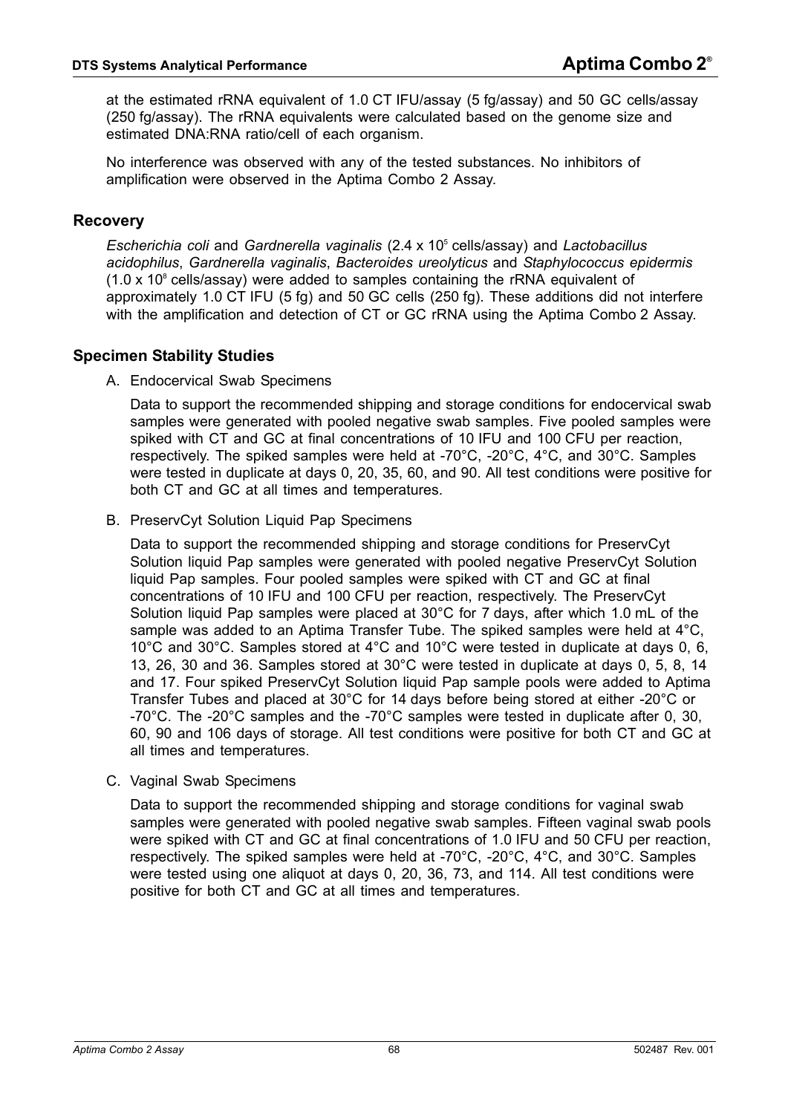at the estimated rRNA equivalent of 1.0 CT IFU/assay (5 fg/assay) and 50 GC cells/assay (250 fg/assay). The rRNA equivalents were calculated based on the genome size and estimated DNA:RNA ratio/cell of each organism.

No interference was observed with any of the tested substances. No inhibitors of amplification were observed in the Aptima Combo 2 Assay.

### **Recovery**

*Escherichia coli* and *Gardnerella vaginalis* (2.4 x 105 cells/assay) and *Lactobacillus acidophilus*, *Gardnerella vaginalis*, *Bacteroides ureolyticus* and *Staphylococcus epidermis*  $(1.0 \times 10^8 \text{ cells/assay})$  were added to samples containing the rRNA equivalent of approximately 1.0 CT IFU (5 fg) and 50 GC cells (250 fg). These additions did not interfere with the amplification and detection of CT or GC rRNA using the Aptima Combo 2 Assay.

### **Specimen Stability Studies**

A. Endocervical Swab Specimens

Data to support the recommended shipping and storage conditions for endocervical swab samples were generated with pooled negative swab samples. Five pooled samples were spiked with CT and GC at final concentrations of 10 IFU and 100 CFU per reaction, respectively. The spiked samples were held at -70°C, -20°C, 4°C, and 30°C. Samples were tested in duplicate at days 0, 20, 35, 60, and 90. All test conditions were positive for both CT and GC at all times and temperatures.

B. PreservCyt Solution Liquid Pap Specimens

Data to support the recommended shipping and storage conditions for PreservCyt Solution liquid Pap samples were generated with pooled negative PreservCyt Solution liquid Pap samples. Four pooled samples were spiked with CT and GC at final concentrations of 10 IFU and 100 CFU per reaction, respectively. The PreservCyt Solution liquid Pap samples were placed at 30°C for 7 days, after which 1.0 mL of the sample was added to an Aptima Transfer Tube. The spiked samples were held at 4°C, 10°C and 30°C. Samples stored at 4°C and 10°C were tested in duplicate at days 0, 6, 13, 26, 30 and 36. Samples stored at 30°C were tested in duplicate at days 0, 5, 8, 14 and 17. Four spiked PreservCyt Solution liquid Pap sample pools were added to Aptima Transfer Tubes and placed at 30°C for 14 days before being stored at either -20°C or -70°C. The -20°C samples and the -70°C samples were tested in duplicate after 0, 30, 60, 90 and 106 days of storage. All test conditions were positive for both CT and GC at all times and temperatures.

C. Vaginal Swab Specimens

Data to support the recommended shipping and storage conditions for vaginal swab samples were generated with pooled negative swab samples. Fifteen vaginal swab pools were spiked with CT and GC at final concentrations of 1.0 IFU and 50 CFU per reaction, respectively. The spiked samples were held at -70°C, -20°C, 4°C, and 30°C. Samples were tested using one aliquot at days 0, 20, 36, 73, and 114. All test conditions were positive for both CT and GC at all times and temperatures.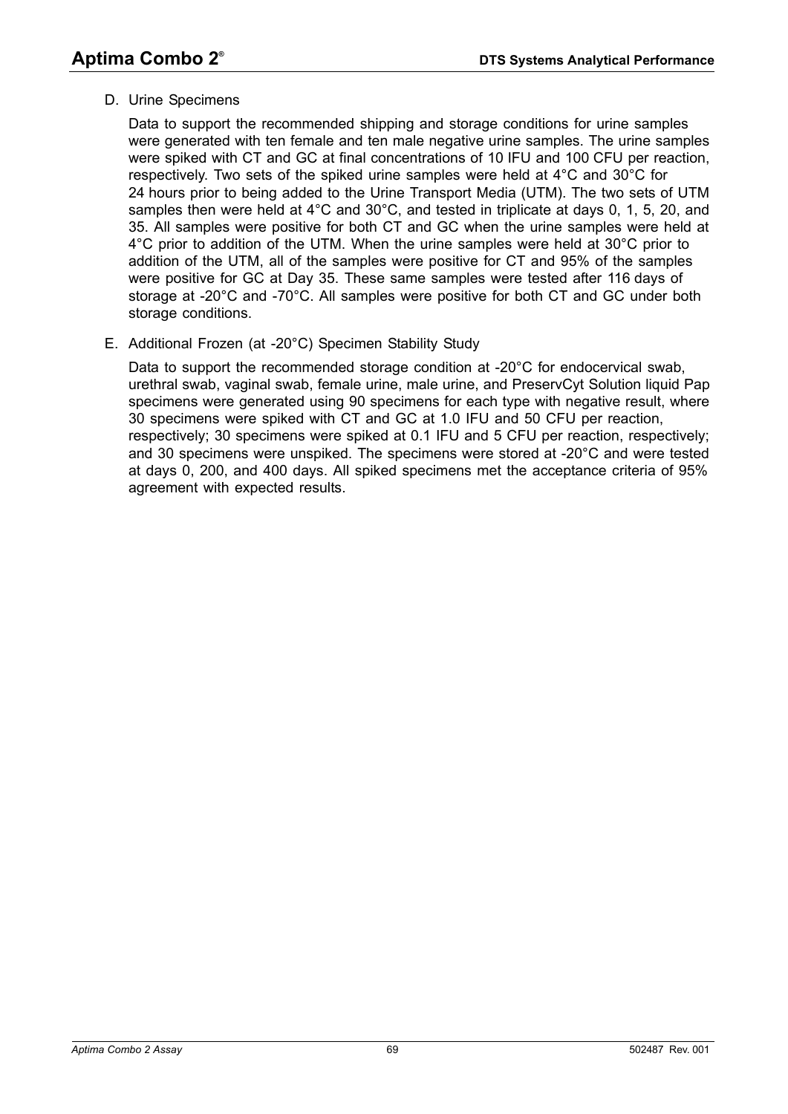D. Urine Specimens

Data to support the recommended shipping and storage conditions for urine samples were generated with ten female and ten male negative urine samples. The urine samples were spiked with CT and GC at final concentrations of 10 IFU and 100 CFU per reaction, respectively. Two sets of the spiked urine samples were held at 4°C and 30°C for 24 hours prior to being added to the Urine Transport Media (UTM). The two sets of UTM samples then were held at 4°C and 30°C, and tested in triplicate at days 0, 1, 5, 20, and 35. All samples were positive for both CT and GC when the urine samples were held at 4°C prior to addition of the UTM. When the urine samples were held at 30°C prior to addition of the UTM, all of the samples were positive for CT and 95% of the samples were positive for GC at Day 35. These same samples were tested after 116 days of storage at -20°C and -70°C. All samples were positive for both CT and GC under both storage conditions.

E. Additional Frozen (at -20°C) Specimen Stability Study

Data to support the recommended storage condition at -20°C for endocervical swab, urethral swab, vaginal swab, female urine, male urine, and PreservCyt Solution liquid Pap specimens were generated using 90 specimens for each type with negative result, where 30 specimens were spiked with CT and GC at 1.0 IFU and 50 CFU per reaction, respectively; 30 specimens were spiked at 0.1 IFU and 5 CFU per reaction, respectively; and 30 specimens were unspiked. The specimens were stored at -20°C and were tested at days 0, 200, and 400 days. All spiked specimens met the acceptance criteria of 95% agreement with expected results.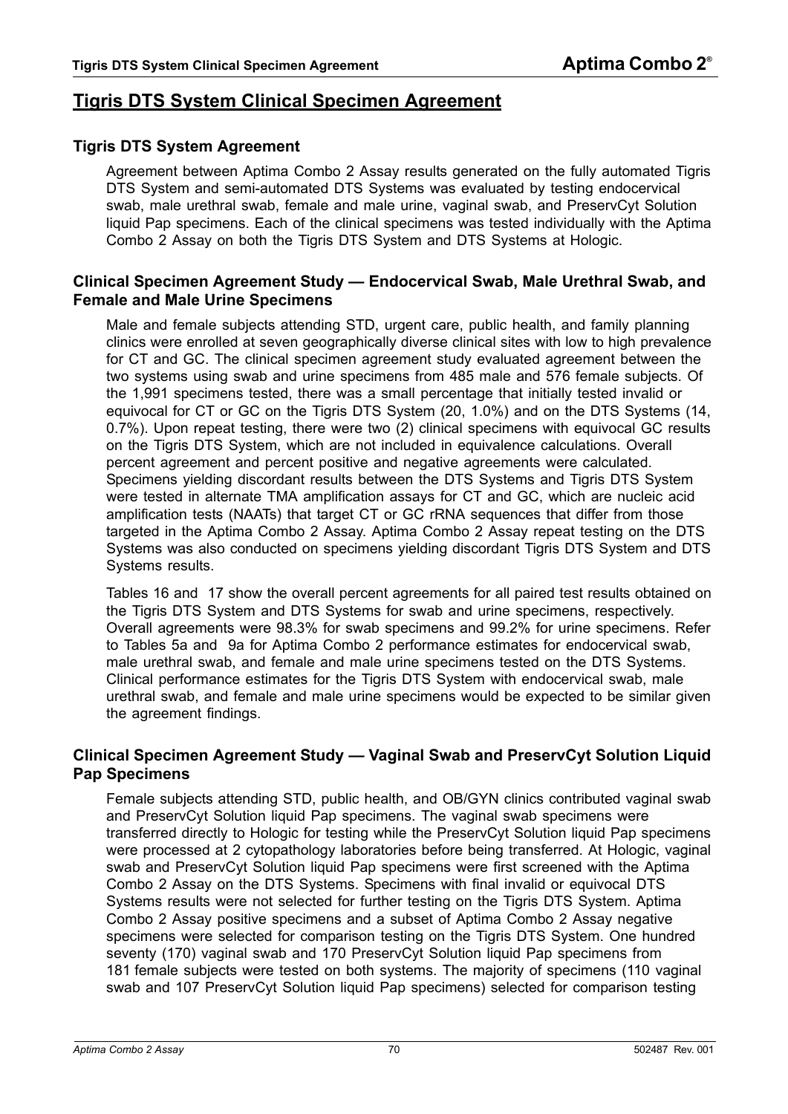# <span id="page-69-0"></span>**Tigris DTS System Clinical Specimen Agreement**

## **Tigris DTS System Agreement**

Agreement between Aptima Combo 2 Assay results generated on the fully automated Tigris DTS System and semi-automated DTS Systems was evaluated by testing endocervical swab, male urethral swab, female and male urine, vaginal swab, and PreservCyt Solution liquid Pap specimens. Each of the clinical specimens was tested individually with the Aptima Combo 2 Assay on both the Tigris DTS System and DTS Systems at Hologic.

## **Clinical Specimen Agreement Study — Endocervical Swab, Male Urethral Swab, and Female and Male Urine Specimens**

Male and female subjects attending STD, urgent care, public health, and family planning clinics were enrolled at seven geographically diverse clinical sites with low to high prevalence for CT and GC. The clinical specimen agreement study evaluated agreement between the two systems using swab and urine specimens from 485 male and 576 female subjects. Of the 1,991 specimens tested, there was a small percentage that initially tested invalid or equivocal for CT or GC on the Tigris DTS System (20, 1.0%) and on the DTS Systems (14, 0.7%). Upon repeat testing, there were two (2) clinical specimens with equivocal GC results on the Tigris DTS System, which are not included in equivalence calculations. Overall percent agreement and percent positive and negative agreements were calculated. Specimens yielding discordant results between the DTS Systems and Tigris DTS System were tested in alternate TMA amplification assays for CT and GC, which are nucleic acid amplification tests (NAATs) that target CT or GC rRNA sequences that differ from those targeted in the Aptima Combo 2 Assay. Aptima Combo 2 Assay repeat testing on the DTS Systems was also conducted on specimens yielding discordant Tigris DTS System and DTS Systems results.

[Tables 16 and](#page-71-0) [17](#page-71-1) show the overall percent agreements for all paired test results obtained on the Tigris DTS System and DTS Systems for swab and urine specimens, respectively. Overall agreements were 98.3% for swab specimens and 99.2% for urine specimens. Refer to [Tables 5a and](#page-47-0) [9a](#page-55-0) for Aptima Combo 2 performance estimates for endocervical swab, male urethral swab, and female and male urine specimens tested on the DTS Systems. Clinical performance estimates for the Tigris DTS System with endocervical swab, male urethral swab, and female and male urine specimens would be expected to be similar given the agreement findings.

### **Clinical Specimen Agreement Study — Vaginal Swab and PreservCyt Solution Liquid Pap Specimens**

Female subjects attending STD, public health, and OB/GYN clinics contributed vaginal swab and PreservCyt Solution liquid Pap specimens. The vaginal swab specimens were transferred directly to Hologic for testing while the PreservCyt Solution liquid Pap specimens were processed at 2 cytopathology laboratories before being transferred. At Hologic, vaginal swab and PreservCyt Solution liquid Pap specimens were first screened with the Aptima Combo 2 Assay on the DTS Systems. Specimens with final invalid or equivocal DTS Systems results were not selected for further testing on the Tigris DTS System. Aptima Combo 2 Assay positive specimens and a subset of Aptima Combo 2 Assay negative specimens were selected for comparison testing on the Tigris DTS System. One hundred seventy (170) vaginal swab and 170 PreservCyt Solution liquid Pap specimens from 181 female subjects were tested on both systems. The majority of specimens (110 vaginal swab and 107 PreservCyt Solution liquid Pap specimens) selected for comparison testing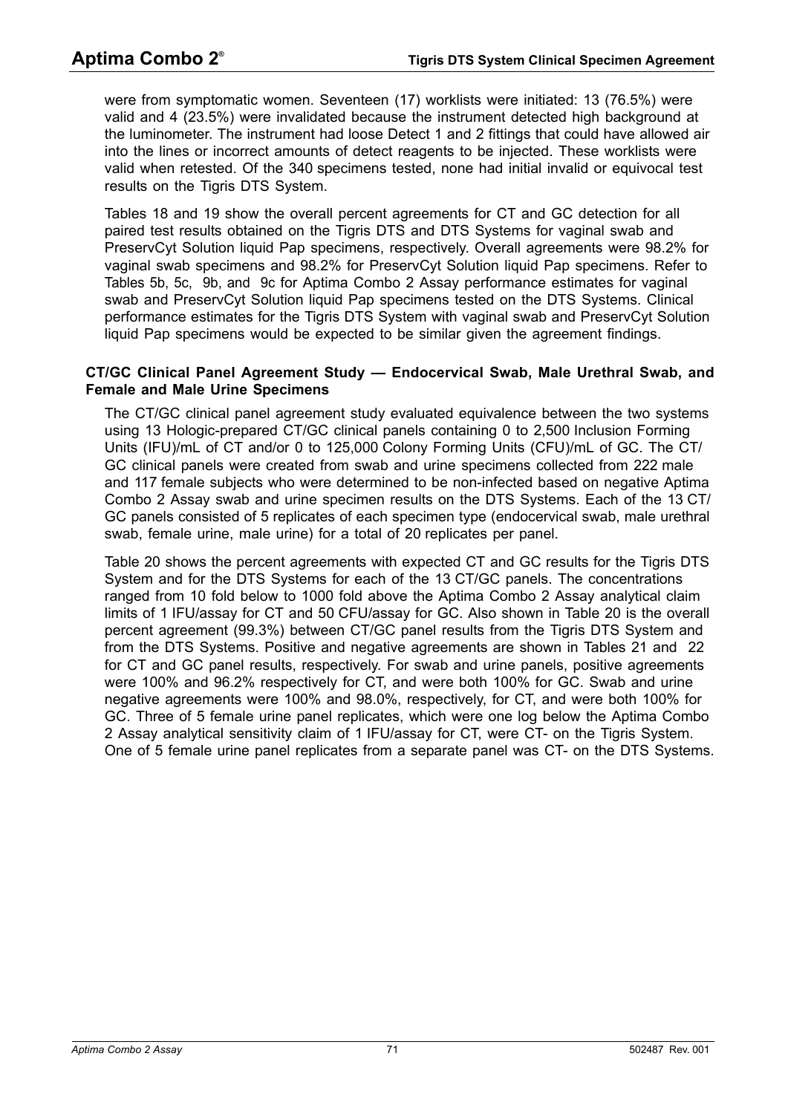were from symptomatic women. Seventeen (17) worklists were initiated: 13 (76.5%) were valid and 4 (23.5%) were invalidated because the instrument detected high background at the luminometer. The instrument had loose Detect 1 and 2 fittings that could have allowed air into the lines or incorrect amounts of detect reagents to be injected. These worklists were valid when retested. Of the 340 specimens tested, none had initial invalid or equivocal test results on the Tigris DTS System.

[Tables 18 and](#page-72-0) [19](#page-72-1) show the overall percent agreements for CT and GC detection for all paired test results obtained on the Tigris DTS and DTS Systems for vaginal swab and PreservCyt Solution liquid Pap specimens, respectively. Overall agreements were 98.2% for vaginal swab specimens and 98.2% for PreservCyt Solution liquid Pap specimens. Refer to [Tables 5b,](#page-47-1) [5c,](#page-48-0) [9b, and](#page-55-1) [9c](#page-56-0) for Aptima Combo 2 Assay performance estimates for vaginal swab and PreservCyt Solution liquid Pap specimens tested on the DTS Systems. Clinical performance estimates for the Tigris DTS System with vaginal swab and PreservCyt Solution liquid Pap specimens would be expected to be similar given the agreement findings.

#### **CT/GC Clinical Panel Agreement Study — Endocervical Swab, Male Urethral Swab, and Female and Male Urine Specimens**

The CT/GC clinical panel agreement study evaluated equivalence between the two systems using 13 Hologic-prepared CT/GC clinical panels containing 0 to 2,500 Inclusion Forming Units (IFU)/mL of CT and/or 0 to 125,000 Colony Forming Units (CFU)/mL of GC. The CT/ GC clinical panels were created from swab and urine specimens collected from 222 male and 117 female subjects who were determined to be non-infected based on negative Aptima Combo 2 Assay swab and urine specimen results on the DTS Systems. Each of the 13 CT/ GC panels consisted of 5 replicates of each specimen type (endocervical swab, male urethral swab, female urine, male urine) for a total of 20 replicates per panel.

[Table 20](#page-73-0) shows the percent agreements with expected CT and GC results for the Tigris DTS System and for the DTS Systems for each of the 13 CT/GC panels. The concentrations ranged from 10 fold below to 1000 fold above the Aptima Combo 2 Assay analytical claim limits of 1 IFU/assay for CT and 50 CFU/assay for GC. Also shown in [Table 20](#page-73-0) is the overall percent agreement (99.3%) between CT/GC panel results from the Tigris DTS System and from the DTS Systems. Positive and negative agreements are shown in [Tables 21 and](#page-73-1) [22](#page-73-2) for CT and GC panel results, respectively. For swab and urine panels, positive agreements were 100% and 96.2% respectively for CT, and were both 100% for GC. Swab and urine negative agreements were 100% and 98.0%, respectively, for CT, and were both 100% for GC. Three of 5 female urine panel replicates, which were one log below the Aptima Combo 2 Assay analytical sensitivity claim of 1 IFU/assay for CT, were CT- on the Tigris System. One of 5 female urine panel replicates from a separate panel was CT- on the DTS Systems.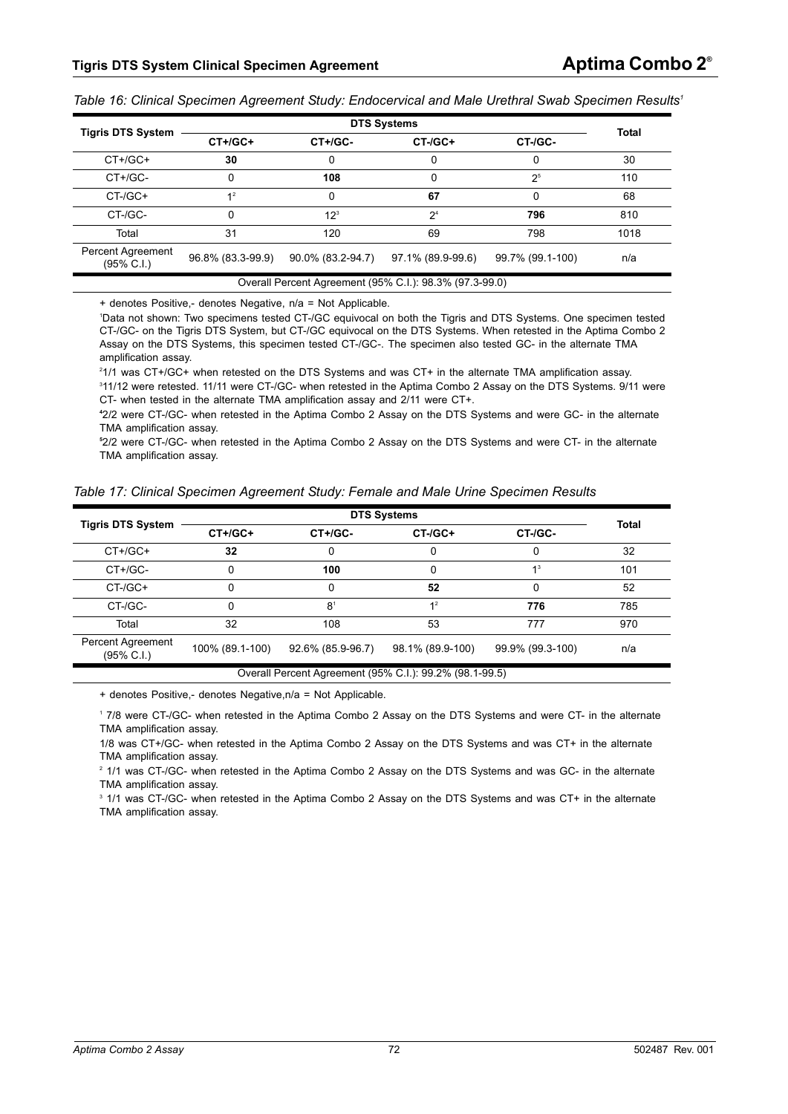<span id="page-71-0"></span>*Table 16: Clinical Specimen Agreement Study: Endocervical and Male Urethral Swab Specimen Results1*

|                                                         |                   | <b>Total</b>      |                   |                  |      |  |
|---------------------------------------------------------|-------------------|-------------------|-------------------|------------------|------|--|
| <b>Tigris DTS System</b>                                | $CT+/GC+$         | CT+/GC-           | $CT$ -/ $GC+$     | CT-/GC-          |      |  |
| $CT+/GC+$                                               | 30                | 0                 |                   |                  | 30   |  |
| CT+/GC-                                                 | 0                 | 108               | 0                 | 2 <sup>5</sup>   | 110  |  |
| CT-/GC+                                                 | 1 <sup>2</sup>    | 0                 | 67                | 0                | 68   |  |
| CT-/GC-                                                 |                   | 12 <sup>3</sup>   | 2 <sup>4</sup>    | 796              | 810  |  |
| Total                                                   | 31                | 120               | 69                | 798              | 1018 |  |
| Percent Agreement<br>$(95\% \text{ C.1})$               | 96.8% (83.3-99.9) | 90.0% (83.2-94.7) | 97.1% (89.9-99.6) | 99.7% (99.1-100) | n/a  |  |
| Overall Percent Agreement (95% C.I.): 98.3% (97.3-99.0) |                   |                   |                   |                  |      |  |

+ denotes Positive,- denotes Negative, n/a = Not Applicable.

1 Data not shown: Two specimens tested CT-/GC equivocal on both the Tigris and DTS Systems. One specimen tested CT-/GC- on the Tigris DTS System, but CT-/GC equivocal on the DTS Systems. When retested in the Aptima Combo 2 Assay on the DTS Systems, this specimen tested CT-/GC-. The specimen also tested GC- in the alternate TMA amplification assay.

2 1/1 was CT+/GC+ when retested on the DTS Systems and was CT+ in the alternate TMA amplification assay.

3 11/12 were retested. 11/11 were CT-/GC- when retested in the Aptima Combo 2 Assay on the DTS Systems. 9/11 were CT- when tested in the alternate TMA amplification assay and 2/11 were CT+.

**4** 2/2 were CT-/GC- when retested in the Aptima Combo 2 Assay on the DTS Systems and were GC- in the alternate TMA amplification assay.

**5** 2/2 were CT-/GC- when retested in the Aptima Combo 2 Assay on the DTS Systems and were CT- in the alternate TMA amplification assay.

<span id="page-71-1"></span>

| Table 17: Clinical Specimen Agreement Study: Female and Male Urine Specimen Results |  |  |  |
|-------------------------------------------------------------------------------------|--|--|--|
|-------------------------------------------------------------------------------------|--|--|--|

| <b>Tigris DTS System</b>                                | $CT+/GC+$       | CT+/GC-           | $CT$ -/ $GC+$    | CT-/GC-          | Total |  |
|---------------------------------------------------------|-----------------|-------------------|------------------|------------------|-------|--|
| $CT+/GC+$                                               | 32              | Ω                 |                  |                  | 32    |  |
| CT+/GC-                                                 |                 | 100               |                  | 1 <sup>3</sup>   | 101   |  |
| $CT$ -/ $GC+$                                           |                 | 0                 | 52               |                  | 52    |  |
| CT-/GC-                                                 |                 | 8 <sup>1</sup>    | 1 <sup>2</sup>   | 776              | 785   |  |
| Total                                                   | 32              | 108               | 53               | 777              | 970   |  |
| Percent Agreement<br>$(95\% \text{ C.1})$               | 100% (89.1-100) | 92.6% (85.9-96.7) | 98.1% (89.9-100) | 99.9% (99.3-100) | n/a   |  |
| Overall Percent Agreement (95% C.I.): 99.2% (98.1-99.5) |                 |                   |                  |                  |       |  |

+ denotes Positive,- denotes Negative,n/a = Not Applicable.

1 7/8 were CT-/GC- when retested in the Aptima Combo 2 Assay on the DTS Systems and were CT- in the alternate TMA amplification assay.

1/8 was CT+/GC- when retested in the Aptima Combo 2 Assay on the DTS Systems and was CT+ in the alternate TMA amplification assay.

2 1/1 was CT-/GC- when retested in the Aptima Combo 2 Assay on the DTS Systems and was GC- in the alternate TMA amplification assay.

3 1/1 was CT-/GC- when retested in the Aptima Combo 2 Assay on the DTS Systems and was CT+ in the alternate TMA amplification assay.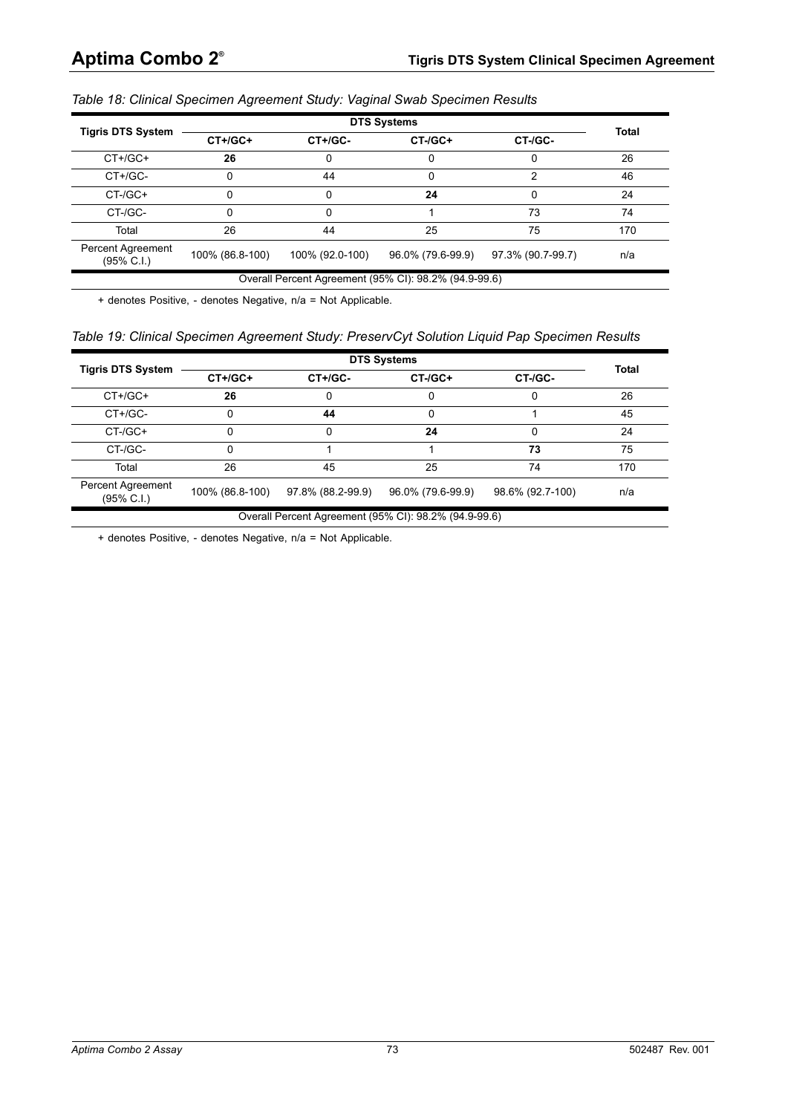|  |  | Table 18: Clinical Specimen Agreement Study: Vaginal Swab Specimen Results |  |  |  |
|--|--|----------------------------------------------------------------------------|--|--|--|
|  |  |                                                                            |  |  |  |

|                                            |                 | <b>DTS Systems</b> |                   |                   |              |  |  |  |  |  |  |
|--------------------------------------------|-----------------|--------------------|-------------------|-------------------|--------------|--|--|--|--|--|--|
| <b>Tigris DTS System</b>                   | $CT+/GC+$       | CT+/GC-            | $CT$ -/ $GC+$     | CT-/GC-           | <b>Total</b> |  |  |  |  |  |  |
| $CT+/GC+$                                  | 26              |                    |                   |                   | 26           |  |  |  |  |  |  |
| CT+/GC-                                    |                 | 44                 |                   |                   | 46           |  |  |  |  |  |  |
| $CT$ -/ $GC+$                              |                 |                    | 24                |                   | 24           |  |  |  |  |  |  |
| CT-/GC-                                    |                 |                    |                   | 73                | 74           |  |  |  |  |  |  |
| Total                                      | 26              | 44                 | 25                | 75                | 170          |  |  |  |  |  |  |
| Percent Agreement<br>$(95\% \text{ C.1.})$ | 100% (86.8-100) | 100% (92.0-100)    | 96.0% (79.6-99.9) | 97.3% (90.7-99.7) | n/a          |  |  |  |  |  |  |

Overall Percent Agreement (95% CI): 98.2% (94.9-99.6)

+ denotes Positive, - denotes Negative, n/a = Not Applicable.

|  |  |  | Table 19: Clinical Specimen Agreement Study: PreservCyt Solution Liquid Pap Specimen Results |
|--|--|--|----------------------------------------------------------------------------------------------|
|  |  |  |                                                                                              |

|                                           |                 |                   | <b>DTS Systems</b>                                    |                  | <b>Total</b> |  |  |  |  |  |  |  |  |
|-------------------------------------------|-----------------|-------------------|-------------------------------------------------------|------------------|--------------|--|--|--|--|--|--|--|--|
| <b>Tigris DTS System</b>                  | $CT+/GC+$       | $CT+ / GC-$       | $CT$ -/ $GC+$                                         | CT-/GC-          |              |  |  |  |  |  |  |  |  |
| $CT+ /GC+$                                | 26              |                   |                                                       |                  | 26           |  |  |  |  |  |  |  |  |
| CT+/GC-                                   | 0               | 44                |                                                       |                  | 45           |  |  |  |  |  |  |  |  |
| $CT$ -/ $GC+$                             | 0               |                   | 24                                                    | ŋ                | 24           |  |  |  |  |  |  |  |  |
| CT-/GC-                                   | 0               |                   |                                                       | 73               | 75           |  |  |  |  |  |  |  |  |
| Total                                     | 26              | 45                | 25                                                    | 74               | 170          |  |  |  |  |  |  |  |  |
| Percent Agreement<br>$(95\% \text{ C.1})$ | 100% (86.8-100) | 97.8% (88.2-99.9) | 96.0% (79.6-99.9)                                     | 98.6% (92.7-100) | n/a          |  |  |  |  |  |  |  |  |
|                                           |                 |                   | Overall Percent Agreement (95% CI): 98.2% (94.9-99.6) |                  |              |  |  |  |  |  |  |  |  |

+ denotes Positive, - denotes Negative, n/a = Not Applicable.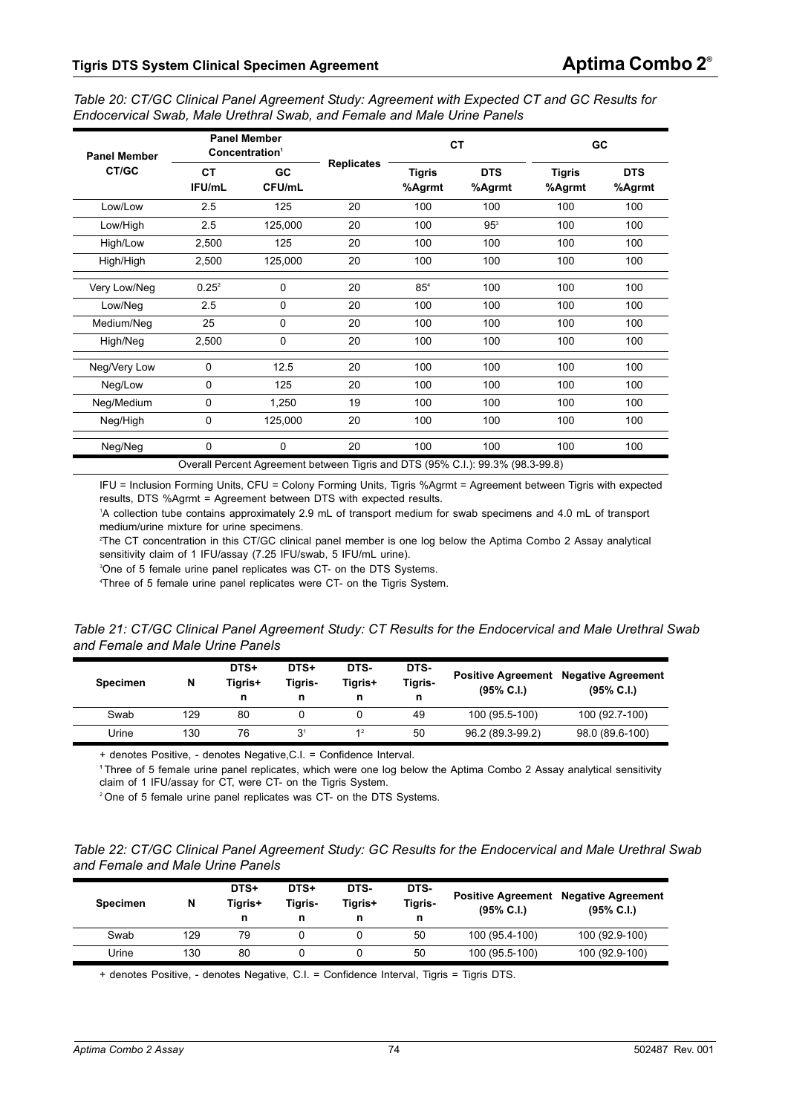| Table 20: CT/GC Clinical Panel Agreement Study: Agreement with Expected CT and GC Results for |  |
|-----------------------------------------------------------------------------------------------|--|
| Endocervical Swab, Male Urethral Swab, and Female and Male Urine Panels                       |  |

| <b>Panel Member</b> |              | <b>Panel Member</b><br>Concentration <sup>1</sup> |                                                                                |                         | <b>CT</b>            |                         | GC                   |  |  |
|---------------------|--------------|---------------------------------------------------|--------------------------------------------------------------------------------|-------------------------|----------------------|-------------------------|----------------------|--|--|
| CT/GC               | СT<br>IFU/mL | GC<br>CFU/mL                                      | <b>Replicates</b>                                                              | <b>Tigris</b><br>%Agrmt | <b>DTS</b><br>%Agrmt | <b>Tigris</b><br>%Agrmt | <b>DTS</b><br>%Agrmt |  |  |
| Low/Low             | 2.5          | 125                                               | 20                                                                             | 100                     | 100                  | 100                     | 100                  |  |  |
| Low/High            | 2.5          | 125,000                                           | 20                                                                             | 100                     | 95 <sup>3</sup>      | 100                     | 100                  |  |  |
| High/Low            | 2,500        | 125                                               | 20                                                                             | 100                     | 100                  | 100                     | 100                  |  |  |
| High/High           | 2,500        | 125,000                                           | 20                                                                             | 100                     | 100                  | 100                     | 100                  |  |  |
| Very Low/Neg        | $0.25^2$     | 0                                                 | 20                                                                             | 85 <sup>4</sup>         | 100                  | 100                     | 100                  |  |  |
| Low/Neg             | 2.5          | 0                                                 | 20                                                                             | 100                     | 100                  | 100                     | 100                  |  |  |
| Medium/Neg          | 25           | 0                                                 | 20                                                                             | 100                     | 100                  | 100                     | 100                  |  |  |
| High/Neg            | 2,500        | 0                                                 | 20                                                                             | 100                     | 100                  | 100                     | 100                  |  |  |
| Neg/Very Low        | $\Omega$     | 12.5                                              | 20                                                                             | 100                     | 100                  | 100                     | 100                  |  |  |
| Neg/Low             | $\Omega$     | 125                                               | 20                                                                             | 100                     | 100                  | 100                     | 100                  |  |  |
| Neg/Medium          | $\Omega$     | 1,250                                             | 19                                                                             | 100                     | 100                  | 100                     | 100                  |  |  |
| Neg/High            | 0            | 125,000                                           | 20                                                                             | 100                     | 100                  | 100                     | 100                  |  |  |
| Neg/Neg             | 0            | $\mathbf 0$                                       | 20                                                                             | 100                     | 100                  | 100                     | 100                  |  |  |
|                     |              |                                                   | Overall Percent Agreement between Tigris and DTS (95% C.I.): 99.3% (98.3-99.8) |                         |                      |                         |                      |  |  |

IFU = Inclusion Forming Units, CFU = Colony Forming Units, Tigris %Agrmt = Agreement between Tigris with expected results, DTS %Agrmt = Agreement between DTS with expected results.

1 A collection tube contains approximately 2.9 mL of transport medium for swab specimens and 4.0 mL of transport medium/urine mixture for urine specimens.

2 The CT concentration in this CT/GC clinical panel member is one log below the Aptima Combo 2 Assay analytical sensitivity claim of 1 IFU/assay (7.25 IFU/swab, 5 IFU/mL urine).

3 One of 5 female urine panel replicates was CT- on the DTS Systems.

4 Three of 5 female urine panel replicates were CT- on the Tigris System.

*Table 21: CT/GC Clinical Panel Agreement Study: CT Results for the Endocervical and Male Urethral Swab and Female and Male Urine Panels*

| <b>Specimen</b> | N   | DTS+<br>Tigris+ | DTS+<br>Tiaris-<br>n | DTS-<br>Tiaris+<br>n | DTS-<br>Tigris-<br>n | $(95\% \, C.I.)$ | <b>Positive Agreement Negative Agreement</b><br>$(95\% \, C.I.)$ |
|-----------------|-----|-----------------|----------------------|----------------------|----------------------|------------------|------------------------------------------------------------------|
| Swab            | 129 | 80              |                      |                      | 49                   | 100 (95.5-100)   | 100 (92.7-100)                                                   |
| Urine           | 130 | 76              | 3                    | 1 <sup>2</sup>       | 50                   | 96.2 (89.3-99.2) | 98.0 (89.6-100)                                                  |

+ denotes Positive, - denotes Negative,C.I. = Confidence Interval.

**<sup>1</sup>**Three of 5 female urine panel replicates, which were one log below the Aptima Combo 2 Assay analytical sensitivity claim of 1 IFU/assay for CT, were CT- on the Tigris System.

<sup>2</sup> One of 5 female urine panel replicates was CT- on the DTS Systems.

*Table 22: CT/GC Clinical Panel Agreement Study: GC Results for the Endocervical and Male Urethral Swab and Female and Male Urine Panels*

| <b>Specimen</b> | N   | DTS+<br>Tigris+<br>n | DTS+<br>Tigris-<br>n | DTS-<br>Tiaris+ | DTS-<br><b>Tigris-</b><br>n | <b>Positive Agreement</b><br>$(95\% \text{ C.1.})$ | <b>Negative Agreement</b><br>$(95\% \, C.I.)$ |
|-----------------|-----|----------------------|----------------------|-----------------|-----------------------------|----------------------------------------------------|-----------------------------------------------|
| Swab            | 129 | 79                   |                      |                 | 50                          | 100 (95.4-100)                                     | 100 (92.9-100)                                |
| Urine           | 130 | 80                   |                      |                 | 50                          | 100 (95.5-100)                                     | 100 (92.9-100)                                |

+ denotes Positive, - denotes Negative, C.I. = Confidence Interval, Tigris = Tigris DTS.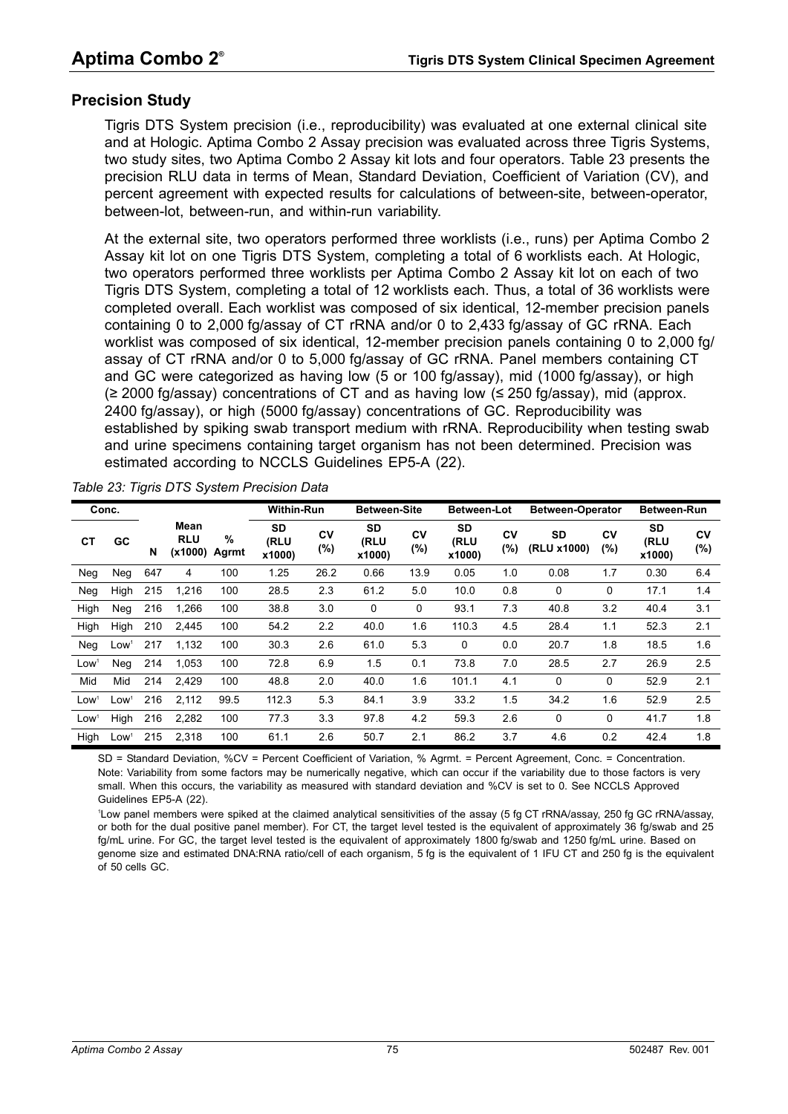#### **Precision Study**

Tigris DTS System precision (i.e., reproducibility) was evaluated at one external clinical site and at Hologic. Aptima Combo 2 Assay precision was evaluated across three Tigris Systems, two study sites, two Aptima Combo 2 Assay kit lots and four operators. [Table 23](#page-74-0) presents the precision RLU data in terms of Mean, Standard Deviation, Coefficient of Variation (CV), and percent agreement with expected results for calculations of between-site, between-operator, between-lot, between-run, and within-run variability.

At the external site, two operators performed three worklists (i.e., runs) per Aptima Combo 2 Assay kit lot on one Tigris DTS System, completing a total of 6 worklists each. At Hologic, two operators performed three worklists per Aptima Combo 2 Assay kit lot on each of two Tigris DTS System, completing a total of 12 worklists each. Thus, a total of 36 worklists were completed overall. Each worklist was composed of six identical, 12-member precision panels containing 0 to 2,000 fg/assay of CT rRNA and/or 0 to 2,433 fg/assay of GC rRNA. Each worklist was composed of six identical, 12-member precision panels containing 0 to 2,000 fg/ assay of CT rRNA and/or 0 to 5,000 fg/assay of GC rRNA. Panel members containing CT and GC were categorized as having low (5 or 100 fg/assay), mid (1000 fg/assay), or high (≥ 2000 fg/assay) concentrations of CT and as having low (≤ 250 fg/assay), mid (approx. 2400 fg/assay), or high (5000 fg/assay) concentrations of GC. Reproducibility was established by spiking swab transport medium with rRNA. Reproducibility when testing swab and urine specimens containing target organism has not been determined. Precision was estimated according to NCCLS Guidelines EP5-A ([22](#page-80-0)).

|                  | Conc.            |     |                               |            | <b>Within-Run</b>           |           | <b>Between-Site</b>         |           | <b>Between-Lot</b>          |              | <b>Between-Operator</b>  |              | <b>Between-Run</b>          |               |
|------------------|------------------|-----|-------------------------------|------------|-----------------------------|-----------|-----------------------------|-----------|-----------------------------|--------------|--------------------------|--------------|-----------------------------|---------------|
| <b>CT</b>        | GC               | N   | Mean<br><b>RLU</b><br>(x1000) | %<br>Agrmt | <b>SD</b><br>(RLU<br>x1000) | CV<br>(%) | <b>SD</b><br>(RLU<br>x1000) | CV<br>(%) | <b>SD</b><br>(RLU<br>x1000) | CV<br>$(\%)$ | <b>SD</b><br>(RLU x1000) | CV<br>$(\%)$ | <b>SD</b><br>(RLU<br>x1000) | CV<br>$(\% )$ |
| Neg              | Neg              | 647 | 4                             | 100        | 1.25                        | 26.2      | 0.66                        | 13.9      | 0.05                        | 1.0          | 0.08                     | 1.7          | 0.30                        | 6.4           |
| Neg              | High             | 215 | 1.216                         | 100        | 28.5                        | 2.3       | 61.2                        | 5.0       | 10.0                        | 0.8          | 0                        | 0            | 17.1                        | 1.4           |
| High             | Neg              | 216 | 1.266                         | 100        | 38.8                        | 3.0       | 0                           | 0         | 93.1                        | 7.3          | 40.8                     | 3.2          | 40.4                        | 3.1           |
| High             | High             | 210 | 2.445                         | 100        | 54.2                        | 2.2       | 40.0                        | 1.6       | 110.3                       | 4.5          | 28.4                     | 1.1          | 52.3                        | 2.1           |
| Neg              | Low <sup>1</sup> | 217 | 1.132                         | 100        | 30.3                        | 2.6       | 61.0                        | 5.3       | 0                           | 0.0          | 20.7                     | 1.8          | 18.5                        | 1.6           |
| Low <sup>1</sup> | Neg              | 214 | 1,053                         | 100        | 72.8                        | 6.9       | 1.5                         | 0.1       | 73.8                        | 7.0          | 28.5                     | 2.7          | 26.9                        | 2.5           |
| Mid              | Mid              | 214 | 2.429                         | 100        | 48.8                        | 2.0       | 40.0                        | 1.6       | 101.1                       | 4.1          | 0                        | 0            | 52.9                        | 2.1           |
| Low <sup>1</sup> | Low <sup>1</sup> | 216 | 2,112                         | 99.5       | 112.3                       | 5.3       | 84.1                        | 3.9       | 33.2                        | 1.5          | 34.2                     | 1.6          | 52.9                        | 2.5           |
| Low <sup>1</sup> | High             | 216 | 2,282                         | 100        | 77.3                        | 3.3       | 97.8                        | 4.2       | 59.3                        | 2.6          | 0                        | 0            | 41.7                        | 1.8           |
| High             | Low <sup>1</sup> | 215 | 2,318                         | 100        | 61.1                        | 2.6       | 50.7                        | 2.1       | 86.2                        | 3.7          | 4.6                      | 0.2          | 42.4                        | 1.8           |

<span id="page-74-0"></span>*Table 23: Tigris DTS System Precision Data* 

SD = Standard Deviation, %CV = Percent Coefficient of Variation, % Agrmt. = Percent Agreement, Conc. = Concentration. Note: Variability from some factors may be numerically negative, which can occur if the variability due to those factors is very small. When this occurs, the variability as measured with standard deviation and %CV is set to 0. See NCCLS Approved Guidelines EP5-A ([22](#page-80-0)).

1 Low panel members were spiked at the claimed analytical sensitivities of the assay (5 fg CT rRNA/assay, 250 fg GC rRNA/assay, or both for the dual positive panel member). For CT, the target level tested is the equivalent of approximately 36 fg/swab and 25 fg/mL urine. For GC, the target level tested is the equivalent of approximately 1800 fg/swab and 1250 fg/mL urine. Based on genome size and estimated DNA:RNA ratio/cell of each organism, 5 fg is the equivalent of 1 IFU CT and 250 fg is the equivalent of 50 cells GC.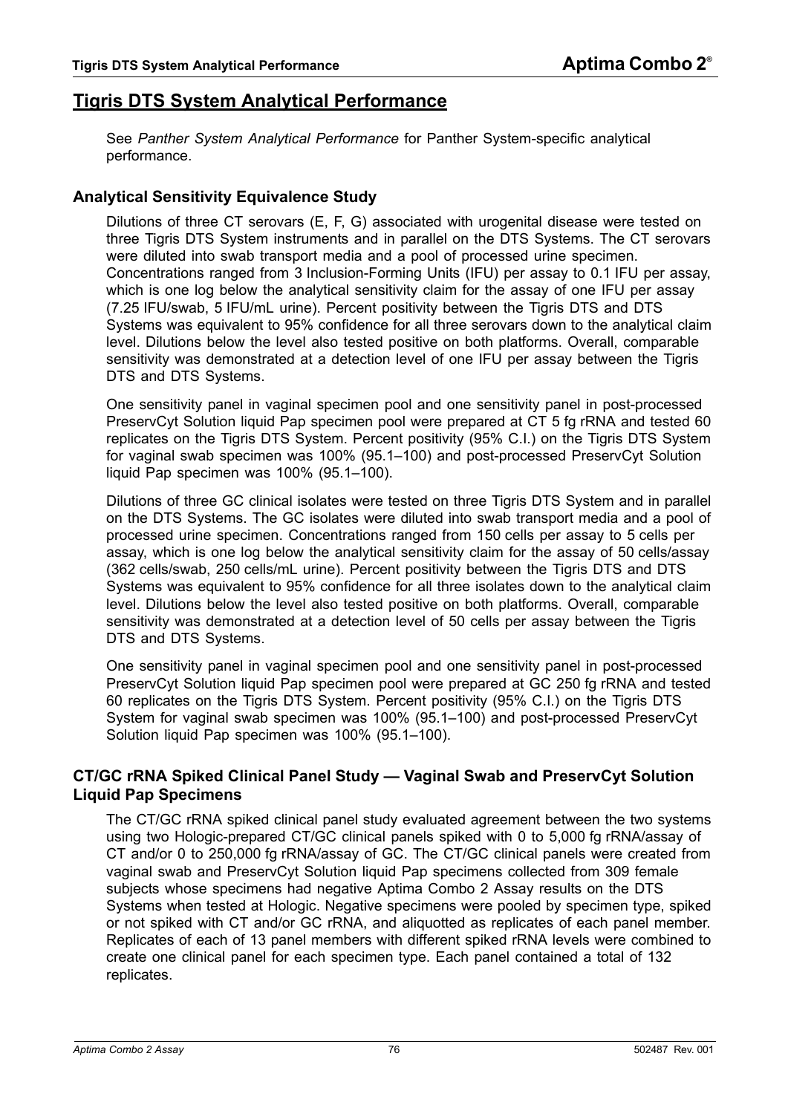## <span id="page-75-0"></span>**Tigris DTS System Analytical Performance**

See *[Panther System Analytical Performance](#page-78-0)* for Panther System-specific analytical performance.

#### **Analytical Sensitivity Equivalence Study**

Dilutions of three CT serovars (E, F, G) associated with urogenital disease were tested on three Tigris DTS System instruments and in parallel on the DTS Systems. The CT serovars were diluted into swab transport media and a pool of processed urine specimen. Concentrations ranged from 3 Inclusion-Forming Units (IFU) per assay to 0.1 IFU per assay, which is one log below the analytical sensitivity claim for the assay of one IFU per assay (7.25 IFU/swab, 5 IFU/mL urine). Percent positivity between the Tigris DTS and DTS Systems was equivalent to 95% confidence for all three serovars down to the analytical claim level. Dilutions below the level also tested positive on both platforms. Overall, comparable sensitivity was demonstrated at a detection level of one IFU per assay between the Tigris DTS and DTS Systems.

One sensitivity panel in vaginal specimen pool and one sensitivity panel in post-processed PreservCyt Solution liquid Pap specimen pool were prepared at CT 5 fg rRNA and tested 60 replicates on the Tigris DTS System. Percent positivity (95% C.I.) on the Tigris DTS System for vaginal swab specimen was 100% (95.1–100) and post-processed PreservCyt Solution liquid Pap specimen was 100% (95.1–100).

Dilutions of three GC clinical isolates were tested on three Tigris DTS System and in parallel on the DTS Systems. The GC isolates were diluted into swab transport media and a pool of processed urine specimen. Concentrations ranged from 150 cells per assay to 5 cells per assay, which is one log below the analytical sensitivity claim for the assay of 50 cells/assay (362 cells/swab, 250 cells/mL urine). Percent positivity between the Tigris DTS and DTS Systems was equivalent to 95% confidence for all three isolates down to the analytical claim level. Dilutions below the level also tested positive on both platforms. Overall, comparable sensitivity was demonstrated at a detection level of 50 cells per assay between the Tigris DTS and DTS Systems.

One sensitivity panel in vaginal specimen pool and one sensitivity panel in post-processed PreservCyt Solution liquid Pap specimen pool were prepared at GC 250 fg rRNA and tested 60 replicates on the Tigris DTS System. Percent positivity (95% C.I.) on the Tigris DTS System for vaginal swab specimen was 100% (95.1–100) and post-processed PreservCyt Solution liquid Pap specimen was 100% (95.1–100).

#### **CT/GC rRNA Spiked Clinical Panel Study — Vaginal Swab and PreservCyt Solution Liquid Pap Specimens**

The CT/GC rRNA spiked clinical panel study evaluated agreement between the two systems using two Hologic-prepared CT/GC clinical panels spiked with 0 to 5,000 fg rRNA/assay of CT and/or 0 to 250,000 fg rRNA/assay of GC. The CT/GC clinical panels were created from vaginal swab and PreservCyt Solution liquid Pap specimens collected from 309 female subjects whose specimens had negative Aptima Combo 2 Assay results on the DTS Systems when tested at Hologic. Negative specimens were pooled by specimen type, spiked or not spiked with CT and/or GC rRNA, and aliquotted as replicates of each panel member. Replicates of each of 13 panel members with different spiked rRNA levels were combined to create one clinical panel for each specimen type. Each panel contained a total of 132 replicates.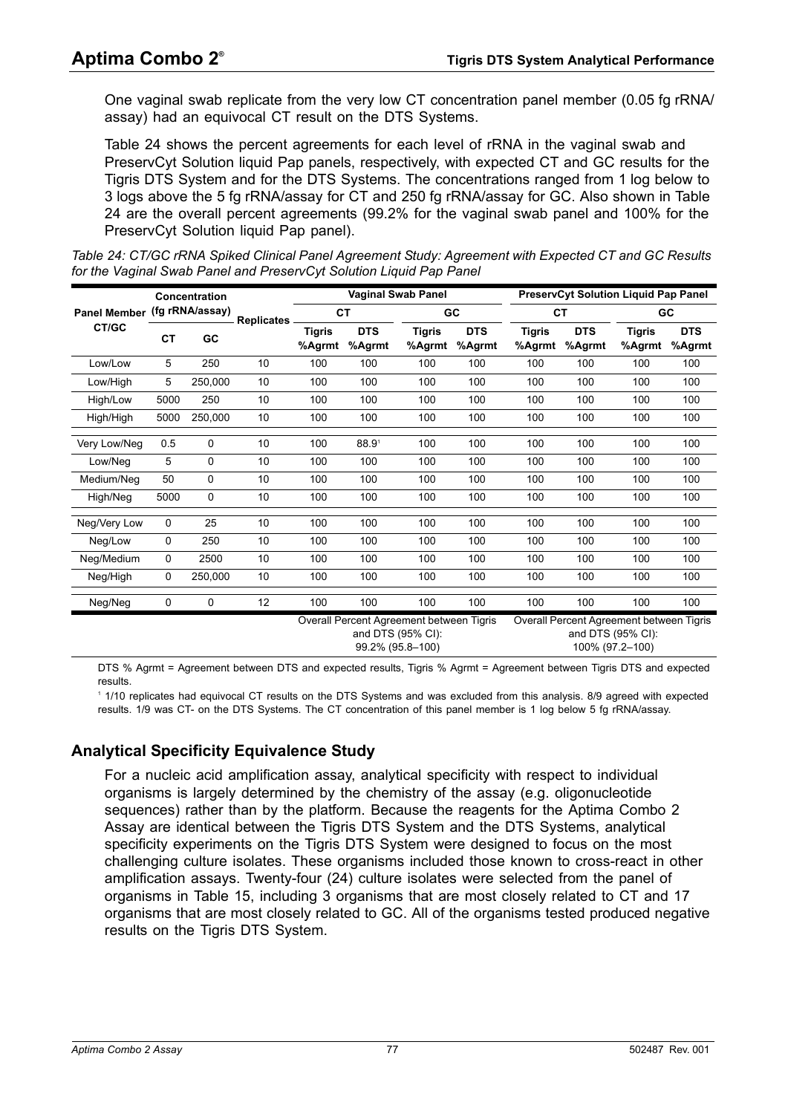One vaginal swab replicate from the very low CT concentration panel member (0.05 fg rRNA/ assay) had an equivocal CT result on the DTS Systems.

[Table 24](#page-76-0) shows the percent agreements for each level of rRNA in the vaginal swab and PreservCyt Solution liquid Pap panels, respectively, with expected CT and GC results for the Tigris DTS System and for the DTS Systems. The concentrations ranged from 1 log below to 3 logs above the 5 fg rRNA/assay for CT and 250 fg rRNA/assay for GC. Also shown in [Table](#page-76-0)  [24](#page-76-0) are the overall percent agreements (99.2% for the vaginal swab panel and 100% for the PreservCyt Solution liquid Pap panel).

<span id="page-76-0"></span>*Table 24: CT/GC rRNA Spiked Clinical Panel Agreement Study: Agreement with Expected CT and GC Results for the Vaginal Swab Panel and PreservCyt Solution Liquid Pap Panel*

|                     |          | Concentration   |                   |                         |                      | <b>Vaginal Swab Panel</b>                                     |                      |                         | <b>PreservCyt Solution Liquid Pap Panel</b> |                                                               |                      |  |  |  |
|---------------------|----------|-----------------|-------------------|-------------------------|----------------------|---------------------------------------------------------------|----------------------|-------------------------|---------------------------------------------|---------------------------------------------------------------|----------------------|--|--|--|
| <b>Panel Member</b> |          | (fg rRNA/assay) | <b>Replicates</b> |                         | <b>CT</b>            |                                                               | <b>GC</b>            |                         | <b>CT</b>                                   |                                                               | GC                   |  |  |  |
| CT/GC               | GC<br>CТ |                 |                   | <b>Tigris</b><br>%Agrmt | <b>DTS</b><br>%Agrmt | Tigris<br>%Agrmt                                              | <b>DTS</b><br>%Agrmt | <b>Tigris</b><br>%Agrmt | <b>DTS</b><br>%Agrmt                        | <b>Tigris</b><br>%Agrmt                                       | <b>DTS</b><br>%Agrmt |  |  |  |
| Low/Low             | 5        | 250             | 10                | 100                     | 100                  | 100                                                           | 100                  | 100                     | 100                                         | 100                                                           | 100                  |  |  |  |
| Low/High            | 5        | 250,000         | 10                | 100                     | 100                  | 100                                                           | 100                  | 100                     | 100                                         | 100                                                           | 100                  |  |  |  |
| High/Low            | 5000     | 250             | 10                | 100                     | 100                  | 100                                                           | 100                  | 100                     | 100                                         | 100                                                           | 100                  |  |  |  |
| High/High           | 5000     | 250,000         | 10                | 100                     | 100                  | 100                                                           | 100                  | 100                     | 100                                         | 100                                                           | 100                  |  |  |  |
| Very Low/Neg        | 0.5      | 0               | 10                | 100                     | 88.9 <sup>1</sup>    | 100                                                           | 100                  | 100                     | 100                                         | 100                                                           | 100                  |  |  |  |
| Low/Neg             | 5        | 0               | 10                | 100                     | 100                  | 100                                                           | 100                  | 100                     | 100                                         | 100                                                           | 100                  |  |  |  |
| Medium/Neg          | 50       | 0               | 10                | 100                     | 100                  | 100                                                           | 100                  | 100                     | 100                                         | 100                                                           | 100                  |  |  |  |
| High/Neg            | 5000     | 0               | 10                | 100                     | 100                  | 100                                                           | 100                  | 100                     | 100                                         | 100                                                           | 100                  |  |  |  |
| Neg/Very Low        | 0        | 25              | 10                | 100                     | 100                  | 100                                                           | 100                  | 100                     | 100                                         | 100                                                           | 100                  |  |  |  |
| Neg/Low             | 0        | 250             | 10                | 100                     | 100                  | 100                                                           | 100                  | 100                     | 100                                         | 100                                                           | 100                  |  |  |  |
| Neg/Medium          | 0        | 2500            | 10                | 100                     | 100                  | 100                                                           | 100                  | 100                     | 100                                         | 100                                                           | 100                  |  |  |  |
| Neg/High            | 0        | 250,000         | 10                | 100                     | 100                  | 100                                                           | 100                  | 100                     | 100                                         | 100                                                           | 100                  |  |  |  |
| Neg/Neg             | 0        | 0               | 12                | 100                     | 100                  | 100                                                           | 100                  | 100                     | 100                                         | 100                                                           | 100                  |  |  |  |
|                     |          |                 |                   |                         |                      | Overall Percent Agreement between Tigris<br>and DTS (95% CI): |                      |                         |                                             | Overall Percent Agreement between Tigris<br>and DTS (95% CI): |                      |  |  |  |

99.2% (95.8–100)

100% (97.2–100)

DTS % Agrmt = Agreement between DTS and expected results, Tigris % Agrmt = Agreement between Tigris DTS and expected results.

1 1/10 replicates had equivocal CT results on the DTS Systems and was excluded from this analysis. 8/9 agreed with expected results. 1/9 was CT- on the DTS Systems. The CT concentration of this panel member is 1 log below 5 fg rRNA/assay.

#### <span id="page-76-1"></span>**Analytical Specificity Equivalence Study**

For a nucleic acid amplification assay, analytical specificity with respect to individual organisms is largely determined by the chemistry of the assay (e.g. oligonucleotide sequences) rather than by the platform. Because the reagents for the Aptima Combo 2 Assay are identical between the Tigris DTS System and the DTS Systems, analytical specificity experiments on the Tigris DTS System were designed to focus on the most challenging culture isolates. These organisms included those known to cross-react in other amplification assays. Twenty-four (24) culture isolates were selected from the panel of organisms in [Table 15](#page-66-0), including 3 organisms that are most closely related to CT and 17 organisms that are most closely related to GC. All of the organisms tested produced negative results on the Tigris DTS System.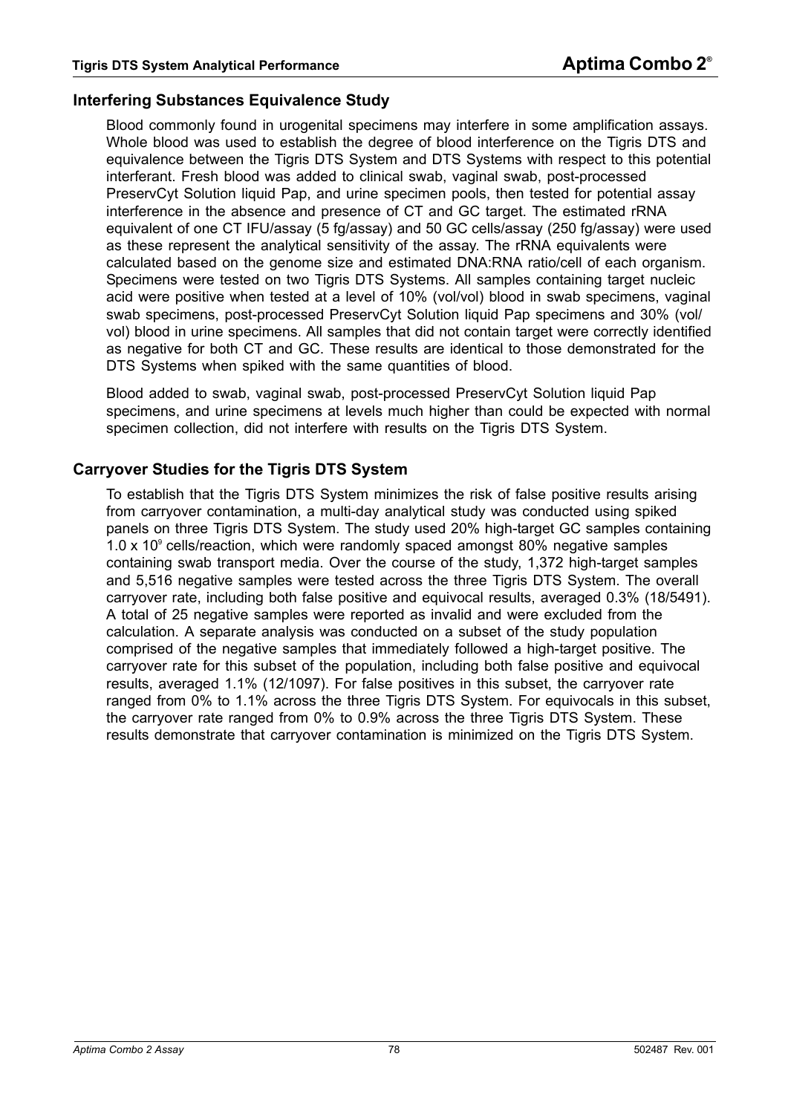#### <span id="page-77-0"></span>**Interfering Substances Equivalence Study**

Blood commonly found in urogenital specimens may interfere in some amplification assays. Whole blood was used to establish the degree of blood interference on the Tigris DTS and equivalence between the Tigris DTS System and DTS Systems with respect to this potential interferant. Fresh blood was added to clinical swab, vaginal swab, post-processed PreservCyt Solution liquid Pap, and urine specimen pools, then tested for potential assay interference in the absence and presence of CT and GC target. The estimated rRNA equivalent of one CT IFU/assay (5 fg/assay) and 50 GC cells/assay (250 fg/assay) were used as these represent the analytical sensitivity of the assay. The rRNA equivalents were calculated based on the genome size and estimated DNA:RNA ratio/cell of each organism. Specimens were tested on two Tigris DTS Systems. All samples containing target nucleic acid were positive when tested at a level of 10% (vol/vol) blood in swab specimens, vaginal swab specimens, post-processed PreservCyt Solution liquid Pap specimens and 30% (vol/ vol) blood in urine specimens. All samples that did not contain target were correctly identified as negative for both CT and GC. These results are identical to those demonstrated for the DTS Systems when spiked with the same quantities of blood.

Blood added to swab, vaginal swab, post-processed PreservCyt Solution liquid Pap specimens, and urine specimens at levels much higher than could be expected with normal specimen collection, did not interfere with results on the Tigris DTS System.

#### **Carryover Studies for the Tigris DTS System**

To establish that the Tigris DTS System minimizes the risk of false positive results arising from carryover contamination, a multi-day analytical study was conducted using spiked panels on three Tigris DTS System. The study used 20% high-target GC samples containing 1.0 x 10 $\degree$  cells/reaction, which were randomly spaced amongst 80% negative samples containing swab transport media. Over the course of the study, 1,372 high-target samples and 5,516 negative samples were tested across the three Tigris DTS System. The overall carryover rate, including both false positive and equivocal results, averaged 0.3% (18/5491). A total of 25 negative samples were reported as invalid and were excluded from the calculation. A separate analysis was conducted on a subset of the study population comprised of the negative samples that immediately followed a high-target positive. The carryover rate for this subset of the population, including both false positive and equivocal results, averaged 1.1% (12/1097). For false positives in this subset, the carryover rate ranged from 0% to 1.1% across the three Tigris DTS System. For equivocals in this subset, the carryover rate ranged from 0% to 0.9% across the three Tigris DTS System. These results demonstrate that carryover contamination is minimized on the Tigris DTS System.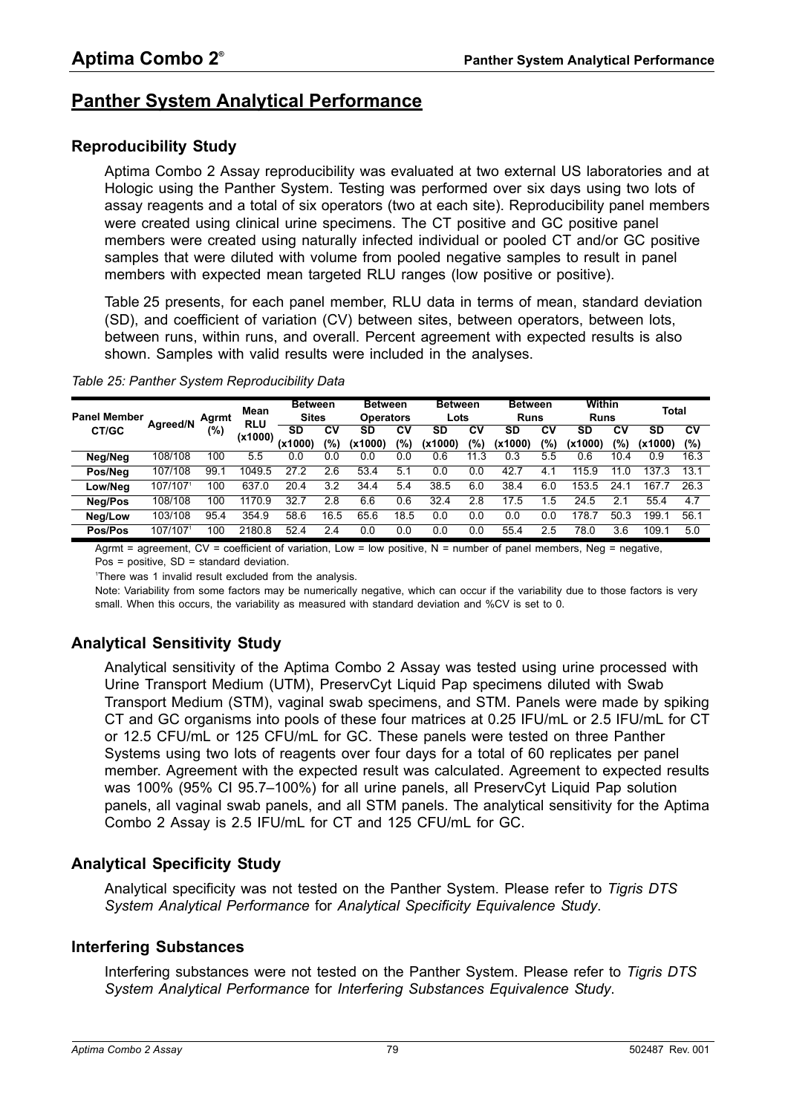## <span id="page-78-0"></span>**Panther System Analytical Performance**

#### **Reproducibility Study**

Aptima Combo 2 Assay reproducibility was evaluated at two external US laboratories and at Hologic using the Panther System. Testing was performed over six days using two lots of assay reagents and a total of six operators (two at each site). Reproducibility panel members were created using clinical urine specimens. The CT positive and GC positive panel members were created using naturally infected individual or pooled CT and/or GC positive samples that were diluted with volume from pooled negative samples to result in panel members with expected mean targeted RLU ranges (low positive or positive).

[Table 25](#page-78-1) presents, for each panel member, RLU data in terms of mean, standard deviation (SD), and coefficient of variation (CV) between sites, between operators, between lots, between runs, within runs, and overall. Percent agreement with expected results is also shown. Samples with valid results were included in the analyses.

| <b>Panel Member</b> | <b>Agreed/N</b> | Agrmt | Mean<br><b>RLU</b> | <b>Between</b><br><b>Sites</b> |      |                   | <b>Between</b><br><b>Operators</b> |         | <b>Between</b><br>Lots |         | <b>Between</b><br><b>Runs</b> |           | Within<br><b>Runs</b> |         | <b>Total</b> |  |
|---------------------|-----------------|-------|--------------------|--------------------------------|------|-------------------|------------------------------------|---------|------------------------|---------|-------------------------------|-----------|-----------------------|---------|--------------|--|
| CT/GC               |                 | (%)   | (x1000)            | <b>SD</b>                      | C٧   | SD                | C٧                                 | SD      | C٧                     | SD      | C٧                            | SD        | C٧                    | SD      | <b>CV</b>    |  |
|                     |                 |       |                    | (x1000)                        | (%)  | (x1000)           | (%)                                | (x1000) | $\frac{10}{6}$         | (x1000) | (%)                           | (x1000    | $\frac{1}{2}$         | (x1000) | (%)          |  |
| Neg/Neg             | 108/108         | 100   | 5.5                | 0.0                            | 0.0  | 0.C               | 0.0                                | 0.6     | .3<br>11               |         | 5.5                           | 0.6       | 10.4                  | 0.9     | 16.3         |  |
| Pos/Neg             | 107/108         | 99.   | 1049.5             | 27.2                           | 2.6  | 53.4              | 5.1                                | 0.0     | 0.0                    | 42.7    |                               | 115.9     | 11                    | 137     | 13.1         |  |
| Low/Neg             | 107/1071        | 100   | 637.0              | 20.4                           | 3.2  | 34.4              | 5.4                                | 38.5    | 6.0                    | 38.4    | 6.0                           | 153<br>.5 | 24.                   | 167     | 26.3         |  |
| Neg/Pos             | 108/108         | 100   | 1170.9             | 32.                            | 2.8  | 6.6               | 0.6                                | 32.4    | 2.8                    | 17.5    | .5                            | 24.5      | 2.1                   | 55.4    | 4.7          |  |
| Neg/Low             | 103/108         | 95.4  | 354.9              | 58.6                           | 16.5 | $65.\overline{6}$ | 18.5                               | 0.0     | 0.0                    | 0.0     | 0.0                           | 178.      | 50.3                  | 199.    | 56.1         |  |
| Pos/Pos             | 107/1071        | 100   | 2180.8             | 52.4                           | 2.4  | 0.0               | 0.0                                | 0.0     | 0.0                    | 55.4    | 2.5                           | 78.0      | 3.6                   | 109.1   | 5.0          |  |

<span id="page-78-1"></span>*Table 25: Panther System Reproducibility Data*

Agrmt = agreement,  $CV = coefficient$  of variation, Low = low positive,  $N =$  number of panel members, Neg = negative, Pos = positive, SD = standard deviation.

1 There was 1 invalid result excluded from the analysis.

Note: Variability from some factors may be numerically negative, which can occur if the variability due to those factors is very small. When this occurs, the variability as measured with standard deviation and %CV is set to 0.

## **Analytical Sensitivity Study**

Analytical sensitivity of the Aptima Combo 2 Assay was tested using urine processed with Urine Transport Medium (UTM), PreservCyt Liquid Pap specimens diluted with Swab Transport Medium (STM), vaginal swab specimens, and STM. Panels were made by spiking CT and GC organisms into pools of these four matrices at 0.25 IFU/mL or 2.5 IFU/mL for CT or 12.5 CFU/mL or 125 CFU/mL for GC. These panels were tested on three Panther Systems using two lots of reagents over four days for a total of 60 replicates per panel member. Agreement with the expected result was calculated. Agreement to expected results was 100% (95% CI 95.7–100%) for all urine panels, all PreservCyt Liquid Pap solution panels, all vaginal swab panels, and all STM panels. The analytical sensitivity for the Aptima Combo 2 Assay is 2.5 IFU/mL for CT and 125 CFU/mL for GC.

## **Analytical Specificity Study**

Analytical specificity was not tested on the Panther System. Please refer to *[Tigris DTS](#page-75-0)  [System Analytical Performance](#page-75-0)* for *[Analytical Specificity Equivalence Study](#page-76-1)*.

#### **Interfering Substances**

Interfering substances were not tested on the Panther System. Please refer to *[Tigris DTS](#page-75-0)  [System Analytical Performance](#page-75-0)* for *[Interfering Substances Equivalence Study](#page-77-0)*.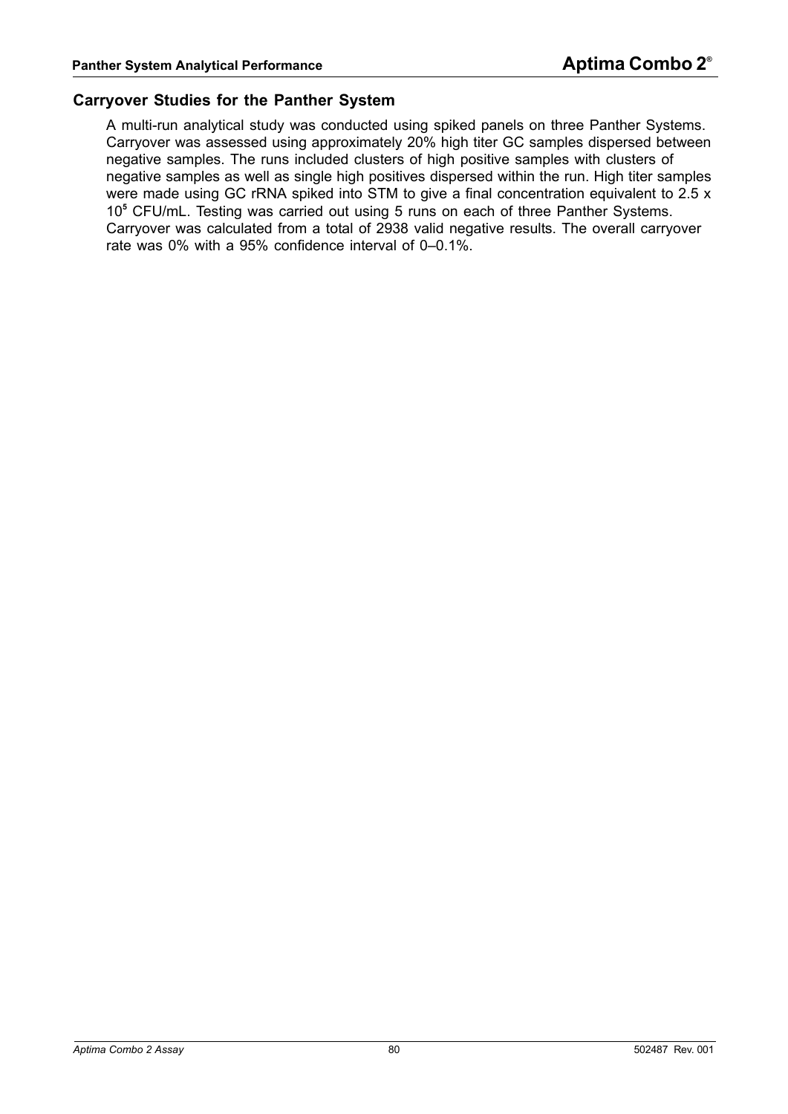#### **Carryover Studies for the Panther System**

A multi-run analytical study was conducted using spiked panels on three Panther Systems. Carryover was assessed using approximately 20% high titer GC samples dispersed between negative samples. The runs included clusters of high positive samples with clusters of negative samples as well as single high positives dispersed within the run. High titer samples were made using GC rRNA spiked into STM to give a final concentration equivalent to 2.5 x 10**<sup>5</sup>** CFU/mL. Testing was carried out using 5 runs on each of three Panther Systems. Carryover was calculated from a total of 2938 valid negative results. The overall carryover rate was 0% with a 95% confidence interval of 0–0.1%.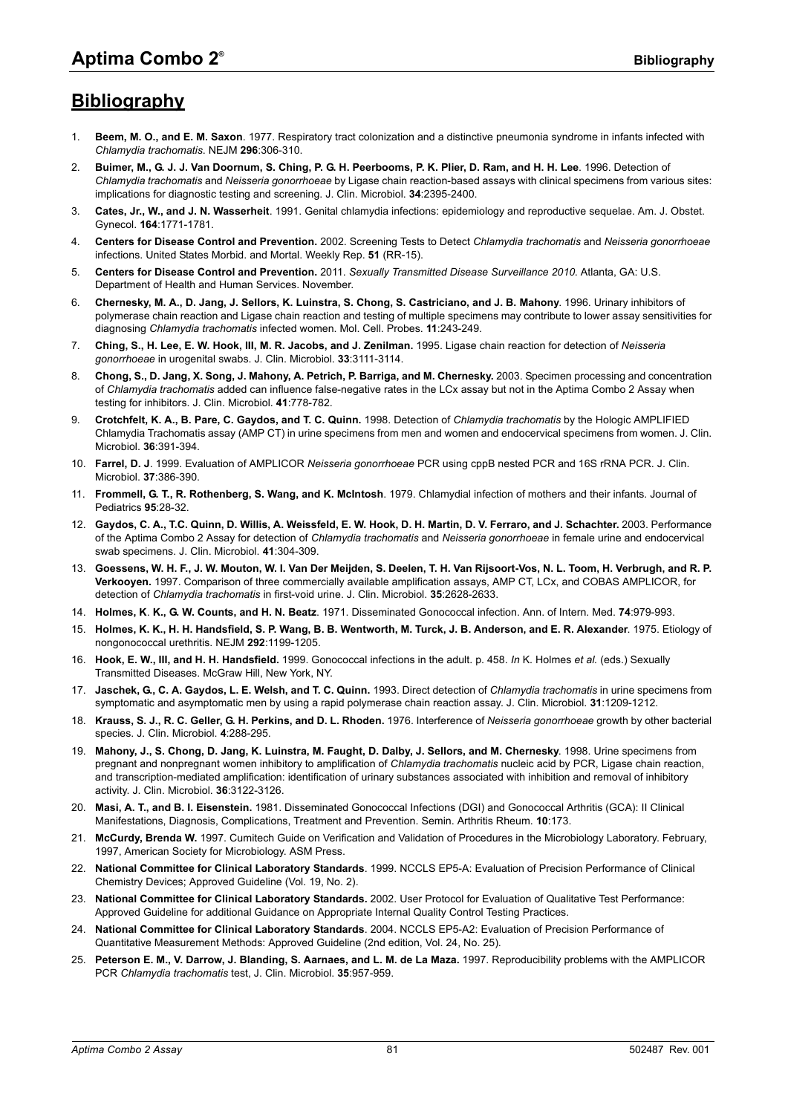# **Bibliography**

- 1. **Beem, M. O., and E. M. Saxon**. 1977. Respiratory tract colonization and a distinctive pneumonia syndrome in infants infected with *Chlamydia trachomatis*. NEJM **296**:306-310.
- 2. **Buimer, M., G. J. J. Van Doornum, S. Ching, P. G. H. Peerbooms, P. K. Plier, D. Ram, and H. H. Lee**. 1996. Detection of *Chlamydia trachomatis* and *Neisseria gonorrhoeae* by Ligase chain reaction-based assays with clinical specimens from various sites: implications for diagnostic testing and screening. J. Clin. Microbiol. **34**:2395-2400.
- 3. **Cates, Jr., W., and J. N. Wasserheit**. 1991. Genital chlamydia infections: epidemiology and reproductive sequelae. Am. J. Obstet. Gynecol. **164**:1771-1781.
- 4. **Centers for Disease Control and Prevention.** 2002. Screening Tests to Detect *Chlamydia trachomatis* and *Neisseria gonorrhoeae*  infections. United States Morbid. and Mortal. Weekly Rep. **51** (RR-15).
- 5. **Centers for Disease Control and Prevention.** 2011. *Sexually Transmitted Disease Surveillance 2010*. Atlanta, GA: U.S. Department of Health and Human Services. November.
- 6. **Chernesky, M. A., D. Jang, J. Sellors, K. Luinstra, S. Chong, S. Castriciano, and J. B. Mahony**. 1996. Urinary inhibitors of polymerase chain reaction and Ligase chain reaction and testing of multiple specimens may contribute to lower assay sensitivities for diagnosing *Chlamydia trachomatis* infected women. Mol. Cell. Probes. **11**:243-249.
- 7. **Ching, S., H. Lee, E. W. Hook, III, M. R. Jacobs, and J. Zenilman.** 1995. Ligase chain reaction for detection of *Neisseria gonorrhoeae* in urogenital swabs. J. Clin. Microbiol. **33**:3111-3114.
- 8. **Chong, S., D. Jang, X. Song, J. Mahony, A. Petrich, P. Barriga, and M. Chernesky.** 2003. Specimen processing and concentration of *Chlamydia trachomatis* added can influence false-negative rates in the LCx assay but not in the Aptima Combo 2 Assay when testing for inhibitors. J. Clin. Microbiol. **41**:778-782.
- 9. **Crotchfelt, K. A., B. Pare, C. Gaydos, and T. C. Quinn.** 1998. Detection of *Chlamydia trachomatis* by the Hologic AMPLIFIED Chlamydia Trachomatis assay (AMP CT) in urine specimens from men and women and endocervical specimens from women. J. Clin. Microbiol. **36**:391-394.
- 10. **Farrel, D. J**. 1999. Evaluation of AMPLICOR *Neisseria gonorrhoeae* PCR using cppB nested PCR and 16S rRNA PCR. J. Clin. Microbiol. **37**:386-390.
- 11. **Frommell, G. T., R. Rothenberg, S. Wang, and K. McIntosh**. 1979. Chlamydial infection of mothers and their infants. Journal of Pediatrics **95**:28-32.
- 12. Gaydos, C. A., T.C. Quinn, D. Willis, A. Weissfeld, E. W. Hook, D. H. Martin, D. V. Ferraro, and J. Schachter. 2003. Performance of the Aptima Combo 2 Assay for detection of *Chlamydia trachomatis* and *Neisseria gonorrhoeae* in female urine and endocervical swab specimens. J. Clin. Microbiol. **41**:304-309.
- 13. **Goessens, W. H. F., J. W. Mouton, W. I. Van Der Meijden, S. Deelen, T. H. Van Rijsoort-Vos, N. L. Toom, H. Verbrugh, and R. P. Verkooyen.** 1997. Comparison of three commercially available amplification assays, AMP CT, LCx, and COBAS AMPLICOR, for detection of *Chlamydia trachomatis* in first-void urine. J. Clin. Microbiol. **35**:2628-2633.
- 14. **Holmes, K**. **K., G. W. Counts, and H. N. Beatz**. 1971. Disseminated Gonococcal infection. Ann. of Intern. Med. **74**:979-993.
- 15. **Holmes, K. K., H. H. Handsfield, S. P. Wang, B. B. Wentworth, M. Turck, J. B. Anderson, and E. R. Alexander**. 1975. Etiology of nongonococcal urethritis. NEJM **292**:1199-1205.
- 16. **Hook, E. W., III, and H. H. Handsfield.** 1999. Gonococcal infections in the adult. p. 458. *In* K. Holmes *et al.* (eds.) Sexually Transmitted Diseases. McGraw Hill, New York, NY.
- 17. **Jaschek, G., C. A. Gaydos, L. E. Welsh, and T. C. Quinn.** 1993. Direct detection of *Chlamydia trachomatis* in urine specimens from symptomatic and asymptomatic men by using a rapid polymerase chain reaction assay. J. Clin. Microbiol. **31**:1209-1212.
- 18. **Krauss, S. J., R. C. Geller, G. H. Perkins, and D. L. Rhoden.** 1976. Interference of *Neisseria gonorrhoeae* growth by other bacterial species. J. Clin. Microbiol. **4**:288-295.
- 19. **Mahony, J., S. Chong, D. Jang, K. Luinstra, M. Faught, D. Dalby, J. Sellors, and M. Chernesky**. 1998. Urine specimens from pregnant and nonpregnant women inhibitory to amplification of *Chlamydia trachomatis* nucleic acid by PCR, Ligase chain reaction, and transcription-mediated amplification: identification of urinary substances associated with inhibition and removal of inhibitory activity. J. Clin. Microbiol. **36**:3122-3126.
- 20. **Masi, A. T., and B. I. Eisenstein.** 1981. Disseminated Gonococcal Infections (DGI) and Gonococcal Arthritis (GCA): II Clinical Manifestations, Diagnosis, Complications, Treatment and Prevention. Semin. Arthritis Rheum. **10**:173.
- 21. **McCurdy, Brenda W.** 1997. Cumitech Guide on Verification and Validation of Procedures in the Microbiology Laboratory. February, 1997, American Society for Microbiology. ASM Press.
- <span id="page-80-0"></span>22. **National Committee for Clinical Laboratory Standards**. 1999. NCCLS EP5-A: Evaluation of Precision Performance of Clinical Chemistry Devices; Approved Guideline (Vol. 19, No. 2).
- 23. **National Committee for Clinical Laboratory Standards.** 2002. User Protocol for Evaluation of Qualitative Test Performance: Approved Guideline for additional Guidance on Appropriate Internal Quality Control Testing Practices.
- 24. **National Committee for Clinical Laboratory Standards**. 2004. NCCLS EP5-A2: Evaluation of Precision Performance of Quantitative Measurement Methods: Approved Guideline (2nd edition, Vol. 24, No. 25).
- 25. **Peterson E. M., V. Darrow, J. Blanding, S. Aarnaes, and L. M. de La Maza.** 1997. Reproducibility problems with the AMPLICOR PCR *Chlamydia trachomatis* test, J. Clin. Microbiol. **35**:957-959.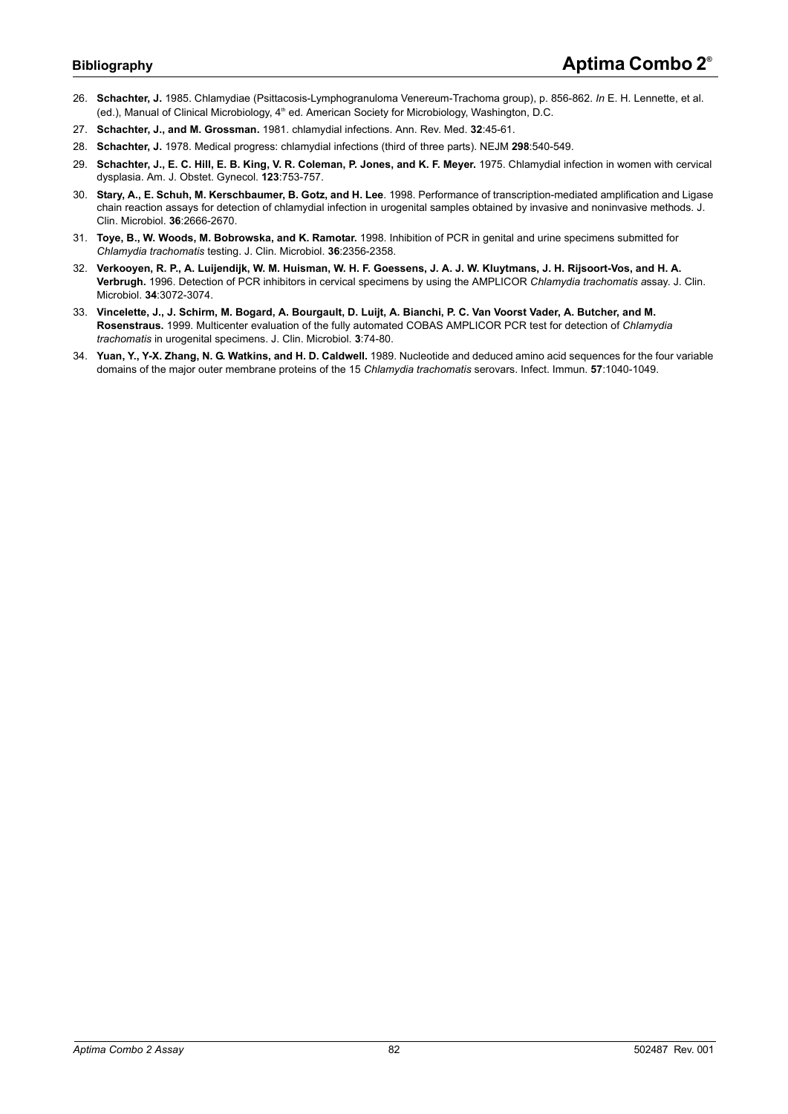- 26. **Schachter, J.** 1985. Chlamydiae (Psittacosis-Lymphogranuloma Venereum-Trachoma group), p. 856-862. *In* E. H. Lennette, et al. (ed.), Manual of Clinical Microbiology, 4<sup>th</sup> ed. American Society for Microbiology, Washington, D.C.
- 27. **Schachter, J., and M. Grossman.** 1981. chlamydial infections. Ann. Rev. Med. **32**:45-61.
- 28. **Schachter, J.** 1978. Medical progress: chlamydial infections (third of three parts). NEJM **298**:540-549.
- 29. **Schachter, J., E. C. Hill, E. B. King, V. R. Coleman, P. Jones, and K. F. Meyer.** 1975. Chlamydial infection in women with cervical dysplasia. Am. J. Obstet. Gynecol. **123**:753-757.
- 30. **Stary, A., E. Schuh, M. Kerschbaumer, B. Gotz, and H. Lee**. 1998. Performance of transcription-mediated amplification and Ligase chain reaction assays for detection of chlamydial infection in urogenital samples obtained by invasive and noninvasive methods. J. Clin. Microbiol. **36**:2666-2670.
- 31. **Toye, B., W. Woods, M. Bobrowska, and K. Ramotar.** 1998. Inhibition of PCR in genital and urine specimens submitted for *Chlamydia trachomatis* testing. J. Clin. Microbiol. **36**:2356-2358.
- 32. **Verkooyen, R. P., A. Luijendijk, W. M. Huisman, W. H. F. Goessens, J. A. J. W. Kluytmans, J. H. Rijsoort-Vos, and H. A. Verbrugh.** 1996. Detection of PCR inhibitors in cervical specimens by using the AMPLICOR *Chlamydia trachomatis a*ssay. J. Clin. Microbiol. **34**:3072-3074.
- 33. **Vincelette, J., J. Schirm, M. Bogard, A. Bourgault, D. Luijt, A. Bianchi, P. C. Van Voorst Vader, A. Butcher, and M. Rosenstraus.** 1999. Multicenter evaluation of the fully automated COBAS AMPLICOR PCR test for detection of *Chlamydia trachomatis* in urogenital specimens. J. Clin. Microbiol. **3**:74-80.
- 34. **Yuan, Y., Y-X. Zhang, N. G. Watkins, and H. D. Caldwell.** 1989. Nucleotide and deduced amino acid sequences for the four variable domains of the major outer membrane proteins of the 15 *Chlamydia trachomatis* serovars. Infect. Immun. **57**:1040-1049.